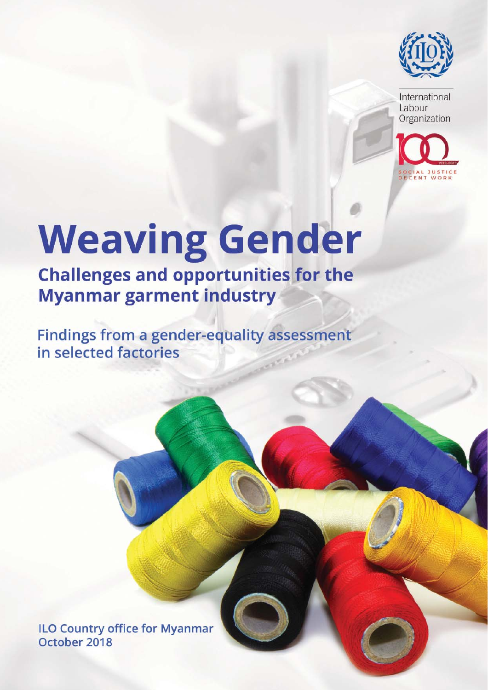

International Labour Organization



# **Weaving Gender**

**Challenges and opportunities for the Myanmar garment industry** 

**Findings from a gender-equality assessment** in selected factories

**ILO Country office for Myanmar** October 2018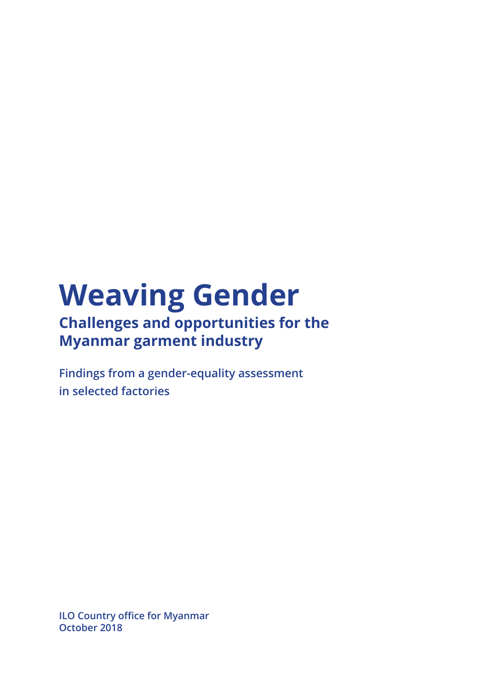## **Weaving Gender**

## **Challenges and opportunities for the Myanmar garment industry**

**Findings from a gender-equality assessment in selected factories**

**ILO Country office for Myanmar October 2018**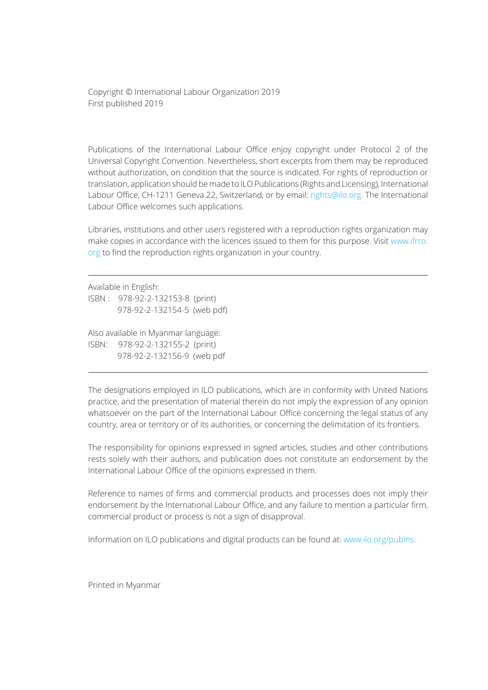Copyright © International Labour Organization 2019 First published 2019

Publications of the International Labour Office enjoy copyright under Protocol 2 of the Universal Copyright Convention. Nevertheless, short excerpts from them may be reproduced without authorization, on condition that the source is indicated. For rights of reproduction or translation, application should be made to ILO Publications (Rights and Licensing), International Labour Office, CH-1211 Geneva 22, Switzerland, or by email: rights@ilo.org. The International Labour Office welcomes such applications.

Libraries, institutions and other users registered with a reproduction rights organization may make copies in accordance with the licences issued to them for this purpose. Visit www.ifrro. org to find the reproduction rights organization in your country.

Available in English: ISBN : 978-92-2-132153-8 (print) 978-92-2-132154-5 (web pdf) Also available in Myanmar language: ISBN: 978-92-2-132155-2 (print) 978-92-2-132156-9 (web pdf

The designations employed in ILO publications, which are in conformity with United Nations practice, and the presentation of material therein do not imply the expression of any opinion whatsoever on the part of the International Labour Office concerning the legal status of any country, area or territory or of its authorities, or concerning the delimitation of its frontiers.

The responsibility for opinions expressed in signed articles, studies and other contributions rests solely with their authors, and publication does not constitute an endorsement by the International Labour Office of the opinions expressed in them.

Reference to names of firms and commercial products and processes does not imply their endorsement by the International Labour Office, and any failure to mention a particular firm, commercial product or process is not a sign of disapproval.

Information on ILO publications and digital products can be found at: www.ilo.org/publns.

Printed in Myanmar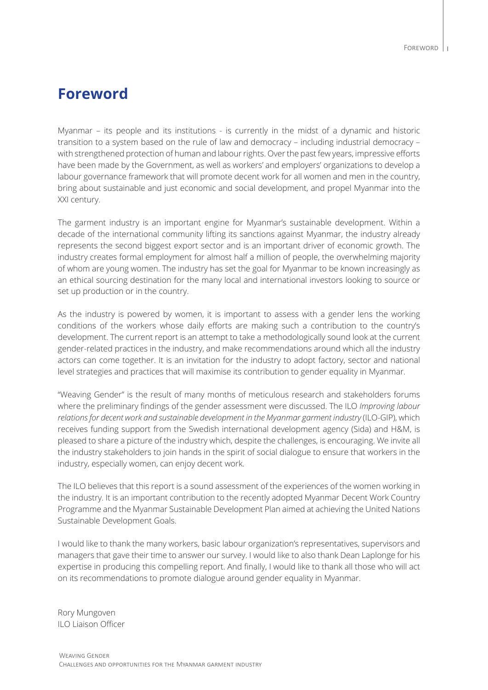### <span id="page-3-0"></span>**Foreword**

Myanmar – its people and its institutions - is currently in the midst of a dynamic and historic transition to a system based on the rule of law and democracy – including industrial democracy – with strengthened protection of human and labour rights. Over the past few years, impressive efforts have been made by the Government, as well as workers' and employers' organizations to develop a labour governance framework that will promote decent work for all women and men in the country, bring about sustainable and just economic and social development, and propel Myanmar into the XXI century.

The garment industry is an important engine for Myanmar's sustainable development. Within a decade of the international community lifting its sanctions against Myanmar, the industry already represents the second biggest export sector and is an important driver of economic growth. The industry creates formal employment for almost half a million of people, the overwhelming majority of whom are young women. The industry has set the goal for Myanmar to be known increasingly as an ethical sourcing destination for the many local and international investors looking to source or set up production or in the country.

As the industry is powered by women, it is important to assess with a gender lens the working conditions of the workers whose daily efforts are making such a contribution to the country's development. The current report is an attempt to take a methodologically sound look at the current gender-related practices in the industry, and make recommendations around which all the industry actors can come together. It is an invitation for the industry to adopt factory, sector and national level strategies and practices that will maximise its contribution to gender equality in Myanmar.

"Weaving Gender" is the result of many months of meticulous research and stakeholders forums where the preliminary findings of the gender assessment were discussed. The ILO Improving labour *relations for decent work and sustainable development in the Myanmar garment industry* (ILO-GIP), which receives funding support from the Swedish international development agency (Sida) and H&M, is pleased to share a picture of the industry which, despite the challenges, is encouraging. We invite all the industry stakeholders to join hands in the spirit of social dialogue to ensure that workers in the industry, especially women, can enjoy decent work.

The ILO believes that this report is a sound assessment of the experiences of the women working in the industry. It is an important contribution to the recently adopted Myanmar Decent Work Country Programme and the Myanmar Sustainable Development Plan aimed at achieving the United Nations Sustainable Development Goals.

I would like to thank the many workers, basic labour organization's representatives, supervisors and managers that gave their time to answer our survey. I would like to also thank Dean Laplonge for his expertise in producing this compelling report. And finally, I would like to thank all those who will act on its recommendations to promote dialogue around gender equality in Myanmar.

Rory Mungoven ILO Liaison Officer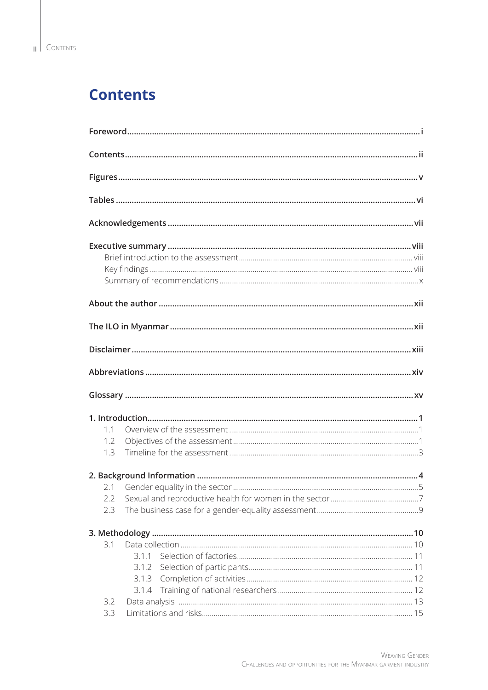## **Contents**

| 1.1 |       |  |
|-----|-------|--|
| 1.2 |       |  |
| 1.3 |       |  |
|     |       |  |
|     |       |  |
| 2.2 |       |  |
| 2.3 |       |  |
|     |       |  |
| 3.1 |       |  |
|     | 3.1.1 |  |
|     | 3.1.2 |  |
|     | 3.1.3 |  |
|     | 3.1.4 |  |
| 3.2 |       |  |
| 3.3 |       |  |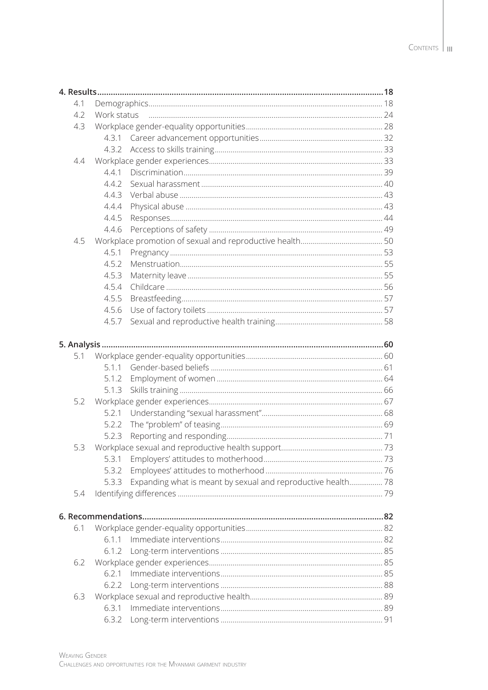| 4.1 |             |                                                              |  |
|-----|-------------|--------------------------------------------------------------|--|
| 4.2 | Work status |                                                              |  |
| 4.3 |             |                                                              |  |
|     | 4.3.1       |                                                              |  |
|     | 4.3.2       |                                                              |  |
| 4.4 |             |                                                              |  |
|     | 4.4.1       |                                                              |  |
|     | 4.4.2       |                                                              |  |
|     | 4.4.3       |                                                              |  |
|     | 4.4.4       |                                                              |  |
|     | 4.4.5       |                                                              |  |
|     | 4.4.6       |                                                              |  |
| 4.5 |             |                                                              |  |
|     | 4.5.1       |                                                              |  |
|     | 4.5.2       |                                                              |  |
|     | 4.5.3       |                                                              |  |
|     | 4.5.4       |                                                              |  |
|     | 4.5.5       |                                                              |  |
|     | 4.5.6       |                                                              |  |
|     | 4.5.7       |                                                              |  |
|     |             |                                                              |  |
|     |             |                                                              |  |
| 5.1 |             |                                                              |  |
|     | 5.1.1       |                                                              |  |
|     | 5.1.2       |                                                              |  |
|     | 5.1.3       |                                                              |  |
| 5.2 |             |                                                              |  |
|     | 5.2.1       |                                                              |  |
|     | 5.2.2       |                                                              |  |
|     | 5.2.3       |                                                              |  |
| 5.3 |             |                                                              |  |
|     | 5.3.1       |                                                              |  |
|     | 5.3.2       |                                                              |  |
|     | 5.3.3       | Expanding what is meant by sexual and reproductive health 78 |  |
| 5.4 |             |                                                              |  |
|     |             |                                                              |  |
| 6.1 |             |                                                              |  |
|     | 6.1.1       |                                                              |  |
|     | 6.1.2       |                                                              |  |
| 6.2 |             |                                                              |  |
|     | 6.2.1       |                                                              |  |
|     | 6.2.2       |                                                              |  |
| 6.3 |             |                                                              |  |
|     | 6.3.1       |                                                              |  |
|     | 6.3.2       |                                                              |  |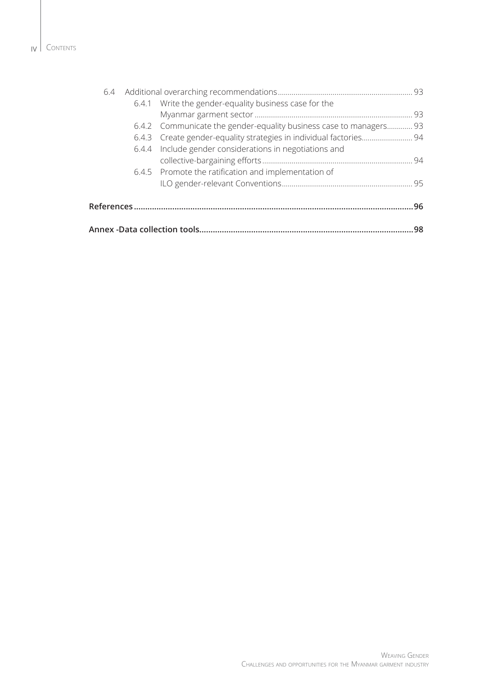| 6.4 |                                                                    |     |
|-----|--------------------------------------------------------------------|-----|
|     | 6.4.1 Write the gender-equality business case for the              |     |
|     |                                                                    |     |
|     | 6.4.2 Communicate the gender-equality business case to managers 93 |     |
|     |                                                                    |     |
|     | 6.4.4 Include gender considerations in negotiations and            |     |
|     |                                                                    |     |
|     | 6.4.5 Promote the ratification and implementation of               |     |
|     |                                                                    |     |
|     |                                                                    |     |
|     |                                                                    | .96 |
|     |                                                                    |     |
|     |                                                                    | .98 |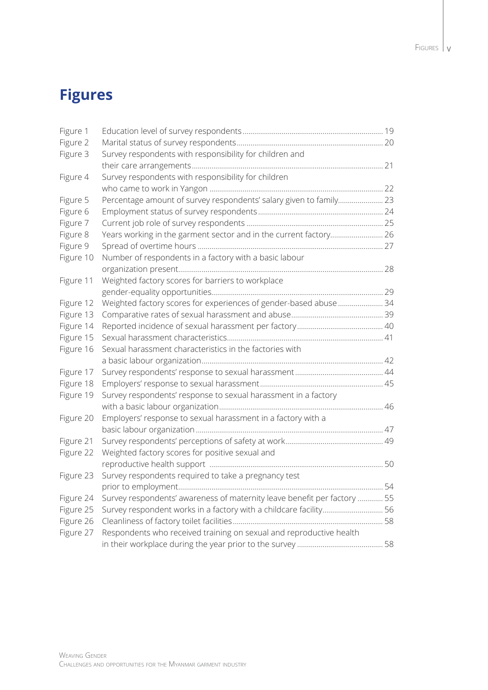## <span id="page-7-0"></span>**Figures**

| Figure 1  |                                                                          |  |
|-----------|--------------------------------------------------------------------------|--|
| Figure 2  |                                                                          |  |
| Figure 3  | Survey respondents with responsibility for children and                  |  |
|           |                                                                          |  |
| Figure 4  | Survey respondents with responsibility for children                      |  |
|           |                                                                          |  |
| Figure 5  | Percentage amount of survey respondents' salary given to family 23       |  |
| Figure 6  |                                                                          |  |
| Figure 7  |                                                                          |  |
| Figure 8  |                                                                          |  |
| Figure 9  |                                                                          |  |
| Figure 10 | Number of respondents in a factory with a basic labour                   |  |
|           |                                                                          |  |
| Figure 11 | Weighted factory scores for barriers to workplace                        |  |
|           |                                                                          |  |
| Figure 12 | Weighted factory scores for experiences of gender-based abuse  34        |  |
| Figure 13 |                                                                          |  |
| Figure 14 |                                                                          |  |
| Figure 15 |                                                                          |  |
| Figure 16 | Sexual harassment characteristics in the factories with                  |  |
|           |                                                                          |  |
| Figure 17 |                                                                          |  |
| Figure 18 |                                                                          |  |
| Figure 19 | Survey respondents' response to sexual harassment in a factory           |  |
|           |                                                                          |  |
| Figure 20 | Employers' response to sexual harassment in a factory with a             |  |
|           |                                                                          |  |
| Figure 21 |                                                                          |  |
| Figure 22 | Weighted factory scores for positive sexual and                          |  |
|           |                                                                          |  |
| Figure 23 | Survey respondents required to take a pregnancy test                     |  |
|           |                                                                          |  |
| Figure 24 | Survey respondents' awareness of maternity leave benefit per factory  55 |  |
| Figure 25 | Survey respondent works in a factory with a childcare facility 56        |  |
| Figure 26 |                                                                          |  |
| Figure 27 | Respondents who received training on sexual and reproductive health      |  |
|           |                                                                          |  |
|           |                                                                          |  |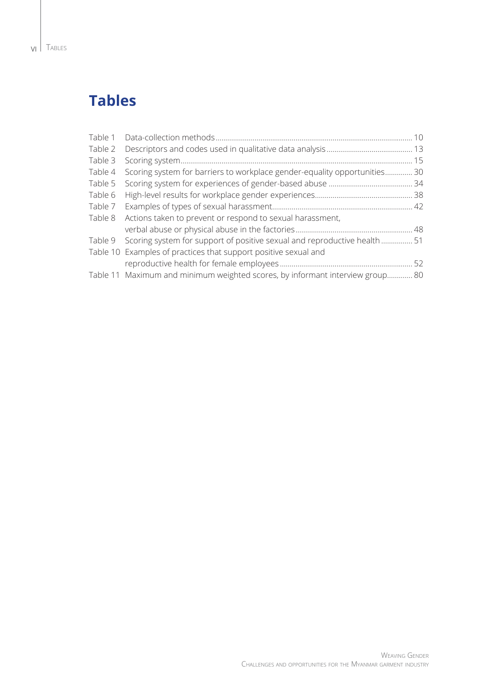## <span id="page-8-0"></span>**Tables**

| Table 3 |                                                                                  |  |
|---------|----------------------------------------------------------------------------------|--|
| Table 4 | Scoring system for barriers to workplace gender-equality opportunities 30        |  |
| Table 5 |                                                                                  |  |
| Table 6 |                                                                                  |  |
|         |                                                                                  |  |
| Table 8 | Actions taken to prevent or respond to sexual harassment,                        |  |
|         |                                                                                  |  |
|         | Table 9 Scoring system for support of positive sexual and reproductive health 51 |  |
|         | Table 10 Examples of practices that support positive sexual and                  |  |
|         |                                                                                  |  |
|         | Table 11 Maximum and minimum weighted scores, by informant interview group 80    |  |
|         |                                                                                  |  |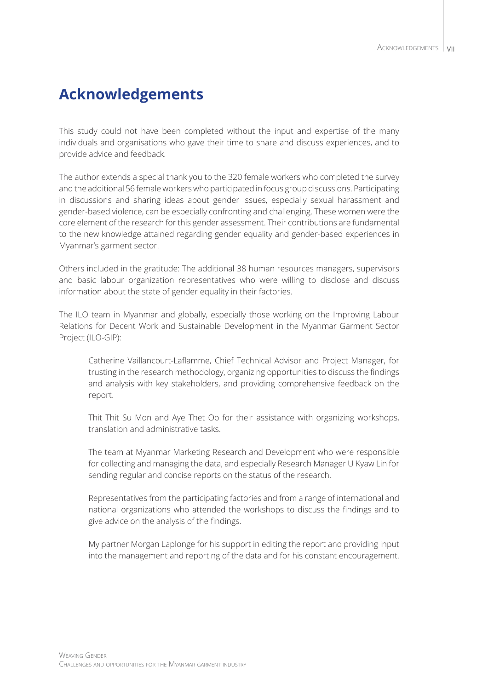## <span id="page-9-0"></span>**Acknowledgements**

This study could not have been completed without the input and expertise of the many individuals and organisations who gave their time to share and discuss experiences, and to provide advice and feedback.

The author extends a special thank you to the 320 female workers who completed the survey and the additional 56 female workers who participated in focus group discussions. Participating in discussions and sharing ideas about gender issues, especially sexual harassment and gender-based violence, can be especially confronting and challenging. These women were the core element of the research for this gender assessment. Their contributions are fundamental to the new knowledge attained regarding gender equality and gender-based experiences in Myanmar's garment sector.

Others included in the gratitude: The additional 38 human resources managers, supervisors and basic labour organization representatives who were willing to disclose and discuss information about the state of gender equality in their factories.

The ILO team in Myanmar and globally, especially those working on the Improving Labour Relations for Decent Work and Sustainable Development in the Myanmar Garment Sector Project (ILO-GIP):

Catherine Vaillancourt-Laflamme, Chief Technical Advisor and Project Manager, for trusting in the research methodology, organizing opportunities to discuss the findings and analysis with key stakeholders, and providing comprehensive feedback on the report.

Thit Thit Su Mon and Aye Thet Oo for their assistance with organizing workshops, translation and administrative tasks.

The team at Myanmar Marketing Research and Development who were responsible for collecting and managing the data, and especially Research Manager U Kyaw Lin for sending regular and concise reports on the status of the research.

Representatives from the participating factories and from a range of international and national organizations who attended the workshops to discuss the findings and to give advice on the analysis of the findings.

My partner Morgan Laplonge for his support in editing the report and providing input into the management and reporting of the data and for his constant encouragement.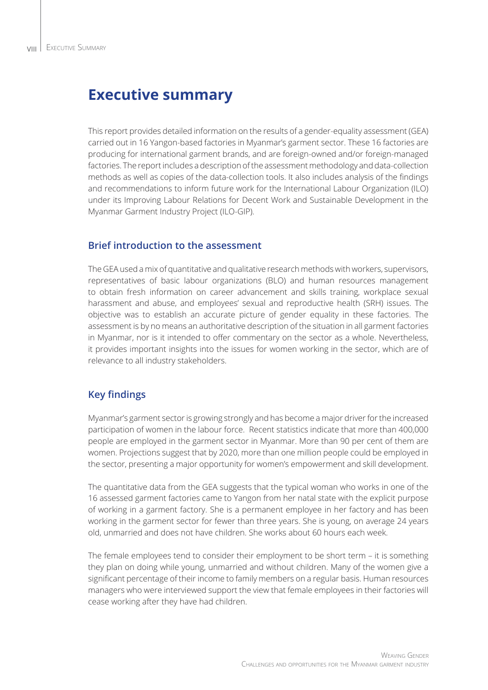## <span id="page-10-0"></span>**Executive summary**

This report provides detailed information on the results of a gender-equality assessment (GEA) carried out in 16 Yangon-based factories in Myanmar's garment sector. These 16 factories are producing for international garment brands, and are foreign-owned and/or foreign-managed factories. The report includes a description of the assessment methodology and data-collection methods as well as copies of the data-collection tools. It also includes analysis of the findings and recommendations to inform future work for the International Labour Organization (ILO) under its Improving Labour Relations for Decent Work and Sustainable Development in the Myanmar Garment Industry Project (ILO-GIP).

#### **Brief introduction to the assessment**

The GEA used a mix of quantitative and qualitative research methods with workers, supervisors, representatives of basic labour organizations (BLO) and human resources management to obtain fresh information on career advancement and skills training, workplace sexual harassment and abuse, and employees' sexual and reproductive health (SRH) issues. The objective was to establish an accurate picture of gender equality in these factories. The assessment is by no means an authoritative description of the situation in all garment factories in Myanmar, nor is it intended to offer commentary on the sector as a whole. Nevertheless, it provides important insights into the issues for women working in the sector, which are of relevance to all industry stakeholders.

#### **Key fi ndings**

Myanmar's garment sector is growing strongly and has become a major driver for the increased participation of women in the labour force. Recent statistics indicate that more than 400,000 people are employed in the garment sector in Myanmar. More than 90 per cent of them are women. Projections suggest that by 2020, more than one million people could be employed in the sector, presenting a major opportunity for women's empowerment and skill development.

The quantitative data from the GEA suggests that the typical woman who works in one of the 16 assessed garment factories came to Yangon from her natal state with the explicit purpose of working in a garment factory. She is a permanent employee in her factory and has been working in the garment sector for fewer than three years. She is young, on average 24 years old, unmarried and does not have children. She works about 60 hours each week.

The female employees tend to consider their employment to be short term – it is something they plan on doing while young, unmarried and without children. Many of the women give a significant percentage of their income to family members on a regular basis. Human resources managers who were interviewed support the view that female employees in their factories will cease working after they have had children.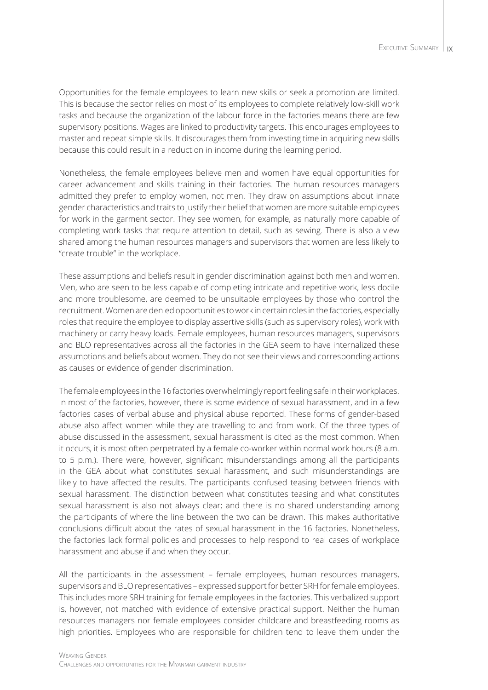Opportunities for the female employees to learn new skills or seek a promotion are limited. This is because the sector relies on most of its employees to complete relatively low-skill work tasks and because the organization of the labour force in the factories means there are few supervisory positions. Wages are linked to productivity targets. This encourages employees to master and repeat simple skills. It discourages them from investing time in acquiring new skills because this could result in a reduction in income during the learning period.

Nonetheless, the female employees believe men and women have equal opportunities for career advancement and skills training in their factories. The human resources managers admitted they prefer to employ women, not men. They draw on assumptions about innate gender characteristics and traits to justify their belief that women are more suitable employees for work in the garment sector. They see women, for example, as naturally more capable of completing work tasks that require attention to detail, such as sewing. There is also a view shared among the human resources managers and supervisors that women are less likely to "create trouble" in the workplace.

These assumptions and beliefs result in gender discrimination against both men and women. Men, who are seen to be less capable of completing intricate and repetitive work, less docile and more troublesome, are deemed to be unsuitable employees by those who control the recruitment. Women are denied opportunities to work in certain roles in the factories, especially roles that require the employee to display assertive skills (such as supervisory roles), work with machinery or carry heavy loads. Female employees, human resources managers, supervisors and BLO representatives across all the factories in the GEA seem to have internalized these assumptions and beliefs about women. They do not see their views and corresponding actions as causes or evidence of gender discrimination.

The female employees in the 16 factories overwhelmingly report feeling safe in their workplaces. In most of the factories, however, there is some evidence of sexual harassment, and in a few factories cases of verbal abuse and physical abuse reported. These forms of gender-based abuse also affect women while they are travelling to and from work. Of the three types of abuse discussed in the assessment, sexual harassment is cited as the most common. When it occurs, it is most often perpetrated by a female co-worker within normal work hours (8 a.m. to 5 p.m.). There were, however, significant misunderstandings among all the participants in the GEA about what constitutes sexual harassment, and such misunderstandings are likely to have affected the results. The participants confused teasing between friends with sexual harassment. The distinction between what constitutes teasing and what constitutes sexual harassment is also not always clear; and there is no shared understanding among the participants of where the line between the two can be drawn. This makes authoritative conclusions difficult about the rates of sexual harassment in the 16 factories. Nonetheless, the factories lack formal policies and processes to help respond to real cases of workplace harassment and abuse if and when they occur.

All the participants in the assessment – female employees, human resources managers, supervisors and BLO representatives – expressed support for better SRH for female employees. This includes more SRH training for female employees in the factories. This verbalized support is, however, not matched with evidence of extensive practical support. Neither the human resources managers nor female employees consider childcare and breastfeeding rooms as high priorities. Employees who are responsible for children tend to leave them under the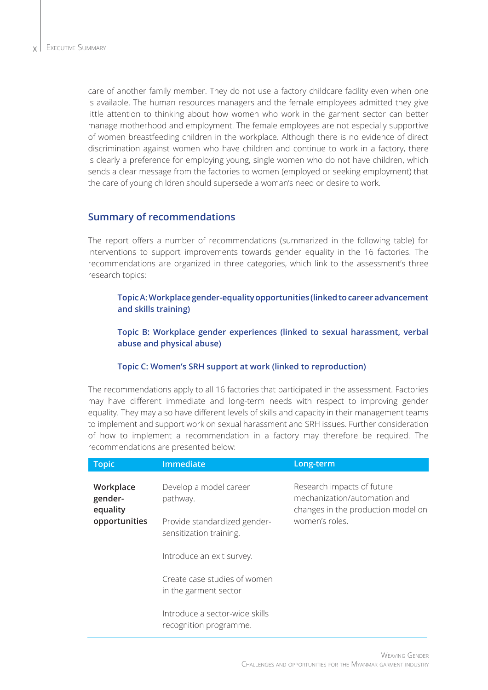<span id="page-12-0"></span>care of another family member. They do not use a factory childcare facility even when one is available. The human resources managers and the female employees admitted they give little attention to thinking about how women who work in the garment sector can better manage motherhood and employment. The female employees are not especially supportive of women breastfeeding children in the workplace. Although there is no evidence of direct discrimination against women who have children and continue to work in a factory, there is clearly a preference for employing young, single women who do not have children, which sends a clear message from the factories to women (employed or seeking employment) that the care of young children should supersede a woman's need or desire to work.

#### **Summary of recommendations**

The report offers a number of recommendations (summarized in the following table) for interventions to support improvements towards gender equality in the 16 factories. The recommendations are organized in three categories, which link to the assessment's three research topics:

**Topic A: Workplace gender-equality opportunities (linked to career advancement and skills training)**

**Topic B: Workplace gender experiences (linked to sexual harassment, verbal abuse and physical abuse)**

#### **Topic C: Women's SRH support at work (linked to reproduction)**

The recommendations apply to all 16 factories that participated in the assessment. Factories may have different immediate and long-term needs with respect to improving gender equality. They may also have different levels of skills and capacity in their management teams to implement and support work on sexual harassment and SRH issues. Further consideration of how to implement a recommendation in a factory may therefore be required. The recommendations are presented below:

| <b>Topic</b>                                      | <b>Immediate</b>                                                   | Long-term                                                                                                          |
|---------------------------------------------------|--------------------------------------------------------------------|--------------------------------------------------------------------------------------------------------------------|
| Workplace<br>gender-<br>equality<br>opportunities | Develop a model career<br>pathway.<br>Provide standardized gender- | Research impacts of future<br>mechanization/automation and<br>changes in the production model on<br>women's roles. |
|                                                   | sensitization training.                                            |                                                                                                                    |
|                                                   | Introduce an exit survey.                                          |                                                                                                                    |
|                                                   | Create case studies of women<br>in the garment sector              |                                                                                                                    |
|                                                   | Introduce a sector-wide skills<br>recognition programme.           |                                                                                                                    |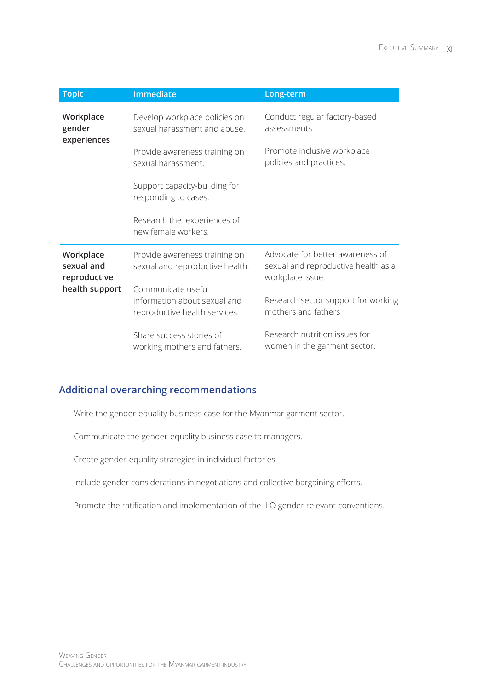| <b>Topic</b>                            | <b>Immediate</b>                                                                    | Long-term                                                                                   |
|-----------------------------------------|-------------------------------------------------------------------------------------|---------------------------------------------------------------------------------------------|
| Workplace<br>gender<br>experiences      | Develop workplace policies on<br>sexual harassment and abuse.                       | Conduct regular factory-based<br>assessments.                                               |
|                                         | Provide awareness training on<br>sexual harassment.                                 | Promote inclusive workplace<br>policies and practices.                                      |
|                                         | Support capacity-building for<br>responding to cases.                               |                                                                                             |
|                                         | Research the experiences of<br>new female workers.                                  |                                                                                             |
| Workplace<br>sexual and<br>reproductive | Provide awareness training on<br>sexual and reproductive health.                    | Advocate for better awareness of<br>sexual and reproductive health as a<br>workplace issue. |
| health support                          | Communicate useful<br>information about sexual and<br>reproductive health services. | Research sector support for working<br>mothers and fathers                                  |
|                                         | Share success stories of<br>working mothers and fathers.                            | Research nutrition issues for<br>women in the garment sector.                               |

#### **Additional overarching recommendations**

Write the gender-equality business case for the Myanmar garment sector.

Communicate the gender-equality business case to managers.

Create gender-equality strategies in individual factories.

Include gender considerations in negotiations and collective bargaining efforts.

Promote the ratification and implementation of the ILO gender relevant conventions.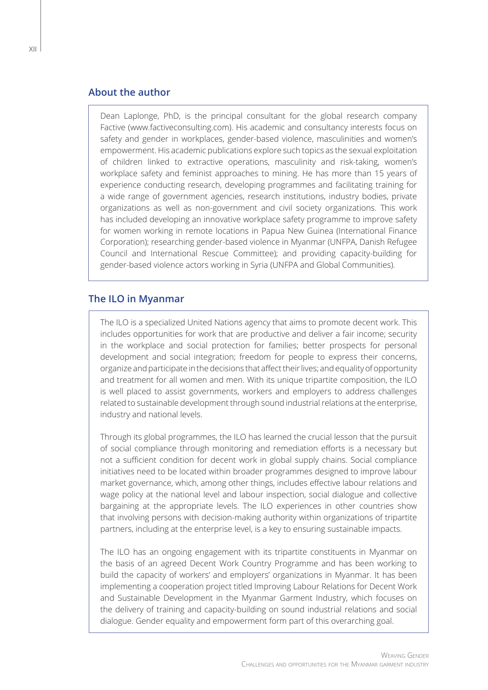#### <span id="page-14-0"></span>**About the author**

Dean Laplonge, PhD, is the principal consultant for the global research company Factive (www.factiveconsulting.com). His academic and consultancy interests focus on safety and gender in workplaces, gender-based violence, masculinities and women's empowerment. His academic publications explore such topics as the sexual exploitation of children linked to extractive operations, masculinity and risk-taking, women's workplace safety and feminist approaches to mining. He has more than 15 years of experience conducting research, developing programmes and facilitating training for a wide range of government agencies, research institutions, industry bodies, private organizations as well as non-government and civil society organizations. This work has included developing an innovative workplace safety programme to improve safety for women working in remote locations in Papua New Guinea (International Finance Corporation); researching gender-based violence in Myanmar (UNFPA, Danish Refugee Council and International Rescue Committee); and providing capacity-building for gender-based violence actors working in Syria (UNFPA and Global Communities).

#### **The ILO in Myanmar**

The ILO is a specialized United Nations agency that aims to promote decent work. This includes opportunities for work that are productive and deliver a fair income; security in the workplace and social protection for families; better prospects for personal development and social integration; freedom for people to express their concerns, organize and participate in the decisions that affect their lives; and equality of opportunity and treatment for all women and men. With its unique tripartite composition, the ILO is well placed to assist governments, workers and employers to address challenges related to sustainable development through sound industrial relations at the enterprise, industry and national levels.

Through its global programmes, the ILO has learned the crucial lesson that the pursuit of social compliance through monitoring and remediation efforts is a necessary but not a sufficient condition for decent work in global supply chains. Social compliance initiatives need to be located within broader programmes designed to improve labour market governance, which, among other things, includes effective labour relations and wage policy at the national level and labour inspection, social dialogue and collective bargaining at the appropriate levels. The ILO experiences in other countries show that involving persons with decision-making authority within organizations of tripartite partners, including at the enterprise level, is a key to ensuring sustainable impacts.

The ILO has an ongoing engagement with its tripartite constituents in Myanmar on the basis of an agreed Decent Work Country Programme and has been working to build the capacity of workers' and employers' organizations in Myanmar. It has been implementing a cooperation project titled Improving Labour Relations for Decent Work and Sustainable Development in the Myanmar Garment Industry, which focuses on the delivery of training and capacity-building on sound industrial relations and social dialogue. Gender equality and empowerment form part of this overarching goal.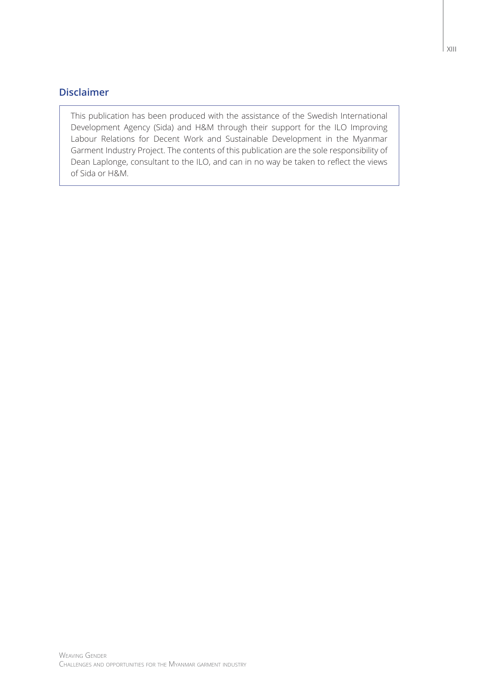#### <span id="page-15-0"></span>**Disclaimer**

This publication has been produced with the assistance of the Swedish International Development Agency (Sida) and H&M through their support for the ILO Improving Labour Relations for Decent Work and Sustainable Development in the Myanmar Garment Industry Project. The contents of this publication are the sole responsibility of Dean Laplonge, consultant to the ILO, and can in no way be taken to reflect the views of Sida or H&M.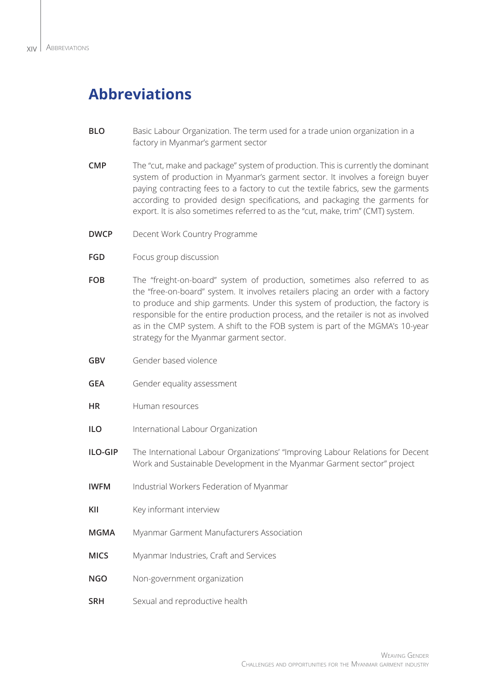## <span id="page-16-0"></span>**Abbreviations**

- **BLO** Basic Labour Organization. The term used for a trade union organization in a factory in Myanmar's garment sector
- **CMP** The "cut, make and package" system of production. This is currently the dominant system of production in Myanmar's garment sector. It involves a foreign buyer paying contracting fees to a factory to cut the textile fabrics, sew the garments according to provided design specifications, and packaging the garments for export. It is also sometimes referred to as the "cut, make, trim" (CMT) system.
- **DWCP** Decent Work Country Programme
- **FGD** Focus group discussion
- FOB The "freight-on-board" system of production, sometimes also referred to as the "free-on-board" system. It involves retailers placing an order with a factory to produce and ship garments. Under this system of production, the factory is responsible for the entire production process, and the retailer is not as involved as in the CMP system. A shift to the FOB system is part of the MGMA's 10-year strategy for the Myanmar garment sector.
- **GBV** Gender based violence
- **GEA** Gender equality assessment
- **HR** Human resources
- **ILO** International Labour Organization
- **ILO-GIP** The International Labour Organizations' "Improving Labour Relations for Decent Work and Sustainable Development in the Myanmar Garment sector" project
- **IWFM** Industrial Workers Federation of Myanmar
- **KII** Key informant interview
- **MGMA** Myanmar Garment Manufacturers Association
- **MICS** Myanmar Industries, Craft and Services
- **NGO** Non-government organization
- **SRH** Sexual and reproductive health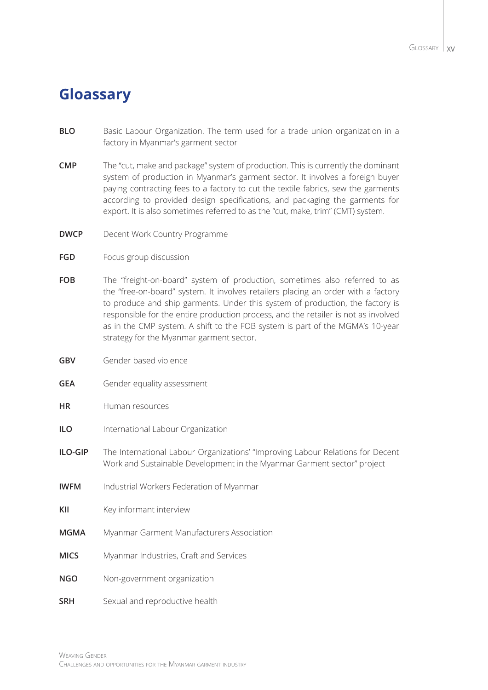## <span id="page-17-0"></span>**Gloassary**

- **BLO** Basic Labour Organization. The term used for a trade union organization in a factory in Myanmar's garment sector
- **CMP** The "cut, make and package" system of production. This is currently the dominant system of production in Myanmar's garment sector. It involves a foreign buyer paying contracting fees to a factory to cut the textile fabrics, sew the garments according to provided design specifications, and packaging the garments for export. It is also sometimes referred to as the "cut, make, trim" (CMT) system.
- **DWCP** Decent Work Country Programme
- **FGD** Focus group discussion
- FOB The "freight-on-board" system of production, sometimes also referred to as the "free-on-board" system. It involves retailers placing an order with a factory to produce and ship garments. Under this system of production, the factory is responsible for the entire production process, and the retailer is not as involved as in the CMP system. A shift to the FOB system is part of the MGMA's 10-year strategy for the Myanmar garment sector.
- **GBV** Gender based violence
- **GEA Gender equality assessment**
- **HR** Human resources
- **ILO** International Labour Organization
- **ILO-GIP** The International Labour Organizations' "Improving Labour Relations for Decent Work and Sustainable Development in the Myanmar Garment sector" project
- **IWFM** Industrial Workers Federation of Myanmar
- **KII Key informant interview**
- **MGMA** Myanmar Garment Manufacturers Association
- **MICS** Myanmar Industries, Craft and Services
- **NGO** Non-government organization
- **SRH** Sexual and reproductive health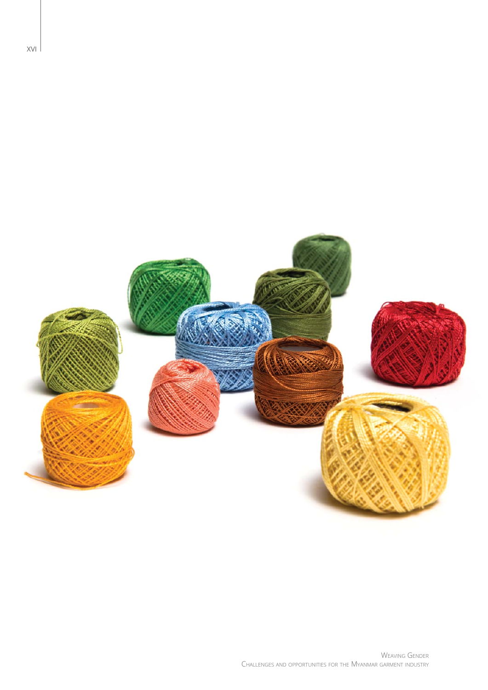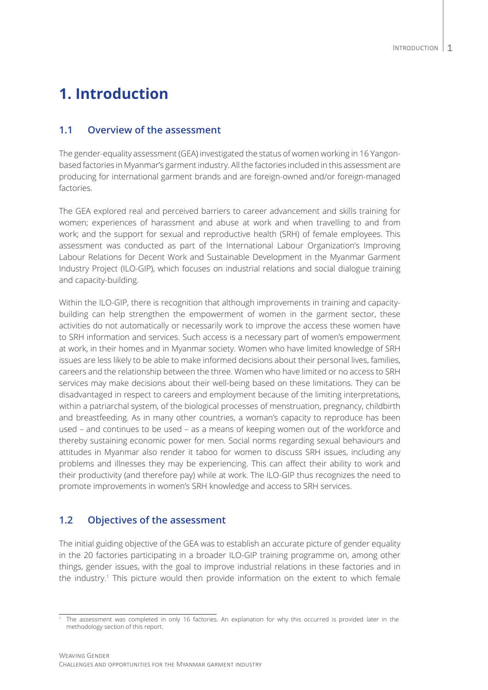## <span id="page-19-0"></span>**1. Introduction**

#### **1.1 Overview of the assessment**

The gender-equality assessment (GEA) investigated the status of women working in 16 Yangonbased factories in Myanmar's garment industry. All the factories included in this assessment are producing for international garment brands and are foreign-owned and/or foreign-managed factories.

The GEA explored real and perceived barriers to career advancement and skills training for women; experiences of harassment and abuse at work and when travelling to and from work; and the support for sexual and reproductive health (SRH) of female employees. This assessment was conducted as part of the International Labour Organization's Improving Labour Relations for Decent Work and Sustainable Development in the Myanmar Garment Industry Project (ILO-GIP), which focuses on industrial relations and social dialogue training and capacity-building.

Within the ILO-GIP, there is recognition that although improvements in training and capacitybuilding can help strengthen the empowerment of women in the garment sector, these activities do not automatically or necessarily work to improve the access these women have to SRH information and services. Such access is a necessary part of women's empowerment at work, in their homes and in Myanmar society. Women who have limited knowledge of SRH issues are less likely to be able to make informed decisions about their personal lives, families, careers and the relationship between the three. Women who have limited or no access to SRH services may make decisions about their well-being based on these limitations. They can be disadvantaged in respect to careers and employment because of the limiting interpretations, within a patriarchal system, of the biological processes of menstruation, pregnancy, childbirth and breastfeeding. As in many other countries, a woman's capacity to reproduce has been used – and continues to be used – as a means of keeping women out of the workforce and thereby sustaining economic power for men. Social norms regarding sexual behaviours and attitudes in Myanmar also render it taboo for women to discuss SRH issues, including any problems and illnesses they may be experiencing. This can affect their ability to work and their productivity (and therefore pay) while at work. The ILO-GIP thus recognizes the need to promote improvements in women's SRH knowledge and access to SRH services.

#### **1.2 Objectives of the assessment**

The initial guiding objective of the GEA was to establish an accurate picture of gender equality in the 20 factories participating in a broader ILO-GIP training programme on, among other things, gender issues, with the goal to improve industrial relations in these factories and in the industry.1 This picture would then provide information on the extent to which female

<sup>1</sup> The assessment was completed in only 16 factories. An explanation for why this occurred is provided later in the methodology section of this report.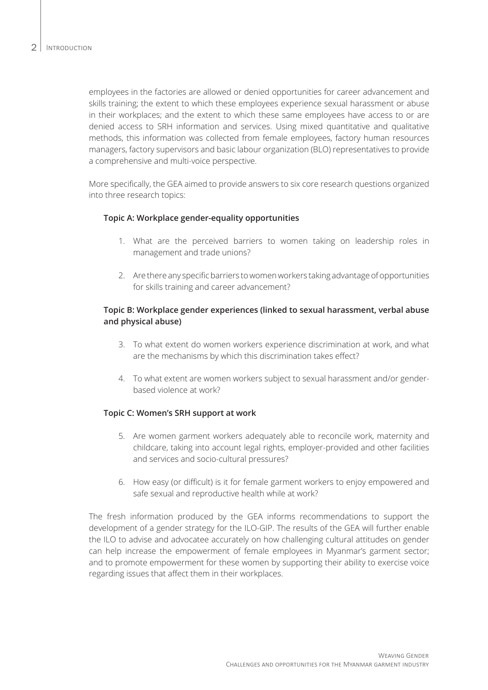employees in the factories are allowed or denied opportunities for career advancement and skills training; the extent to which these employees experience sexual harassment or abuse in their workplaces; and the extent to which these same employees have access to or are denied access to SRH information and services. Using mixed quantitative and qualitative methods, this information was collected from female employees, factory human resources managers, factory supervisors and basic labour organization (BLO) representatives to provide a comprehensive and multi-voice perspective.

More specifically, the GEA aimed to provide answers to six core research questions organized into three research topics:

#### **Topic A: Workplace gender-equality opportunities**

- 1. What are the perceived barriers to women taking on leadership roles in management and trade unions?
- 2. Are there any specific barriers to women workers taking advantage of opportunities for skills training and career advancement?

#### **Topic B: Workplace gender experiences (linked to sexual harassment, verbal abuse and physical abuse)**

- 3. To what extent do women workers experience discrimination at work, and what are the mechanisms by which this discrimination takes effect?
- 4. To what extent are women workers subject to sexual harassment and/or genderbased violence at work?

#### **Topic C: Women's SRH support at work**

- 5. Are women garment workers adequately able to reconcile work, maternity and childcare, taking into account legal rights, employer-provided and other facilities and services and socio-cultural pressures?
- 6. How easy (or difficult) is it for female garment workers to enjoy empowered and safe sexual and reproductive health while at work?

The fresh information produced by the GEA informs recommendations to support the development of a gender strategy for the ILO-GIP. The results of the GEA will further enable the ILO to advise and advocatee accurately on how challenging cultural attitudes on gender can help increase the empowerment of female employees in Myanmar's garment sector; and to promote empowerment for these women by supporting their ability to exercise voice regarding issues that affect them in their workplaces.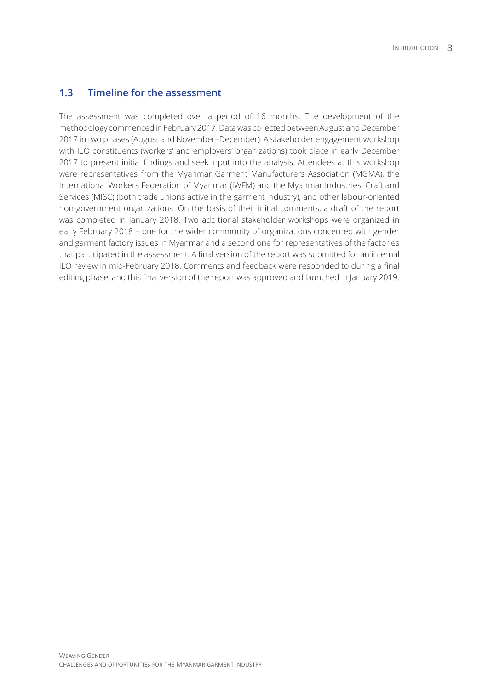#### <span id="page-21-0"></span>**1.3 Timeline for the assessment**

The assessment was completed over a period of 16 months. The development of the methodology commenced in February 2017. Data was collected between August and December 2017 in two phases (August and November–December). A stakeholder engagement workshop with ILO constituents (workers' and employers' organizations) took place in early December 2017 to present initial findings and seek input into the analysis. Attendees at this workshop were representatives from the Myanmar Garment Manufacturers Association (MGMA), the International Workers Federation of Myanmar (IWFM) and the Myanmar Industries, Craft and Services (MISC) (both trade unions active in the garment industry), and other labour-oriented non-government organizations. On the basis of their initial comments, a draft of the report was completed in January 2018. Two additional stakeholder workshops were organized in early February 2018 – one for the wider community of organizations concerned with gender and garment factory issues in Myanmar and a second one for representatives of the factories that participated in the assessment. A final version of the report was submitted for an internal ILO review in mid-February 2018. Comments and feedback were responded to during a final editing phase, and this final version of the report was approved and launched in January 2019.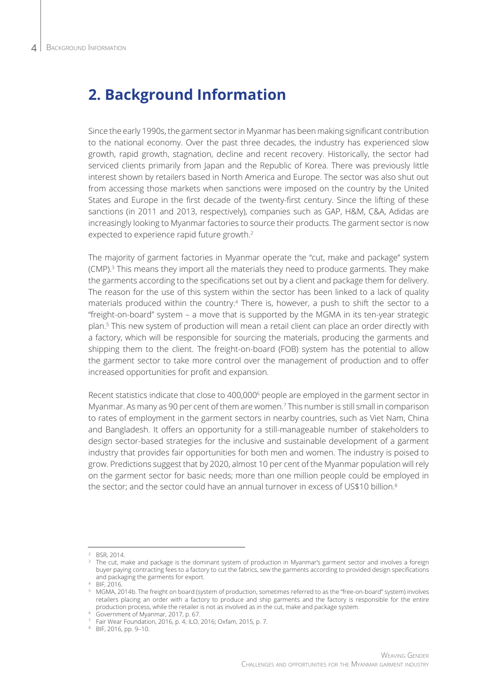## <span id="page-22-0"></span>**2. Background Information**

Since the early 1990s, the garment sector in Myanmar has been making significant contribution to the national economy. Over the past three decades, the industry has experienced slow growth, rapid growth, stagnation, decline and recent recovery. Historically, the sector had serviced clients primarily from Japan and the Republic of Korea. There was previously little interest shown by retailers based in North America and Europe. The sector was also shut out from accessing those markets when sanctions were imposed on the country by the United States and Europe in the first decade of the twenty-first century. Since the lifting of these sanctions (in 2011 and 2013, respectively), companies such as GAP, H&M, C&A, Adidas are increasingly looking to Myanmar factories to source their products. The garment sector is now expected to experience rapid future growth.<sup>2</sup>

The majority of garment factories in Myanmar operate the "cut, make and package" system (CMP).3 This means they import all the materials they need to produce garments. They make the garments according to the specifications set out by a client and package them for delivery. The reason for the use of this system within the sector has been linked to a lack of quality materials produced within the country.4 There is, however, a push to shift the sector to a "freight-on-board" system – a move that is supported by the MGMA in its ten-year strategic plan.5 This new system of production will mean a retail client can place an order directly with a factory, which will be responsible for sourcing the materials, producing the garments and shipping them to the client. The freight-on-board (FOB) system has the potential to allow the garment sector to take more control over the management of production and to offer increased opportunities for profit and expansion.

Recent statistics indicate that close to 400,000<sup>6</sup> people are employed in the garment sector in Myanmar. As many as 90 per cent of them are women.7 This number is still small in comparison to rates of employment in the garment sectors in nearby countries, such as Viet Nam, China and Bangladesh. It offers an opportunity for a still-manageable number of stakeholders to design sector-based strategies for the inclusive and sustainable development of a garment industry that provides fair opportunities for both men and women. The industry is poised to grow. Predictions suggest that by 2020, almost 10 per cent of the Myanmar population will rely on the garment sector for basic needs; more than one million people could be employed in the sector; and the sector could have an annual turnover in excess of US\$10 billion.<sup>8</sup>

<sup>2</sup> BSR, 2014.

<sup>3</sup> The cut, make and package is the dominant system of production in Myanmar's garment sector and involves a foreign buyer paying contracting fees to a factory to cut the fabrics, sew the garments according to provided design specifications and packaging the garments for export.

<sup>4</sup> BIF, 2016.

<sup>5</sup> MGMA, 2014b. The freight on board (system of production, sometimes referred to as the "free-on-board" system) involves retailers placing an order with a factory to produce and ship garments and the factory is responsible for the entire production process, while the retailer is not as involved as in the cut, make and package system.

<sup>6</sup> Government of Myanmar, 2017, p. 67.

<sup>7</sup> Fair Wear Foundation, 2016, p. 4; ILO, 2016; Oxfam, 2015, p. 7.

<sup>8</sup> BIF, 2016, pp. 9–10.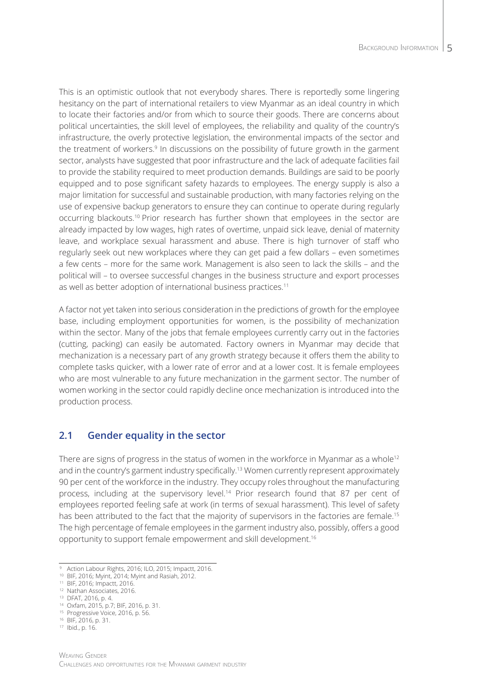<span id="page-23-0"></span>This is an optimistic outlook that not everybody shares. There is reportedly some lingering hesitancy on the part of international retailers to view Myanmar as an ideal country in which to locate their factories and/or from which to source their goods. There are concerns about political uncertainties, the skill level of employees, the reliability and quality of the country's infrastructure, the overly protective legislation, the environmental impacts of the sector and the treatment of workers.9 In discussions on the possibility of future growth in the garment sector, analysts have suggested that poor infrastructure and the lack of adequate facilities fail to provide the stability required to meet production demands. Buildings are said to be poorly equipped and to pose significant safety hazards to employees. The energy supply is also a major limitation for successful and sustainable production, with many factories relying on the use of expensive backup generators to ensure they can continue to operate during regularly occurring blackouts.10 Prior research has further shown that employees in the sector are already impacted by low wages, high rates of overtime, unpaid sick leave, denial of maternity leave, and workplace sexual harassment and abuse. There is high turnover of staff who regularly seek out new workplaces where they can get paid a few dollars – even sometimes a few cents – more for the same work. Management is also seen to lack the skills – and the political will – to oversee successful changes in the business structure and export processes as well as better adoption of international business practices.<sup>11</sup>

A factor not yet taken into serious consideration in the predictions of growth for the employee base, including employment opportunities for women, is the possibility of mechanization within the sector. Many of the jobs that female employees currently carry out in the factories (cutting, packing) can easily be automated. Factory owners in Myanmar may decide that mechanization is a necessary part of any growth strategy because it offers them the ability to complete tasks quicker, with a lower rate of error and at a lower cost. It is female employees who are most vulnerable to any future mechanization in the garment sector. The number of women working in the sector could rapidly decline once mechanization is introduced into the production process.

#### **2.1 Gender equality in the sector**

There are signs of progress in the status of women in the workforce in Myanmar as a whole<sup>12</sup> and in the country's garment industry specifically.<sup>13</sup> Women currently represent approximately 90 per cent of the workforce in the industry. They occupy roles throughout the manufacturing process, including at the supervisory level.<sup>14</sup> Prior research found that 87 per cent of employees reported feeling safe at work (in terms of sexual harassment). This level of safety has been attributed to the fact that the majority of supervisors in the factories are female.<sup>15</sup> The high percentage of female employees in the garment industry also, possibly, offers a good opportunity to support female empowerment and skill development.16

<sup>9</sup> Action Labour Rights, 2016; ILO, 2015; Impactt, 2016.

<sup>10</sup> BIF, 2016; Myint, 2014; Myint and Rasiah, 2012.

<sup>11</sup> BIF, 2016; Impactt, 2016.

<sup>12</sup> Nathan Associates, 2016.

<sup>13</sup> DFAT, 2016, p. 4.

<sup>14</sup> Oxfam, 2015, p.7; BIF, 2016, p. 31.

<sup>&</sup>lt;sup>15</sup> Progressive Voice, 2016, p. 56.

<sup>16</sup> BIF, 2016, p. 31.

<sup>17</sup> Ibid., p. 16.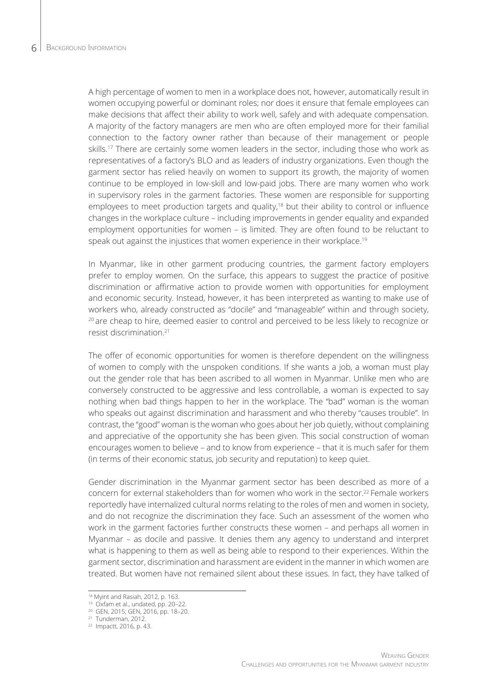A high percentage of women to men in a workplace does not, however, automatically result in women occupying powerful or dominant roles; nor does it ensure that female employees can make decisions that affect their ability to work well, safely and with adequate compensation. A majority of the factory managers are men who are often employed more for their familial connection to the factory owner rather than because of their management or people skills.<sup>17</sup> There are certainly some women leaders in the sector, including those who work as representatives of a factory's BLO and as leaders of industry organizations. Even though the garment sector has relied heavily on women to support its growth, the majority of women continue to be employed in low-skill and low-paid jobs. There are many women who work in supervisory roles in the garment factories. These women are responsible for supporting employees to meet production targets and quality, $18$  but their ability to control or influence changes in the workplace culture – including improvements in gender equality and expanded employment opportunities for women – is limited. They are often found to be reluctant to speak out against the injustices that women experience in their workplace.<sup>19</sup>

In Myanmar, like in other garment producing countries, the garment factory employers prefer to employ women. On the surface, this appears to suggest the practice of positive discrimination or affirmative action to provide women with opportunities for employment and economic security. Instead, however, it has been interpreted as wanting to make use of workers who, already constructed as "docile" and "manageable" within and through society,  $20$  are cheap to hire, deemed easier to control and perceived to be less likely to recognize or resist discrimination.21

The offer of economic opportunities for women is therefore dependent on the willingness of women to comply with the unspoken conditions. If she wants a job, a woman must play out the gender role that has been ascribed to all women in Myanmar. Unlike men who are conversely constructed to be aggressive and less controllable, a woman is expected to say nothing when bad things happen to her in the workplace. The "bad" woman is the woman who speaks out against discrimination and harassment and who thereby "causes trouble". In contrast, the "good" woman is the woman who goes about her job quietly, without complaining and appreciative of the opportunity she has been given. This social construction of woman encourages women to believe – and to know from experience – that it is much safer for them (in terms of their economic status, job security and reputation) to keep quiet.

Gender discrimination in the Myanmar garment sector has been described as more of a concern for external stakeholders than for women who work in the sector.<sup>22</sup> Female workers reportedly have internalized cultural norms relating to the roles of men and women in society, and do not recognize the discrimination they face. Such an assessment of the women who work in the garment factories further constructs these women – and perhaps all women in Myanmar – as docile and passive. It denies them any agency to understand and interpret what is happening to them as well as being able to respond to their experiences. Within the garment sector, discrimination and harassment are evident in the manner in which women are treated. But women have not remained silent about these issues. In fact, they have talked of

<sup>18</sup> Myint and Rasiah, 2012, p. 163.

<sup>19</sup> Oxfam et al., undated, pp. 20–22.

<sup>20</sup> GEN, 2015; GEN, 2016, pp. 18–20.

 $21$  Tunderman, 2012.

<sup>22</sup> Impactt, 2016, p. 43.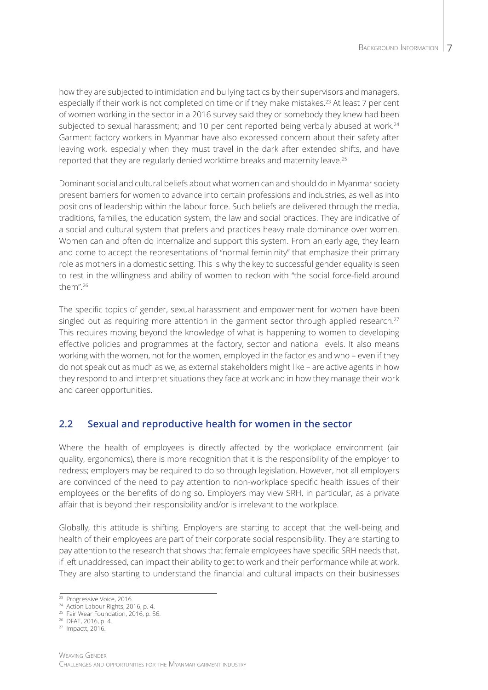<span id="page-25-0"></span>how they are subjected to intimidation and bullying tactics by their supervisors and managers, especially if their work is not completed on time or if they make mistakes.<sup>23</sup> At least 7 per cent of women working in the sector in a 2016 survey said they or somebody they knew had been subjected to sexual harassment; and 10 per cent reported being verbally abused at work.<sup>24</sup> Garment factory workers in Myanmar have also expressed concern about their safety after leaving work, especially when they must travel in the dark after extended shifts, and have reported that they are regularly denied worktime breaks and maternity leave.25

Dominant social and cultural beliefs about what women can and should do in Myanmar society present barriers for women to advance into certain professions and industries, as well as into positions of leadership within the labour force. Such beliefs are delivered through the media, traditions, families, the education system, the law and social practices. They are indicative of a social and cultural system that prefers and practices heavy male dominance over women. Women can and often do internalize and support this system. From an early age, they learn and come to accept the representations of "normal femininity" that emphasize their primary role as mothers in a domestic setting. This is why the key to successful gender equality is seen to rest in the willingness and ability of women to reckon with "the social force-field around them".26

The specific topics of gender, sexual harassment and empowerment for women have been singled out as requiring more attention in the garment sector through applied research.<sup>27</sup> This requires moving beyond the knowledge of what is happening to women to developing effective policies and programmes at the factory, sector and national levels. It also means working with the women, not for the women, employed in the factories and who – even if they do not speak out as much as we, as external stakeholders might like – are active agents in how they respond to and interpret situations they face at work and in how they manage their work and career opportunities.

#### **2.2 Sexual and reproductive health for women in the sector**

Where the health of employees is directly affected by the workplace environment (air quality, ergonomics), there is more recognition that it is the responsibility of the employer to redress; employers may be required to do so through legislation. However, not all employers are convinced of the need to pay attention to non-workplace specific health issues of their employees or the benefits of doing so. Employers may view SRH, in particular, as a private affair that is beyond their responsibility and/or is irrelevant to the workplace.

Globally, this attitude is shifting. Employers are starting to accept that the well-being and health of their employees are part of their corporate social responsibility. They are starting to pay attention to the research that shows that female employees have specific SRH needs that, if left unaddressed, can impact their ability to get to work and their performance while at work. They are also starting to understand the financial and cultural impacts on their businesses

<sup>&</sup>lt;sup>23</sup> Progressive Voice, 2016.

<sup>24</sup> Action Labour Rights, 2016, p. 4.

<sup>&</sup>lt;sup>25</sup> Fair Wear Foundation, 2016, p. 56.

<sup>26</sup> DFAT, 2016, p. 4.

<sup>27</sup> Impactt, 2016.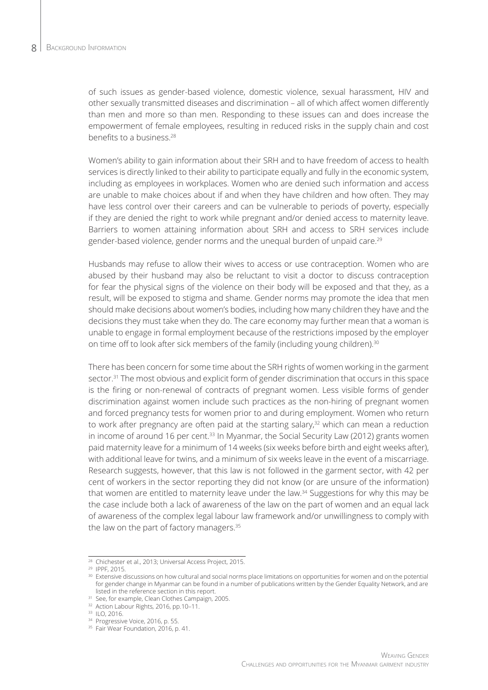of such issues as gender-based violence, domestic violence, sexual harassment, HIV and other sexually transmitted diseases and discrimination - all of which affect women differently than men and more so than men. Responding to these issues can and does increase the empowerment of female employees, resulting in reduced risks in the supply chain and cost benefits to a business.<sup>28</sup>

Women's ability to gain information about their SRH and to have freedom of access to health services is directly linked to their ability to participate equally and fully in the economic system, including as employees in workplaces. Women who are denied such information and access are unable to make choices about if and when they have children and how often. They may have less control over their careers and can be vulnerable to periods of poverty, especially if they are denied the right to work while pregnant and/or denied access to maternity leave. Barriers to women attaining information about SRH and access to SRH services include gender-based violence, gender norms and the unequal burden of unpaid care.<sup>29</sup>

Husbands may refuse to allow their wives to access or use contraception. Women who are abused by their husband may also be reluctant to visit a doctor to discuss contraception for fear the physical signs of the violence on their body will be exposed and that they, as a result, will be exposed to stigma and shame. Gender norms may promote the idea that men should make decisions about women's bodies, including how many children they have and the decisions they must take when they do. The care economy may further mean that a woman is unable to engage in formal employment because of the restrictions imposed by the employer on time off to look after sick members of the family (including young children).30

There has been concern for some time about the SRH rights of women working in the garment sector.<sup>31</sup> The most obvious and explicit form of gender discrimination that occurs in this space is the firing or non-renewal of contracts of pregnant women. Less visible forms of gender discrimination against women include such practices as the non-hiring of pregnant women and forced pregnancy tests for women prior to and during employment. Women who return to work after pregnancy are often paid at the starting salary, $32$  which can mean a reduction in income of around 16 per cent.<sup>33</sup> In Myanmar, the Social Security Law (2012) grants women paid maternity leave for a minimum of 14 weeks (six weeks before birth and eight weeks after), with additional leave for twins, and a minimum of six weeks leave in the event of a miscarriage. Research suggests, however, that this law is not followed in the garment sector, with 42 per cent of workers in the sector reporting they did not know (or are unsure of the information) that women are entitled to maternity leave under the law.<sup>34</sup> Suggestions for why this may be the case include both a lack of awareness of the law on the part of women and an equal lack of awareness of the complex legal labour law framework and/or unwillingness to comply with the law on the part of factory managers.<sup>35</sup>

<sup>28</sup> Chichester et al., 2013; Universal Access Project, 2015.

<sup>29</sup> IPPF, 2015.

<sup>&</sup>lt;sup>30</sup> Extensive discussions on how cultural and social norms place limitations on opportunities for women and on the potential for gender change in Myanmar can be found in a number of publications written by the Gender Equality Network, and are<br>listed in the reference section in this report.

<sup>&</sup>lt;sup>31</sup> See, for example, Clean Clothes Campaign, 2005.

<sup>&</sup>lt;sup>32</sup> Action Labour Rights, 2016, pp.10-11.

<sup>33</sup> ILO, 2016.

<sup>&</sup>lt;sup>34</sup> Progressive Voice, 2016, p. 55.

<sup>&</sup>lt;sup>35</sup> Fair Wear Foundation, 2016, p. 41.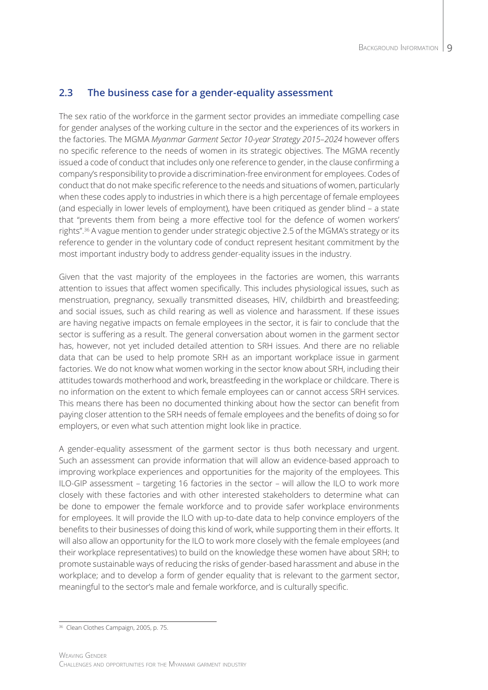#### <span id="page-27-0"></span>**2.3 The business case for a gender-equality assessment**

The sex ratio of the workforce in the garment sector provides an immediate compelling case for gender analyses of the working culture in the sector and the experiences of its workers in the factories. The MGMA *Myanmar Garment Sector 10-year Strategy 2015-2024* however offers no specific reference to the needs of women in its strategic objectives. The MGMA recently issued a code of conduct that includes only one reference to gender, in the clause confirming a company's responsibility to provide a discrimination-free environment for employees. Codes of conduct that do not make specific reference to the needs and situations of women, particularly when these codes apply to industries in which there is a high percentage of female employees (and especially in lower levels of employment), have been critiqued as gender blind – a state that "prevents them from being a more effective tool for the defence of women workers' rights".36 A vague mention to gender under strategic objective 2.5 of the MGMA's strategy or its reference to gender in the voluntary code of conduct represent hesitant commitment by the most important industry body to address gender-equality issues in the industry.

Given that the vast majority of the employees in the factories are women, this warrants attention to issues that affect women specifically. This includes physiological issues, such as menstruation, pregnancy, sexually transmitted diseases, HIV, childbirth and breastfeeding; and social issues, such as child rearing as well as violence and harassment. If these issues are having negative impacts on female employees in the sector, it is fair to conclude that the sector is suffering as a result. The general conversation about women in the garment sector has, however, not yet included detailed attention to SRH issues. And there are no reliable data that can be used to help promote SRH as an important workplace issue in garment factories. We do not know what women working in the sector know about SRH, including their attitudes towards motherhood and work, breastfeeding in the workplace or childcare. There is no information on the extent to which female employees can or cannot access SRH services. This means there has been no documented thinking about how the sector can benefit from paying closer attention to the SRH needs of female employees and the benefits of doing so for employers, or even what such attention might look like in practice.

A gender-equality assessment of the garment sector is thus both necessary and urgent. Such an assessment can provide information that will allow an evidence-based approach to improving workplace experiences and opportunities for the majority of the employees. This ILO-GIP assessment – targeting 16 factories in the sector – will allow the ILO to work more closely with these factories and with other interested stakeholders to determine what can be done to empower the female workforce and to provide safer workplace environments for employees. It will provide the ILO with up-to-date data to help convince employers of the benefits to their businesses of doing this kind of work, while supporting them in their efforts. It will also allow an opportunity for the ILO to work more closely with the female employees (and their workplace representatives) to build on the knowledge these women have about SRH; to promote sustainable ways of reducing the risks of gender-based harassment and abuse in the workplace; and to develop a form of gender equality that is relevant to the garment sector, meaningful to the sector's male and female workforce, and is culturally specific.

<sup>36</sup> Clean Clothes Campaign, 2005, p. 75.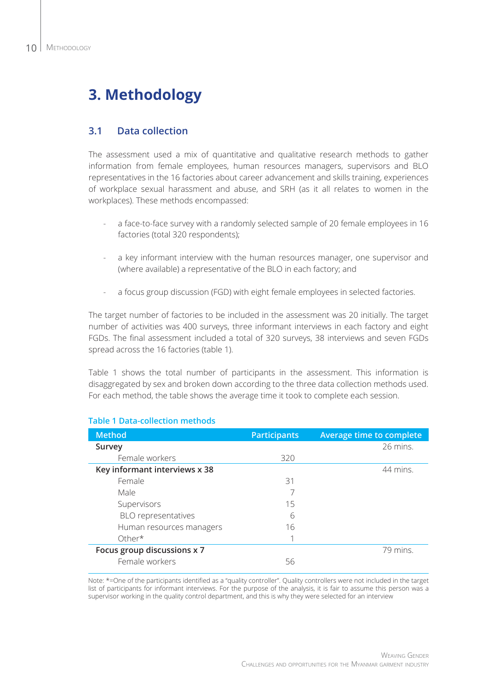## <span id="page-28-0"></span>**3. Methodology**

#### **3.1 Data collection**

The assessment used a mix of quantitative and qualitative research methods to gather information from female employees, human resources managers, supervisors and BLO representatives in the 16 factories about career advancement and skills training, experiences of workplace sexual harassment and abuse, and SRH (as it all relates to women in the workplaces). These methods encompassed:

- a face-to-face survey with a randomly selected sample of 20 female employees in 16 factories (total 320 respondents);
- a key informant interview with the human resources manager, one supervisor and (where available) a representative of the BLO in each factory; and
- a focus group discussion (FGD) with eight female employees in selected factories.

The target number of factories to be included in the assessment was 20 initially. The target number of activities was 400 surveys, three informant interviews in each factory and eight FGDs. The final assessment included a total of 320 surveys, 38 interviews and seven FGDs spread across the 16 factories (table 1).

Table 1 shows the total number of participants in the assessment. This information is disaggregated by sex and broken down according to the three data collection methods used. For each method, the table shows the average time it took to complete each session.

| <b>Method</b>                 | <b>Participants</b> | <b>Average time to complete</b> |
|-------------------------------|---------------------|---------------------------------|
| Survey                        |                     | 26 mins.                        |
| Female workers                | 320                 |                                 |
| Key informant interviews x 38 |                     | 44 mins.                        |
| Female                        | 31                  |                                 |
| Male                          |                     |                                 |
| Supervisors                   | 15                  |                                 |
| <b>BLO</b> representatives    | 6                   |                                 |
| Human resources managers      | 16                  |                                 |
| Other $\star$                 |                     |                                 |
| Focus group discussions x 7   |                     | 79 mins.                        |
| Female workers                | 56                  |                                 |

#### **Table 1 Data-collection methods**

Note: \*=One of the participants identified as a "quality controller". Quality controllers were not included in the target list of participants for informant interviews. For the purpose of the analysis, it is fair to assume this person was a supervisor working in the quality control department, and this is why they were selected for an interview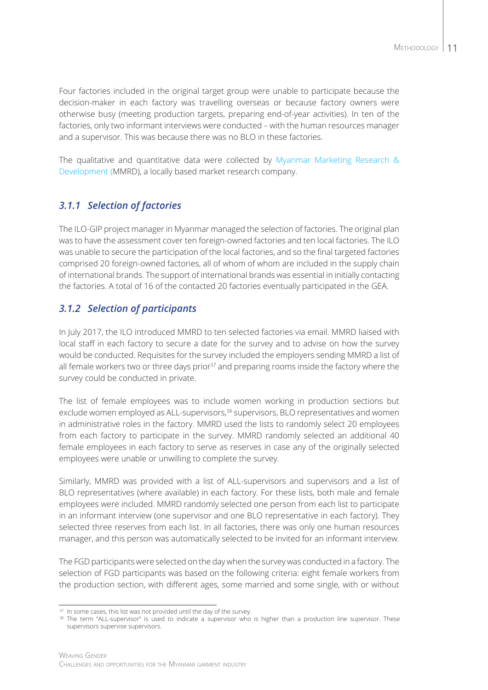<span id="page-29-0"></span>Four factories included in the original target group were unable to participate because the decision-maker in each factory was travelling overseas or because factory owners were otherwise busy (meeting production targets, preparing end-of-year activities). In ten of the factories, only two informant interviews were conducted – with the human resources manager and a supervisor. This was because there was no BLO in these factories.

The qualitative and quantitative data were collected by Myanmar Marketing Research & Development (MMRD), a locally based market research company.

#### *3.1.1 Selection of factories*

The ILO-GIP project manager in Myanmar managed the selection of factories. The original plan was to have the assessment cover ten foreign-owned factories and ten local factories. The ILO was unable to secure the participation of the local factories, and so the final targeted factories comprised 20 foreign-owned factories, all of whom of whom are included in the supply chain of international brands. The support of international brands was essential in initially contacting the factories. A total of 16 of the contacted 20 factories eventually participated in the GEA.

#### *3.1.2 Selection of participants*

In July 2017, the ILO introduced MMRD to ten selected factories via email. MMRD liaised with local staff in each factory to secure a date for the survey and to advise on how the survey would be conducted. Requisites for the survey included the employers sending MMRD a list of all female workers two or three days prior<sup>37</sup> and preparing rooms inside the factory where the survey could be conducted in private.

The list of female employees was to include women working in production sections but exclude women employed as ALL-supervisors,<sup>38</sup> supervisors, BLO representatives and women in administrative roles in the factory. MMRD used the lists to randomly select 20 employees from each factory to participate in the survey. MMRD randomly selected an additional 40 female employees in each factory to serve as reserves in case any of the originally selected employees were unable or unwilling to complete the survey.

Similarly, MMRD was provided with a list of ALL-supervisors and supervisors and a list of BLO representatives (where available) in each factory. For these lists, both male and female employees were included. MMRD randomly selected one person from each list to participate in an informant interview (one supervisor and one BLO representative in each factory). They selected three reserves from each list. In all factories, there was only one human resources manager, and this person was automatically selected to be invited for an informant interview.

The FGD participants were selected on the day when the survey was conducted in a factory. The selection of FGD participants was based on the following criteria: eight female workers from the production section, with different ages, some married and some single, with or without

<sup>&</sup>lt;sup>37</sup> In some cases, this list was not provided until the day of the survey.

<sup>&</sup>lt;sup>38</sup> The term "ALL-supervisor" is used to indicate a supervisor who is higher than a production line supervisor. These supervisors supervise supervisors.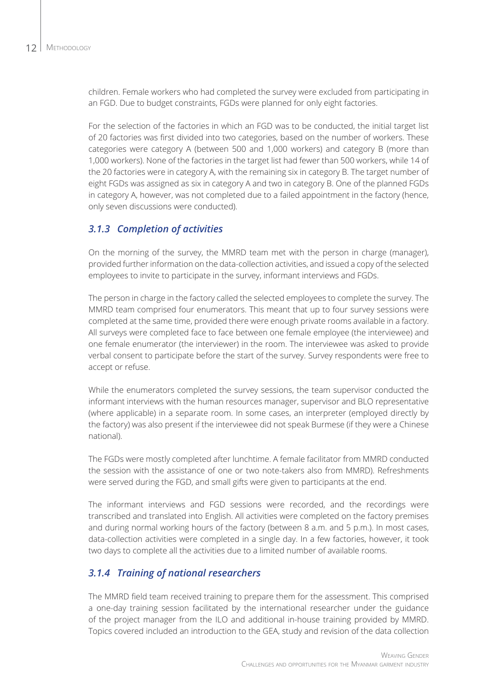<span id="page-30-0"></span>children. Female workers who had completed the survey were excluded from participating in an FGD. Due to budget constraints, FGDs were planned for only eight factories.

For the selection of the factories in which an FGD was to be conducted, the initial target list of 20 factories was first divided into two categories, based on the number of workers. These categories were category A (between 500 and 1,000 workers) and category B (more than 1,000 workers). None of the factories in the target list had fewer than 500 workers, while 14 of the 20 factories were in category A, with the remaining six in category B. The target number of eight FGDs was assigned as six in category A and two in category B. One of the planned FGDs in category A, however, was not completed due to a failed appointment in the factory (hence, only seven discussions were conducted).

#### *3.1.3 Completion of activities*

On the morning of the survey, the MMRD team met with the person in charge (manager), provided further information on the data-collection activities, and issued a copy of the selected employees to invite to participate in the survey, informant interviews and FGDs.

The person in charge in the factory called the selected employees to complete the survey. The MMRD team comprised four enumerators. This meant that up to four survey sessions were completed at the same time, provided there were enough private rooms available in a factory. All surveys were completed face to face between one female employee (the interviewee) and one female enumerator (the interviewer) in the room. The interviewee was asked to provide verbal consent to participate before the start of the survey. Survey respondents were free to accept or refuse.

While the enumerators completed the survey sessions, the team supervisor conducted the informant interviews with the human resources manager, supervisor and BLO representative (where applicable) in a separate room. In some cases, an interpreter (employed directly by the factory) was also present if the interviewee did not speak Burmese (if they were a Chinese national).

The FGDs were mostly completed after lunchtime. A female facilitator from MMRD conducted the session with the assistance of one or two note-takers also from MMRD). Refreshments were served during the FGD, and small gifts were given to participants at the end.

The informant interviews and FGD sessions were recorded, and the recordings were transcribed and translated into English. All activities were completed on the factory premises and during normal working hours of the factory (between 8 a.m. and 5 p.m.). In most cases, data-collection activities were completed in a single day. In a few factories, however, it took two days to complete all the activities due to a limited number of available rooms.

#### *3.1.4 Training of national researchers*

The MMRD field team received training to prepare them for the assessment. This comprised a one-day training session facilitated by the international researcher under the guidance of the project manager from the ILO and additional in-house training provided by MMRD. Topics covered included an introduction to the GEA, study and revision of the data collection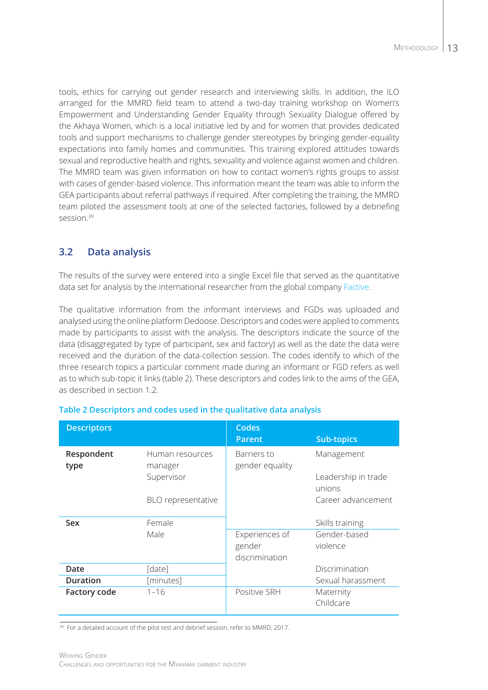<span id="page-31-0"></span>tools, ethics for carrying out gender research and interviewing skills. In addition, the ILO arranged for the MMRD field team to attend a two-day training workshop on Women's Empowerment and Understanding Gender Equality through Sexuality Dialogue offered by the Akhaya Women, which is a local initiative led by and for women that provides dedicated tools and support mechanisms to challenge gender stereotypes by bringing gender-equality expectations into family homes and communities. This training explored attitudes towards sexual and reproductive health and rights, sexuality and violence against women and children. The MMRD team was given information on how to contact women's rights groups to assist with cases of gender-based violence. This information meant the team was able to inform the GEA participants about referral pathways if required. After completing the training, the MMRD team piloted the assessment tools at one of the selected factories, followed by a debriefing session.<sup>39</sup>

#### **3.2 Data analysis**

The results of the survey were entered into a single Excel file that served as the quantitative data set for analysis by the international researcher from the global company Factive.

The qualitative information from the informant interviews and FGDs was uploaded and analysed using the online platform Dedoose. Descriptors and codes were applied to comments made by participants to assist with the analysis. The descriptors indicate the source of the data (disaggregated by type of participant, sex and factory) as well as the date the data were received and the duration of the data-collection session. The codes identify to which of the three research topics a particular comment made during an informant or FGD refers as well as to which sub-topic it links (table 2). These descriptors and codes link to the aims of the GEA, as described in section 1.2.

| <b>Descriptors</b>  |                                                                | <b>Codes</b><br><b>Parent</b>              | <b>Sub-topics</b>                                                 |
|---------------------|----------------------------------------------------------------|--------------------------------------------|-------------------------------------------------------------------|
| Respondent<br>type  | Human resources<br>manager<br>Supervisor<br>BLO representative | Barriers to<br>gender equality             | Management<br>Leadership in trade<br>unions<br>Career advancement |
| Sex                 | Female<br>Male                                                 | Experiences of<br>gender<br>discrimination | Skills training<br>Gender-based<br>violence                       |
| Date                | [date]                                                         |                                            | Discrimination                                                    |
| <b>Duration</b>     | [minutes]                                                      |                                            | Sexual harassment                                                 |
| <b>Factory code</b> | $1 - 16$                                                       | Positive SRH                               | Maternity<br>Childcare                                            |

| Table 2 Descriptors and codes used in the qualitative data analysis |  |  |  |
|---------------------------------------------------------------------|--|--|--|
|                                                                     |  |  |  |

<sup>39</sup> For a detailed account of the pilot test and debrief session, refer to MMRD, 2017.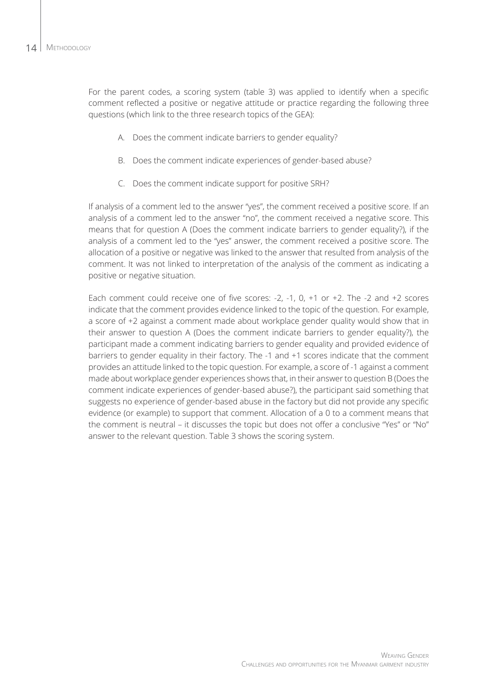For the parent codes, a scoring system (table 3) was applied to identify when a specific comment reflected a positive or negative attitude or practice regarding the following three questions (which link to the three research topics of the GEA):

- A. Does the comment indicate barriers to gender equality?
- B. Does the comment indicate experiences of gender-based abuse?
- C. Does the comment indicate support for positive SRH?

If analysis of a comment led to the answer "yes", the comment received a positive score. If an analysis of a comment led to the answer "no", the comment received a negative score. This means that for question A (Does the comment indicate barriers to gender equality?), if the analysis of a comment led to the "yes" answer, the comment received a positive score. The allocation of a positive or negative was linked to the answer that resulted from analysis of the comment. It was not linked to interpretation of the analysis of the comment as indicating a positive or negative situation.

Each comment could receive one of five scores:  $-2$ ,  $-1$ ,  $0$ ,  $+1$  or  $+2$ . The  $-2$  and  $+2$  scores indicate that the comment provides evidence linked to the topic of the question. For example, a score of +2 against a comment made about workplace gender quality would show that in their answer to question A (Does the comment indicate barriers to gender equality?), the participant made a comment indicating barriers to gender equality and provided evidence of barriers to gender equality in their factory. The -1 and +1 scores indicate that the comment provides an attitude linked to the topic question. For example, a score of -1 against a comment made about workplace gender experiences shows that, in their answer to question B (Does the comment indicate experiences of gender-based abuse?), the participant said something that suggests no experience of gender-based abuse in the factory but did not provide any specific evidence (or example) to support that comment. Allocation of a 0 to a comment means that the comment is neutral – it discusses the topic but does not offer a conclusive "Yes" or "No" answer to the relevant question. Table 3 shows the scoring system.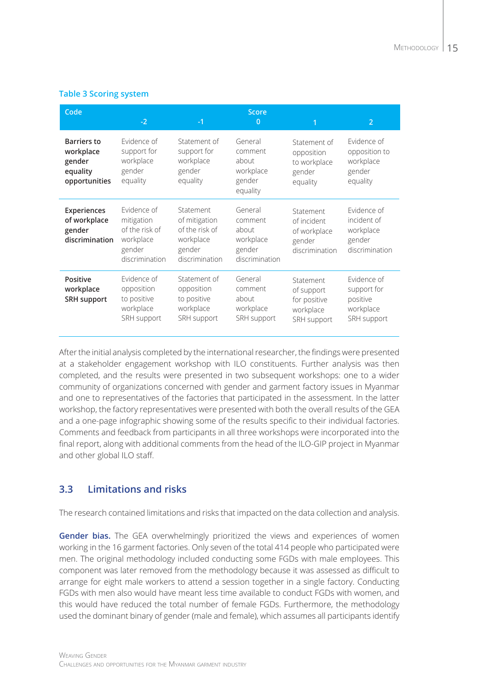| Code                                                                   | $-2$                                                                                 | $-1$                                                                                  | <b>Score</b><br>$\overline{0}$                                       | 1                                                                    | 2                                                                   |
|------------------------------------------------------------------------|--------------------------------------------------------------------------------------|---------------------------------------------------------------------------------------|----------------------------------------------------------------------|----------------------------------------------------------------------|---------------------------------------------------------------------|
| <b>Barriers to</b><br>workplace<br>gender<br>equality<br>opportunities | Evidence of<br>support for<br>workplace<br>gender<br>equality                        | Statement of<br>support for<br>workplace<br>gender<br>equality                        | General<br>comment<br>about<br>workplace<br>gender<br>equality       | Statement of<br>opposition<br>to workplace<br>gender<br>equality     | Evidence of<br>opposition to<br>workplace<br>gender<br>equality     |
| <b>Experiences</b><br>of workplace<br>gender<br>discrimination         | Evidence of<br>mitigation<br>of the risk of<br>workplace<br>gender<br>discrimination | Statement<br>of mitigation<br>of the risk of<br>workplace<br>gender<br>discrimination | General<br>comment<br>about<br>workplace<br>gender<br>discrimination | Statement<br>of incident<br>of workplace<br>gender<br>discrimination | Evidence of<br>incident of<br>workplace<br>gender<br>discrimination |
| <b>Positive</b><br>workplace<br><b>SRH</b> support                     | Evidence of<br>opposition<br>to positive<br>workplace<br>SRH support                 | Statement of<br>opposition<br>to positive<br>workplace<br>SRH support                 | General<br>comment<br>about<br>workplace<br>SRH support              | Statement<br>of support<br>for positive<br>workplace<br>SRH support  | Evidence of<br>support for<br>positive<br>workplace<br>SRH support  |

#### <span id="page-33-0"></span>**Table 3 Scoring system**

After the initial analysis completed by the international researcher, the findings were presented at a stakeholder engagement workshop with ILO constituents. Further analysis was then completed, and the results were presented in two subsequent workshops: one to a wider community of organizations concerned with gender and garment factory issues in Myanmar and one to representatives of the factories that participated in the assessment. In the latter workshop, the factory representatives were presented with both the overall results of the GEA and a one-page infographic showing some of the results specific to their individual factories. Comments and feedback from participants in all three workshops were incorporated into the final report, along with additional comments from the head of the ILO-GIP project in Myanmar and other global ILO staff.

#### **3.3 Limitations and risks**

The research contained limitations and risks that impacted on the data collection and analysis.

**Gender bias.** The GEA overwhelmingly prioritized the views and experiences of women working in the 16 garment factories. Only seven of the total 414 people who participated were men. The original methodology included conducting some FGDs with male employees. This component was later removed from the methodology because it was assessed as difficult to arrange for eight male workers to attend a session together in a single factory. Conducting FGDs with men also would have meant less time available to conduct FGDs with women, and this would have reduced the total number of female FGDs. Furthermore, the methodology used the dominant binary of gender (male and female), which assumes all participants identify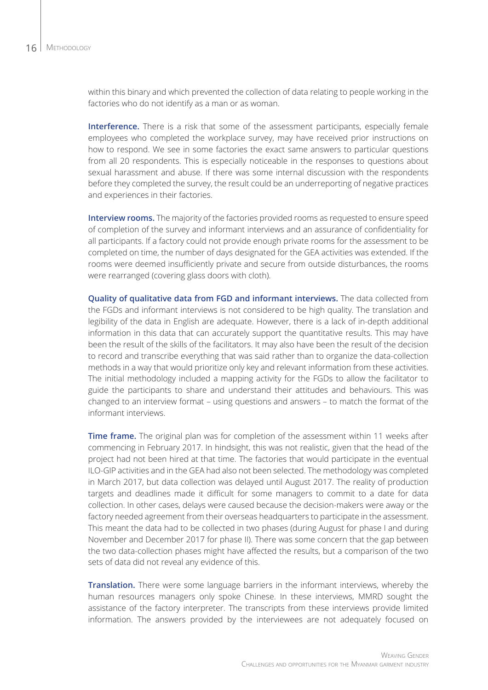within this binary and which prevented the collection of data relating to people working in the factories who do not identify as a man or as woman.

**Interference.** There is a risk that some of the assessment participants, especially female employees who completed the workplace survey, may have received prior instructions on how to respond. We see in some factories the exact same answers to particular questions from all 20 respondents. This is especially noticeable in the responses to questions about sexual harassment and abuse. If there was some internal discussion with the respondents before they completed the survey, the result could be an underreporting of negative practices and experiences in their factories.

**Interview rooms.** The majority of the factories provided rooms as requested to ensure speed of completion of the survey and informant interviews and an assurance of confidentiality for all participants. If a factory could not provide enough private rooms for the assessment to be completed on time, the number of days designated for the GEA activities was extended. If the rooms were deemed insufficiently private and secure from outside disturbances, the rooms were rearranged (covering glass doors with cloth).

**Quality of qualitative data from FGD and informant interviews.** The data collected from the FGDs and informant interviews is not considered to be high quality. The translation and legibility of the data in English are adequate. However, there is a lack of in-depth additional information in this data that can accurately support the quantitative results. This may have been the result of the skills of the facilitators. It may also have been the result of the decision to record and transcribe everything that was said rather than to organize the data-collection methods in a way that would prioritize only key and relevant information from these activities. The initial methodology included a mapping activity for the FGDs to allow the facilitator to guide the participants to share and understand their attitudes and behaviours. This was changed to an interview format – using questions and answers – to match the format of the informant interviews.

**Time frame.** The original plan was for completion of the assessment within 11 weeks after commencing in February 2017. In hindsight, this was not realistic, given that the head of the project had not been hired at that time. The factories that would participate in the eventual ILO-GIP activities and in the GEA had also not been selected. The methodology was completed in March 2017, but data collection was delayed until August 2017. The reality of production targets and deadlines made it difficult for some managers to commit to a date for data collection. In other cases, delays were caused because the decision-makers were away or the factory needed agreement from their overseas headquarters to participate in the assessment. This meant the data had to be collected in two phases (during August for phase I and during November and December 2017 for phase II). There was some concern that the gap between the two data-collection phases might have affected the results, but a comparison of the two sets of data did not reveal any evidence of this.

**Translation.** There were some language barriers in the informant interviews, whereby the human resources managers only spoke Chinese. In these interviews, MMRD sought the assistance of the factory interpreter. The transcripts from these interviews provide limited information. The answers provided by the interviewees are not adequately focused on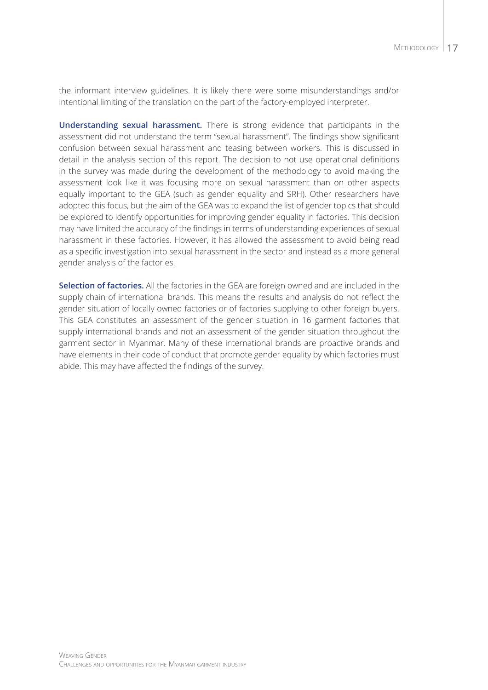the informant interview guidelines. It is likely there were some misunderstandings and/or intentional limiting of the translation on the part of the factory-employed interpreter.

**Understanding sexual harassment.** There is strong evidence that participants in the assessment did not understand the term "sexual harassment". The findings show significant confusion between sexual harassment and teasing between workers. This is discussed in detail in the analysis section of this report. The decision to not use operational definitions in the survey was made during the development of the methodology to avoid making the assessment look like it was focusing more on sexual harassment than on other aspects equally important to the GEA (such as gender equality and SRH). Other researchers have adopted this focus, but the aim of the GEA was to expand the list of gender topics that should be explored to identify opportunities for improving gender equality in factories. This decision may have limited the accuracy of the findings in terms of understanding experiences of sexual harassment in these factories. However, it has allowed the assessment to avoid being read as a specific investigation into sexual harassment in the sector and instead as a more general gender analysis of the factories.

**Selection of factories.** All the factories in the GEA are foreign owned and are included in the supply chain of international brands. This means the results and analysis do not reflect the gender situation of locally owned factories or of factories supplying to other foreign buyers. This GEA constitutes an assessment of the gender situation in 16 garment factories that supply international brands and not an assessment of the gender situation throughout the garment sector in Myanmar. Many of these international brands are proactive brands and have elements in their code of conduct that promote gender equality by which factories must abide. This may have affected the findings of the survey.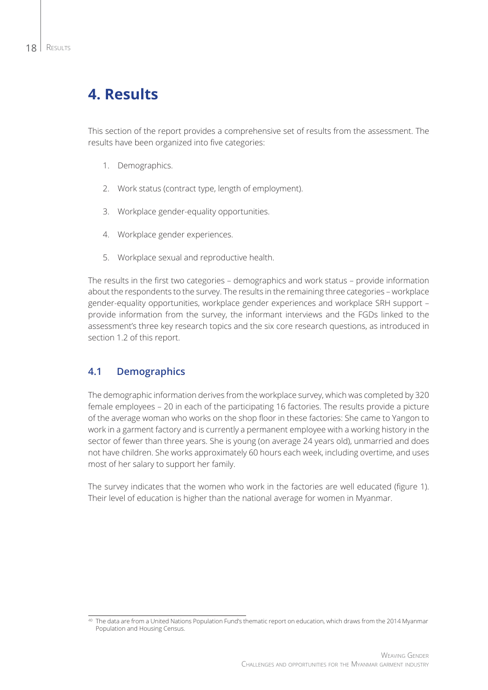# **4. Results**

This section of the report provides a comprehensive set of results from the assessment. The results have been organized into five categories:

- 1. Demographics.
- 2. Work status (contract type, length of employment).
- 3. Workplace gender-equality opportunities.
- 4. Workplace gender experiences.
- 5. Workplace sexual and reproductive health.

The results in the first two categories – demographics and work status – provide information about the respondents to the survey. The results in the remaining three categories – workplace gender-equality opportunities, workplace gender experiences and workplace SRH support – provide information from the survey, the informant interviews and the FGDs linked to the assessment's three key research topics and the six core research questions, as introduced in section 1.2 of this report.

# **4.1 Demographics**

The demographic information derives from the workplace survey, which was completed by 320 female employees – 20 in each of the participating 16 factories. The results provide a picture of the average woman who works on the shop floor in these factories: She came to Yangon to work in a garment factory and is currently a permanent employee with a working history in the sector of fewer than three years. She is young (on average 24 years old), unmarried and does not have children. She works approximately 60 hours each week, including overtime, and uses most of her salary to support her family.

The survey indicates that the women who work in the factories are well educated (figure 1). Their level of education is higher than the national average for women in Myanmar.

<sup>40</sup> The data are from a United Nations Population Fund's thematic report on education, which draws from the 2014 Myanmar Population and Housing Census.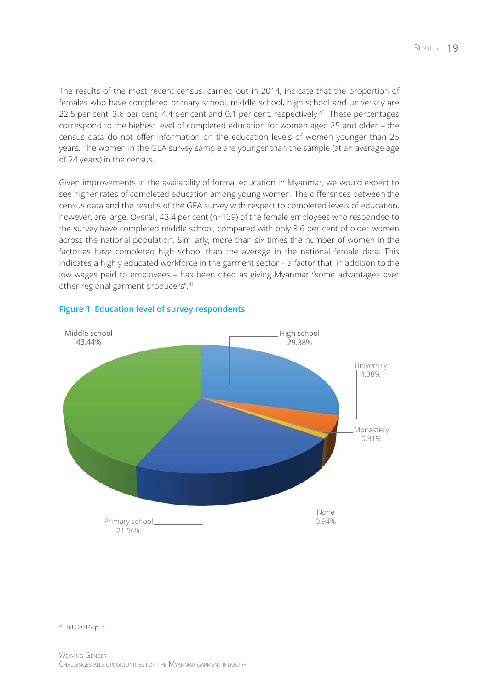The results of the most recent census, carried out in 2014, indicate that the proportion of females who have completed primary school, middle school, high school and university are 22.5 per cent, 3.6 per cent, 4.4 per cent and 0.1 per cent, respectively.<sup>40</sup> These percentages correspond to the highest level of completed education for women aged 25 and older – the census data do not offer information on the education levels of women younger than 25 years. The women in the GEA survey sample are younger than the sample (at an average age of 24 years) in the census.

Given improvements in the availability of formal education in Myanmar, we would expect to see higher rates of completed education among young women. The differences between the census data and the results of the GEA survey with respect to completed levels of education, however, are large. Overall, 43.4 per cent (n=139) of the female employees who responded to the survey have completed middle school, compared with only 3.6 per cent of older women across the national population. Similarly, more than six times the number of women in the factories have completed high school than the average in the national female data. This indicates a highly educated workforce in the garment sector – a factor that, in addition to the low wages paid to employees – has been cited as giving Myanmar "some advantages over other regional garment producers".41



#### **Figure 1 Education level of survey respondents**

<sup>41</sup> BIF, 2016, p. 7.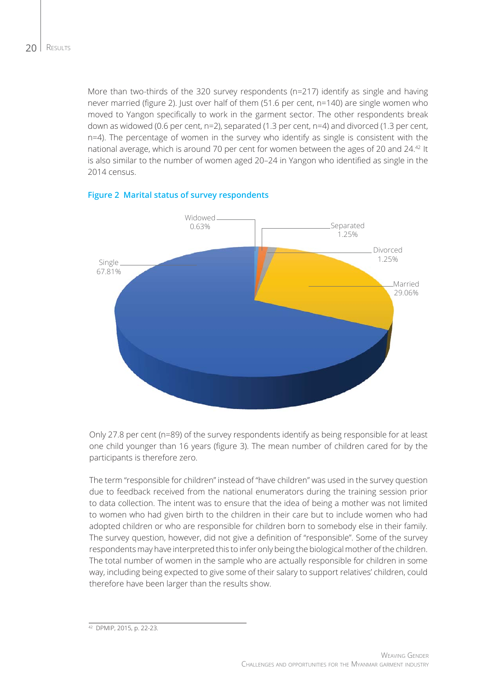More than two-thirds of the 320 survey respondents (n=217) identify as single and having never married (figure 2). Just over half of them (51.6 per cent, n=140) are single women who moved to Yangon specifically to work in the garment sector. The other respondents break down as widowed (0.6 per cent, n=2), separated (1.3 per cent, n=4) and divorced (1.3 per cent, n=4). The percentage of women in the survey who identify as single is consistent with the national average, which is around 70 per cent for women between the ages of 20 and 24.<sup>42</sup> It is also similar to the number of women aged 20-24 in Yangon who identified as single in the 2014 census.



#### **Figure 2 Marital status of survey respondents**

Only 27.8 per cent (n=89) of the survey respondents identify as being responsible for at least one child younger than 16 years (figure 3). The mean number of children cared for by the participants is therefore zero.

The term "responsible for children" instead of "have children" was used in the survey question due to feedback received from the national enumerators during the training session prior to data collection. The intent was to ensure that the idea of being a mother was not limited to women who had given birth to the children in their care but to include women who had adopted children or who are responsible for children born to somebody else in their family. The survey question, however, did not give a definition of "responsible". Some of the survey respondents may have interpreted this to infer only being the biological mother of the children. The total number of women in the sample who are actually responsible for children in some way, including being expected to give some of their salary to support relatives' children, could therefore have been larger than the results show.

<sup>42</sup> DPMIP, 2015, p. 22-23.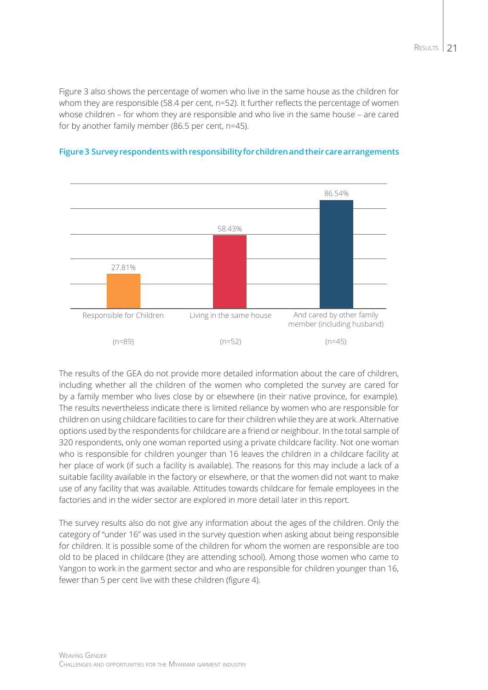

#### **Figure 3 Survey respondents with responsibility for children and their care arrangements**

The results of the GEA do not provide more detailed information about the care of children, including whether all the children of the women who completed the survey are cared for by a family member who lives close by or elsewhere (in their native province, for example). The results nevertheless indicate there is limited reliance by women who are responsible for children on using childcare facilities to care for their children while they are at work. Alternative options used by the respondents for childcare are a friend or neighbour. In the total sample of 320 respondents, only one woman reported using a private childcare facility. Not one woman who is responsible for children younger than 16 leaves the children in a childcare facility at her place of work (if such a facility is available). The reasons for this may include a lack of a suitable facility available in the factory or elsewhere, or that the women did not want to make use of any facility that was available. Attitudes towards childcare for female employees in the factories and in the wider sector are explored in more detail later in this report.

The survey results also do not give any information about the ages of the children. Only the category of "under 16" was used in the survey question when asking about being responsible for children. It is possible some of the children for whom the women are responsible are too old to be placed in childcare (they are attending school). Among those women who came to Yangon to work in the garment sector and who are responsible for children younger than 16, fewer than 5 per cent live with these children (figure 4).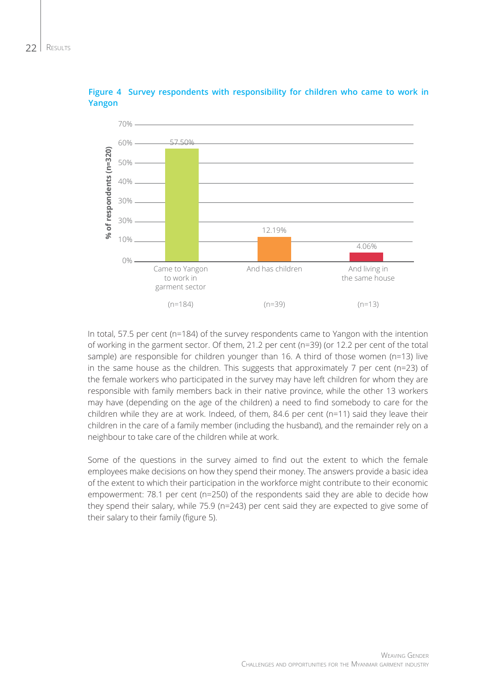

**Figure 4 Survey respondents with responsibility for children who came to work in Yangon**

In total, 57.5 per cent (n=184) of the survey respondents came to Yangon with the intention of working in the garment sector. Of them, 21.2 per cent (n=39) (or 12.2 per cent of the total sample) are responsible for children younger than 16. A third of those women (n=13) live in the same house as the children. This suggests that approximately 7 per cent ( $n=23$ ) of the female workers who participated in the survey may have left children for whom they are responsible with family members back in their native province, while the other 13 workers may have (depending on the age of the children) a need to find somebody to care for the children while they are at work. Indeed, of them, 84.6 per cent (n=11) said they leave their children in the care of a family member (including the husband), and the remainder rely on a neighbour to take care of the children while at work.

Some of the questions in the survey aimed to find out the extent to which the female employees make decisions on how they spend their money. The answers provide a basic idea of the extent to which their participation in the workforce might contribute to their economic empowerment: 78.1 per cent (n=250) of the respondents said they are able to decide how they spend their salary, while 75.9 (n=243) per cent said they are expected to give some of their salary to their family (figure 5).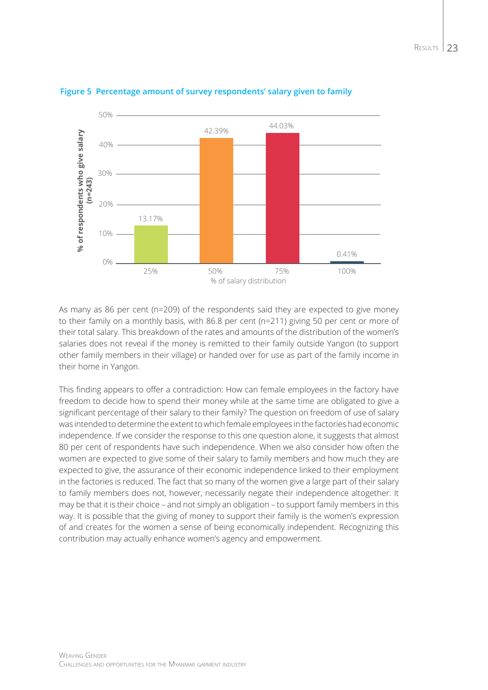

## **Figure 5 Percentage amount of survey respondents' salary given to family**

As many as 86 per cent (n=209) of the respondents said they are expected to give money to their family on a monthly basis, with 86.8 per cent (n=211) giving 50 per cent or more of their total salary. This breakdown of the rates and amounts of the distribution of the women's salaries does not reveal if the money is remitted to their family outside Yangon (to support other family members in their village) or handed over for use as part of the family income in their home in Yangon.

This finding appears to offer a contradiction: How can female employees in the factory have freedom to decide how to spend their money while at the same time are obligated to give a significant percentage of their salary to their family? The question on freedom of use of salary was intended to determine the extent to which female employees in the factories had economic independence. If we consider the response to this one question alone, it suggests that almost 80 per cent of respondents have such independence. When we also consider how often the women are expected to give some of their salary to family members and how much they are expected to give, the assurance of their economic independence linked to their employment in the factories is reduced. The fact that so many of the women give a large part of their salary to family members does not, however, necessarily negate their independence altogether. It may be that it is their choice – and not simply an obligation – to support family members in this way. It is possible that the giving of money to support their family is the women's expression of and creates for the women a sense of being economically independent. Recognizing this contribution may actually enhance women's agency and empowerment.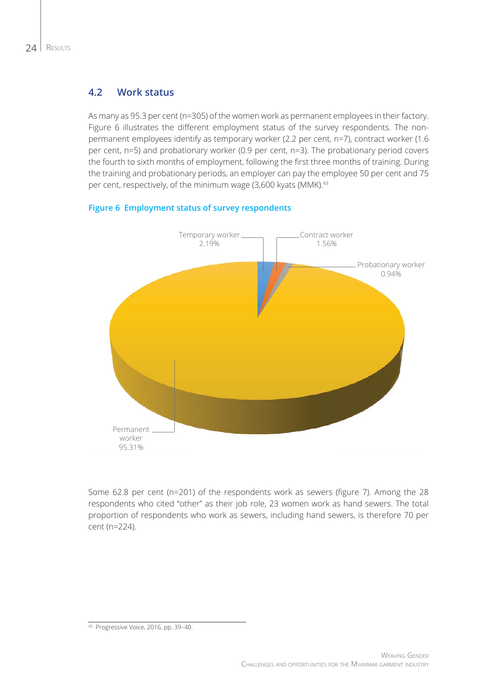## **4.2 Work status**

As many as 95.3 per cent (n=305) of the women work as permanent employees in their factory. Figure 6 illustrates the different employment status of the survey respondents. The nonpermanent employees identify as temporary worker (2.2 per cent, n=7), contract worker (1.6 per cent, n=5) and probationary worker (0.9 per cent, n=3). The probationary period covers the fourth to sixth months of employment, following the first three months of training. During the training and probationary periods, an employer can pay the employee 50 per cent and 75 per cent, respectively, of the minimum wage (3,600 kyats (MMK).<sup>43</sup>



#### **Figure 6 Employment status of survey respondents**

Some 62.8 per cent ( $n=201$ ) of the respondents work as sewers (figure 7). Among the 28 respondents who cited "other" as their job role, 23 women work as hand sewers. The total proportion of respondents who work as sewers, including hand sewers, is therefore 70 per cent (n=224).

<sup>43</sup> Progressive Voice, 2016, pp. 39–40.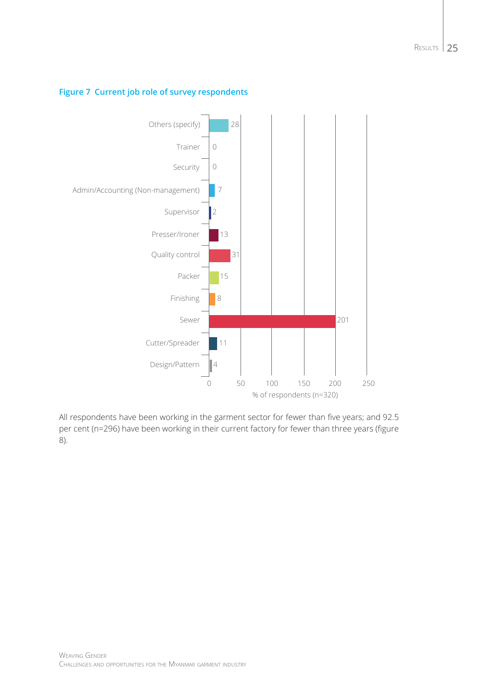

## **Figure 7 Current job role of survey respondents**

All respondents have been working in the garment sector for fewer than five years; and 92.5 per cent (n=296) have been working in their current factory for fewer than three years (figure 8).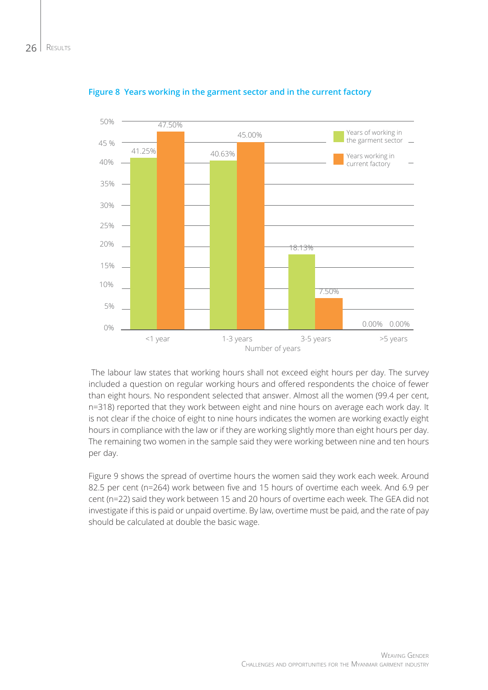

#### **Figure 8 Years working in the garment sector and in the current factory**

 The labour law states that working hours shall not exceed eight hours per day. The survey included a question on regular working hours and offered respondents the choice of fewer than eight hours. No respondent selected that answer. Almost all the women (99.4 per cent, n=318) reported that they work between eight and nine hours on average each work day. It is not clear if the choice of eight to nine hours indicates the women are working exactly eight hours in compliance with the law or if they are working slightly more than eight hours per day. The remaining two women in the sample said they were working between nine and ten hours per day.

Figure 9 shows the spread of overtime hours the women said they work each week. Around 82.5 per cent (n=264) work between five and 15 hours of overtime each week. And 6.9 per cent (n=22) said they work between 15 and 20 hours of overtime each week. The GEA did not investigate if this is paid or unpaid overtime. By law, overtime must be paid, and the rate of pay should be calculated at double the basic wage.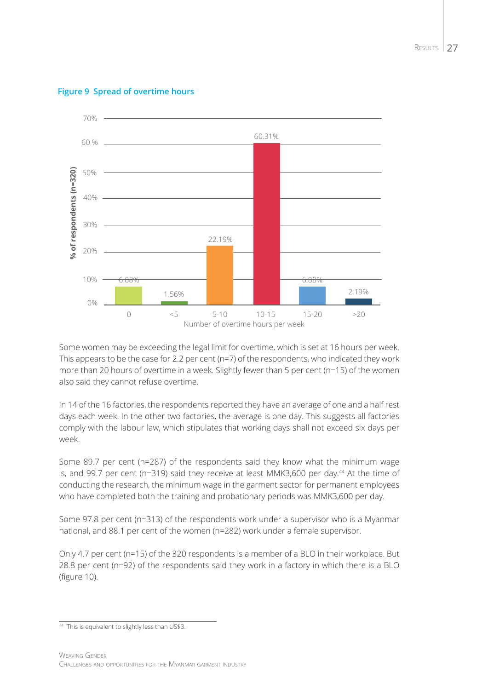

## **Figure 9 Spread of overtime hours**

Some women may be exceeding the legal limit for overtime, which is set at 16 hours per week. This appears to be the case for 2.2 per cent ( $n=7$ ) of the respondents, who indicated they work more than 20 hours of overtime in a week. Slightly fewer than 5 per cent (n=15) of the women also said they cannot refuse overtime.

In 14 of the 16 factories, the respondents reported they have an average of one and a half rest days each week. In the other two factories, the average is one day. This suggests all factories comply with the labour law, which stipulates that working days shall not exceed six days per week.

Some 89.7 per cent (n=287) of the respondents said they know what the minimum wage is, and 99.7 per cent ( $n=319$ ) said they receive at least MMK3,600 per day.<sup>44</sup> At the time of conducting the research, the minimum wage in the garment sector for permanent employees who have completed both the training and probationary periods was MMK3,600 per day.

Some 97.8 per cent (n=313) of the respondents work under a supervisor who is a Myanmar national, and 88.1 per cent of the women (n=282) work under a female supervisor.

Only 4.7 per cent (n=15) of the 320 respondents is a member of a BLO in their workplace. But 28.8 per cent (n=92) of the respondents said they work in a factory in which there is a BLO (figure 10).

<sup>44</sup> This is equivalent to slightly less than US\$3.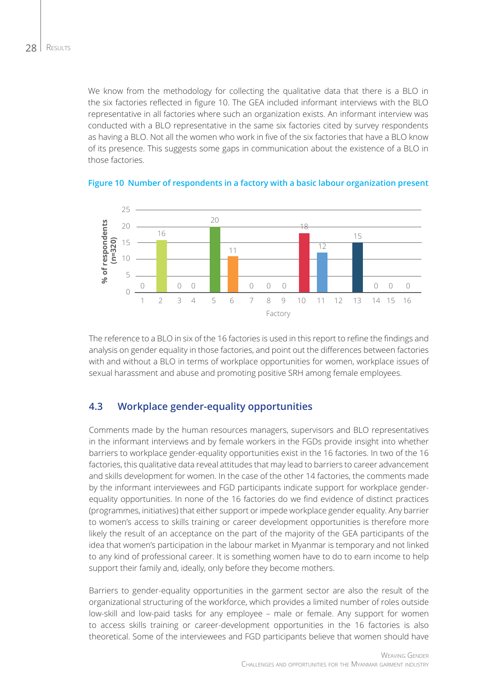We know from the methodology for collecting the qualitative data that there is a BLO in the six factories reflected in figure 10. The GEA included informant interviews with the BLO representative in all factories where such an organization exists. An informant interview was conducted with a BLO representative in the same six factories cited by survey respondents as having a BLO. Not all the women who work in five of the six factories that have a BLO know of its presence. This suggests some gaps in communication about the existence of a BLO in those factories.



#### **Figure 10 Number of respondents in a factory with a basic labour organization present**

The reference to a BLO in six of the 16 factories is used in this report to refine the findings and analysis on gender equality in those factories, and point out the differences between factories with and without a BLO in terms of workplace opportunities for women, workplace issues of sexual harassment and abuse and promoting positive SRH among female employees.

## **4.3 Workplace gender-equality opportunities**

Comments made by the human resources managers, supervisors and BLO representatives in the informant interviews and by female workers in the FGDs provide insight into whether barriers to workplace gender-equality opportunities exist in the 16 factories. In two of the 16 factories, this qualitative data reveal attitudes that may lead to barriers to career advancement and skills development for women. In the case of the other 14 factories, the comments made by the informant interviewees and FGD participants indicate support for workplace genderequality opportunities. In none of the 16 factories do we find evidence of distinct practices (programmes, initiatives) that either support or impede workplace gender equality. Any barrier to women's access to skills training or career development opportunities is therefore more likely the result of an acceptance on the part of the majority of the GEA participants of the idea that women's participation in the labour market in Myanmar is temporary and not linked to any kind of professional career. It is something women have to do to earn income to help support their family and, ideally, only before they become mothers.

Barriers to gender-equality opportunities in the garment sector are also the result of the organizational structuring of the workforce, which provides a limited number of roles outside low-skill and low-paid tasks for any employee – male or female. Any support for women to access skills training or career-development opportunities in the 16 factories is also theoretical. Some of the interviewees and FGD participants believe that women should have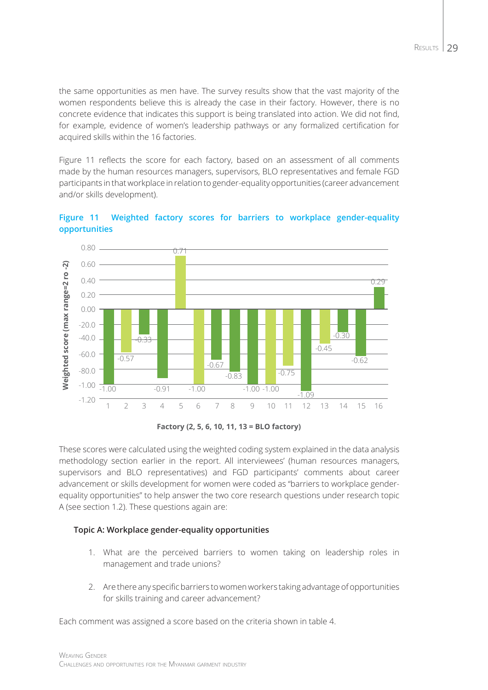the same opportunities as men have. The survey results show that the vast majority of the women respondents believe this is already the case in their factory. However, there is no concrete evidence that indicates this support is being translated into action. We did not find, for example, evidence of women's leadership pathways or any formalized certification for acquired skills within the 16 factories.

Figure 11 reflects the score for each factory, based on an assessment of all comments made by the human resources managers, supervisors, BLO representatives and female FGD participants in that workplace in relation to gender-equality opportunities (career advancement and/or skills development).



**Figure 11 Weighted factory scores for barriers to workplace gender-equality opportunities**



These scores were calculated using the weighted coding system explained in the data analysis methodology section earlier in the report. All interviewees' (human resources managers, supervisors and BLO representatives) and FGD participants' comments about career advancement or skills development for women were coded as "barriers to workplace genderequality opportunities" to help answer the two core research questions under research topic A (see section 1.2). These questions again are:

## **Topic A: Workplace gender-equality opportunities**

- 1. What are the perceived barriers to women taking on leadership roles in management and trade unions?
- 2. Are there any specific barriers to women workers taking advantage of opportunities for skills training and career advancement?

Each comment was assigned a score based on the criteria shown in table 4.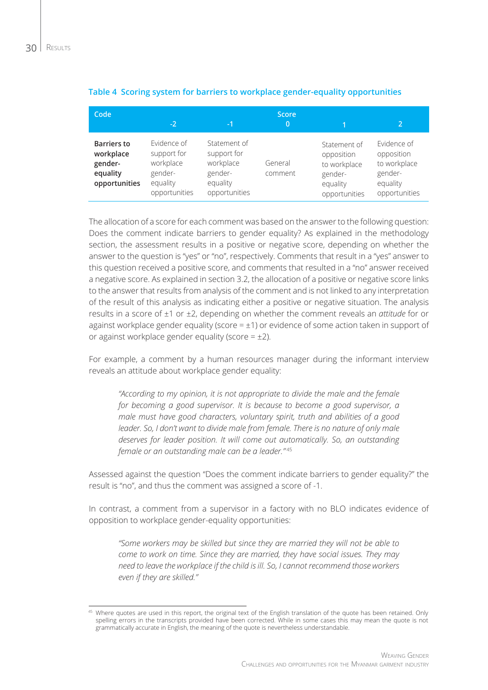| Code                                                                    | $-2$                                                                            | $-1$                                                                             | <b>Score</b><br>$\mathbf{0}$ |                                                                                    | 2                                                                                 |
|-------------------------------------------------------------------------|---------------------------------------------------------------------------------|----------------------------------------------------------------------------------|------------------------------|------------------------------------------------------------------------------------|-----------------------------------------------------------------------------------|
| <b>Barriers to</b><br>workplace<br>gender-<br>equality<br>opportunities | Evidence of<br>support for<br>workplace<br>gender-<br>equality<br>opportunities | Statement of<br>support for<br>workplace<br>gender-<br>equality<br>opportunities | General<br>comment           | Statement of<br>opposition<br>to workplace<br>gender-<br>equality<br>opportunities | Evidence of<br>opposition<br>to workplace<br>gender-<br>equality<br>opportunities |

#### **Table 4 Scoring system for barriers to workplace gender-equality opportunities**

The allocation of a score for each comment was based on the answer to the following question: Does the comment indicate barriers to gender equality? As explained in the methodology section, the assessment results in a positive or negative score, depending on whether the answer to the question is "yes" or "no", respectively. Comments that result in a "yes" answer to this question received a positive score, and comments that resulted in a "no" answer received a negative score. As explained in section 3.2, the allocation of a positive or negative score links to the answer that results from analysis of the comment and is not linked to any interpretation of the result of this analysis as indicating either a positive or negative situation. The analysis results in a score of ±1 or ±2, depending on whether the comment reveals an *attitude* for or against workplace gender equality (score  $= \pm 1$ ) or evidence of some action taken in support of or against workplace gender equality (score  $= \pm 2$ ).

For example, a comment by a human resources manager during the informant interview reveals an attitude about workplace gender equality:

*"According to my opinion, it is not appropriate to divide the male and the female for becoming a good supervisor. It is because to become a good supervisor, a male must have good characters, voluntary spirit, truth and abilities of a good leader. So, I don't want to divide male from female. There is no nature of only male deserves for leader position. It will come out automatically. So, an outstanding female or an outstanding male can be a leader."* <sup>45</sup>

Assessed against the question "Does the comment indicate barriers to gender equality?" the result is "no", and thus the comment was assigned a score of -1.

In contrast, a comment from a supervisor in a factory with no BLO indicates evidence of opposition to workplace gender-equality opportunities:

*"Some workers may be skilled but since they are married they will not be able to come to work on time. Since they are married, they have social issues. They may need to leave the workplace if the child is ill. So, I cannot recommend those workers even if they are skilled."*

<sup>&</sup>lt;sup>45</sup> Where quotes are used in this report, the original text of the English translation of the quote has been retained. Only spelling errors in the transcripts provided have been corrected. While in some cases this may mean the quote is not grammatically accurate in English, the meaning of the quote is nevertheless understandable.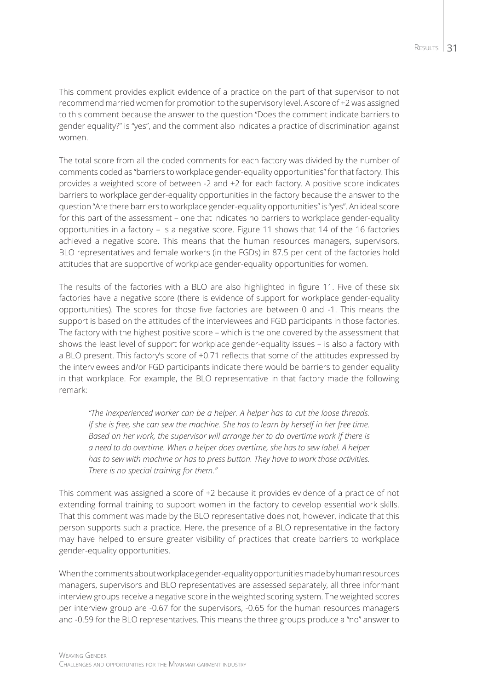This comment provides explicit evidence of a practice on the part of that supervisor to not recommend married women for promotion to the supervisory level. A score of +2 was assigned to this comment because the answer to the question "Does the comment indicate barriers to gender equality?" is "yes", and the comment also indicates a practice of discrimination against women.

The total score from all the coded comments for each factory was divided by the number of comments coded as "barriers to workplace gender-equality opportunities" for that factory. This provides a weighted score of between -2 and +2 for each factory. A positive score indicates barriers to workplace gender-equality opportunities in the factory because the answer to the question "Are there barriers to workplace gender-equality opportunities" is "yes". An ideal score for this part of the assessment – one that indicates no barriers to workplace gender-equality opportunities in a factory – is a negative score. Figure 11 shows that 14 of the 16 factories achieved a negative score. This means that the human resources managers, supervisors, BLO representatives and female workers (in the FGDs) in 87.5 per cent of the factories hold attitudes that are supportive of workplace gender-equality opportunities for women.

The results of the factories with a BLO are also highlighted in figure 11. Five of these six factories have a negative score (there is evidence of support for workplace gender-equality opportunities). The scores for those five factories are between 0 and -1. This means the support is based on the attitudes of the interviewees and FGD participants in those factories. The factory with the highest positive score – which is the one covered by the assessment that shows the least level of support for workplace gender-equality issues – is also a factory with a BLO present. This factory's score of +0.71 reflects that some of the attitudes expressed by the interviewees and/or FGD participants indicate there would be barriers to gender equality in that workplace. For example, the BLO representative in that factory made the following remark:

*"The inexperienced worker can be a helper. A helper has to cut the loose threads. If she is free, she can sew the machine. She has to learn by herself in her free time. Based on her work, the supervisor will arrange her to do overtime work if there is a need to do overtime. When a helper does overtime, she has to sew label. A helper has to sew with machine or has to press button. They have to work those activities. There is no special training for them."*

This comment was assigned a score of +2 because it provides evidence of a practice of not extending formal training to support women in the factory to develop essential work skills. That this comment was made by the BLO representative does not, however, indicate that this person supports such a practice. Here, the presence of a BLO representative in the factory may have helped to ensure greater visibility of practices that create barriers to workplace gender-equality opportunities.

When the comments about workplace gender-equality opportunities made by human resources managers, supervisors and BLO representatives are assessed separately, all three informant interview groups receive a negative score in the weighted scoring system. The weighted scores per interview group are -0.67 for the supervisors, -0.65 for the human resources managers and -0.59 for the BLO representatives. This means the three groups produce a "no" answer to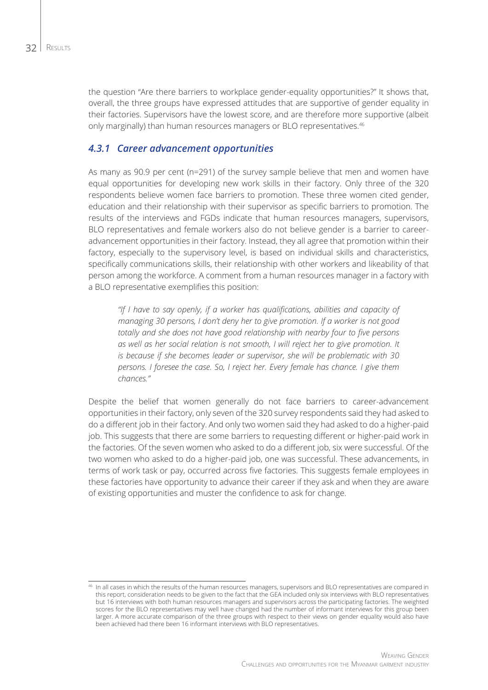the question "Are there barriers to workplace gender-equality opportunities?" It shows that, overall, the three groups have expressed attitudes that are supportive of gender equality in their factories. Supervisors have the lowest score, and are therefore more supportive (albeit only marginally) than human resources managers or BLO representatives.46

## *4.3.1 Career advancement opportunities*

As many as 90.9 per cent (n=291) of the survey sample believe that men and women have equal opportunities for developing new work skills in their factory. Only three of the 320 respondents believe women face barriers to promotion. These three women cited gender, education and their relationship with their supervisor as specific barriers to promotion. The results of the interviews and FGDs indicate that human resources managers, supervisors, BLO representatives and female workers also do not believe gender is a barrier to careeradvancement opportunities in their factory. Instead, they all agree that promotion within their factory, especially to the supervisory level, is based on individual skills and characteristics, specifically communications skills, their relationship with other workers and likeability of that person among the workforce. A comment from a human resources manager in a factory with a BLO representative exemplifies this position:

"If I have to say openly, if a worker has qualifications, abilities and capacity of *managing 30 persons, I don't deny her to give promotion. If a worker is not good*  totally and she does not have good relationship with nearby four to five persons *as well as her social relation is not smooth, I will reject her to give promotion. It is because if she becomes leader or supervisor, she will be problematic with 30 persons. I foresee the case. So, I reject her. Every female has chance. I give them chances."* 

Despite the belief that women generally do not face barriers to career-advancement opportunities in their factory, only seven of the 320 survey respondents said they had asked to do a different job in their factory. And only two women said they had asked to do a higher-paid job. This suggests that there are some barriers to requesting different or higher-paid work in the factories. Of the seven women who asked to do a different job, six were successful. Of the two women who asked to do a higher-paid job, one was successful. These advancements, in terms of work task or pay, occurred across five factories. This suggests female employees in these factories have opportunity to advance their career if they ask and when they are aware of existing opportunities and muster the confidence to ask for change.

<sup>46</sup> In all cases in which the results of the human resources managers, supervisors and BLO representatives are compared in this report, consideration needs to be given to the fact that the GEA included only six interviews with BLO representatives but 16 interviews with both human resources managers and supervisors across the participating factories. The weighted scores for the BLO representatives may well have changed had the number of informant interviews for this group been larger. A more accurate comparison of the three groups with respect to their views on gender equality would also have been achieved had there been 16 informant interviews with BLO representatives.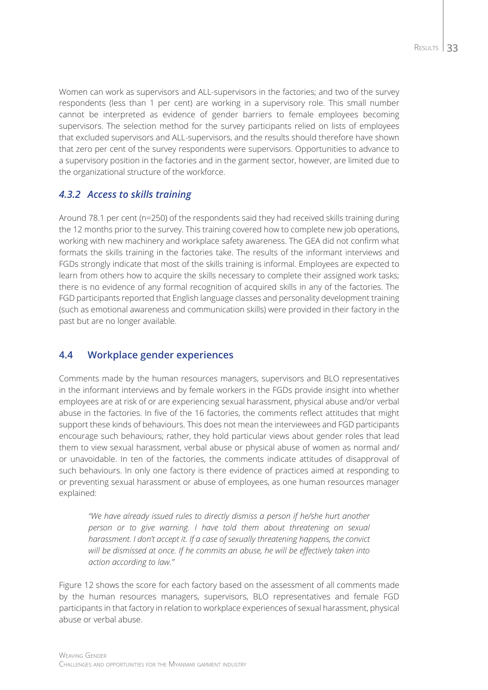Women can work as supervisors and ALL-supervisors in the factories; and two of the survey respondents (less than 1 per cent) are working in a supervisory role. This small number cannot be interpreted as evidence of gender barriers to female employees becoming supervisors. The selection method for the survey participants relied on lists of employees that excluded supervisors and ALL-supervisors, and the results should therefore have shown that zero per cent of the survey respondents were supervisors. Opportunities to advance to a supervisory position in the factories and in the garment sector, however, are limited due to the organizational structure of the workforce.

# *4.3.2 Access to skills training*

Around 78.1 per cent (n=250) of the respondents said they had received skills training during the 12 months prior to the survey. This training covered how to complete new job operations, working with new machinery and workplace safety awareness. The GEA did not confirm what formats the skills training in the factories take. The results of the informant interviews and FGDs strongly indicate that most of the skills training is informal. Employees are expected to learn from others how to acquire the skills necessary to complete their assigned work tasks; there is no evidence of any formal recognition of acquired skills in any of the factories. The FGD participants reported that English language classes and personality development training (such as emotional awareness and communication skills) were provided in their factory in the past but are no longer available.

# **4.4 Workplace gender experiences**

Comments made by the human resources managers, supervisors and BLO representatives in the informant interviews and by female workers in the FGDs provide insight into whether employees are at risk of or are experiencing sexual harassment, physical abuse and/or verbal abuse in the factories. In five of the 16 factories, the comments reflect attitudes that might support these kinds of behaviours. This does not mean the interviewees and FGD participants encourage such behaviours; rather, they hold particular views about gender roles that lead them to view sexual harassment, verbal abuse or physical abuse of women as normal and/ or unavoidable. In ten of the factories, the comments indicate attitudes of disapproval of such behaviours. In only one factory is there evidence of practices aimed at responding to or preventing sexual harassment or abuse of employees, as one human resources manager explained:

*"We have already issued rules to directly dismiss a person if he/she hurt another person or to give warning. I have told them about threatening on sexual harassment. I don't accept it. If a case of sexually threatening happens, the convict will be dismissed at once. If he commits an abuse, he will be effectively taken into action according to law."*

Figure 12 shows the score for each factory based on the assessment of all comments made by the human resources managers, supervisors, BLO representatives and female FGD participants in that factory in relation to workplace experiences of sexual harassment, physical abuse or verbal abuse.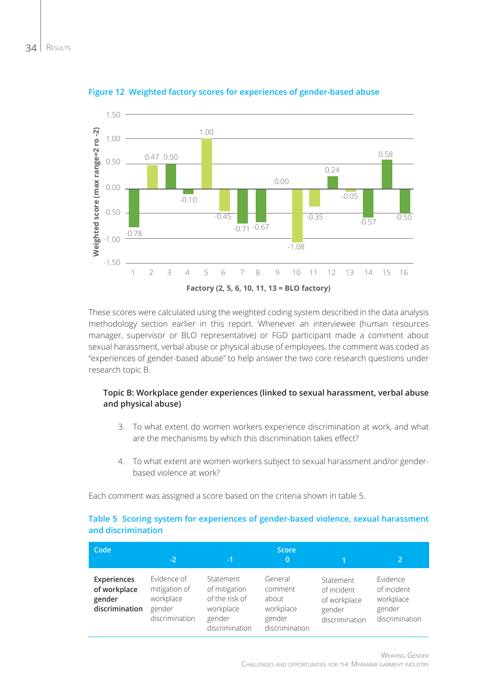

**Figure 12 Weighted factory scores for experiences of gender-based abuse**

These scores were calculated using the weighted coding system described in the data analysis methodology section earlier in this report. Whenever an interviewee (human resources manager, supervisor or BLO representative) or FGD participant made a comment about sexual harassment, verbal abuse or physical abuse of employees, the comment was coded as "experiences of gender-based abuse" to help answer the two core research questions under research topic B.

## **Topic B: Workplace gender experiences (linked to sexual harassment, verbal abuse and physical abuse)**

- 3. To what extent do women workers experience discrimination at work, and what are the mechanisms by which this discrimination takes effect?
- 4. To what extent are women workers subject to sexual harassment and/or genderbased violence at work?

Each comment was assigned a score based on the criteria shown in table 5.

## **Table 5 Scoring system for experiences of gender-based violence, sexual harassment and discrimination**

| Code                                                    | $-2$                                                                  | $-1$                                                                                  | <b>Score</b><br>$\mathbf{0}$                                         |                                                                      |                                                                  |
|---------------------------------------------------------|-----------------------------------------------------------------------|---------------------------------------------------------------------------------------|----------------------------------------------------------------------|----------------------------------------------------------------------|------------------------------------------------------------------|
| Experiences<br>of workplace<br>gender<br>discrimination | Evidence of<br>mitigation of<br>workplace<br>gender<br>discrimination | Statement<br>of mitigation<br>of the risk of<br>workplace<br>gender<br>discrimination | General<br>comment<br>about<br>workplace<br>gender<br>discrimination | Statement<br>of incident<br>of workplace<br>gender<br>discrimination | Evidence<br>of incident<br>workplace<br>gender<br>discrimination |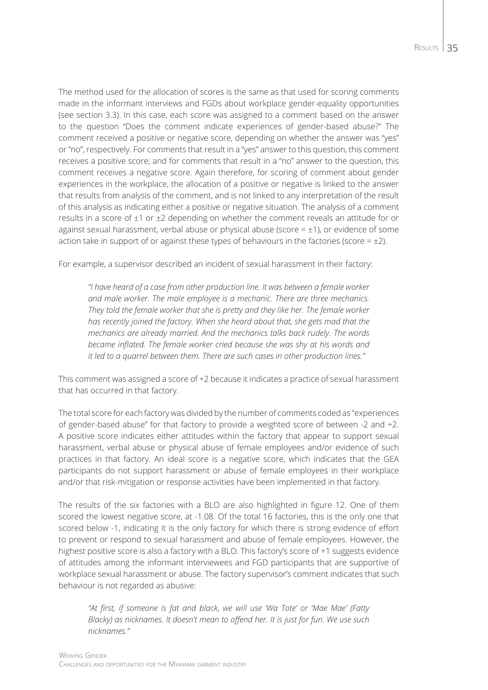The method used for the allocation of scores is the same as that used for scoring comments made in the informant interviews and FGDs about workplace gender-equality opportunities (see section 3.3). In this case, each score was assigned to a comment based on the answer to the question "Does the comment indicate experiences of gender-based abuse?" The comment received a positive or negative score, depending on whether the answer was "yes" or "no", respectively. For comments that result in a "yes" answer to this question, this comment receives a positive score; and for comments that result in a "no" answer to the question, this comment receives a negative score. Again therefore, for scoring of comment about gender experiences in the workplace, the allocation of a positive or negative is linked to the answer that results from analysis of the comment, and is not linked to any interpretation of the result of this analysis as indicating either a positive or negative situation. The analysis of a comment results in a score of  $\pm 1$  or  $\pm 2$  depending on whether the comment reveals an attitude for or against sexual harassment, verbal abuse or physical abuse (score  $= \pm 1$ ), or evidence of some action take in support of or against these types of behaviours in the factories (score  $= \pm 2$ ).

For example, a supervisor described an incident of sexual harassment in their factory:

*"I have heard of a case from other production line. It was between a female worker and male worker. The male employee is a mechanic. There are three mechanics. They told the female worker that she is pretty and they like her. The female worker has recently joined the factory. When she heard about that, she gets mad that the mechanics are already married. And the mechanics talks back rudely. The words*  became inflated. The female worker cried because she was shy at his words and *it led to a quarrel between them. There are such cases in other production lines."*

This comment was assigned a score of +2 because it indicates a practice of sexual harassment that has occurred in that factory.

The total score for each factory was divided by the number of comments coded as "experiences of gender-based abuse" for that factory to provide a weighted score of between -2 and +2. A positive score indicates either attitudes within the factory that appear to support sexual harassment, verbal abuse or physical abuse of female employees and/or evidence of such practices in that factory. An ideal score is a negative score, which indicates that the GEA participants do not support harassment or abuse of female employees in their workplace and/or that risk-mitigation or response activities have been implemented in that factory.

The results of the six factories with a BLO are also highlighted in figure 12. One of them scored the lowest negative score, at -1.08. Of the total 16 factories, this is the only one that scored below -1, indicating it is the only factory for which there is strong evidence of effort to prevent or respond to sexual harassment and abuse of female employees. However, the highest positive score is also a factory with a BLO. This factory's score of +1 suggests evidence of attitudes among the informant interviewees and FGD participants that are supportive of workplace sexual harassment or abuse. The factory supervisor's comment indicates that such behaviour is not regarded as abusive:

"At first, if someone is fat and black, we will use 'Wa Tote' or 'Mae Mae' (Fatty *Blacky*) as nicknames. It doesn't mean to offend her. It is just for fun. We use such *nicknames."*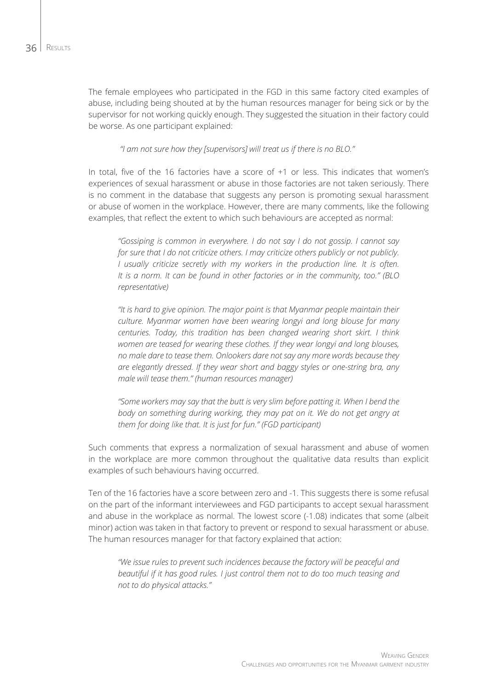The female employees who participated in the FGD in this same factory cited examples of abuse, including being shouted at by the human resources manager for being sick or by the supervisor for not working quickly enough. They suggested the situation in their factory could be worse. As one participant explained:

 *"I am not sure how they [supervisors] will treat us if there is no BLO."* 

In total, five of the 16 factories have a score of  $+1$  or less. This indicates that women's experiences of sexual harassment or abuse in those factories are not taken seriously. There is no comment in the database that suggests any person is promoting sexual harassment or abuse of women in the workplace. However, there are many comments, like the following examples, that reflect the extent to which such behaviours are accepted as normal:

*"Gossiping is common in everywhere. I do not say I do not gossip. I cannot say for sure that I do not criticize others. I may criticize others publicly or not publicly. I* usually criticize secretly with my workers in the production line. It is often. *It is a norm. It can be found in other factories or in the community, too." (BLO representative)*

*"It is hard to give opinion. The major point is that Myanmar people maintain their culture. Myanmar women have been wearing longyi and long blouse for many centuries. Today, this tradition has been changed wearing short skirt. I think women are teased for wearing these clothes. If they wear longyi and long blouses, no male dare to tease them. Onlookers dare not say any more words because they are elegantly dressed. If they wear short and baggy styles or one-string bra, any male will tease them." (human resources manager)*

*"Some workers may say that the butt is very slim before patting it. When I bend the body on something during working, they may pat on it. We do not get angry at them for doing like that. It is just for fun." (FGD participant)*

Such comments that express a normalization of sexual harassment and abuse of women in the workplace are more common throughout the qualitative data results than explicit examples of such behaviours having occurred.

Ten of the 16 factories have a score between zero and -1. This suggests there is some refusal on the part of the informant interviewees and FGD participants to accept sexual harassment and abuse in the workplace as normal. The lowest score (-1.08) indicates that some (albeit minor) action was taken in that factory to prevent or respond to sexual harassment or abuse. The human resources manager for that factory explained that action:

*"We issue rules to prevent such incidences because the factory will be peaceful and beautiful if it has good rules. I just control them not to do too much teasing and not to do physical attacks."*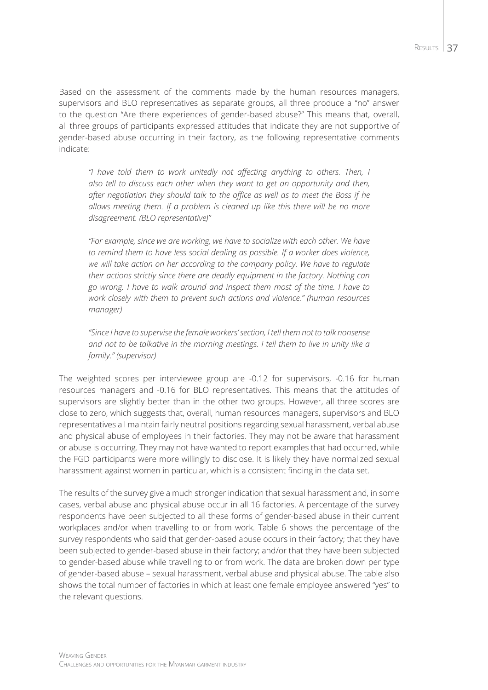Based on the assessment of the comments made by the human resources managers, supervisors and BLO representatives as separate groups, all three produce a "no" answer to the question "Are there experiences of gender-based abuse?" This means that, overall, all three groups of participants expressed attitudes that indicate they are not supportive of gender-based abuse occurring in their factory, as the following representative comments indicate:

*"I have told them to work unitedly not affecting anything to others. Then, I also tell to discuss each other when they want to get an opportunity and then, after negotiation they should talk to the offi ce as well as to meet the Boss if he allows meeting them. If a problem is cleaned up like this there will be no more disagreement. (BLO representative)"*

*"For example, since we are working, we have to socialize with each other. We have to remind them to have less social dealing as possible. If a worker does violence, we will take action on her according to the company policy. We have to regulate their actions strictly since there are deadly equipment in the factory. Nothing can go wrong. I have to walk around and inspect them most of the time. I have to work closely with them to prevent such actions and violence." (human resources manager)*

*"Since I have to supervise the female workers' section, I tell them not to talk nonsense and not to be talkative in the morning meetings. I tell them to live in unity like a family." (supervisor)*

The weighted scores per interviewee group are -0.12 for supervisors, -0.16 for human resources managers and -0.16 for BLO representatives. This means that the attitudes of supervisors are slightly better than in the other two groups. However, all three scores are close to zero, which suggests that, overall, human resources managers, supervisors and BLO representatives all maintain fairly neutral positions regarding sexual harassment, verbal abuse and physical abuse of employees in their factories. They may not be aware that harassment or abuse is occurring. They may not have wanted to report examples that had occurred, while the FGD participants were more willingly to disclose. It is likely they have normalized sexual harassment against women in particular, which is a consistent finding in the data set.

The results of the survey give a much stronger indication that sexual harassment and, in some cases, verbal abuse and physical abuse occur in all 16 factories. A percentage of the survey respondents have been subjected to all these forms of gender-based abuse in their current workplaces and/or when travelling to or from work. Table 6 shows the percentage of the survey respondents who said that gender-based abuse occurs in their factory; that they have been subjected to gender-based abuse in their factory; and/or that they have been subjected to gender-based abuse while travelling to or from work. The data are broken down per type of gender-based abuse – sexual harassment, verbal abuse and physical abuse. The table also shows the total number of factories in which at least one female employee answered "yes" to the relevant questions.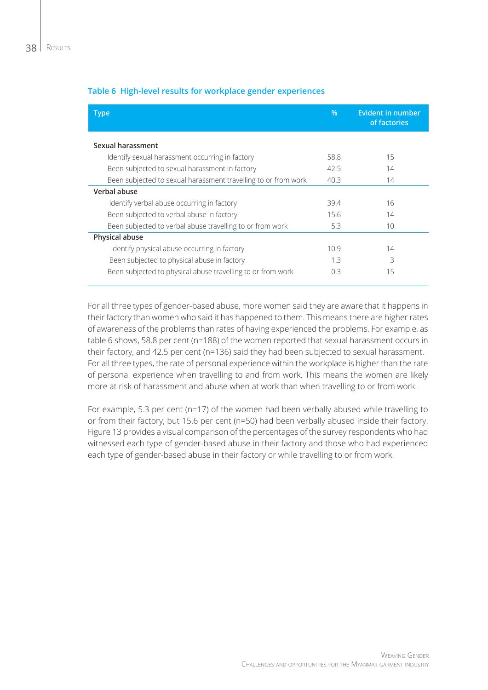| <b>Type</b>                                                    | %    | <b>Evident in number</b><br>of factories |
|----------------------------------------------------------------|------|------------------------------------------|
| Sexual harassment                                              |      |                                          |
| Identify sexual harassment occurring in factory                | 58.8 | 15                                       |
| Been subjected to sexual harassment in factory                 | 42.5 | 14                                       |
| Been subjected to sexual harassment travelling to or from work | 40.3 | 14                                       |
| Verbal abuse                                                   |      |                                          |
| Identify verbal abuse occurring in factory                     |      | 16                                       |
| Been subjected to verbal abuse in factory                      |      | 14                                       |
| Been subjected to verbal abuse travelling to or from work      | 5.3  | 10                                       |
| Physical abuse                                                 |      |                                          |
| Identify physical abuse occurring in factory                   |      | 14                                       |
| Been subjected to physical abuse in factory                    |      | 3                                        |
| Been subjected to physical abuse travelling to or from work    | 0.3  | 15                                       |

#### **Table 6 High-level results for workplace gender experiences**

For all three types of gender-based abuse, more women said they are aware that it happens in their factory than women who said it has happened to them. This means there are higher rates of awareness of the problems than rates of having experienced the problems. For example, as table 6 shows, 58.8 per cent (n=188) of the women reported that sexual harassment occurs in their factory, and 42.5 per cent (n=136) said they had been subjected to sexual harassment. For all three types, the rate of personal experience within the workplace is higher than the rate of personal experience when travelling to and from work. This means the women are likely more at risk of harassment and abuse when at work than when travelling to or from work.

For example, 5.3 per cent (n=17) of the women had been verbally abused while travelling to or from their factory, but 15.6 per cent (n=50) had been verbally abused inside their factory. Figure 13 provides a visual comparison of the percentages of the survey respondents who had witnessed each type of gender-based abuse in their factory and those who had experienced each type of gender-based abuse in their factory or while travelling to or from work.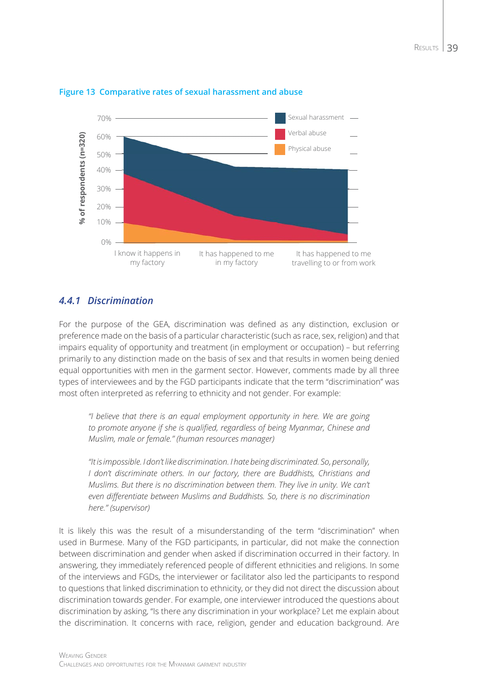

#### **Figure 13 Comparative rates of sexual harassment and abuse**

## *4.4.1 Discrimination*

For the purpose of the GEA, discrimination was defined as any distinction, exclusion or preference made on the basis of a particular characteristic (such as race, sex, religion) and that impairs equality of opportunity and treatment (in employment or occupation) – but referring primarily to any distinction made on the basis of sex and that results in women being denied equal opportunities with men in the garment sector. However, comments made by all three types of interviewees and by the FGD participants indicate that the term "discrimination" was most often interpreted as referring to ethnicity and not gender. For example:

*"I believe that there is an equal employment opportunity in here. We are going*  to promote anyone if she is qualified, regardless of being Myanmar, Chinese and *Muslim, male or female." (human resources manager)*

*"It is impossible. I don't like discrimination. I hate being discriminated. So, personally, I don't discriminate others. In our factory, there are Buddhists, Christians and Muslims. But there is no discrimination between them. They live in unity. We can't even diff erentiate between Muslims and Buddhists. So, there is no discrimination here." (supervisor)*

It is likely this was the result of a misunderstanding of the term "discrimination" when used in Burmese. Many of the FGD participants, in particular, did not make the connection between discrimination and gender when asked if discrimination occurred in their factory. In answering, they immediately referenced people of different ethnicities and religions. In some of the interviews and FGDs, the interviewer or facilitator also led the participants to respond to questions that linked discrimination to ethnicity, or they did not direct the discussion about discrimination towards gender. For example, one interviewer introduced the questions about discrimination by asking, "Is there any discrimination in your workplace? Let me explain about the discrimination. It concerns with race, religion, gender and education background. Are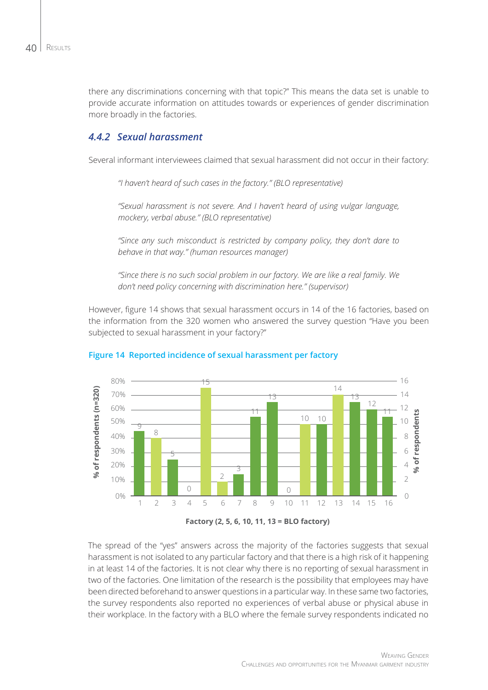there any discriminations concerning with that topic?" This means the data set is unable to provide accurate information on attitudes towards or experiences of gender discrimination more broadly in the factories.

## *4.4.2 Sexual harassment*

Several informant interviewees claimed that sexual harassment did not occur in their factory:

*"I haven't heard of such cases in the factory." (BLO representative)*

*"Sexual harassment is not severe. And I haven't heard of using vulgar language, mockery, verbal abuse." (BLO representative)*

*"Since any such misconduct is restricted by company policy, they don't dare to behave in that way." (human resources manager)*

*"Since there is no such social problem in our factory. We are like a real family. We don't need policy concerning with discrimination here." (supervisor)*

However, figure 14 shows that sexual harassment occurs in 14 of the 16 factories, based on the information from the 320 women who answered the survey question "Have you been subjected to sexual harassment in your factory?"



#### **Figure 14 Reported incidence of sexual harassment per factory**

**Factory (2, 5, 6, 10, 11, 13 = BLO factory)**

The spread of the "yes" answers across the majority of the factories suggests that sexual harassment is not isolated to any particular factory and that there is a high risk of it happening in at least 14 of the factories. It is not clear why there is no reporting of sexual harassment in two of the factories. One limitation of the research is the possibility that employees may have been directed beforehand to answer questions in a particular way. In these same two factories, the survey respondents also reported no experiences of verbal abuse or physical abuse in their workplace. In the factory with a BLO where the female survey respondents indicated no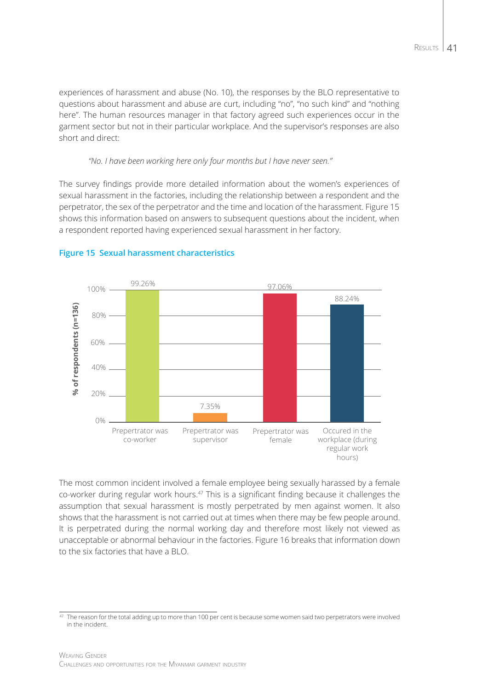experiences of harassment and abuse (No. 10), the responses by the BLO representative to questions about harassment and abuse are curt, including "no", "no such kind" and "nothing here". The human resources manager in that factory agreed such experiences occur in the garment sector but not in their particular workplace. And the supervisor's responses are also short and direct:

*"No. I have been working here only four months but I have never seen."*

The survey findings provide more detailed information about the women's experiences of sexual harassment in the factories, including the relationship between a respondent and the perpetrator, the sex of the perpetrator and the time and location of the harassment. Figure 15 shows this information based on answers to subsequent questions about the incident, when a respondent reported having experienced sexual harassment in her factory.



## **Figure 15 Sexual harassment characteristics**

The most common incident involved a female employee being sexually harassed by a female co-worker during regular work hours.<sup>47</sup> This is a significant finding because it challenges the assumption that sexual harassment is mostly perpetrated by men against women. It also shows that the harassment is not carried out at times when there may be few people around. It is perpetrated during the normal working day and therefore most likely not viewed as unacceptable or abnormal behaviour in the factories. Figure 16 breaks that information down to the six factories that have a BLO.

<sup>47</sup> The reason for the total adding up to more than 100 per cent is because some women said two perpetrators were involved in the incident.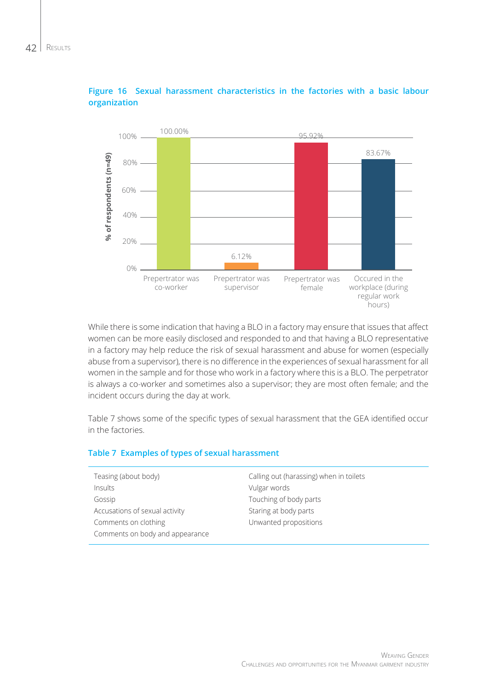

## **Figure 16 Sexual harassment characteristics in the factories with a basic labour organization**

While there is some indication that having a BLO in a factory may ensure that issues that affect women can be more easily disclosed and responded to and that having a BLO representative in a factory may help reduce the risk of sexual harassment and abuse for women (especially abuse from a supervisor), there is no difference in the experiences of sexual harassment for all women in the sample and for those who work in a factory where this is a BLO. The perpetrator is always a co-worker and sometimes also a supervisor; they are most often female; and the incident occurs during the day at work.

Table 7 shows some of the specific types of sexual harassment that the GEA identified occur in the factories.

#### **Table 7 Examples of types of sexual harassment**

Teasing (about body) Calling out (harassing) when in toilets Insults Vulgar words Gossip Gossip Contract Contract Touching of body parts Accusations of sexual activity Staring at body parts Comments on clothing Unwanted propositions Comments on body and appearance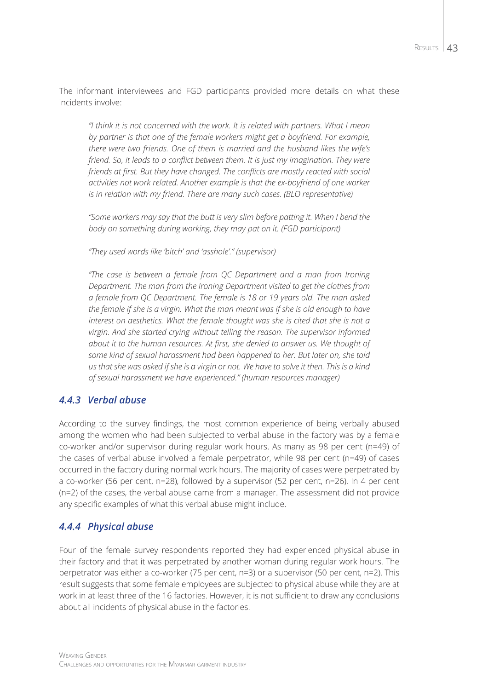The informant interviewees and FGD participants provided more details on what these incidents involve:

*"I think it is not concerned with the work. It is related with partners. What I mean by partner is that one of the female workers might get a boyfriend. For example, there were two friends. One of them is married and the husband likes the wife's friend. So, it leads to a conflict between them. It is just my imagination. They were friends at first. But they have changed. The conflicts are mostly reacted with social activities not work related. Another example is that the ex-boyfriend of one worker is in relation with my friend. There are many such cases. (BLO representative)*

*"Some workers may say that the butt is very slim before patting it. When I bend the body on something during working, they may pat on it. (FGD participant)*

*"They used words like 'bitch' and 'asshole'." (supervisor)*

*"The case is between a female from QC Department and a man from Ironing Department. The man from the Ironing Department visited to get the clothes from a female from QC Department. The female is 18 or 19 years old. The man asked the female if she is a virgin. What the man meant was if she is old enough to have interest on aesthetics. What the female thought was she is cited that she is not a virgin. And she started crying without telling the reason. The supervisor informed*  about it to the human resources. At first, she denied to answer us. We thought of *some kind of sexual harassment had been happened to her. But later on, she told us that she was asked if she is a virgin or not. We have to solve it then. This is a kind of sexual harassment we have experienced." (human resources manager)*

## *4.4.3 Verbal abuse*

According to the survey findings, the most common experience of being verbally abused among the women who had been subjected to verbal abuse in the factory was by a female co-worker and/or supervisor during regular work hours. As many as 98 per cent (n=49) of the cases of verbal abuse involved a female perpetrator, while 98 per cent (n=49) of cases occurred in the factory during normal work hours. The majority of cases were perpetrated by a co-worker (56 per cent, n=28), followed by a supervisor (52 per cent, n=26). In 4 per cent (n=2) of the cases, the verbal abuse came from a manager. The assessment did not provide any specific examples of what this verbal abuse might include.

## *4.4.4 Physical abuse*

Four of the female survey respondents reported they had experienced physical abuse in their factory and that it was perpetrated by another woman during regular work hours. The perpetrator was either a co-worker (75 per cent, n=3) or a supervisor (50 per cent, n=2). This result suggests that some female employees are subjected to physical abuse while they are at work in at least three of the 16 factories. However, it is not sufficient to draw any conclusions about all incidents of physical abuse in the factories.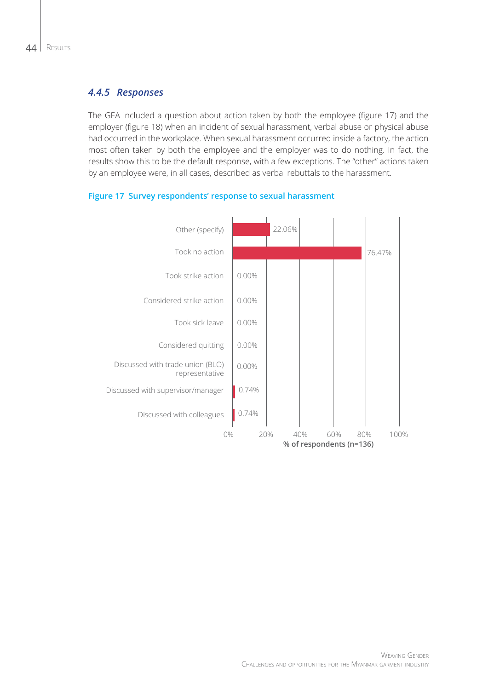## *4.4.5 Responses*

The GEA included a question about action taken by both the employee (figure 17) and the employer (figure 18) when an incident of sexual harassment, verbal abuse or physical abuse had occurred in the workplace. When sexual harassment occurred inside a factory, the action most often taken by both the employee and the employer was to do nothing. In fact, the results show this to be the default response, with a few exceptions. The "other" actions taken by an employee were, in all cases, described as verbal rebuttals to the harassment.



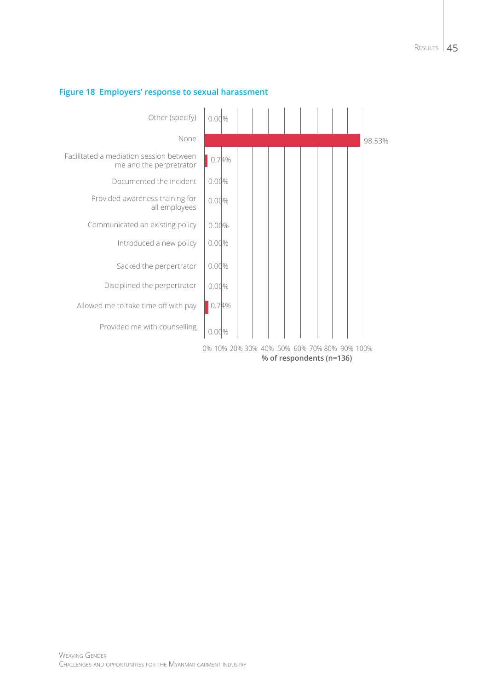

## **Figure 18 Employers' response to sexual harassment**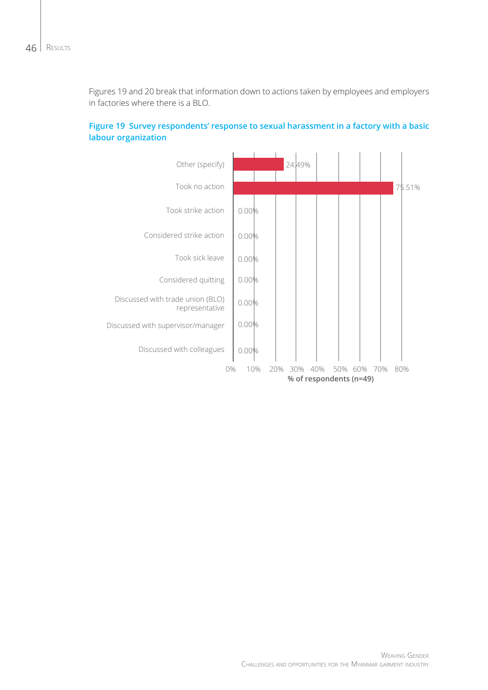Figures 19 and 20 break that information down to actions taken by employees and employers in factories where there is a BLO.



## **Figure 19 Survey respondents' response to sexual harassment in a factory with a basic labour organization**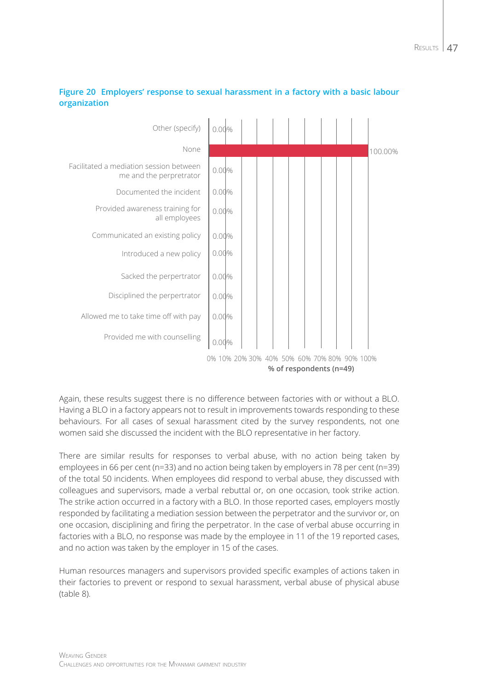

## **Figure 20 Employers' response to sexual harassment in a factory with a basic labour organization**

Again, these results suggest there is no difference between factories with or without a BLO. Having a BLO in a factory appears not to result in improvements towards responding to these behaviours. For all cases of sexual harassment cited by the survey respondents, not one women said she discussed the incident with the BLO representative in her factory.

There are similar results for responses to verbal abuse, with no action being taken by employees in 66 per cent (n=33) and no action being taken by employers in 78 per cent (n=39) of the total 50 incidents. When employees did respond to verbal abuse, they discussed with colleagues and supervisors, made a verbal rebuttal or, on one occasion, took strike action. The strike action occurred in a factory with a BLO. In those reported cases, employers mostly responded by facilitating a mediation session between the perpetrator and the survivor or, on one occasion, disciplining and firing the perpetrator. In the case of verbal abuse occurring in factories with a BLO, no response was made by the employee in 11 of the 19 reported cases, and no action was taken by the employer in 15 of the cases.

Human resources managers and supervisors provided specific examples of actions taken in their factories to prevent or respond to sexual harassment, verbal abuse of physical abuse (table 8).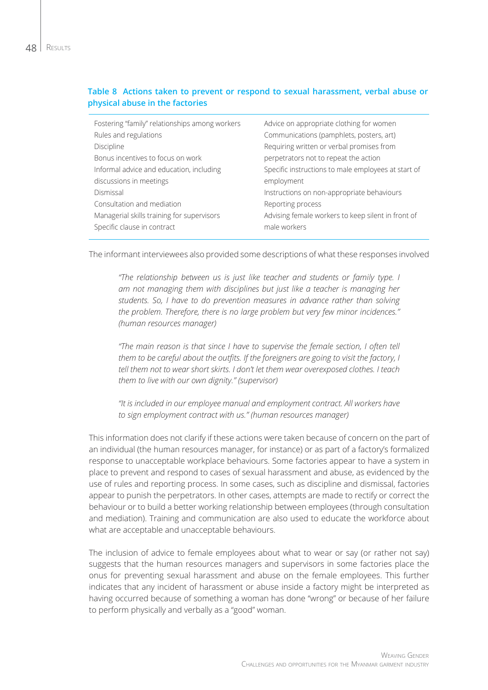### **Table 8 Actions taken to prevent or respond to sexual harassment, verbal abuse or physical abuse in the factories**

| Fostering "family" relationships among workers | Advice on appropriate clothing for women            |
|------------------------------------------------|-----------------------------------------------------|
| Rules and regulations                          | Communications (pamphlets, posters, art)            |
| Discipline                                     | Requiring written or verbal promises from           |
| Bonus incentives to focus on work              | perpetrators not to repeat the action               |
| Informal advice and education, including       | Specific instructions to male employees at start of |
| discussions in meetings                        | employment                                          |
| Dismissal                                      | Instructions on non-appropriate behaviours          |
| Consultation and mediation                     | Reporting process                                   |
| Managerial skills training for supervisors     | Advising female workers to keep silent in front of  |
| Specific clause in contract                    | male workers                                        |

The informant interviewees also provided some descriptions of what these responses involved

*"The relationship between us is just like teacher and students or family type. I am not managing them with disciplines but just like a teacher is managing her students. So, I have to do prevention measures in advance rather than solving the problem. Therefore, there is no large problem but very few minor incidences." (human resources manager)*

*"The main reason is that since I have to supervise the female section, I often tell*  them to be careful about the outfits. If the foreigners are going to visit the factory, I *tell them not to wear short skirts. I don't let them wear overexposed clothes. I teach them to live with our own dignity." (supervisor)*

*"It is included in our employee manual and employment contract. All workers have to sign employment contract with us." (human resources manager)*

This information does not clarify if these actions were taken because of concern on the part of an individual (the human resources manager, for instance) or as part of a factory's formalized response to unacceptable workplace behaviours. Some factories appear to have a system in place to prevent and respond to cases of sexual harassment and abuse, as evidenced by the use of rules and reporting process. In some cases, such as discipline and dismissal, factories appear to punish the perpetrators. In other cases, attempts are made to rectify or correct the behaviour or to build a better working relationship between employees (through consultation and mediation). Training and communication are also used to educate the workforce about what are acceptable and unacceptable behaviours.

The inclusion of advice to female employees about what to wear or say (or rather not say) suggests that the human resources managers and supervisors in some factories place the onus for preventing sexual harassment and abuse on the female employees. This further indicates that any incident of harassment or abuse inside a factory might be interpreted as having occurred because of something a woman has done "wrong" or because of her failure to perform physically and verbally as a "good" woman.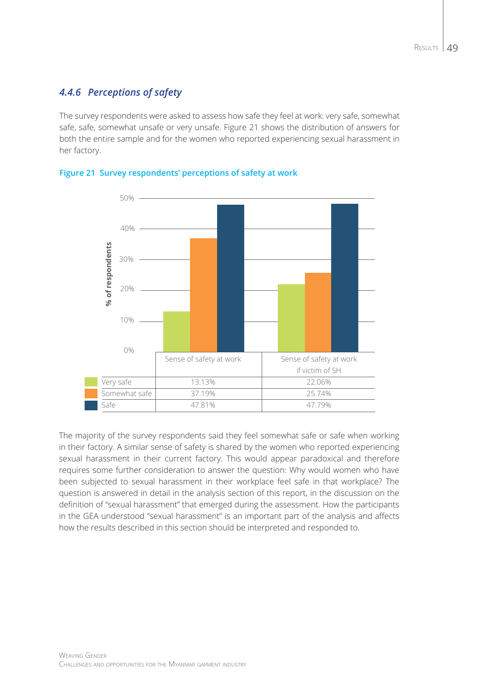# *4.4.6 Perceptions of safety*

The survey respondents were asked to assess how safe they feel at work: very safe, somewhat safe, safe, somewhat unsafe or very unsafe. Figure 21 shows the distribution of answers for both the entire sample and for the women who reported experiencing sexual harassment in her factory.



## **Figure 21 Survey respondents' perceptions of safety at work**

The majority of the survey respondents said they feel somewhat safe or safe when working in their factory. A similar sense of safety is shared by the women who reported experiencing sexual harassment in their current factory. This would appear paradoxical and therefore requires some further consideration to answer the question: Why would women who have been subjected to sexual harassment in their workplace feel safe in that workplace? The question is answered in detail in the analysis section of this report, in the discussion on the definition of "sexual harassment" that emerged during the assessment. How the participants in the GEA understood "sexual harassment" is an important part of the analysis and affects how the results described in this section should be interpreted and responded to.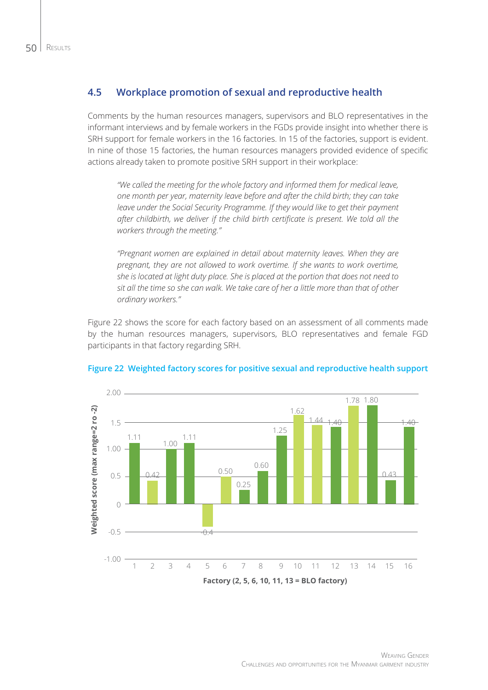## **4.5 Workplace promotion of sexual and reproductive health**

Comments by the human resources managers, supervisors and BLO representatives in the informant interviews and by female workers in the FGDs provide insight into whether there is SRH support for female workers in the 16 factories. In 15 of the factories, support is evident. In nine of those 15 factories, the human resources managers provided evidence of specific actions already taken to promote positive SRH support in their workplace:

*"We called the meeting for the whole factory and informed them for medical leave, one month per year, maternity leave before and after the child birth; they can take*  leave under the Social Security Programme. If they would like to get their payment after childbirth, we deliver if the child birth certificate is present. We told all the *workers through the meeting."*

*"Pregnant women are explained in detail about maternity leaves. When they are pregnant, they are not allowed to work overtime. If she wants to work overtime, she is located at light duty place. She is placed at the portion that does not need to sit all the time so she can walk. We take care of her a little more than that of other ordinary workers."*

Figure 22 shows the score for each factory based on an assessment of all comments made by the human resources managers, supervisors, BLO representatives and female FGD participants in that factory regarding SRH.



#### **Figure 22 Weighted factory scores for positive sexual and reproductive health support**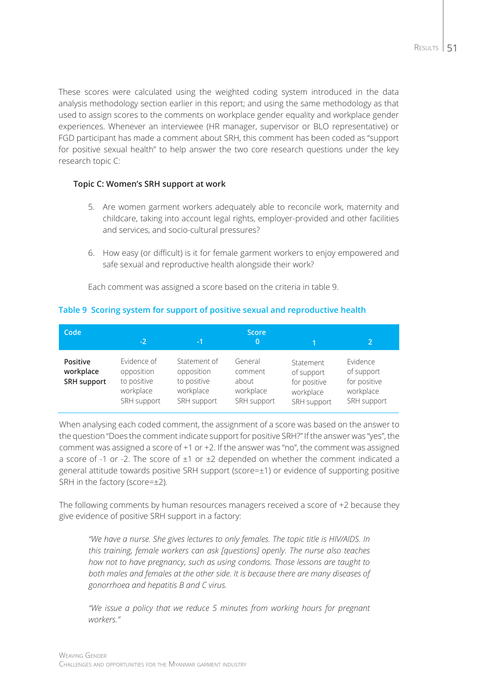These scores were calculated using the weighted coding system introduced in the data analysis methodology section earlier in this report; and using the same methodology as that used to assign scores to the comments on workplace gender equality and workplace gender experiences. Whenever an interviewee (HR manager, supervisor or BLO representative) or FGD participant has made a comment about SRH, this comment has been coded as "support for positive sexual health" to help answer the two core research questions under the key research topic C:

#### **Topic C: Women's SRH support at work**

- 5. Are women garment workers adequately able to reconcile work, maternity and childcare, taking into account legal rights, employer-provided and other facilities and services, and socio-cultural pressures?
- 6. How easy (or difficult) is it for female garment workers to enjoy empowered and safe sexual and reproductive health alongside their work?

Each comment was assigned a score based on the criteria in table 9.

| Code                                        | $-2$                                                                 | l - 11                                                                | <b>Score</b><br>$\bf{0}$                                |                                                                     |                                                                    |
|---------------------------------------------|----------------------------------------------------------------------|-----------------------------------------------------------------------|---------------------------------------------------------|---------------------------------------------------------------------|--------------------------------------------------------------------|
| Positive<br>workplace<br><b>SRH</b> support | Evidence of<br>opposition<br>to positive<br>workplace<br>SRH support | Statement of<br>opposition<br>to positive<br>workplace<br>SRH support | General<br>comment<br>about<br>workplace<br>SRH support | Statement<br>of support<br>for positive<br>workplace<br>SRH support | Evidence<br>of support<br>for positive<br>workplace<br>SRH support |

#### **Table 9 Scoring system for support of positive sexual and reproductive health**

When analysing each coded comment, the assignment of a score was based on the answer to the question "Does the comment indicate support for positive SRH?" If the answer was "yes", the comment was assigned a score of +1 or +2. If the answer was "no", the comment was assigned a score of -1 or -2. The score of  $\pm 1$  or  $\pm 2$  depended on whether the comment indicated a general attitude towards positive SRH support (score=±1) or evidence of supporting positive SRH in the factory (score=±2).

The following comments by human resources managers received a score of +2 because they give evidence of positive SRH support in a factory:

*"We have a nurse. She gives lectures to only females. The topic title is HIV/AIDS. In this training, female workers can ask [questions] openly. The nurse also teaches how not to have pregnancy, such as using condoms. Those lessons are taught to both males and females at the other side. It is because there are many diseases of gonorrhoea and hepatitis B and C virus.* 

*"We issue a policy that we reduce 5 minutes from working hours for pregnant workers."*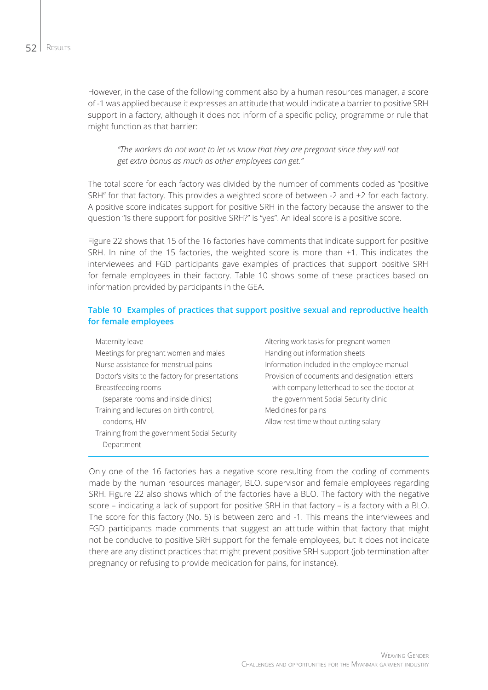However, in the case of the following comment also by a human resources manager, a score of -1 was applied because it expresses an attitude that would indicate a barrier to positive SRH support in a factory, although it does not inform of a specific policy, programme or rule that might function as that barrier:

*"The workers do not want to let us know that they are pregnant since they will not get extra bonus as much as other employees can get."*

The total score for each factory was divided by the number of comments coded as "positive SRH" for that factory. This provides a weighted score of between -2 and +2 for each factory. A positive score indicates support for positive SRH in the factory because the answer to the question "Is there support for positive SRH?" is "yes". An ideal score is a positive score.

Figure 22 shows that 15 of the 16 factories have comments that indicate support for positive SRH. In nine of the 15 factories, the weighted score is more than +1. This indicates the interviewees and FGD participants gave examples of practices that support positive SRH for female employees in their factory. Table 10 shows some of these practices based on information provided by participants in the GEA.

## **Table 10 Examples of practices that support positive sexual and reproductive health for female employees**

| Maternity leave                                  | Altering work tasks for pregnant women         |
|--------------------------------------------------|------------------------------------------------|
| Meetings for pregnant women and males            | Handing out information sheets                 |
| Nurse assistance for menstrual pains             | Information included in the employee manual    |
| Doctor's visits to the factory for presentations | Provision of documents and designation letters |
| Breastfeeding rooms                              | with company letterhead to see the doctor at   |
| (separate rooms and inside clinics)              | the government Social Security clinic          |
| Training and lectures on birth control,          | Medicines for pains                            |
| condoms, HIV                                     | Allow rest time without cutting salary         |
| Training from the government Social Security     |                                                |
| Department                                       |                                                |

Only one of the 16 factories has a negative score resulting from the coding of comments made by the human resources manager, BLO, supervisor and female employees regarding SRH. Figure 22 also shows which of the factories have a BLO. The factory with the negative score – indicating a lack of support for positive SRH in that factory – is a factory with a BLO. The score for this factory (No. 5) is between zero and -1. This means the interviewees and FGD participants made comments that suggest an attitude within that factory that might not be conducive to positive SRH support for the female employees, but it does not indicate there are any distinct practices that might prevent positive SRH support (job termination after pregnancy or refusing to provide medication for pains, for instance).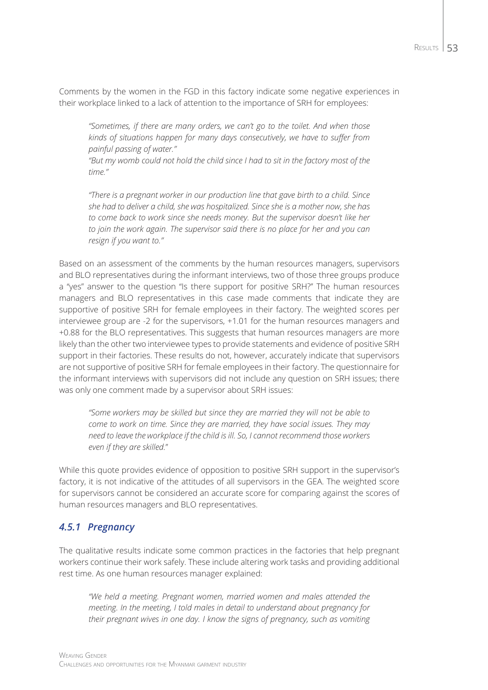Comments by the women in the FGD in this factory indicate some negative experiences in their workplace linked to a lack of attention to the importance of SRH for employees:

*"Sometimes, if there are many orders, we can't go to the toilet. And when those kinds of situations happen for many days consecutively, we have to suffer from painful passing of water."*

*"But my womb could not hold the child since I had to sit in the factory most of the time."*

*"There is a pregnant worker in our production line that gave birth to a child. Since she had to deliver a child, she was hospitalized. Since she is a mother now, she has to come back to work since she needs money. But the supervisor doesn't like her to join the work again. The supervisor said there is no place for her and you can resign if you want to."*

Based on an assessment of the comments by the human resources managers, supervisors and BLO representatives during the informant interviews, two of those three groups produce a "yes" answer to the question "Is there support for positive SRH?" The human resources managers and BLO representatives in this case made comments that indicate they are supportive of positive SRH for female employees in their factory. The weighted scores per interviewee group are -2 for the supervisors, +1.01 for the human resources managers and +0.88 for the BLO representatives. This suggests that human resources managers are more likely than the other two interviewee types to provide statements and evidence of positive SRH support in their factories. These results do not, however, accurately indicate that supervisors are not supportive of positive SRH for female employees in their factory. The questionnaire for the informant interviews with supervisors did not include any question on SRH issues; there was only one comment made by a supervisor about SRH issues:

*"Some workers may be skilled but since they are married they will not be able to come to work on time. Since they are married, they have social issues. They may need to leave the workplace if the child is ill. So, I cannot recommend those workers even if they are skilled.*"

While this quote provides evidence of opposition to positive SRH support in the supervisor's factory, it is not indicative of the attitudes of all supervisors in the GEA. The weighted score for supervisors cannot be considered an accurate score for comparing against the scores of human resources managers and BLO representatives.

## *4.5.1 Pregnancy*

The qualitative results indicate some common practices in the factories that help pregnant workers continue their work safely. These include altering work tasks and providing additional rest time. As one human resources manager explained:

*"We held a meeting. Pregnant women, married women and males attended the meeting. In the meeting, I told males in detail to understand about pregnancy for their pregnant wives in one day. I know the signs of pregnancy, such as vomiting*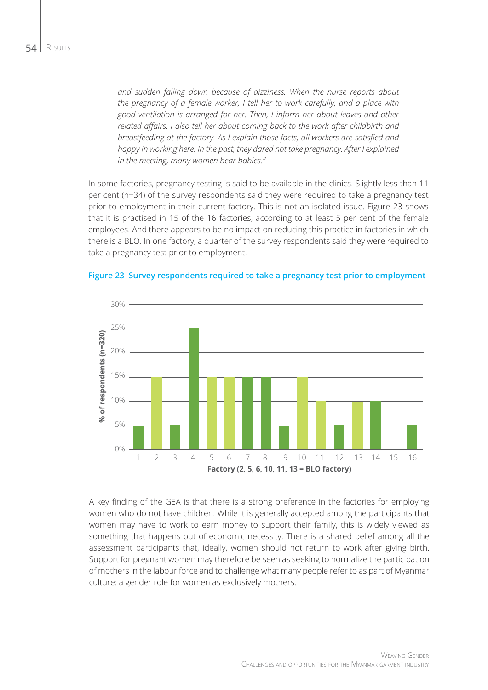*and sudden falling down because of dizziness. When the nurse reports about the pregnancy of a female worker, I tell her to work carefully, and a place with good ventilation is arranged for her. Then, I inform her about leaves and other*  related affairs. I also tell her about coming back to the work after childbirth and *breastfeeding at the factory. As I explain those facts, all workers are satisfied and happy in working here. In the past, they dared not take pregnancy. After I explained in the meeting, many women bear babies."* 

In some factories, pregnancy testing is said to be available in the clinics. Slightly less than 11 per cent (n=34) of the survey respondents said they were required to take a pregnancy test prior to employment in their current factory. This is not an isolated issue. Figure 23 shows that it is practised in 15 of the 16 factories, according to at least 5 per cent of the female employees. And there appears to be no impact on reducing this practice in factories in which there is a BLO. In one factory, a quarter of the survey respondents said they were required to take a pregnancy test prior to employment.





A key finding of the GEA is that there is a strong preference in the factories for employing women who do not have children. While it is generally accepted among the participants that women may have to work to earn money to support their family, this is widely viewed as something that happens out of economic necessity. There is a shared belief among all the assessment participants that, ideally, women should not return to work after giving birth. Support for pregnant women may therefore be seen as seeking to normalize the participation of mothers in the labour force and to challenge what many people refer to as part of Myanmar culture: a gender role for women as exclusively mothers.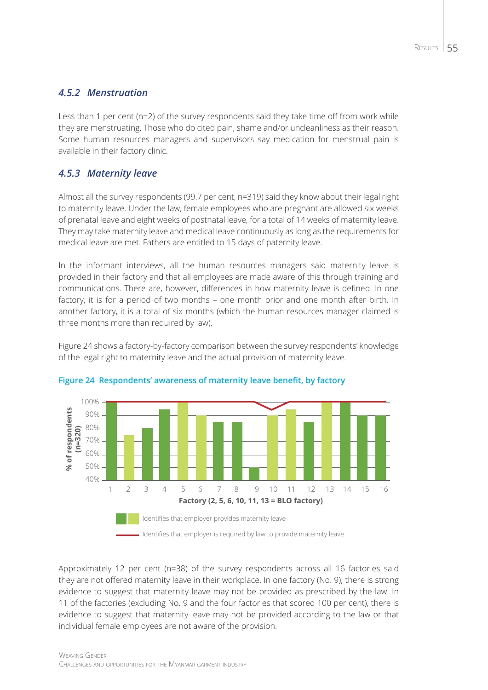## *4.5.2 Menstruation*

Less than 1 per cent (n=2) of the survey respondents said they take time off from work while they are menstruating. Those who do cited pain, shame and/or uncleanliness as their reason. Some human resources managers and supervisors say medication for menstrual pain is available in their factory clinic.

# *4.5.3 Maternity leave*

Almost all the survey respondents (99.7 per cent, n=319) said they know about their legal right to maternity leave. Under the law, female employees who are pregnant are allowed six weeks of prenatal leave and eight weeks of postnatal leave, for a total of 14 weeks of maternity leave. They may take maternity leave and medical leave continuously as long as the requirements for medical leave are met. Fathers are entitled to 15 days of paternity leave.

In the informant interviews, all the human resources managers said maternity leave is provided in their factory and that all employees are made aware of this through training and communications. There are, however, differences in how maternity leave is defined. In one factory, it is for a period of two months - one month prior and one month after birth. In another factory, it is a total of six months (which the human resources manager claimed is three months more than required by law).

Figure 24 shows a factory-by-factory comparison between the survey respondents' knowledge of the legal right to maternity leave and the actual provision of maternity leave.



## Figure 24 Respondents' awareness of maternity leave benefit, by factory

Approximately 12 per cent (n=38) of the survey respondents across all 16 factories said they are not offered maternity leave in their workplace. In one factory (No. 9), there is strong evidence to suggest that maternity leave may not be provided as prescribed by the law. In 11 of the factories (excluding No. 9 and the four factories that scored 100 per cent), there is evidence to suggest that maternity leave may not be provided according to the law or that individual female employees are not aware of the provision.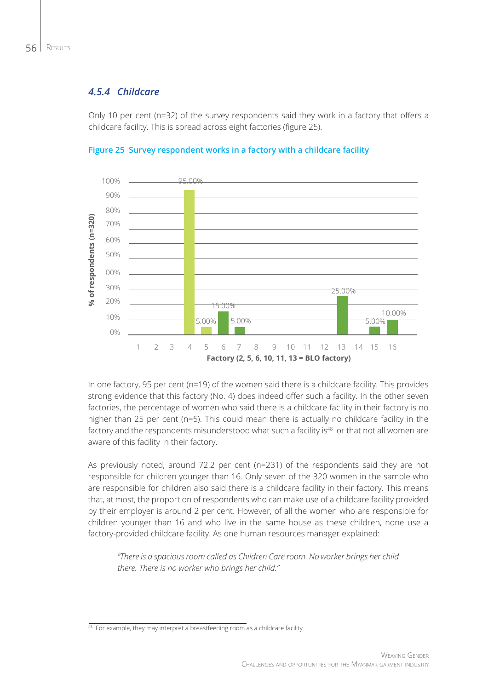## *4.5.4 Childcare*

Only 10 per cent (n=32) of the survey respondents said they work in a factory that offers a childcare facility. This is spread across eight factories (figure 25).





In one factory, 95 per cent (n=19) of the women said there is a childcare facility. This provides strong evidence that this factory (No. 4) does indeed offer such a facility. In the other seven factories, the percentage of women who said there is a childcare facility in their factory is no higher than 25 per cent (n=5). This could mean there is actually no childcare facility in the factory and the respondents misunderstood what such a facility is<sup>48</sup> or that not all women are aware of this facility in their factory.

As previously noted, around 72.2 per cent (n=231) of the respondents said they are not responsible for children younger than 16. Only seven of the 320 women in the sample who are responsible for children also said there is a childcare facility in their factory. This means that, at most, the proportion of respondents who can make use of a childcare facility provided by their employer is around 2 per cent. However, of all the women who are responsible for children younger than 16 and who live in the same house as these children, none use a factory-provided childcare facility. As one human resources manager explained:

*"There is a spacious room called as Children Care room. No worker brings her child there. There is no worker who brings her child."* 

<sup>&</sup>lt;sup>48</sup> For example, they may interpret a breastfeeding room as a childcare facility.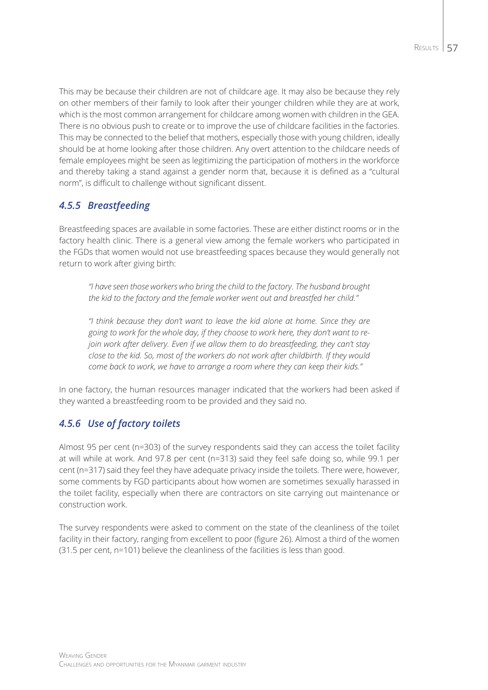This may be because their children are not of childcare age. It may also be because they rely on other members of their family to look after their younger children while they are at work, which is the most common arrangement for childcare among women with children in the GEA. There is no obvious push to create or to improve the use of childcare facilities in the factories. This may be connected to the belief that mothers, especially those with young children, ideally should be at home looking after those children. Any overt attention to the childcare needs of female employees might be seen as legitimizing the participation of mothers in the workforce and thereby taking a stand against a gender norm that, because it is defined as a "cultural norm", is difficult to challenge without significant dissent.

# *4.5.5 Breastfeeding*

Breastfeeding spaces are available in some factories. These are either distinct rooms or in the factory health clinic. There is a general view among the female workers who participated in the FGDs that women would not use breastfeeding spaces because they would generally not return to work after giving birth:

*"I have seen those workers who bring the child to the factory. The husband brought the kid to the factory and the female worker went out and breastfed her child."* 

*"I think because they don't want to leave the kid alone at home. Since they are going to work for the whole day, if they choose to work here, they don't want to rejoin work after delivery. Even if we allow them to do breastfeeding, they can't stay close to the kid. So, most of the workers do not work after childbirth. If they would come back to work, we have to arrange a room where they can keep their kids."* 

In one factory, the human resources manager indicated that the workers had been asked if they wanted a breastfeeding room to be provided and they said no.

# *4.5.6 Use of factory toilets*

Almost 95 per cent (n=303) of the survey respondents said they can access the toilet facility at will while at work. And 97.8 per cent (n=313) said they feel safe doing so, while 99.1 per cent (n=317) said they feel they have adequate privacy inside the toilets. There were, however, some comments by FGD participants about how women are sometimes sexually harassed in the toilet facility, especially when there are contractors on site carrying out maintenance or construction work.

The survey respondents were asked to comment on the state of the cleanliness of the toilet facility in their factory, ranging from excellent to poor (figure 26). Almost a third of the women (31.5 per cent, n=101) believe the cleanliness of the facilities is less than good.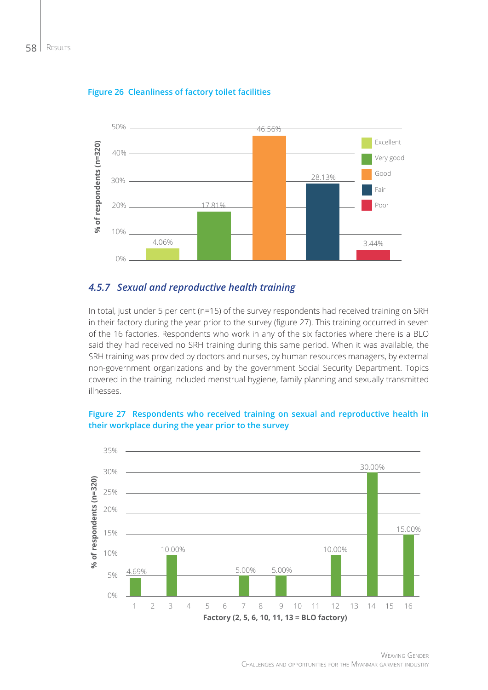

**Figure 26 Cleanliness of factory toilet facilities**

## *4.5.7 Sexual and reproductive health training*

In total, just under 5 per cent (n=15) of the survey respondents had received training on SRH in their factory during the year prior to the survey (figure 27). This training occurred in seven of the 16 factories. Respondents who work in any of the six factories where there is a BLO said they had received no SRH training during this same period. When it was available, the SRH training was provided by doctors and nurses, by human resources managers, by external non-government organizations and by the government Social Security Department. Topics covered in the training included menstrual hygiene, family planning and sexually transmitted illnesses.



## **Figure 27 Respondents who received training on sexual and reproductive health in their workplace during the year prior to the survey**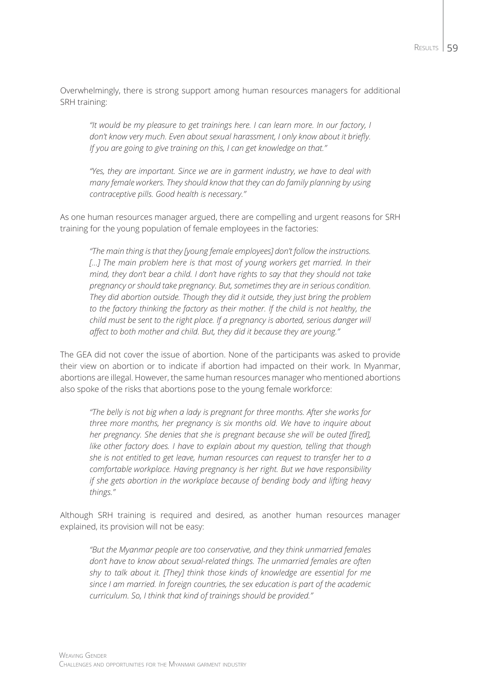Overwhelmingly, there is strong support among human resources managers for additional SRH training:

*"It would be my pleasure to get trainings here. I can learn more. In our factory, I*  don't know very much. Even about sexual harassment, I only know about it briefly. *If you are going to give training on this, I can get knowledge on that."*

*"Yes, they are important. Since we are in garment industry, we have to deal with many female workers. They should know that they can do family planning by using contraceptive pills. Good health is necessary."* 

As one human resources manager argued, there are compelling and urgent reasons for SRH training for the young population of female employees in the factories:

*"The main thing is that they [young female employees] don't follow the instructions.*  [...] The main problem here is that most of young workers get married. In their *mind, they don't bear a child. I don't have rights to say that they should not take pregnancy or should take pregnancy. But, sometimes they are in serious condition. They did abortion outside. Though they did it outside, they just bring the problem to the factory thinking the factory as their mother. If the child is not healthy, the child must be sent to the right place. If a pregnancy is aborted, serious danger will aff ect to both mother and child. But, they did it because they are young."*

The GEA did not cover the issue of abortion. None of the participants was asked to provide their view on abortion or to indicate if abortion had impacted on their work. In Myanmar, abortions are illegal. However, the same human resources manager who mentioned abortions also spoke of the risks that abortions pose to the young female workforce:

*"The belly is not big when a lady is pregnant for three months. After she works for three more months, her pregnancy is six months old. We have to inquire about her pregnancy. She denies that she is pregnant because she will be outed [fired],* like other factory does. I have to explain about my question, telling that though *she is not entitled to get leave, human resources can request to transfer her to a comfortable workplace. Having pregnancy is her right. But we have responsibility if she gets abortion in the workplace because of bending body and lifting heavy things."*

Although SRH training is required and desired, as another human resources manager explained, its provision will not be easy:

*"But the Myanmar people are too conservative, and they think unmarried females don't have to know about sexual-related things. The unmarried females are often shy to talk about it. [They] think those kinds of knowledge are essential for me since I am married. In foreign countries, the sex education is part of the academic curriculum. So, I think that kind of trainings should be provided."*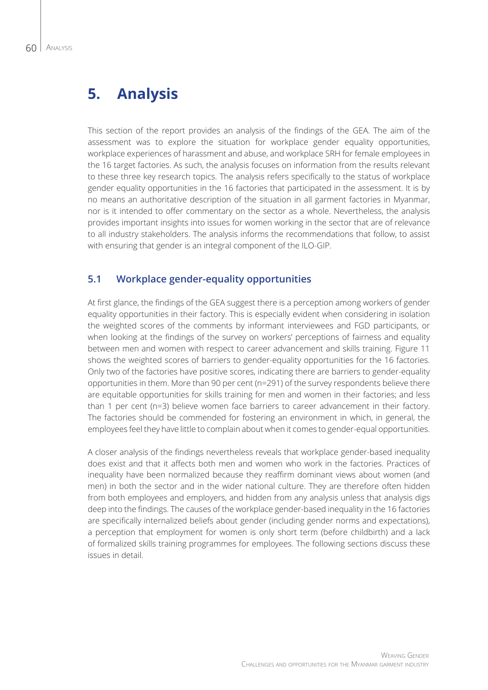# **5. Analysis**

This section of the report provides an analysis of the findings of the GEA. The aim of the assessment was to explore the situation for workplace gender equality opportunities, workplace experiences of harassment and abuse, and workplace SRH for female employees in the 16 target factories. As such, the analysis focuses on information from the results relevant to these three key research topics. The analysis refers specifically to the status of workplace gender equality opportunities in the 16 factories that participated in the assessment. It is by no means an authoritative description of the situation in all garment factories in Myanmar, nor is it intended to offer commentary on the sector as a whole. Nevertheless, the analysis provides important insights into issues for women working in the sector that are of relevance to all industry stakeholders. The analysis informs the recommendations that follow, to assist with ensuring that gender is an integral component of the ILO-GIP.

## **5.1 Workplace gender-equality opportunities**

At first glance, the findings of the GEA suggest there is a perception among workers of gender equality opportunities in their factory. This is especially evident when considering in isolation the weighted scores of the comments by informant interviewees and FGD participants, or when looking at the findings of the survey on workers' perceptions of fairness and equality between men and women with respect to career advancement and skills training. Figure 11 shows the weighted scores of barriers to gender-equality opportunities for the 16 factories. Only two of the factories have positive scores, indicating there are barriers to gender-equality opportunities in them. More than 90 per cent (n=291) of the survey respondents believe there are equitable opportunities for skills training for men and women in their factories; and less than 1 per cent (n=3) believe women face barriers to career advancement in their factory. The factories should be commended for fostering an environment in which, in general, the employees feel they have little to complain about when it comes to gender-equal opportunities.

A closer analysis of the findings nevertheless reveals that workplace gender-based inequality does exist and that it affects both men and women who work in the factories. Practices of inequality have been normalized because they reaffirm dominant views about women (and men) in both the sector and in the wider national culture. They are therefore often hidden from both employees and employers, and hidden from any analysis unless that analysis digs deep into the findings. The causes of the workplace gender-based inequality in the 16 factories are specifically internalized beliefs about gender (including gender norms and expectations), a perception that employment for women is only short term (before childbirth) and a lack of formalized skills training programmes for employees. The following sections discuss these issues in detail.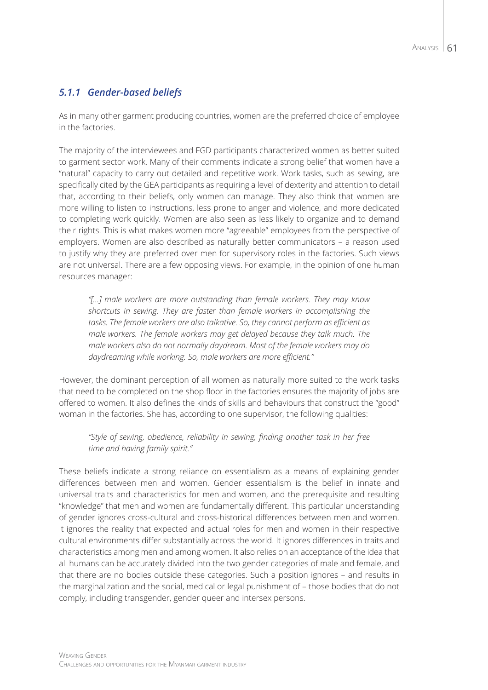# *5.1.1 Gender-based beliefs*

As in many other garment producing countries, women are the preferred choice of employee in the factories.

The majority of the interviewees and FGD participants characterized women as better suited to garment sector work. Many of their comments indicate a strong belief that women have a "natural" capacity to carry out detailed and repetitive work. Work tasks, such as sewing, are specifically cited by the GEA participants as requiring a level of dexterity and attention to detail that, according to their beliefs, only women can manage. They also think that women are more willing to listen to instructions, less prone to anger and violence, and more dedicated to completing work quickly. Women are also seen as less likely to organize and to demand their rights. This is what makes women more "agreeable" employees from the perspective of employers. Women are also described as naturally better communicators – a reason used to justify why they are preferred over men for supervisory roles in the factories. Such views are not universal. There are a few opposing views. For example, in the opinion of one human resources manager:

*"[…] male workers are more outstanding than female workers. They may know shortcuts in sewing. They are faster than female workers in accomplishing the*  tasks. The female workers are also talkative. So, they cannot perform as efficient as *male workers. The female workers may get delayed because they talk much. The male workers also do not normally daydream. Most of the female workers may do*  daydreaming while working. So, male workers are more efficient."

However, the dominant perception of all women as naturally more suited to the work tasks that need to be completed on the shop floor in the factories ensures the majority of jobs are offered to women. It also defines the kinds of skills and behaviours that construct the "good" woman in the factories. She has, according to one supervisor, the following qualities:

## *"Style of sewing, obedience, reliability in sewing, fi nding another task in her free time and having family spirit."*

These beliefs indicate a strong reliance on essentialism as a means of explaining gender differences between men and women. Gender essentialism is the belief in innate and universal traits and characteristics for men and women, and the prerequisite and resulting "knowledge" that men and women are fundamentally different. This particular understanding of gender ignores cross-cultural and cross-historical differences between men and women. It ignores the reality that expected and actual roles for men and women in their respective cultural environments differ substantially across the world. It ignores differences in traits and characteristics among men and among women. It also relies on an acceptance of the idea that all humans can be accurately divided into the two gender categories of male and female, and that there are no bodies outside these categories. Such a position ignores – and results in the marginalization and the social, medical or legal punishment of – those bodies that do not comply, including transgender, gender queer and intersex persons.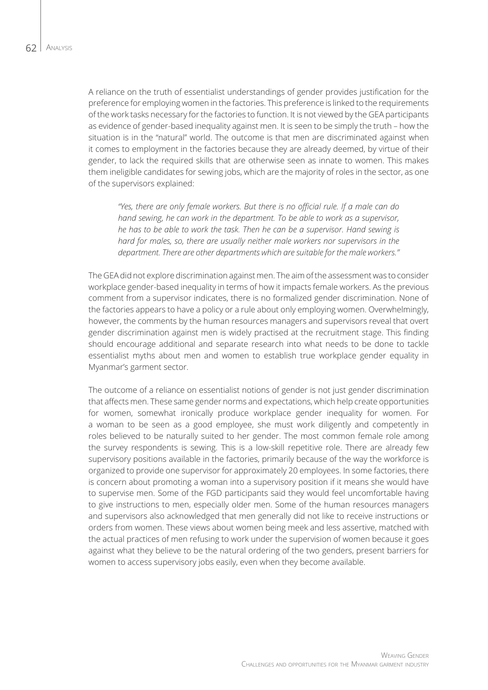A reliance on the truth of essentialist understandings of gender provides justification for the preference for employing women in the factories. This preference is linked to the requirements of the work tasks necessary for the factories to function. It is not viewed by the GEA participants as evidence of gender-based inequality against men. It is seen to be simply the truth – how the situation is in the "natural" world. The outcome is that men are discriminated against when it comes to employment in the factories because they are already deemed, by virtue of their gender, to lack the required skills that are otherwise seen as innate to women. This makes them ineligible candidates for sewing jobs, which are the majority of roles in the sector, as one of the supervisors explained:

"Yes, there are only female workers. But there is no official rule. If a male can do *hand sewing, he can work in the department. To be able to work as a supervisor, he has to be able to work the task. Then he can be a supervisor. Hand sewing is hard for males, so, there are usually neither male workers nor supervisors in the department. There are other departments which are suitable for the male workers."*

The GEA did not explore discrimination against men. The aim of the assessment was to consider workplace gender-based inequality in terms of how it impacts female workers. As the previous comment from a supervisor indicates, there is no formalized gender discrimination. None of the factories appears to have a policy or a rule about only employing women. Overwhelmingly, however, the comments by the human resources managers and supervisors reveal that overt gender discrimination against men is widely practised at the recruitment stage. This finding should encourage additional and separate research into what needs to be done to tackle essentialist myths about men and women to establish true workplace gender equality in Myanmar's garment sector.

The outcome of a reliance on essentialist notions of gender is not just gender discrimination that affects men. These same gender norms and expectations, which help create opportunities for women, somewhat ironically produce workplace gender inequality for women. For a woman to be seen as a good employee, she must work diligently and competently in roles believed to be naturally suited to her gender. The most common female role among the survey respondents is sewing. This is a low-skill repetitive role. There are already few supervisory positions available in the factories, primarily because of the way the workforce is organized to provide one supervisor for approximately 20 employees. In some factories, there is concern about promoting a woman into a supervisory position if it means she would have to supervise men. Some of the FGD participants said they would feel uncomfortable having to give instructions to men, especially older men. Some of the human resources managers and supervisors also acknowledged that men generally did not like to receive instructions or orders from women. These views about women being meek and less assertive, matched with the actual practices of men refusing to work under the supervision of women because it goes against what they believe to be the natural ordering of the two genders, present barriers for women to access supervisory jobs easily, even when they become available.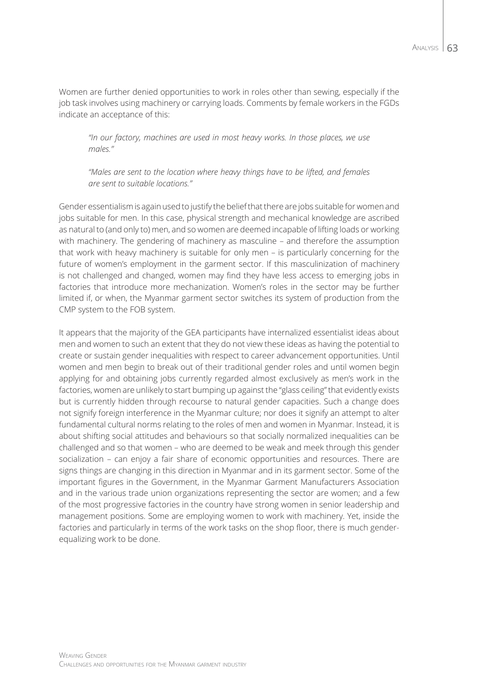Women are further denied opportunities to work in roles other than sewing, especially if the job task involves using machinery or carrying loads. Comments by female workers in the FGDs indicate an acceptance of this:

*"In our factory, machines are used in most heavy works. In those places, we use males."*

*"Males are sent to the location where heavy things have to be lifted, and females are sent to suitable locations."*

Gender essentialism is again used to justify the belief that there are jobs suitable for women and jobs suitable for men. In this case, physical strength and mechanical knowledge are ascribed as natural to (and only to) men, and so women are deemed incapable of lifting loads or working with machinery. The gendering of machinery as masculine – and therefore the assumption that work with heavy machinery is suitable for only men – is particularly concerning for the future of women's employment in the garment sector. If this masculinization of machinery is not challenged and changed, women may find they have less access to emerging jobs in factories that introduce more mechanization. Women's roles in the sector may be further limited if, or when, the Myanmar garment sector switches its system of production from the CMP system to the FOB system.

It appears that the majority of the GEA participants have internalized essentialist ideas about men and women to such an extent that they do not view these ideas as having the potential to create or sustain gender inequalities with respect to career advancement opportunities. Until women and men begin to break out of their traditional gender roles and until women begin applying for and obtaining jobs currently regarded almost exclusively as men's work in the factories, women are unlikely to start bumping up against the "glass ceiling" that evidently exists but is currently hidden through recourse to natural gender capacities. Such a change does not signify foreign interference in the Myanmar culture; nor does it signify an attempt to alter fundamental cultural norms relating to the roles of men and women in Myanmar. Instead, it is about shifting social attitudes and behaviours so that socially normalized inequalities can be challenged and so that women – who are deemed to be weak and meek through this gender socialization – can enjoy a fair share of economic opportunities and resources. There are signs things are changing in this direction in Myanmar and in its garment sector. Some of the important figures in the Government, in the Myanmar Garment Manufacturers Association and in the various trade union organizations representing the sector are women; and a few of the most progressive factories in the country have strong women in senior leadership and management positions. Some are employing women to work with machinery. Yet, inside the factories and particularly in terms of the work tasks on the shop floor, there is much genderequalizing work to be done.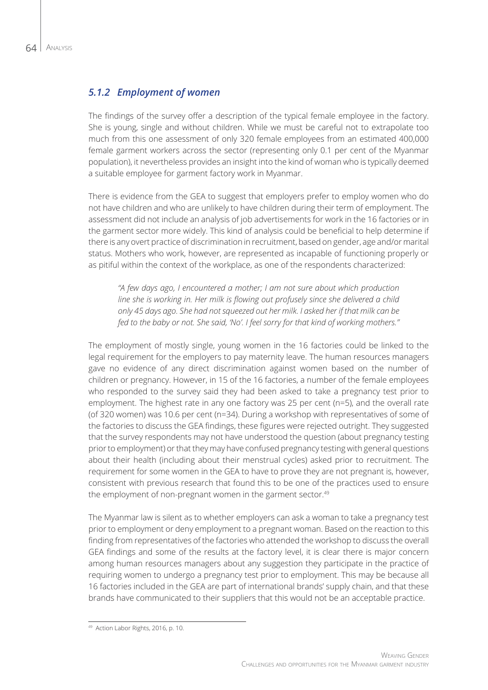## *5.1.2 Employment of women*

The findings of the survey offer a description of the typical female employee in the factory. She is young, single and without children. While we must be careful not to extrapolate too much from this one assessment of only 320 female employees from an estimated 400,000 female garment workers across the sector (representing only 0.1 per cent of the Myanmar population), it nevertheless provides an insight into the kind of woman who is typically deemed a suitable employee for garment factory work in Myanmar.

There is evidence from the GEA to suggest that employers prefer to employ women who do not have children and who are unlikely to have children during their term of employment. The assessment did not include an analysis of job advertisements for work in the 16 factories or in the garment sector more widely. This kind of analysis could be beneficial to help determine if there is any overt practice of discrimination in recruitment, based on gender, age and/or marital status. Mothers who work, however, are represented as incapable of functioning properly or as pitiful within the context of the workplace, as one of the respondents characterized:

*"A few days ago, I encountered a mother; I am not sure about which production line she is working in. Her milk is flowing out profusely since she delivered a child only 45 days ago. She had not squeezed out her milk. I asked her if that milk can be fed to the baby or not. She said, 'No'. I feel sorry for that kind of working mothers."*

The employment of mostly single, young women in the 16 factories could be linked to the legal requirement for the employers to pay maternity leave. The human resources managers gave no evidence of any direct discrimination against women based on the number of children or pregnancy. However, in 15 of the 16 factories, a number of the female employees who responded to the survey said they had been asked to take a pregnancy test prior to employment. The highest rate in any one factory was 25 per cent (n=5), and the overall rate (of 320 women) was 10.6 per cent (n=34). During a workshop with representatives of some of the factories to discuss the GEA findings, these figures were rejected outright. They suggested that the survey respondents may not have understood the question (about pregnancy testing prior to employment) or that they may have confused pregnancy testing with general questions about their health (including about their menstrual cycles) asked prior to recruitment. The requirement for some women in the GEA to have to prove they are not pregnant is, however, consistent with previous research that found this to be one of the practices used to ensure the employment of non-pregnant women in the garment sector.<sup>49</sup>

The Myanmar law is silent as to whether employers can ask a woman to take a pregnancy test prior to employment or deny employment to a pregnant woman. Based on the reaction to this finding from representatives of the factories who attended the workshop to discuss the overall GEA findings and some of the results at the factory level, it is clear there is major concern among human resources managers about any suggestion they participate in the practice of requiring women to undergo a pregnancy test prior to employment. This may be because all 16 factories included in the GEA are part of international brands' supply chain, and that these brands have communicated to their suppliers that this would not be an acceptable practice.

<sup>49</sup> Action Labor Rights, 2016, p. 10.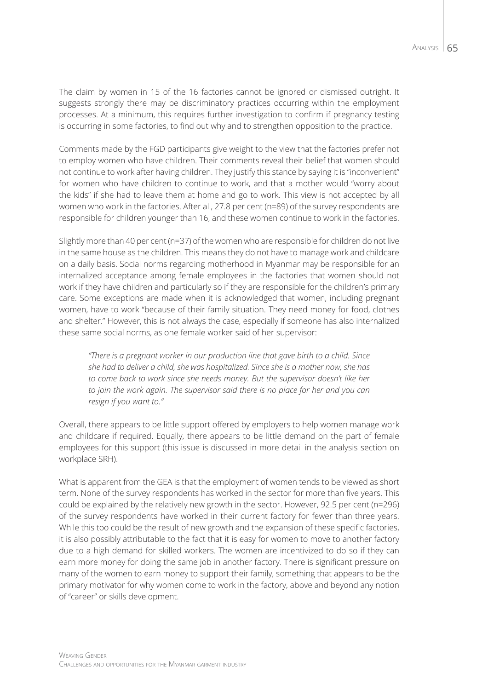The claim by women in 15 of the 16 factories cannot be ignored or dismissed outright. It suggests strongly there may be discriminatory practices occurring within the employment processes. At a minimum, this requires further investigation to confirm if pregnancy testing is occurring in some factories, to find out why and to strengthen opposition to the practice.

Comments made by the FGD participants give weight to the view that the factories prefer not to employ women who have children. Their comments reveal their belief that women should not continue to work after having children. They justify this stance by saying it is "inconvenient" for women who have children to continue to work, and that a mother would "worry about the kids" if she had to leave them at home and go to work. This view is not accepted by all women who work in the factories. After all, 27.8 per cent (n=89) of the survey respondents are responsible for children younger than 16, and these women continue to work in the factories.

Slightly more than 40 per cent (n=37) of the women who are responsible for children do not live in the same house as the children. This means they do not have to manage work and childcare on a daily basis. Social norms regarding motherhood in Myanmar may be responsible for an internalized acceptance among female employees in the factories that women should not work if they have children and particularly so if they are responsible for the children's primary care. Some exceptions are made when it is acknowledged that women, including pregnant women, have to work "because of their family situation. They need money for food, clothes and shelter." However, this is not always the case, especially if someone has also internalized these same social norms, as one female worker said of her supervisor:

*"There is a pregnant worker in our production line that gave birth to a child. Since she had to deliver a child, she was hospitalized. Since she is a mother now, she has to come back to work since she needs money. But the supervisor doesn't like her*  to join the work again. The supervisor said there is no place for her and you can *resign if you want to."*

Overall, there appears to be little support offered by employers to help women manage work and childcare if required. Equally, there appears to be little demand on the part of female employees for this support (this issue is discussed in more detail in the analysis section on workplace SRH).

What is apparent from the GEA is that the employment of women tends to be viewed as short term. None of the survey respondents has worked in the sector for more than five years. This could be explained by the relatively new growth in the sector. However, 92.5 per cent (n=296) of the survey respondents have worked in their current factory for fewer than three years. While this too could be the result of new growth and the expansion of these specific factories, it is also possibly attributable to the fact that it is easy for women to move to another factory due to a high demand for skilled workers. The women are incentivized to do so if they can earn more money for doing the same job in another factory. There is significant pressure on many of the women to earn money to support their family, something that appears to be the primary motivator for why women come to work in the factory, above and beyond any notion of "career" or skills development.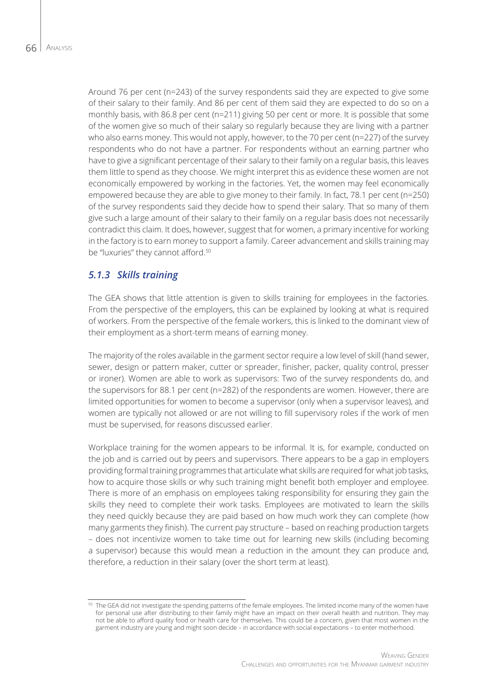Around 76 per cent (n=243) of the survey respondents said they are expected to give some of their salary to their family. And 86 per cent of them said they are expected to do so on a monthly basis, with 86.8 per cent (n=211) giving 50 per cent or more. It is possible that some of the women give so much of their salary so regularly because they are living with a partner who also earns money. This would not apply, however, to the 70 per cent (n=227) of the survey respondents who do not have a partner. For respondents without an earning partner who have to give a significant percentage of their salary to their family on a regular basis, this leaves them little to spend as they choose. We might interpret this as evidence these women are not economically empowered by working in the factories. Yet, the women may feel economically empowered because they are able to give money to their family. In fact, 78.1 per cent (n=250) of the survey respondents said they decide how to spend their salary. That so many of them give such a large amount of their salary to their family on a regular basis does not necessarily contradict this claim. It does, however, suggest that for women, a primary incentive for working in the factory is to earn money to support a family. Career advancement and skills training may be "luxuries" they cannot afford.<sup>50</sup>

## *5.1.3 Skills training*

The GEA shows that little attention is given to skills training for employees in the factories. From the perspective of the employers, this can be explained by looking at what is required of workers. From the perspective of the female workers, this is linked to the dominant view of their employment as a short-term means of earning money.

The majority of the roles available in the garment sector require a low level of skill (hand sewer, sewer, design or pattern maker, cutter or spreader, finisher, packer, quality control, presser or ironer). Women are able to work as supervisors: Two of the survey respondents do, and the supervisors for 88.1 per cent (n=282) of the respondents are women. However, there are limited opportunities for women to become a supervisor (only when a supervisor leaves), and women are typically not allowed or are not willing to fill supervisory roles if the work of men must be supervised, for reasons discussed earlier.

Workplace training for the women appears to be informal. It is, for example, conducted on the job and is carried out by peers and supervisors. There appears to be a gap in employers providing formal training programmes that articulate what skills are required for what job tasks, how to acquire those skills or why such training might benefit both employer and employee. There is more of an emphasis on employees taking responsibility for ensuring they gain the skills they need to complete their work tasks. Employees are motivated to learn the skills they need quickly because they are paid based on how much work they can complete (how many garments they finish). The current pay structure – based on reaching production targets – does not incentivize women to take time out for learning new skills (including becoming a supervisor) because this would mean a reduction in the amount they can produce and, therefore, a reduction in their salary (over the short term at least).

<sup>&</sup>lt;sup>50</sup> The GEA did not investigate the spending patterns of the female employees. The limited income many of the women have for personal use after distributing to their family might have an impact on their overall health and nutrition. They may not be able to afford quality food or health care for themselves. This could be a concern, given that most women in the garment industry are young and might soon decide – in accordance with social expectations – to enter motherhood.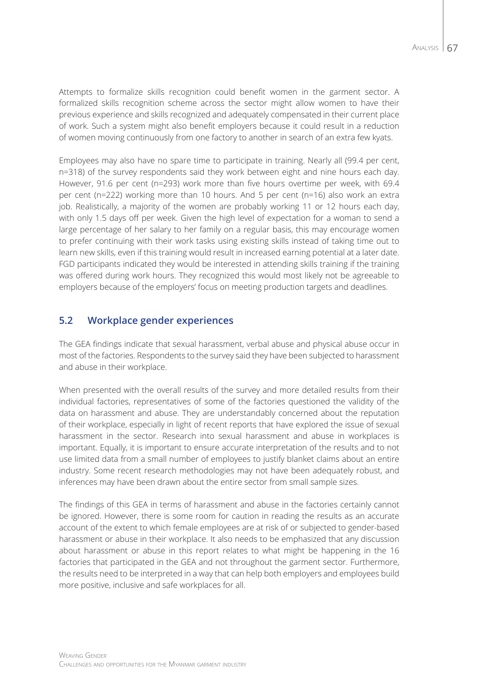Attempts to formalize skills recognition could benefit women in the garment sector. A formalized skills recognition scheme across the sector might allow women to have their previous experience and skills recognized and adequately compensated in their current place of work. Such a system might also benefit employers because it could result in a reduction of women moving continuously from one factory to another in search of an extra few kyats.

Employees may also have no spare time to participate in training. Nearly all (99.4 per cent, n=318) of the survey respondents said they work between eight and nine hours each day. However, 91.6 per cent ( $n=293$ ) work more than five hours overtime per week, with 69.4 per cent (n=222) working more than 10 hours. And 5 per cent (n=16) also work an extra job. Realistically, a majority of the women are probably working 11 or 12 hours each day, with only 1.5 days off per week. Given the high level of expectation for a woman to send a large percentage of her salary to her family on a regular basis, this may encourage women to prefer continuing with their work tasks using existing skills instead of taking time out to learn new skills, even if this training would result in increased earning potential at a later date. FGD participants indicated they would be interested in attending skills training if the training was offered during work hours. They recognized this would most likely not be agreeable to employers because of the employers' focus on meeting production targets and deadlines.

## **5.2 Workplace gender experiences**

The GEA findings indicate that sexual harassment, verbal abuse and physical abuse occur in most of the factories. Respondents to the survey said they have been subjected to harassment and abuse in their workplace.

When presented with the overall results of the survey and more detailed results from their individual factories, representatives of some of the factories questioned the validity of the data on harassment and abuse. They are understandably concerned about the reputation of their workplace, especially in light of recent reports that have explored the issue of sexual harassment in the sector. Research into sexual harassment and abuse in workplaces is important. Equally, it is important to ensure accurate interpretation of the results and to not use limited data from a small number of employees to justify blanket claims about an entire industry. Some recent research methodologies may not have been adequately robust, and inferences may have been drawn about the entire sector from small sample sizes.

The findings of this GEA in terms of harassment and abuse in the factories certainly cannot be ignored. However, there is some room for caution in reading the results as an accurate account of the extent to which female employees are at risk of or subjected to gender-based harassment or abuse in their workplace. It also needs to be emphasized that any discussion about harassment or abuse in this report relates to what might be happening in the 16 factories that participated in the GEA and not throughout the garment sector. Furthermore, the results need to be interpreted in a way that can help both employers and employees build more positive, inclusive and safe workplaces for all.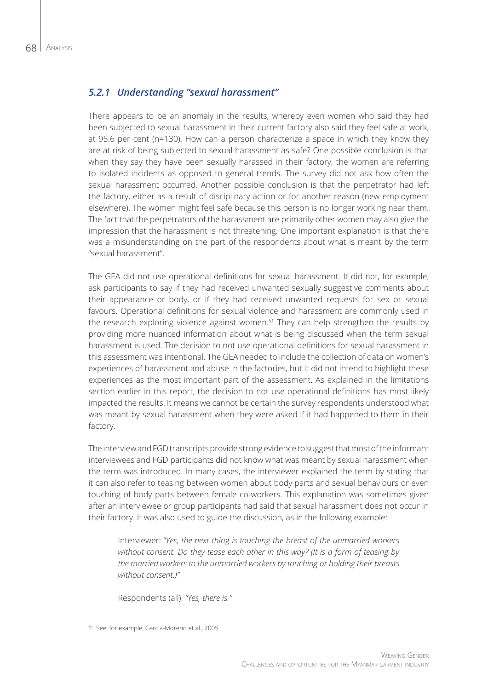## *5.2.1 Understanding "sexual harassment"*

There appears to be an anomaly in the results, whereby even women who said they had been subjected to sexual harassment in their current factory also said they feel safe at work, at 95.6 per cent (n=130). How can a person characterize a space in which they know they are at risk of being subjected to sexual harassment as safe? One possible conclusion is that when they say they have been sexually harassed in their factory, the women are referring to isolated incidents as opposed to general trends. The survey did not ask how often the sexual harassment occurred. Another possible conclusion is that the perpetrator had left the factory, either as a result of disciplinary action or for another reason (new employment elsewhere). The women might feel safe because this person is no longer working near them. The fact that the perpetrators of the harassment are primarily other women may also give the impression that the harassment is not threatening. One important explanation is that there was a misunderstanding on the part of the respondents about what is meant by the term "sexual harassment".

The GEA did not use operational definitions for sexual harassment. It did not, for example, ask participants to say if they had received unwanted sexually suggestive comments about their appearance or body, or if they had received unwanted requests for sex or sexual favours. Operational definitions for sexual violence and harassment are commonly used in the research exploring violence against women.<sup>51</sup> They can help strengthen the results by providing more nuanced information about what is being discussed when the term sexual harassment is used. The decision to not use operational definitions for sexual harassment in this assessment was intentional. The GEA needed to include the collection of data on women's experiences of harassment and abuse in the factories, but it did not intend to highlight these experiences as the most important part of the assessment. As explained in the limitations section earlier in this report, the decision to not use operational definitions has most likely impacted the results. It means we cannot be certain the survey respondents understood what was meant by sexual harassment when they were asked if it had happened to them in their factory.

The interview and FGD transcripts provide strong evidence to suggest that most of the informant interviewees and FGD participants did not know what was meant by sexual harassment when the term was introduced. In many cases, the interviewer explained the term by stating that it can also refer to teasing between women about body parts and sexual behaviours or even touching of body parts between female co-workers. This explanation was sometimes given after an interviewee or group participants had said that sexual harassment does not occur in their factory. It was also used to guide the discussion, as in the following example:

Interviewer: "*Yes, the next thing is touching the breast of the unmarried workers without consent. Do they tease each other in this way? (It is a form of teasing by the married workers to the unmarried workers by touching or holding their breasts without consent.)"*

Respondents (all): *"Yes, there is."* 

<sup>&</sup>lt;sup>51</sup> See, for example, Garcia-Moreno et al., 2005.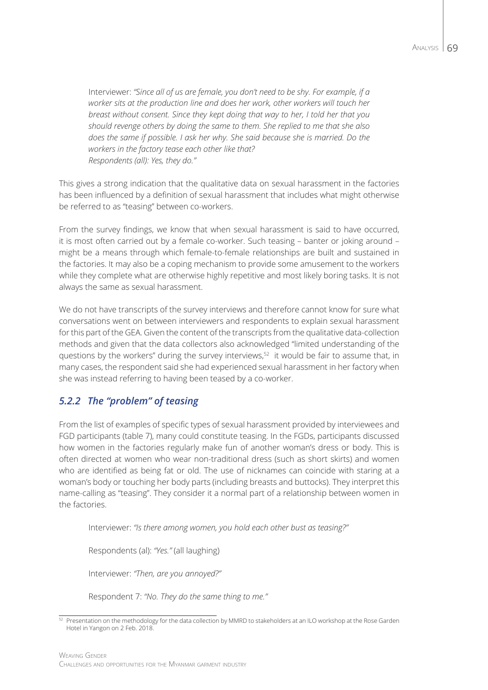Interviewer: *"Since all of us are female, you don't need to be shy. For example, if a worker sits at the production line and does her work, other workers will touch her breast without consent. Since they kept doing that way to her, I told her that you should revenge others by doing the same to them. She replied to me that she also does the same if possible. I ask her why. She said because she is married. Do the workers in the factory tease each other like that? Respondents (all): Yes, they do."* 

This gives a strong indication that the qualitative data on sexual harassment in the factories has been influenced by a definition of sexual harassment that includes what might otherwise be referred to as "teasing" between co-workers.

From the survey findings, we know that when sexual harassment is said to have occurred, it is most often carried out by a female co-worker. Such teasing – banter or joking around – might be a means through which female-to-female relationships are built and sustained in the factories. It may also be a coping mechanism to provide some amusement to the workers while they complete what are otherwise highly repetitive and most likely boring tasks. It is not always the same as sexual harassment.

We do not have transcripts of the survey interviews and therefore cannot know for sure what conversations went on between interviewers and respondents to explain sexual harassment for this part of the GEA. Given the content of the transcripts from the qualitative data-collection methods and given that the data collectors also acknowledged "limited understanding of the questions by the workers" during the survey interviews,<sup>52</sup> it would be fair to assume that, in many cases, the respondent said she had experienced sexual harassment in her factory when she was instead referring to having been teased by a co-worker.

# *5.2.2 The "problem" of teasing*

From the list of examples of specific types of sexual harassment provided by interviewees and FGD participants (table 7), many could constitute teasing. In the FGDs, participants discussed how women in the factories regularly make fun of another woman's dress or body. This is often directed at women who wear non-traditional dress (such as short skirts) and women who are identified as being fat or old. The use of nicknames can coincide with staring at a woman's body or touching her body parts (including breasts and buttocks). They interpret this name-calling as "teasing". They consider it a normal part of a relationship between women in the factories.

Interviewer: *"Is there among women, you hold each other bust as teasing?"*

Respondents (al): *"Yes."* (all laughing)

Interviewer: *"Then, are you annoyed?"*

Respondent 7: *"No. They do the same thing to me."*

<sup>52</sup> Presentation on the methodology for the data collection by MMRD to stakeholders at an ILO workshop at the Rose Garden Hotel in Yangon on 2 Feb. 2018.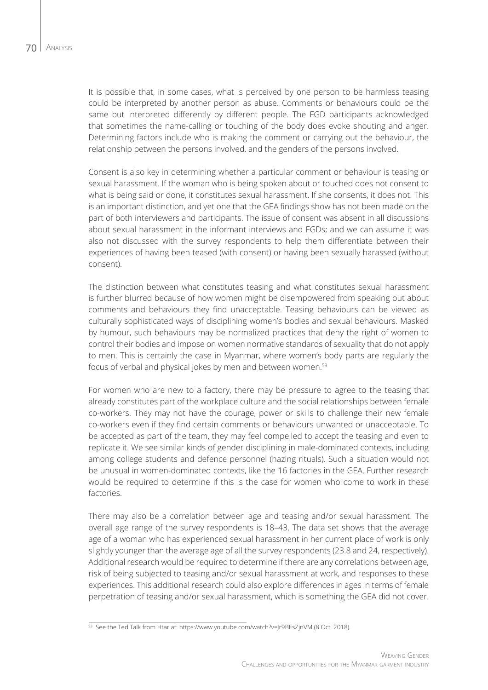It is possible that, in some cases, what is perceived by one person to be harmless teasing could be interpreted by another person as abuse. Comments or behaviours could be the same but interpreted differently by different people. The FGD participants acknowledged that sometimes the name-calling or touching of the body does evoke shouting and anger. Determining factors include who is making the comment or carrying out the behaviour, the relationship between the persons involved, and the genders of the persons involved.

Consent is also key in determining whether a particular comment or behaviour is teasing or sexual harassment. If the woman who is being spoken about or touched does not consent to what is being said or done, it constitutes sexual harassment. If she consents, it does not. This is an important distinction, and yet one that the GEA findings show has not been made on the part of both interviewers and participants. The issue of consent was absent in all discussions about sexual harassment in the informant interviews and FGDs; and we can assume it was also not discussed with the survey respondents to help them differentiate between their experiences of having been teased (with consent) or having been sexually harassed (without consent).

The distinction between what constitutes teasing and what constitutes sexual harassment is further blurred because of how women might be disempowered from speaking out about comments and behaviours they find unacceptable. Teasing behaviours can be viewed as culturally sophisticated ways of disciplining women's bodies and sexual behaviours. Masked by humour, such behaviours may be normalized practices that deny the right of women to control their bodies and impose on women normative standards of sexuality that do not apply to men. This is certainly the case in Myanmar, where women's body parts are regularly the focus of verbal and physical jokes by men and between women.<sup>53</sup>

For women who are new to a factory, there may be pressure to agree to the teasing that already constitutes part of the workplace culture and the social relationships between female co-workers. They may not have the courage, power or skills to challenge their new female co-workers even if they find certain comments or behaviours unwanted or unacceptable. To be accepted as part of the team, they may feel compelled to accept the teasing and even to replicate it. We see similar kinds of gender disciplining in male-dominated contexts, including among college students and defence personnel (hazing rituals). Such a situation would not be unusual in women-dominated contexts, like the 16 factories in the GEA. Further research would be required to determine if this is the case for women who come to work in these factories.

There may also be a correlation between age and teasing and/or sexual harassment. The overall age range of the survey respondents is 18–43. The data set shows that the average age of a woman who has experienced sexual harassment in her current place of work is only slightly younger than the average age of all the survey respondents (23.8 and 24, respectively). Additional research would be required to determine if there are any correlations between age, risk of being subjected to teasing and/or sexual harassment at work, and responses to these experiences. This additional research could also explore differences in ages in terms of female perpetration of teasing and/or sexual harassment, which is something the GEA did not cover.

<sup>53</sup> See the Ted Talk from Htar at: https://www.youtube.com/watch?v=Jr9BEsZjnVM (8 Oct. 2018).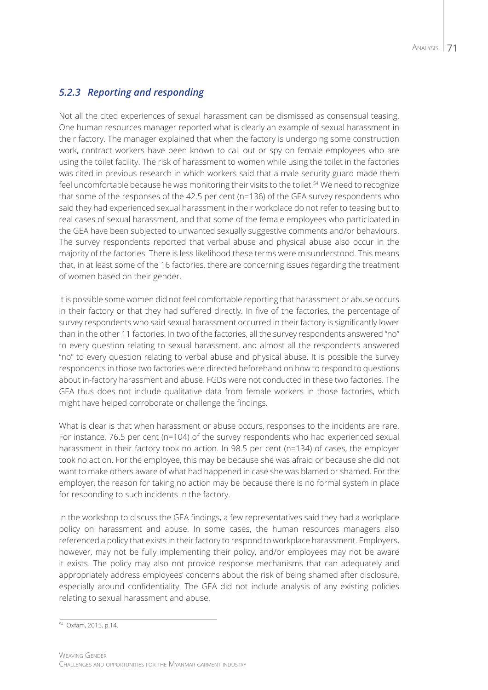# *5.2.3 Reporting and responding*

Not all the cited experiences of sexual harassment can be dismissed as consensual teasing. One human resources manager reported what is clearly an example of sexual harassment in their factory. The manager explained that when the factory is undergoing some construction work, contract workers have been known to call out or spy on female employees who are using the toilet facility. The risk of harassment to women while using the toilet in the factories was cited in previous research in which workers said that a male security guard made them feel uncomfortable because he was monitoring their visits to the toilet.<sup>54</sup> We need to recognize that some of the responses of the 42.5 per cent (n=136) of the GEA survey respondents who said they had experienced sexual harassment in their workplace do not refer to teasing but to real cases of sexual harassment, and that some of the female employees who participated in the GEA have been subjected to unwanted sexually suggestive comments and/or behaviours. The survey respondents reported that verbal abuse and physical abuse also occur in the majority of the factories. There is less likelihood these terms were misunderstood. This means that, in at least some of the 16 factories, there are concerning issues regarding the treatment of women based on their gender.

It is possible some women did not feel comfortable reporting that harassment or abuse occurs in their factory or that they had suffered directly. In five of the factories, the percentage of survey respondents who said sexual harassment occurred in their factory is significantly lower than in the other 11 factories. In two of the factories, all the survey respondents answered "no" to every question relating to sexual harassment, and almost all the respondents answered "no" to every question relating to verbal abuse and physical abuse. It is possible the survey respondents in those two factories were directed beforehand on how to respond to questions about in-factory harassment and abuse. FGDs were not conducted in these two factories. The GEA thus does not include qualitative data from female workers in those factories, which might have helped corroborate or challenge the findings.

What is clear is that when harassment or abuse occurs, responses to the incidents are rare. For instance, 76.5 per cent (n=104) of the survey respondents who had experienced sexual harassment in their factory took no action. In 98.5 per cent (n=134) of cases, the employer took no action. For the employee, this may be because she was afraid or because she did not want to make others aware of what had happened in case she was blamed or shamed. For the employer, the reason for taking no action may be because there is no formal system in place for responding to such incidents in the factory.

In the workshop to discuss the GEA findings, a few representatives said they had a workplace policy on harassment and abuse. In some cases, the human resources managers also referenced a policy that exists in their factory to respond to workplace harassment. Employers, however, may not be fully implementing their policy, and/or employees may not be aware it exists. The policy may also not provide response mechanisms that can adequately and appropriately address employees' concerns about the risk of being shamed after disclosure, especially around confidentiality. The GEA did not include analysis of any existing policies relating to sexual harassment and abuse.

<sup>54</sup> Oxfam, 2015, p.14.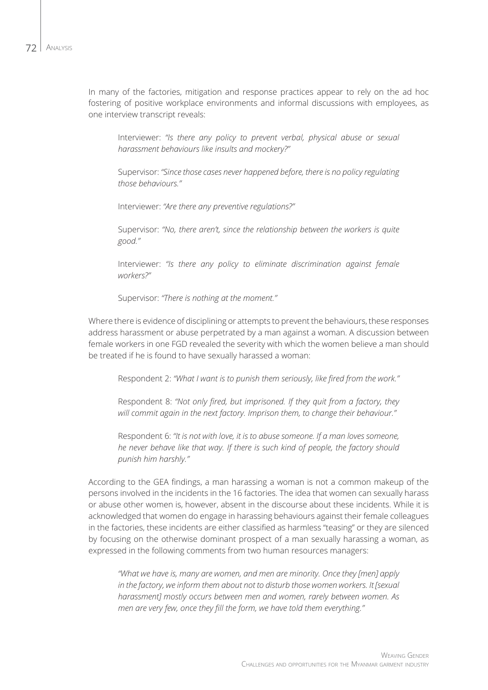In many of the factories, mitigation and response practices appear to rely on the ad hoc fostering of positive workplace environments and informal discussions with employees, as one interview transcript reveals:

Interviewer: *"Is there any policy to prevent verbal, physical abuse or sexual harassment behaviours like insults and mockery?"*

Supervisor: *"Since those cases never happened before, there is no policy regulating those behaviours."* 

Interviewer: *"Are there any preventive regulations?"*

Supervisor: *"No, there aren't, since the relationship between the workers is quite good."* 

Interviewer: *"Is there any policy to eliminate discrimination against female workers?"*

Supervisor: *"There is nothing at the moment."* 

Where there is evidence of disciplining or attempts to prevent the behaviours, these responses address harassment or abuse perpetrated by a man against a woman. A discussion between female workers in one FGD revealed the severity with which the women believe a man should be treated if he is found to have sexually harassed a woman:

Respondent 2: "What I want is to punish them seriously, like fired from the work."

Respondent 8: "Not only fired, but imprisoned. If they quit from a factory, they *will commit again in the next factory. Imprison them, to change their behaviour."*

Respondent 6: *"It is not with love, it is to abuse someone. If a man loves someone, he never behave like that way. If there is such kind of people, the factory should punish him harshly."*

According to the GEA findings, a man harassing a woman is not a common makeup of the persons involved in the incidents in the 16 factories. The idea that women can sexually harass or abuse other women is, however, absent in the discourse about these incidents. While it is acknowledged that women do engage in harassing behaviours against their female colleagues in the factories, these incidents are either classified as harmless "teasing" or they are silenced by focusing on the otherwise dominant prospect of a man sexually harassing a woman, as expressed in the following comments from two human resources managers:

*"What we have is, many are women, and men are minority. Once they [men] apply in the factory, we inform them about not to disturb those women workers. It [sexual harassment] mostly occurs between men and women, rarely between women. As men are very few, once they fill the form, we have told them everything."*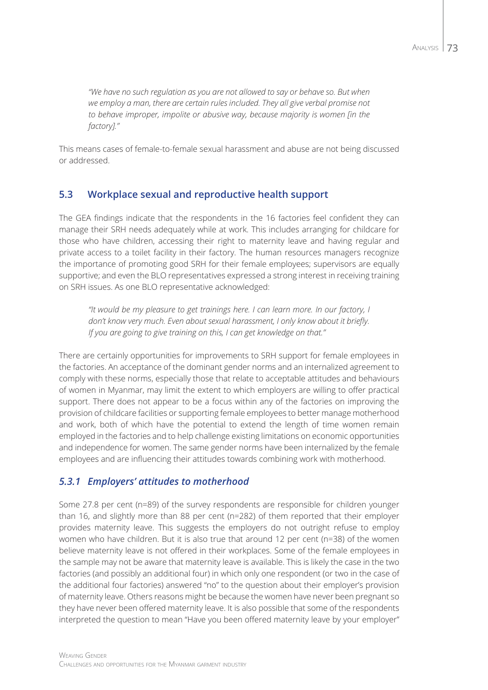*"We have no such regulation as you are not allowed to say or behave so. But when we employ a man, there are certain rules included. They all give verbal promise not to behave improper, impolite or abusive way, because majority is women [in the factory]."*

This means cases of female-to-female sexual harassment and abuse are not being discussed or addressed.

# **5.3 Workplace sexual and reproductive health support**

The GEA findings indicate that the respondents in the 16 factories feel confident they can manage their SRH needs adequately while at work. This includes arranging for childcare for those who have children, accessing their right to maternity leave and having regular and private access to a toilet facility in their factory. The human resources managers recognize the importance of promoting good SRH for their female employees; supervisors are equally supportive; and even the BLO representatives expressed a strong interest in receiving training on SRH issues. As one BLO representative acknowledged:

*"It would be my pleasure to get trainings here. I can learn more. In our factory, I*  don't know very much. Even about sexual harassment, I only know about it briefly. *If you are going to give training on this, I can get knowledge on that."*

There are certainly opportunities for improvements to SRH support for female employees in the factories. An acceptance of the dominant gender norms and an internalized agreement to comply with these norms, especially those that relate to acceptable attitudes and behaviours of women in Myanmar, may limit the extent to which employers are willing to offer practical support. There does not appear to be a focus within any of the factories on improving the provision of childcare facilities or supporting female employees to better manage motherhood and work, both of which have the potential to extend the length of time women remain employed in the factories and to help challenge existing limitations on economic opportunities and independence for women. The same gender norms have been internalized by the female employees and are influencing their attitudes towards combining work with motherhood.

## *5.3.1 Employers' attitudes to motherhood*

Some 27.8 per cent (n=89) of the survey respondents are responsible for children younger than 16, and slightly more than 88 per cent (n=282) of them reported that their employer provides maternity leave. This suggests the employers do not outright refuse to employ women who have children. But it is also true that around 12 per cent (n=38) of the women believe maternity leave is not offered in their workplaces. Some of the female employees in the sample may not be aware that maternity leave is available. This is likely the case in the two factories (and possibly an additional four) in which only one respondent (or two in the case of the additional four factories) answered "no" to the question about their employer's provision of maternity leave. Others reasons might be because the women have never been pregnant so they have never been offered maternity leave. It is also possible that some of the respondents interpreted the question to mean "Have you been offered maternity leave by your employer"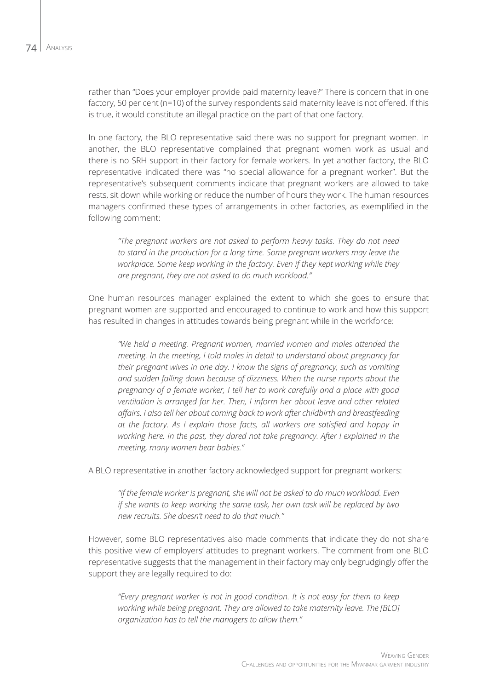rather than "Does your employer provide paid maternity leave?" There is concern that in one factory, 50 per cent (n=10) of the survey respondents said maternity leave is not offered. If this is true, it would constitute an illegal practice on the part of that one factory.

In one factory, the BLO representative said there was no support for pregnant women. In another, the BLO representative complained that pregnant women work as usual and there is no SRH support in their factory for female workers. In yet another factory, the BLO representative indicated there was "no special allowance for a pregnant worker". But the representative's subsequent comments indicate that pregnant workers are allowed to take rests, sit down while working or reduce the number of hours they work. The human resources managers confirmed these types of arrangements in other factories, as exemplified in the following comment:

*"The pregnant workers are not asked to perform heavy tasks. They do not need to stand in the production for a long time. Some pregnant workers may leave the workplace. Some keep working in the factory. Even if they kept working while they are pregnant, they are not asked to do much workload."*

One human resources manager explained the extent to which she goes to ensure that pregnant women are supported and encouraged to continue to work and how this support has resulted in changes in attitudes towards being pregnant while in the workforce:

*"We held a meeting. Pregnant women, married women and males attended the meeting. In the meeting, I told males in detail to understand about pregnancy for their pregnant wives in one day. I know the signs of pregnancy, such as vomiting and sudden falling down because of dizziness. When the nurse reports about the pregnancy of a female worker, I tell her to work carefully and a place with good ventilation is arranged for her. Then, I inform her about leave and other related aff airs. I also tell her about coming back to work after childbirth and breastfeeding*  at the factory. As I explain those facts, all workers are satisfied and happy in *working here. In the past, they dared not take pregnancy. After I explained in the meeting, many women bear babies."* 

A BLO representative in another factory acknowledged support for pregnant workers:

*"If the female worker is pregnant, she will not be asked to do much workload. Even if she wants to keep working the same task, her own task will be replaced by two new recruits. She doesn't need to do that much."*

However, some BLO representatives also made comments that indicate they do not share this positive view of employers' attitudes to pregnant workers. The comment from one BLO representative suggests that the management in their factory may only begrudgingly offer the support they are legally required to do:

*"Every pregnant worker is not in good condition. It is not easy for them to keep working while being pregnant. They are allowed to take maternity leave. The [BLO] organization has to tell the managers to allow them."*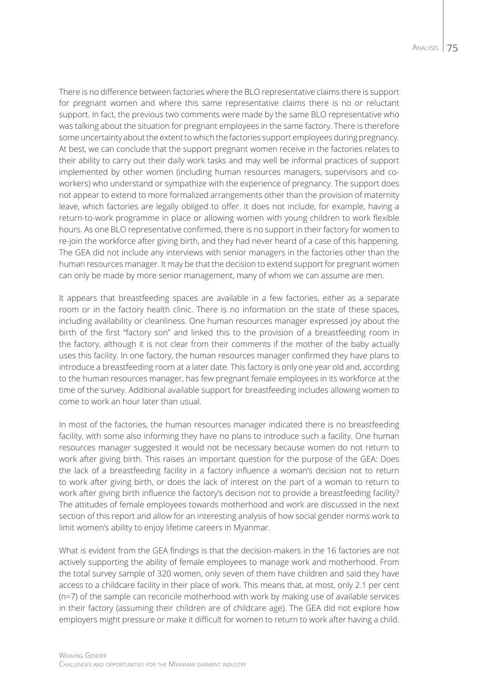There is no difference between factories where the BLO representative claims there is support for pregnant women and where this same representative claims there is no or reluctant support. In fact, the previous two comments were made by the same BLO representative who was talking about the situation for pregnant employees in the same factory. There is therefore some uncertainty about the extent to which the factories support employees during pregnancy. At best, we can conclude that the support pregnant women receive in the factories relates to their ability to carry out their daily work tasks and may well be informal practices of support implemented by other women (including human resources managers, supervisors and coworkers) who understand or sympathize with the experience of pregnancy. The support does not appear to extend to more formalized arrangements other than the provision of maternity leave, which factories are legally obliged to offer. It does not include, for example, having a return-to-work programme in place or allowing women with young children to work flexible hours. As one BLO representative confirmed, there is no support in their factory for women to re-join the workforce after giving birth, and they had never heard of a case of this happening. The GEA did not include any interviews with senior managers in the factories other than the human resources manager. It may be that the decision to extend support for pregnant women can only be made by more senior management, many of whom we can assume are men.

It appears that breastfeeding spaces are available in a few factories, either as a separate room or in the factory health clinic. There is no information on the state of these spaces, including availability or cleanliness. One human resources manager expressed joy about the birth of the first "factory son" and linked this to the provision of a breastfeeding room in the factory, although it is not clear from their comments if the mother of the baby actually uses this facility. In one factory, the human resources manager confirmed they have plans to introduce a breastfeeding room at a later date. This factory is only one year old and, according to the human resources manager, has few pregnant female employees in its workforce at the time of the survey. Additional available support for breastfeeding includes allowing women to come to work an hour later than usual.

In most of the factories, the human resources manager indicated there is no breastfeeding facility, with some also informing they have no plans to introduce such a facility. One human resources manager suggested it would not be necessary because women do not return to work after giving birth. This raises an important question for the purpose of the GEA: Does the lack of a breastfeeding facility in a factory influence a woman's decision not to return to work after giving birth, or does the lack of interest on the part of a woman to return to work after giving birth influence the factory's decision not to provide a breastfeeding facility? The attitudes of female employees towards motherhood and work are discussed in the next section of this report and allow for an interesting analysis of how social gender norms work to limit women's ability to enjoy lifetime careers in Myanmar.

What is evident from the GEA findings is that the decision-makers in the 16 factories are not actively supporting the ability of female employees to manage work and motherhood. From the total survey sample of 320 women, only seven of them have children and said they have access to a childcare facility in their place of work. This means that, at most, only 2.1 per cent (n=7) of the sample can reconcile motherhood with work by making use of available services in their factory (assuming their children are of childcare age). The GEA did not explore how employers might pressure or make it difficult for women to return to work after having a child.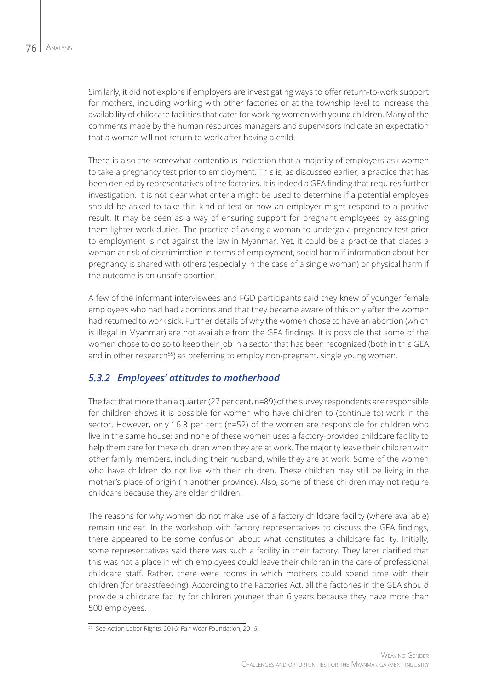Similarly, it did not explore if employers are investigating ways to offer return-to-work support for mothers, including working with other factories or at the township level to increase the availability of childcare facilities that cater for working women with young children. Many of the comments made by the human resources managers and supervisors indicate an expectation that a woman will not return to work after having a child.

There is also the somewhat contentious indication that a majority of employers ask women to take a pregnancy test prior to employment. This is, as discussed earlier, a practice that has been denied by representatives of the factories. It is indeed a GEA finding that requires further investigation. It is not clear what criteria might be used to determine if a potential employee should be asked to take this kind of test or how an employer might respond to a positive result. It may be seen as a way of ensuring support for pregnant employees by assigning them lighter work duties. The practice of asking a woman to undergo a pregnancy test prior to employment is not against the law in Myanmar. Yet, it could be a practice that places a woman at risk of discrimination in terms of employment, social harm if information about her pregnancy is shared with others (especially in the case of a single woman) or physical harm if the outcome is an unsafe abortion.

A few of the informant interviewees and FGD participants said they knew of younger female employees who had had abortions and that they became aware of this only after the women had returned to work sick. Further details of why the women chose to have an abortion (which is illegal in Myanmar) are not available from the GEA findings. It is possible that some of the women chose to do so to keep their job in a sector that has been recognized (both in this GEA and in other research<sup>55</sup>) as preferring to employ non-pregnant, single young women.

# *5.3.2 Employees' attitudes to motherhood*

The fact that more than a quarter (27 per cent, n=89) of the survey respondents are responsible for children shows it is possible for women who have children to (continue to) work in the sector. However, only 16.3 per cent (n=52) of the women are responsible for children who live in the same house; and none of these women uses a factory-provided childcare facility to help them care for these children when they are at work. The majority leave their children with other family members, including their husband, while they are at work. Some of the women who have children do not live with their children. These children may still be living in the mother's place of origin (in another province). Also, some of these children may not require childcare because they are older children.

The reasons for why women do not make use of a factory childcare facility (where available) remain unclear. In the workshop with factory representatives to discuss the GEA findings, there appeared to be some confusion about what constitutes a childcare facility. Initially, some representatives said there was such a facility in their factory. They later clarified that this was not a place in which employees could leave their children in the care of professional childcare staff. Rather, there were rooms in which mothers could spend time with their children (for breastfeeding). According to the Factories Act, all the factories in the GEA should provide a childcare facility for children younger than 6 years because they have more than 500 employees.

<sup>55</sup> See Action Labor Rights, 2016; Fair Wear Foundation, 2016.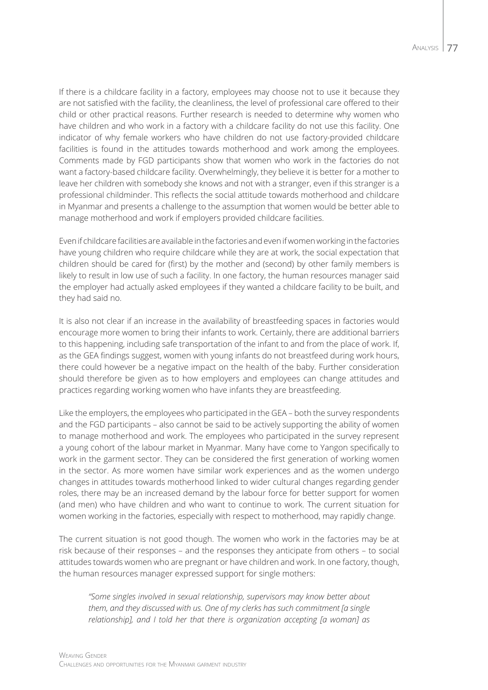If there is a childcare facility in a factory, employees may choose not to use it because they are not satisfied with the facility, the cleanliness, the level of professional care offered to their child or other practical reasons. Further research is needed to determine why women who have children and who work in a factory with a childcare facility do not use this facility. One indicator of why female workers who have children do not use factory-provided childcare facilities is found in the attitudes towards motherhood and work among the employees. Comments made by FGD participants show that women who work in the factories do not want a factory-based childcare facility. Overwhelmingly, they believe it is better for a mother to leave her children with somebody she knows and not with a stranger, even if this stranger is a professional childminder. This reflects the social attitude towards motherhood and childcare in Myanmar and presents a challenge to the assumption that women would be better able to manage motherhood and work if employers provided childcare facilities.

Even if childcare facilities are available in the factories and even if women working in the factories have young children who require childcare while they are at work, the social expectation that children should be cared for (first) by the mother and (second) by other family members is likely to result in low use of such a facility. In one factory, the human resources manager said the employer had actually asked employees if they wanted a childcare facility to be built, and they had said no.

It is also not clear if an increase in the availability of breastfeeding spaces in factories would encourage more women to bring their infants to work. Certainly, there are additional barriers to this happening, including safe transportation of the infant to and from the place of work. If, as the GEA findings suggest, women with young infants do not breastfeed during work hours, there could however be a negative impact on the health of the baby. Further consideration should therefore be given as to how employers and employees can change attitudes and practices regarding working women who have infants they are breastfeeding.

Like the employers, the employees who participated in the GEA – both the survey respondents and the FGD participants – also cannot be said to be actively supporting the ability of women to manage motherhood and work. The employees who participated in the survey represent a young cohort of the labour market in Myanmar. Many have come to Yangon specifically to work in the garment sector. They can be considered the first generation of working women in the sector. As more women have similar work experiences and as the women undergo changes in attitudes towards motherhood linked to wider cultural changes regarding gender roles, there may be an increased demand by the labour force for better support for women (and men) who have children and who want to continue to work. The current situation for women working in the factories, especially with respect to motherhood, may rapidly change.

The current situation is not good though. The women who work in the factories may be at risk because of their responses – and the responses they anticipate from others – to social attitudes towards women who are pregnant or have children and work. In one factory, though, the human resources manager expressed support for single mothers:

*"Some singles involved in sexual relationship, supervisors may know better about them, and they discussed with us. One of my clerks has such commitment [a single relationship], and I told her that there is organization accepting [a woman] as*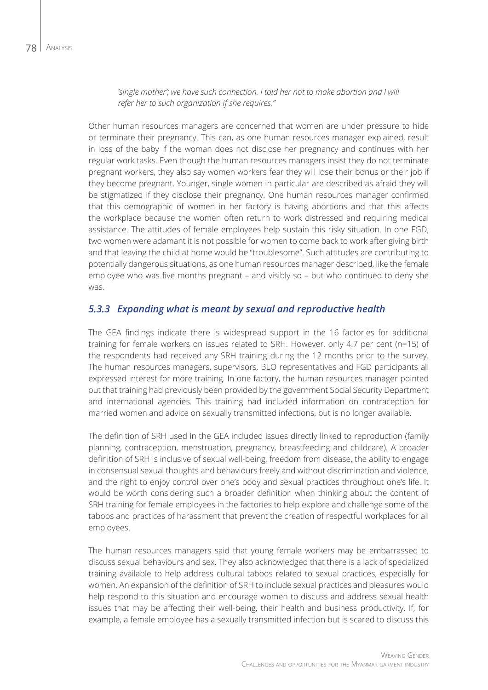'single mother'; we have such connection. I told her not to make abortion and I will *refer her to such organization if she requires."*

Other human resources managers are concerned that women are under pressure to hide or terminate their pregnancy. This can, as one human resources manager explained, result in loss of the baby if the woman does not disclose her pregnancy and continues with her regular work tasks. Even though the human resources managers insist they do not terminate pregnant workers, they also say women workers fear they will lose their bonus or their job if they become pregnant. Younger, single women in particular are described as afraid they will be stigmatized if they disclose their pregnancy. One human resources manager confirmed that this demographic of women in her factory is having abortions and that this affects the workplace because the women often return to work distressed and requiring medical assistance. The attitudes of female employees help sustain this risky situation. In one FGD, two women were adamant it is not possible for women to come back to work after giving birth and that leaving the child at home would be "troublesome". Such attitudes are contributing to potentially dangerous situations, as one human resources manager described, like the female employee who was five months pregnant - and visibly so - but who continued to deny she was.

## *5.3.3 Expanding what is meant by sexual and reproductive health*

The GEA findings indicate there is widespread support in the 16 factories for additional training for female workers on issues related to SRH. However, only 4.7 per cent (n=15) of the respondents had received any SRH training during the 12 months prior to the survey. The human resources managers, supervisors, BLO representatives and FGD participants all expressed interest for more training. In one factory, the human resources manager pointed out that training had previously been provided by the government Social Security Department and international agencies. This training had included information on contraception for married women and advice on sexually transmitted infections, but is no longer available.

The definition of SRH used in the GEA included issues directly linked to reproduction (family planning, contraception, menstruation, pregnancy, breastfeeding and childcare). A broader definition of SRH is inclusive of sexual well-being, freedom from disease, the ability to engage in consensual sexual thoughts and behaviours freely and without discrimination and violence, and the right to enjoy control over one's body and sexual practices throughout one's life. It would be worth considering such a broader definition when thinking about the content of SRH training for female employees in the factories to help explore and challenge some of the taboos and practices of harassment that prevent the creation of respectful workplaces for all employees.

The human resources managers said that young female workers may be embarrassed to discuss sexual behaviours and sex. They also acknowledged that there is a lack of specialized training available to help address cultural taboos related to sexual practices, especially for women. An expansion of the definition of SRH to include sexual practices and pleasures would help respond to this situation and encourage women to discuss and address sexual health issues that may be affecting their well-being, their health and business productivity. If, for example, a female employee has a sexually transmitted infection but is scared to discuss this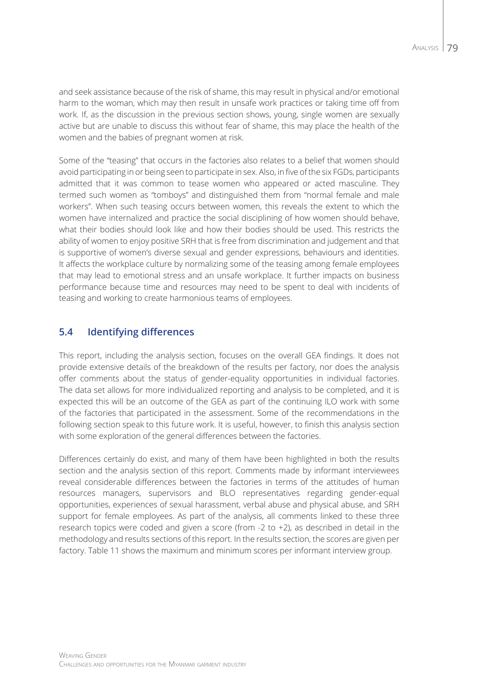and seek assistance because of the risk of shame, this may result in physical and/or emotional harm to the woman, which may then result in unsafe work practices or taking time off from work. If, as the discussion in the previous section shows, young, single women are sexually active but are unable to discuss this without fear of shame, this may place the health of the women and the babies of pregnant women at risk.

Some of the "teasing" that occurs in the factories also relates to a belief that women should avoid participating in or being seen to participate in sex. Also, in five of the six FGDs, participants admitted that it was common to tease women who appeared or acted masculine. They termed such women as "tomboys" and distinguished them from "normal female and male workers". When such teasing occurs between women, this reveals the extent to which the women have internalized and practice the social disciplining of how women should behave, what their bodies should look like and how their bodies should be used. This restricts the ability of women to enjoy positive SRH that is free from discrimination and judgement and that is supportive of women's diverse sexual and gender expressions, behaviours and identities. It affects the workplace culture by normalizing some of the teasing among female employees that may lead to emotional stress and an unsafe workplace. It further impacts on business performance because time and resources may need to be spent to deal with incidents of teasing and working to create harmonious teams of employees.

# **5.4 Identifying diff erences**

This report, including the analysis section, focuses on the overall GEA findings. It does not provide extensive details of the breakdown of the results per factory, nor does the analysis offer comments about the status of gender-equality opportunities in individual factories. The data set allows for more individualized reporting and analysis to be completed, and it is expected this will be an outcome of the GEA as part of the continuing ILO work with some of the factories that participated in the assessment. Some of the recommendations in the following section speak to this future work. It is useful, however, to finish this analysis section with some exploration of the general differences between the factories.

Differences certainly do exist, and many of them have been highlighted in both the results section and the analysis section of this report. Comments made by informant interviewees reveal considerable differences between the factories in terms of the attitudes of human resources managers, supervisors and BLO representatives regarding gender-equal opportunities, experiences of sexual harassment, verbal abuse and physical abuse, and SRH support for female employees. As part of the analysis, all comments linked to these three research topics were coded and given a score (from -2 to +2), as described in detail in the methodology and results sections of this report. In the results section, the scores are given per factory. Table 11 shows the maximum and minimum scores per informant interview group.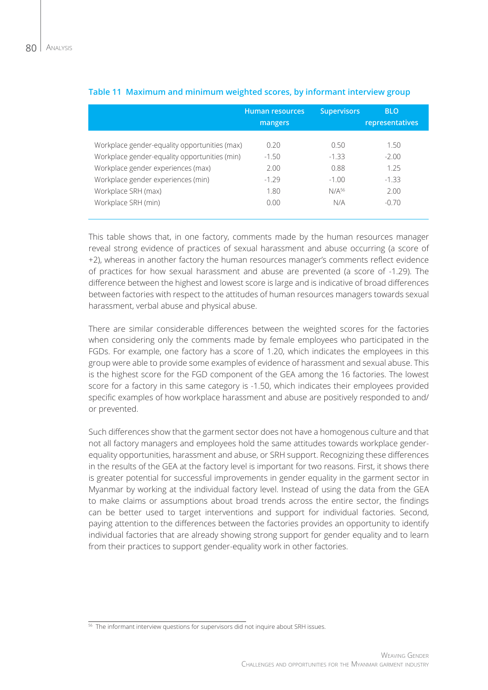|                                               | <b>Human resources</b> | <b>Supervisors</b> | <b>BLO</b><br>representatives |
|-----------------------------------------------|------------------------|--------------------|-------------------------------|
|                                               | mangers                |                    |                               |
| Workplace gender-equality opportunities (max) | 0.20                   | 0.50               | 1.50                          |
| Workplace gender-equality opportunities (min) | $-1.50$                | $-1.33$            | $-2.00$                       |
| Workplace gender experiences (max)            | 2.00                   | 0.88               | 1.25                          |
| Workplace gender experiences (min)            | $-1.29$                | $-1.00$            | $-1.33$                       |
| Workplace SRH (max)                           | 1.80                   | N/A <sup>56</sup>  | 2.00                          |
| Workplace SRH (min)                           | 0.00                   | N/A                | $-0.70$                       |

### **Table 11 Maximum and minimum weighted scores, by informant interview group**

This table shows that, in one factory, comments made by the human resources manager reveal strong evidence of practices of sexual harassment and abuse occurring (a score of +2), whereas in another factory the human resources manager's comments reflect evidence of practices for how sexual harassment and abuse are prevented (a score of -1.29). The difference between the highest and lowest score is large and is indicative of broad differences between factories with respect to the attitudes of human resources managers towards sexual harassment, verbal abuse and physical abuse.

There are similar considerable differences between the weighted scores for the factories when considering only the comments made by female employees who participated in the FGDs. For example, one factory has a score of 1.20, which indicates the employees in this group were able to provide some examples of evidence of harassment and sexual abuse. This is the highest score for the FGD component of the GEA among the 16 factories. The lowest score for a factory in this same category is -1.50, which indicates their employees provided specific examples of how workplace harassment and abuse are positively responded to and/ or prevented.

Such differences show that the garment sector does not have a homogenous culture and that not all factory managers and employees hold the same attitudes towards workplace genderequality opportunities, harassment and abuse, or SRH support. Recognizing these differences in the results of the GEA at the factory level is important for two reasons. First, it shows there is greater potential for successful improvements in gender equality in the garment sector in Myanmar by working at the individual factory level. Instead of using the data from the GEA to make claims or assumptions about broad trends across the entire sector, the findings can be better used to target interventions and support for individual factories. Second, paying attention to the differences between the factories provides an opportunity to identify individual factories that are already showing strong support for gender equality and to learn from their practices to support gender-equality work in other factories.

<sup>56</sup> The informant interview questions for supervisors did not inquire about SRH issues.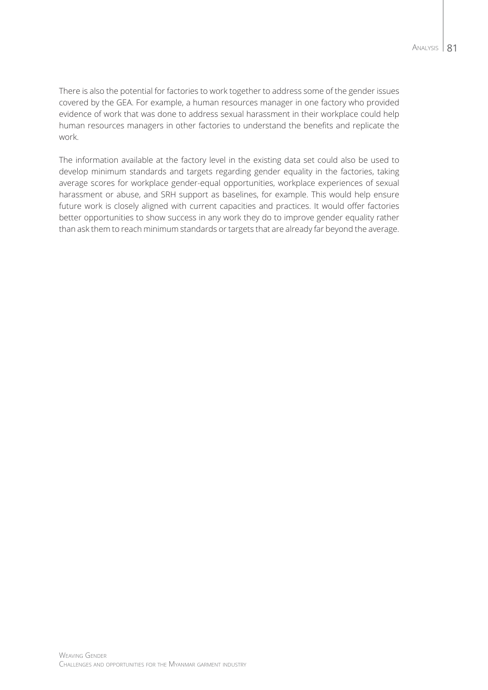There is also the potential for factories to work together to address some of the gender issues covered by the GEA. For example, a human resources manager in one factory who provided evidence of work that was done to address sexual harassment in their workplace could help human resources managers in other factories to understand the benefits and replicate the work.

The information available at the factory level in the existing data set could also be used to develop minimum standards and targets regarding gender equality in the factories, taking average scores for workplace gender-equal opportunities, workplace experiences of sexual harassment or abuse, and SRH support as baselines, for example. This would help ensure future work is closely aligned with current capacities and practices. It would offer factories better opportunities to show success in any work they do to improve gender equality rather than ask them to reach minimum standards or targets that are already far beyond the average.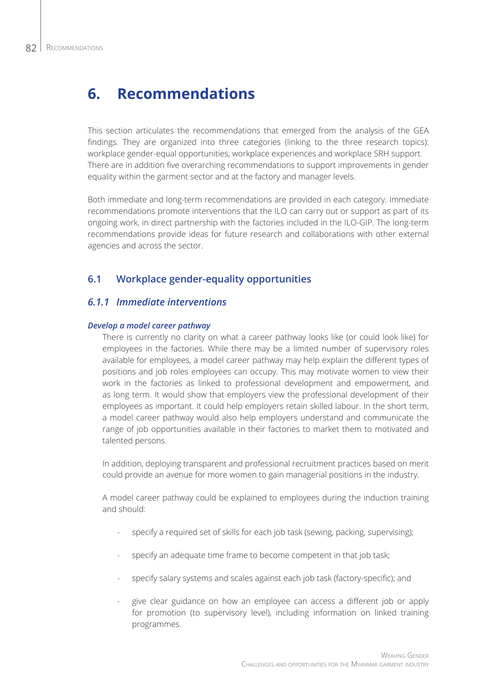# **6. Recommendations**

This section articulates the recommendations that emerged from the analysis of the GEA findings. They are organized into three categories (linking to the three research topics): workplace gender-equal opportunities, workplace experiences and workplace SRH support. There are in addition five overarching recommendations to support improvements in gender equality within the garment sector and at the factory and manager levels.

Both immediate and long-term recommendations are provided in each category. Immediate recommendations promote interventions that the ILO can carry out or support as part of its ongoing work, in direct partnership with the factories included in the ILO-GIP. The long-term recommendations provide ideas for future research and collaborations with other external agencies and across the sector.

## **6.1 Workplace gender-equality opportunities**

## *6.1.1 Immediate interventions*

### *Develop a model career pathway*

There is currently no clarity on what a career pathway looks like (or could look like) for employees in the factories. While there may be a limited number of supervisory roles available for employees, a model career pathway may help explain the different types of positions and job roles employees can occupy. This may motivate women to view their work in the factories as linked to professional development and empowerment, and as long term. It would show that employers view the professional development of their employees as important. It could help employers retain skilled labour. In the short term, a model career pathway would also help employers understand and communicate the range of job opportunities available in their factories to market them to motivated and talented persons.

In addition, deploying transparent and professional recruitment practices based on merit could provide an avenue for more women to gain managerial positions in the industry.

A model career pathway could be explained to employees during the induction training and should:

- specify a required set of skills for each job task (sewing, packing, supervising);
- specify an adequate time frame to become competent in that job task;
- specify salary systems and scales against each job task (factory-specific); and
- give clear guidance on how an employee can access a different job or apply for promotion (to supervisory level), including information on linked training programmes.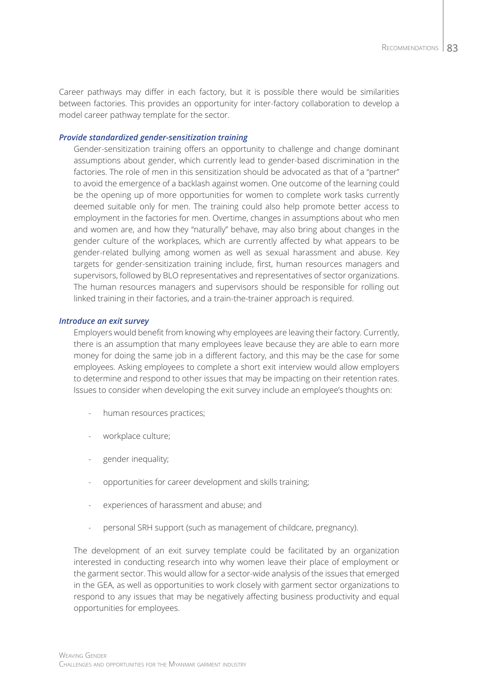Career pathways may differ in each factory, but it is possible there would be similarities between factories. This provides an opportunity for inter-factory collaboration to develop a model career pathway template for the sector.

### *Provide standardized gender-sensitization training*

Gender-sensitization training offers an opportunity to challenge and change dominant assumptions about gender, which currently lead to gender-based discrimination in the factories. The role of men in this sensitization should be advocated as that of a "partner" to avoid the emergence of a backlash against women. One outcome of the learning could be the opening up of more opportunities for women to complete work tasks currently deemed suitable only for men. The training could also help promote better access to employment in the factories for men. Overtime, changes in assumptions about who men and women are, and how they "naturally" behave, may also bring about changes in the gender culture of the workplaces, which are currently affected by what appears to be gender-related bullying among women as well as sexual harassment and abuse. Key targets for gender-sensitization training include, first, human resources managers and supervisors, followed by BLO representatives and representatives of sector organizations. The human resources managers and supervisors should be responsible for rolling out linked training in their factories, and a train-the-trainer approach is required.

### *Introduce an exit survey*

Employers would benefit from knowing why employees are leaving their factory. Currently, there is an assumption that many employees leave because they are able to earn more money for doing the same job in a different factory, and this may be the case for some employees. Asking employees to complete a short exit interview would allow employers to determine and respond to other issues that may be impacting on their retention rates. Issues to consider when developing the exit survey include an employee's thoughts on:

- human resources practices;
- workplace culture;
- gender inequality;
- opportunities for career development and skills training;
- experiences of harassment and abuse; and
- personal SRH support (such as management of childcare, pregnancy).

The development of an exit survey template could be facilitated by an organization interested in conducting research into why women leave their place of employment or the garment sector. This would allow for a sector-wide analysis of the issues that emerged in the GEA, as well as opportunities to work closely with garment sector organizations to respond to any issues that may be negatively affecting business productivity and equal opportunities for employees.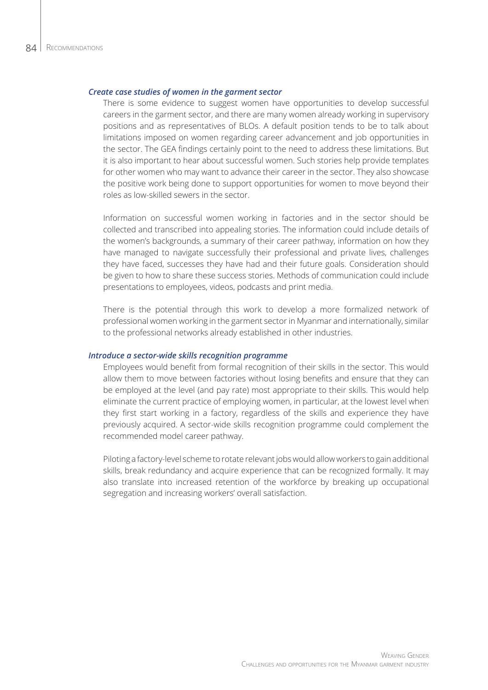### *Create case studies of women in the garment sector*

There is some evidence to suggest women have opportunities to develop successful careers in the garment sector, and there are many women already working in supervisory positions and as representatives of BLOs. A default position tends to be to talk about limitations imposed on women regarding career advancement and job opportunities in the sector. The GEA findings certainly point to the need to address these limitations. But it is also important to hear about successful women. Such stories help provide templates for other women who may want to advance their career in the sector. They also showcase the positive work being done to support opportunities for women to move beyond their roles as low-skilled sewers in the sector.

Information on successful women working in factories and in the sector should be collected and transcribed into appealing stories. The information could include details of the women's backgrounds, a summary of their career pathway, information on how they have managed to navigate successfully their professional and private lives, challenges they have faced, successes they have had and their future goals. Consideration should be given to how to share these success stories. Methods of communication could include presentations to employees, videos, podcasts and print media.

There is the potential through this work to develop a more formalized network of professional women working in the garment sector in Myanmar and internationally, similar to the professional networks already established in other industries.

### *Introduce a sector-wide skills recognition programme*

Employees would benefit from formal recognition of their skills in the sector. This would allow them to move between factories without losing benefits and ensure that they can be employed at the level (and pay rate) most appropriate to their skills. This would help eliminate the current practice of employing women, in particular, at the lowest level when they first start working in a factory, regardless of the skills and experience they have previously acquired. A sector-wide skills recognition programme could complement the recommended model career pathway.

Piloting a factory-level scheme to rotate relevant jobs would allow workers to gain additional skills, break redundancy and acquire experience that can be recognized formally. It may also translate into increased retention of the workforce by breaking up occupational segregation and increasing workers' overall satisfaction.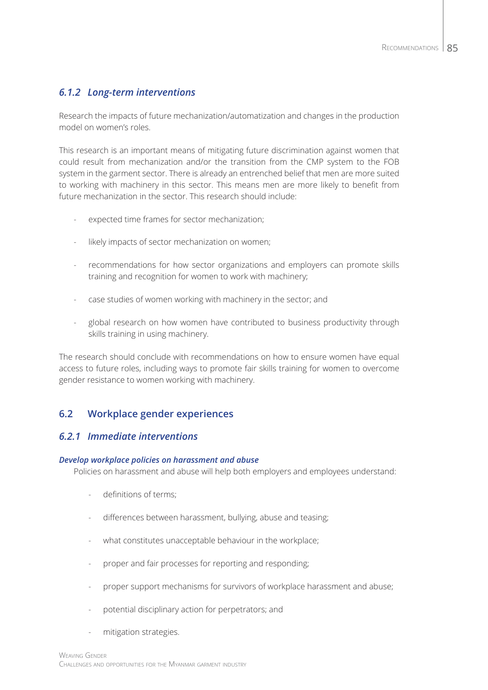# *6.1.2 Long-term interventions*

Research the impacts of future mechanization/automatization and changes in the production model on women's roles.

This research is an important means of mitigating future discrimination against women that could result from mechanization and/or the transition from the CMP system to the FOB system in the garment sector. There is already an entrenched belief that men are more suited to working with machinery in this sector. This means men are more likely to benefit from future mechanization in the sector. This research should include:

- expected time frames for sector mechanization;
- likely impacts of sector mechanization on women;
- recommendations for how sector organizations and employers can promote skills training and recognition for women to work with machinery;
- case studies of women working with machinery in the sector; and
- global research on how women have contributed to business productivity through skills training in using machinery.

The research should conclude with recommendations on how to ensure women have equal access to future roles, including ways to promote fair skills training for women to overcome gender resistance to women working with machinery.

# **6.2 Workplace gender experiences**

## *6.2.1 Immediate interventions*

### *Develop workplace policies on harassment and abuse*

Policies on harassment and abuse will help both employers and employees understand:

- definitions of terms:
- differences between harassment, bullying, abuse and teasing;
- what constitutes unacceptable behaviour in the workplace;
- proper and fair processes for reporting and responding;
- proper support mechanisms for survivors of workplace harassment and abuse;
- potential disciplinary action for perpetrators; and
- mitigation strategies.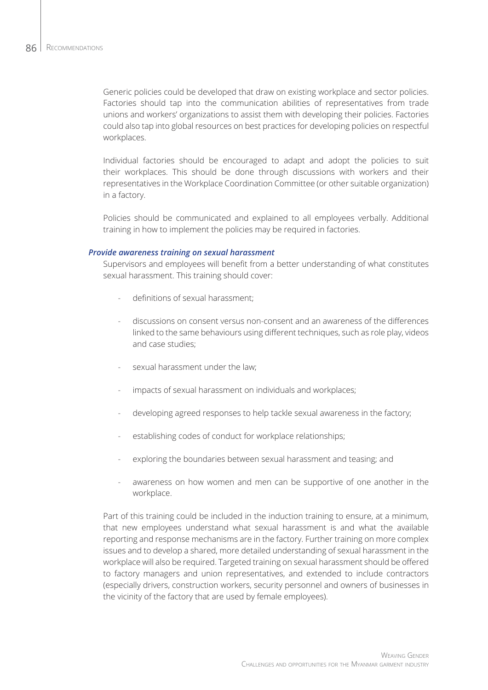Generic policies could be developed that draw on existing workplace and sector policies. Factories should tap into the communication abilities of representatives from trade unions and workers' organizations to assist them with developing their policies. Factories could also tap into global resources on best practices for developing policies on respectful workplaces.

Individual factories should be encouraged to adapt and adopt the policies to suit their workplaces. This should be done through discussions with workers and their representatives in the Workplace Coordination Committee (or other suitable organization) in a factory.

Policies should be communicated and explained to all employees verbally. Additional training in how to implement the policies may be required in factories.

### *Provide awareness training on sexual harassment*

Supervisors and employees will benefit from a better understanding of what constitutes sexual harassment. This training should cover:

- definitions of sexual harassment:
- discussions on consent versus non-consent and an awareness of the differences linked to the same behaviours using different techniques, such as role play, videos and case studies;
- sexual harassment under the law;
- impacts of sexual harassment on individuals and workplaces;
- developing agreed responses to help tackle sexual awareness in the factory;
- establishing codes of conduct for workplace relationships;
- exploring the boundaries between sexual harassment and teasing; and
- awareness on how women and men can be supportive of one another in the workplace.

Part of this training could be included in the induction training to ensure, at a minimum, that new employees understand what sexual harassment is and what the available reporting and response mechanisms are in the factory. Further training on more complex issues and to develop a shared, more detailed understanding of sexual harassment in the workplace will also be required. Targeted training on sexual harassment should be offered to factory managers and union representatives, and extended to include contractors (especially drivers, construction workers, security personnel and owners of businesses in the vicinity of the factory that are used by female employees).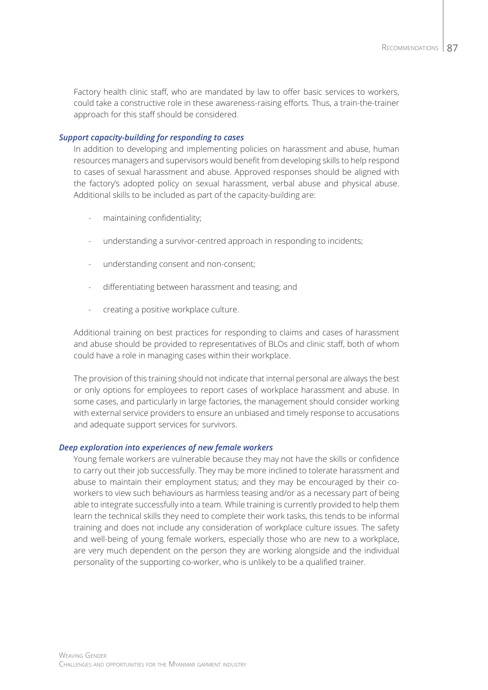Factory health clinic staff, who are mandated by law to offer basic services to workers, could take a constructive role in these awareness-raising efforts. Thus, a train-the-trainer approach for this staff should be considered.

### *Support capacity-building for responding to cases*

In addition to developing and implementing policies on harassment and abuse, human resources managers and supervisors would benefit from developing skills to help respond to cases of sexual harassment and abuse. Approved responses should be aligned with the factory's adopted policy on sexual harassment, verbal abuse and physical abuse. Additional skills to be included as part of the capacity-building are:

- maintaining confidentiality;
- understanding a survivor-centred approach in responding to incidents;
- understanding consent and non-consent;
- differentiating between harassment and teasing; and
- creating a positive workplace culture.

Additional training on best practices for responding to claims and cases of harassment and abuse should be provided to representatives of BLOs and clinic staff , both of whom could have a role in managing cases within their workplace.

The provision of this training should not indicate that internal personal are always the best or only options for employees to report cases of workplace harassment and abuse. In some cases, and particularly in large factories, the management should consider working with external service providers to ensure an unbiased and timely response to accusations and adequate support services for survivors.

### *Deep exploration into experiences of new female workers*

Young female workers are vulnerable because they may not have the skills or confidence to carry out their job successfully. They may be more inclined to tolerate harassment and abuse to maintain their employment status; and they may be encouraged by their coworkers to view such behaviours as harmless teasing and/or as a necessary part of being able to integrate successfully into a team. While training is currently provided to help them learn the technical skills they need to complete their work tasks, this tends to be informal training and does not include any consideration of workplace culture issues. The safety and well-being of young female workers, especially those who are new to a workplace, are very much dependent on the person they are working alongside and the individual personality of the supporting co-worker, who is unlikely to be a qualified trainer.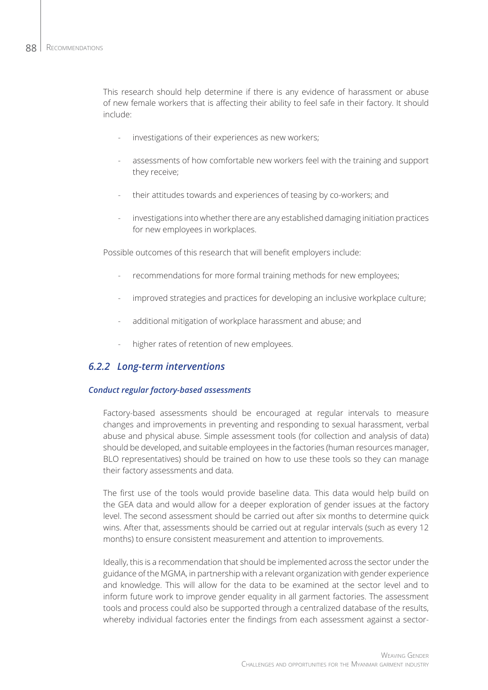This research should help determine if there is any evidence of harassment or abuse of new female workers that is affecting their ability to feel safe in their factory. It should include:

- investigations of their experiences as new workers;
- assessments of how comfortable new workers feel with the training and support they receive;
- their attitudes towards and experiences of teasing by co-workers; and
- investigations into whether there are any established damaging initiation practices for new employees in workplaces.

Possible outcomes of this research that will benefit employers include:

- recommendations for more formal training methods for new employees;
- improved strategies and practices for developing an inclusive workplace culture;
- additional mitigation of workplace harassment and abuse; and
- higher rates of retention of new employees.

## *6.2.2 Long-term interventions*

### *Conduct regular factory-based assessments*

Factory-based assessments should be encouraged at regular intervals to measure changes and improvements in preventing and responding to sexual harassment, verbal abuse and physical abuse. Simple assessment tools (for collection and analysis of data) should be developed, and suitable employees in the factories (human resources manager, BLO representatives) should be trained on how to use these tools so they can manage their factory assessments and data.

The first use of the tools would provide baseline data. This data would help build on the GEA data and would allow for a deeper exploration of gender issues at the factory level. The second assessment should be carried out after six months to determine quick wins. After that, assessments should be carried out at regular intervals (such as every 12 months) to ensure consistent measurement and attention to improvements.

Ideally, this is a recommendation that should be implemented across the sector under the guidance of the MGMA, in partnership with a relevant organization with gender experience and knowledge. This will allow for the data to be examined at the sector level and to inform future work to improve gender equality in all garment factories. The assessment tools and process could also be supported through a centralized database of the results, whereby individual factories enter the findings from each assessment against a sector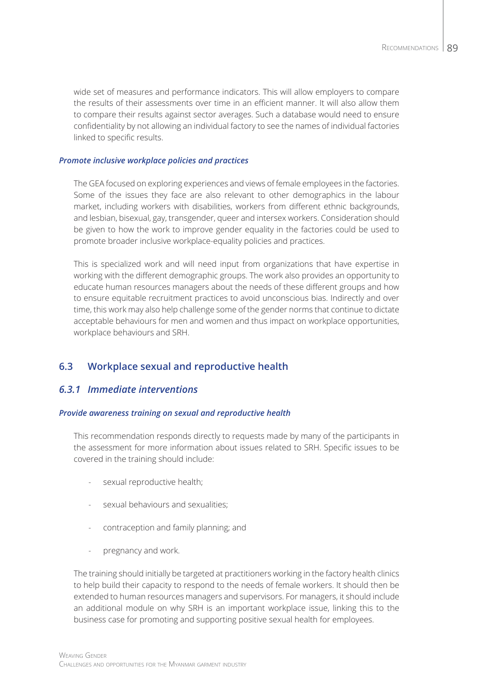wide set of measures and performance indicators. This will allow employers to compare the results of their assessments over time in an efficient manner. It will also allow them to compare their results against sector averages. Such a database would need to ensure confidentiality by not allowing an individual factory to see the names of individual factories linked to specific results.

### *Promote inclusive workplace policies and practices*

The GEA focused on exploring experiences and views of female employees in the factories. Some of the issues they face are also relevant to other demographics in the labour market, including workers with disabilities, workers from different ethnic backgrounds, and lesbian, bisexual, gay, transgender, queer and intersex workers. Consideration should be given to how the work to improve gender equality in the factories could be used to promote broader inclusive workplace-equality policies and practices.

This is specialized work and will need input from organizations that have expertise in working with the different demographic groups. The work also provides an opportunity to educate human resources managers about the needs of these different groups and how to ensure equitable recruitment practices to avoid unconscious bias. Indirectly and over time, this work may also help challenge some of the gender norms that continue to dictate acceptable behaviours for men and women and thus impact on workplace opportunities, workplace behaviours and SRH.

## **6.3 Workplace sexual and reproductive health**

## *6.3.1 Immediate interventions*

### *Provide awareness training on sexual and reproductive health*

This recommendation responds directly to requests made by many of the participants in the assessment for more information about issues related to SRH. Specific issues to be covered in the training should include:

- sexual reproductive health;
- sexual behaviours and sexualities;
- contraception and family planning; and
- pregnancy and work.

The training should initially be targeted at practitioners working in the factory health clinics to help build their capacity to respond to the needs of female workers. It should then be extended to human resources managers and supervisors. For managers, it should include an additional module on why SRH is an important workplace issue, linking this to the business case for promoting and supporting positive sexual health for employees.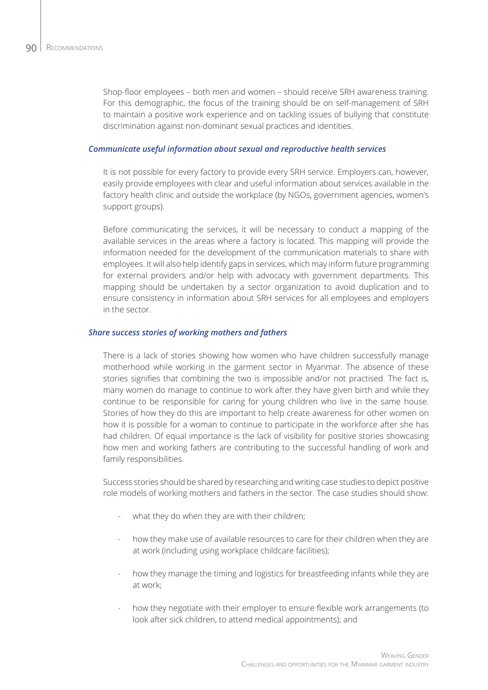Shop-floor employees – both men and women – should receive SRH awareness training. For this demographic, the focus of the training should be on self-management of SRH to maintain a positive work experience and on tackling issues of bullying that constitute discrimination against non-dominant sexual practices and identities.

#### *Communicate useful information about sexual and reproductive health services*

It is not possible for every factory to provide every SRH service. Employers can, however, easily provide employees with clear and useful information about services available in the factory health clinic and outside the workplace (by NGOs, government agencies, women's support groups).

Before communicating the services, it will be necessary to conduct a mapping of the available services in the areas where a factory is located. This mapping will provide the information needed for the development of the communication materials to share with employees. It will also help identify gaps in services, which may inform future programming for external providers and/or help with advocacy with government departments. This mapping should be undertaken by a sector organization to avoid duplication and to ensure consistency in information about SRH services for all employees and employers in the sector.

#### *Share success stories of working mothers and fathers*

There is a lack of stories showing how women who have children successfully manage motherhood while working in the garment sector in Myanmar. The absence of these stories signifies that combining the two is impossible and/or not practised. The fact is, many women do manage to continue to work after they have given birth and while they continue to be responsible for caring for young children who live in the same house. Stories of how they do this are important to help create awareness for other women on how it is possible for a woman to continue to participate in the workforce after she has had children. Of equal importance is the lack of visibility for positive stories showcasing how men and working fathers are contributing to the successful handling of work and family responsibilities.

Success stories should be shared by researching and writing case studies to depict positive role models of working mothers and fathers in the sector. The case studies should show:

- what they do when they are with their children;
- how they make use of available resources to care for their children when they are at work (including using workplace childcare facilities);
- how they manage the timing and logistics for breastfeeding infants while they are at work;
- how they negotiate with their employer to ensure flexible work arrangements (to look after sick children, to attend medical appointments); and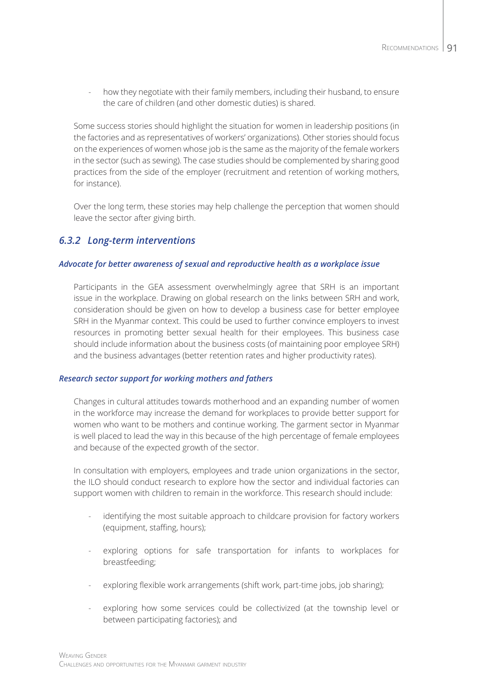how they negotiate with their family members, including their husband, to ensure the care of children (and other domestic duties) is shared.

Some success stories should highlight the situation for women in leadership positions (in the factories and as representatives of workers' organizations). Other stories should focus on the experiences of women whose job is the same as the majority of the female workers in the sector (such as sewing). The case studies should be complemented by sharing good practices from the side of the employer (recruitment and retention of working mothers, for instance).

Over the long term, these stories may help challenge the perception that women should leave the sector after giving birth.

### *6.3.2 Long-term interventions*

### *Advocate for better awareness of sexual and reproductive health as a workplace issue*

Participants in the GEA assessment overwhelmingly agree that SRH is an important issue in the workplace. Drawing on global research on the links between SRH and work, consideration should be given on how to develop a business case for better employee SRH in the Myanmar context. This could be used to further convince employers to invest resources in promoting better sexual health for their employees. This business case should include information about the business costs (of maintaining poor employee SRH) and the business advantages (better retention rates and higher productivity rates).

#### *Research sector support for working mothers and fathers*

Changes in cultural attitudes towards motherhood and an expanding number of women in the workforce may increase the demand for workplaces to provide better support for women who want to be mothers and continue working. The garment sector in Myanmar is well placed to lead the way in this because of the high percentage of female employees and because of the expected growth of the sector.

In consultation with employers, employees and trade union organizations in the sector, the ILO should conduct research to explore how the sector and individual factories can support women with children to remain in the workforce. This research should include:

- identifying the most suitable approach to childcare provision for factory workers (equipment, staffing, hours);
- exploring options for safe transportation for infants to workplaces for breastfeeding;
- exploring flexible work arrangements (shift work, part-time jobs, job sharing);
- exploring how some services could be collectivized (at the township level or between participating factories); and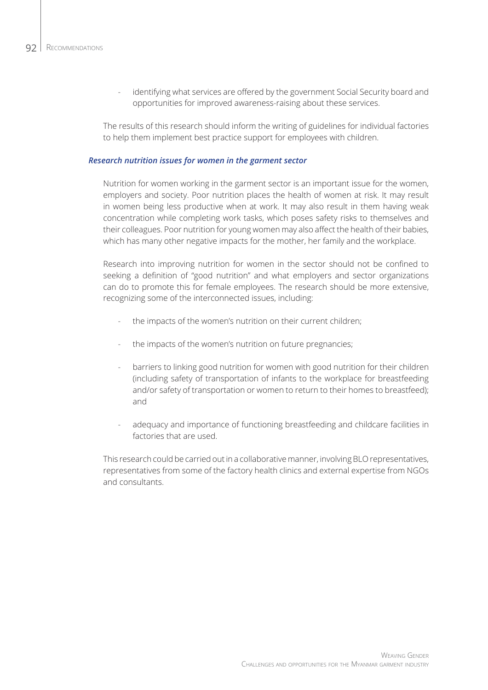identifying what services are offered by the government Social Security board and opportunities for improved awareness-raising about these services.

The results of this research should inform the writing of guidelines for individual factories to help them implement best practice support for employees with children.

#### *Research nutrition issues for women in the garment sector*

Nutrition for women working in the garment sector is an important issue for the women, employers and society. Poor nutrition places the health of women at risk. It may result in women being less productive when at work. It may also result in them having weak concentration while completing work tasks, which poses safety risks to themselves and their colleagues. Poor nutrition for young women may also affect the health of their babies, which has many other negative impacts for the mother, her family and the workplace.

Research into improving nutrition for women in the sector should not be confined to seeking a definition of "good nutrition" and what employers and sector organizations can do to promote this for female employees. The research should be more extensive, recognizing some of the interconnected issues, including:

- the impacts of the women's nutrition on their current children;
- the impacts of the women's nutrition on future pregnancies;
- barriers to linking good nutrition for women with good nutrition for their children (including safety of transportation of infants to the workplace for breastfeeding and/or safety of transportation or women to return to their homes to breastfeed); and
- adequacy and importance of functioning breastfeeding and childcare facilities in factories that are used.

This research could be carried out in a collaborative manner, involving BLO representatives, representatives from some of the factory health clinics and external expertise from NGOs and consultants.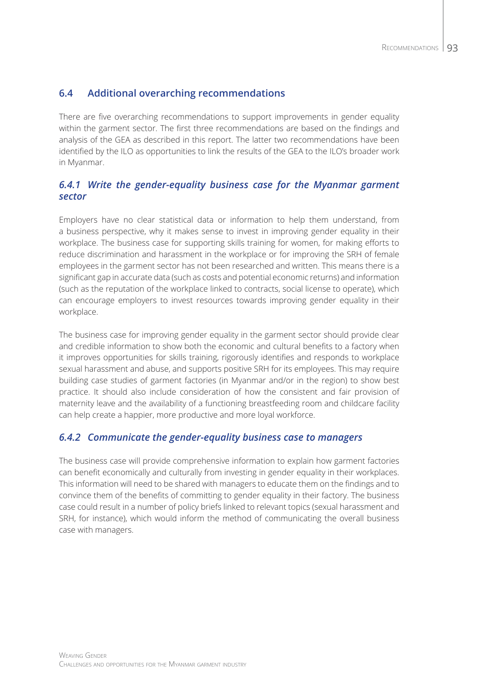## **6.4 Additional overarching recommendations**

There are five overarching recommendations to support improvements in gender equality within the garment sector. The first three recommendations are based on the findings and analysis of the GEA as described in this report. The latter two recommendations have been identified by the ILO as opportunities to link the results of the GEA to the ILO's broader work in Myanmar.

## *6.4.1 Write the gender-equality business case for the Myanmar garment sector*

Employers have no clear statistical data or information to help them understand, from a business perspective, why it makes sense to invest in improving gender equality in their workplace. The business case for supporting skills training for women, for making efforts to reduce discrimination and harassment in the workplace or for improving the SRH of female employees in the garment sector has not been researched and written. This means there is a significant gap in accurate data (such as costs and potential economic returns) and information (such as the reputation of the workplace linked to contracts, social license to operate), which can encourage employers to invest resources towards improving gender equality in their workplace.

The business case for improving gender equality in the garment sector should provide clear and credible information to show both the economic and cultural benefits to a factory when it improves opportunities for skills training, rigorously identifies and responds to workplace sexual harassment and abuse, and supports positive SRH for its employees. This may require building case studies of garment factories (in Myanmar and/or in the region) to show best practice. It should also include consideration of how the consistent and fair provision of maternity leave and the availability of a functioning breastfeeding room and childcare facility can help create a happier, more productive and more loyal workforce.

### *6.4.2 Communicate the gender-equality business case to managers*

The business case will provide comprehensive information to explain how garment factories can benefit economically and culturally from investing in gender equality in their workplaces. This information will need to be shared with managers to educate them on the findings and to convince them of the benefits of committing to gender equality in their factory. The business case could result in a number of policy briefs linked to relevant topics (sexual harassment and SRH, for instance), which would inform the method of communicating the overall business case with managers.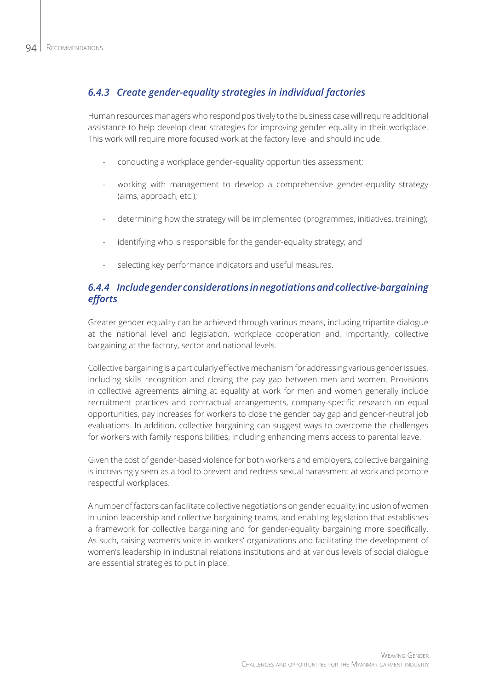## *6.4.3 Create gender-equality strategies in individual factories*

Human resources managers who respond positively to the business case will require additional assistance to help develop clear strategies for improving gender equality in their workplace. This work will require more focused work at the factory level and should include:

- conducting a workplace gender-equality opportunities assessment;
- working with management to develop a comprehensive gender-equality strategy (aims, approach, etc.);
- determining how the strategy will be implemented (programmes, initiatives, training);
- identifying who is responsible for the gender-equality strategy; and
- selecting key performance indicators and useful measures.

## *6.4.4 Include gender considerations in negotiations and collective-bargaining eff orts*

Greater gender equality can be achieved through various means, including tripartite dialogue at the national level and legislation, workplace cooperation and, importantly, collective bargaining at the factory, sector and national levels.

Collective bargaining is a particularly effective mechanism for addressing various gender issues, including skills recognition and closing the pay gap between men and women. Provisions in collective agreements aiming at equality at work for men and women generally include recruitment practices and contractual arrangements, company-specific research on equal opportunities, pay increases for workers to close the gender pay gap and gender-neutral job evaluations. In addition, collective bargaining can suggest ways to overcome the challenges for workers with family responsibilities, including enhancing men's access to parental leave.

Given the cost of gender-based violence for both workers and employers, collective bargaining is increasingly seen as a tool to prevent and redress sexual harassment at work and promote respectful workplaces.

A number of factors can facilitate collective negotiations on gender equality: inclusion of women in union leadership and collective bargaining teams, and enabling legislation that establishes a framework for collective bargaining and for gender-equality bargaining more specifically. As such, raising women's voice in workers' organizations and facilitating the development of women's leadership in industrial relations institutions and at various levels of social dialogue are essential strategies to put in place.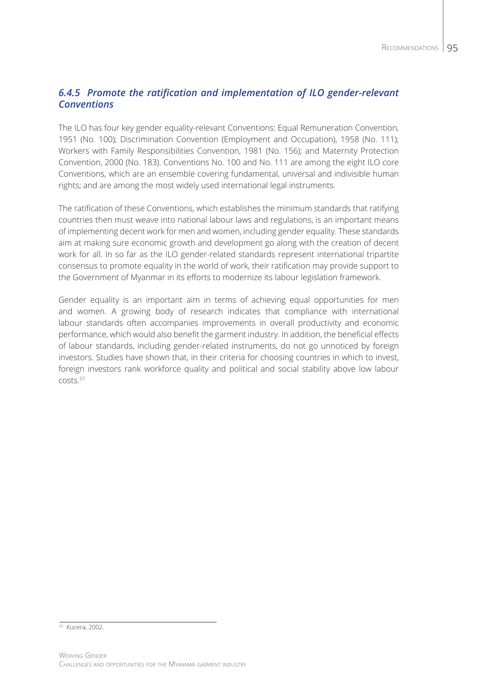## *6.4.5 Promote the ratifi cation and implementation of ILO gender-relevant Conventions*

The ILO has four key gender equality-relevant Conventions: Equal Remuneration Convention, 1951 (No. 100); Discrimination Convention (Employment and Occupation), 1958 (No. 111); Workers with Family Responsibilities Convention, 1981 (No. 156); and Maternity Protection Convention, 2000 (No. 183). Conventions No. 100 and No. 111 are among the eight ILO core Conventions, which are an ensemble covering fundamental, universal and indivisible human rights; and are among the most widely used international legal instruments.

The ratification of these Conventions, which establishes the minimum standards that ratifying countries then must weave into national labour laws and regulations, is an important means of implementing decent work for men and women, including gender equality. These standards aim at making sure economic growth and development go along with the creation of decent work for all. In so far as the ILO gender-related standards represent international tripartite consensus to promote equality in the world of work, their ratification may provide support to the Government of Myanmar in its efforts to modernize its labour legislation framework.

Gender equality is an important aim in terms of achieving equal opportunities for men and women. A growing body of research indicates that compliance with international labour standards often accompanies improvements in overall productivity and economic performance, which would also benefit the garment industry. In addition, the beneficial effects of labour standards, including gender-related instruments, do not go unnoticed by foreign investors. Studies have shown that, in their criteria for choosing countries in which to invest, foreign investors rank workforce quality and political and social stability above low labour costs.57

<sup>57</sup> Kucera, 2002.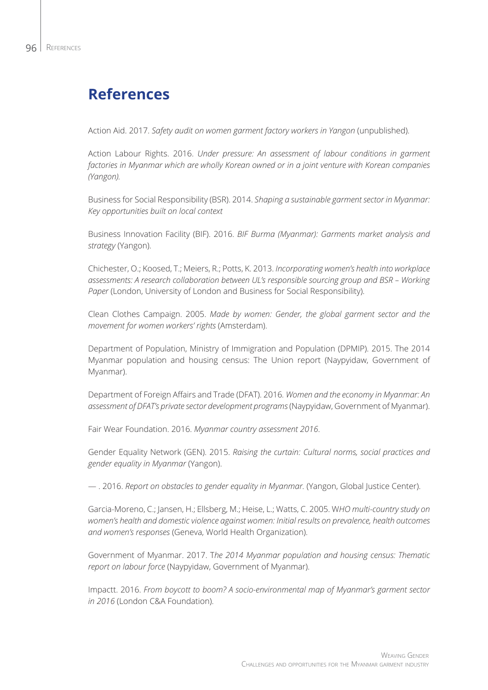# **References**

Action Aid. 2017. *Safety audit on women garment factory workers in Yangon* (unpublished).

Action Labour Rights. 2016. *Under pressure: An assessment of labour conditions in garment factories in Myanmar which are wholly Korean owned or in a joint venture with Korean companies (Yangon).*

Business for Social Responsibility (BSR). 2014. *Shaping a sustainable garment sector in Myanmar: Key opportunities built on local context*

Business Innovation Facility (BIF). 2016. *BIF Burma (Myanmar): Garments market analysis and strategy* (Yangon).

Chichester, O.; Koosed, T.; Meiers, R.; Potts, K. 2013. *Incorporating women's health into workplace assessments: A research collaboration between UL's responsible sourcing group and BSR – Working Paper* (London, University of London and Business for Social Responsibility).

Clean Clothes Campaign. 2005. *Made by women: Gender, the global garment sector and the movement for women workers' rights* (Amsterdam).

Department of Population, Ministry of Immigration and Population (DPMIP). 2015. The 2014 Myanmar population and housing census: The Union report (Naypyidaw, Government of Myanmar).

Department of Foreign Affairs and Trade (DFAT). 2016. Women and the economy in Myanmar: An *assessment of DFAT's private sector development programs* (Naypyidaw, Government of Myanmar).

Fair Wear Foundation. 2016. *Myanmar country assessment 2016*.

Gender Equality Network (GEN). 2015. *Raising the curtain: Cultural norms, social practices and gender equality in Myanmar* (Yangon).

— . 2016. *Report on obstacles to gender equality in Myanmar.* (Yangon, Global Justice Center).

Garcia-Moreno, C.; Jansen, H.; Ellsberg, M.; Heise, L.; Watts, C. 2005. W*HO multi-country study on women's health and domestic violence against women: Initial results on prevalence, health outcomes and women's responses* (Geneva, World Health Organization).

Government of Myanmar. 2017. T*he 2014 Myanmar population and housing census: Thematic report on labour force* (Naypyidaw, Government of Myanmar).

Impactt. 2016. *From boycott to boom? A socio-environmental map of Myanmar's garment sector in 2016* (London C&A Foundation).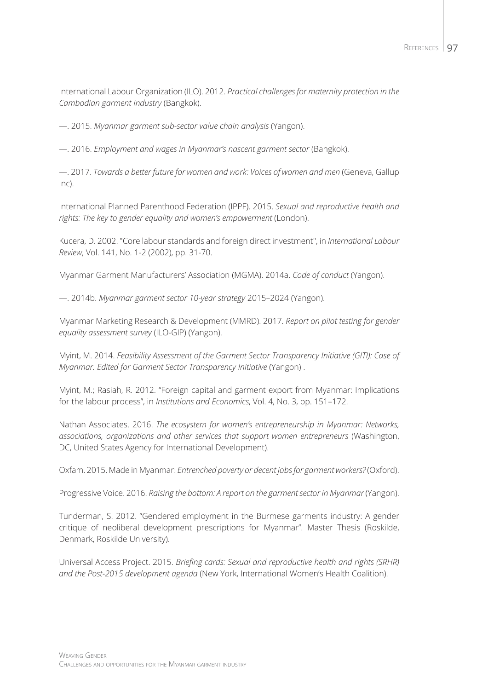International Labour Organization (ILO). 2012. *Practical challenges for maternity protection in the Cambodian garment industry* (Bangkok).

—. 2015. *Myanmar garment sub-sector value chain analysis* (Yangon).

—. 2016. *Employment and wages in Myanmar's nascent garment sector* (Bangkok).

—. 2017. *Towards a better future for women and work: Voices of women and men* (Geneva, Gallup Inc).

International Planned Parenthood Federation (IPPF). 2015. *Sexual and reproductive health and rights: The key to gender equality and women's empowerment* (London).

Kucera, D. 2002. "Core labour standards and foreign direct investment", in *International Labour Review*, Vol. 141, No. 1-2 (2002), pp. 31-70.

Myanmar Garment Manufacturers' Association (MGMA). 2014a. *Code of conduct* (Yangon).

—. 2014b. *Myanmar garment sector 10-year strategy* 2015–2024 (Yangon).

Myanmar Marketing Research & Development (MMRD). 2017. *Report on pilot testing for gender equality assessment survey* (ILO-GIP) (Yangon).

Myint, M. 2014. *Feasibility Assessment of the Garment Sector Transparency Initiative (GITI): Case of Myanmar. Edited for Garment Sector Transparency Initiative* (Yangon) .

Myint, M.; Rasiah, R. 2012. "Foreign capital and garment export from Myanmar: Implications for the labour process", in *Institutions and Economics*, Vol. 4, No. 3, pp. 151–172.

Nathan Associates. 2016. *The ecosystem for women's entrepreneurship in Myanmar: Networks, associations, organizations and other services that support women entrepreneurs* (Washington, DC, United States Agency for International Development).

Oxfam. 2015. Made in Myanmar: *Entrenched poverty or decent jobs for garment workers?* (Oxford).

Progressive Voice. 2016. *Raising the bottom: A report on the garment sector in Myanmar* (Yangon).

Tunderman, S. 2012. "Gendered employment in the Burmese garments industry: A gender critique of neoliberal development prescriptions for Myanmar". Master Thesis (Roskilde, Denmark, Roskilde University).

Universal Access Project. 2015. *Briefing cards: Sexual and reproductive health and rights (SRHR) and the Post-2015 development agenda* (New York, International Women's Health Coalition).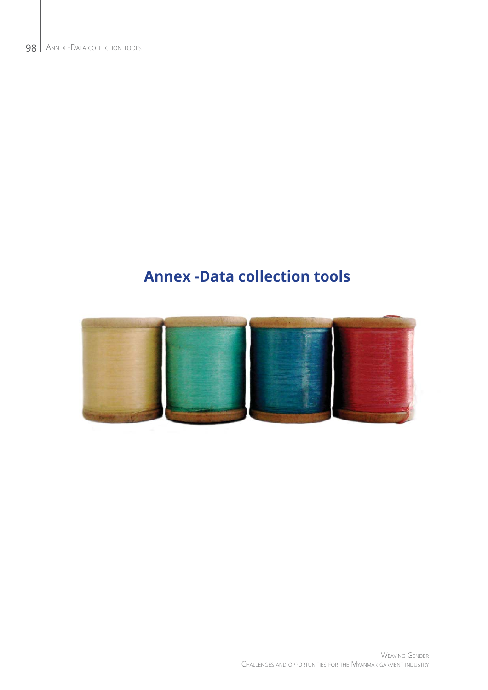# **Annex -Data collection tools**

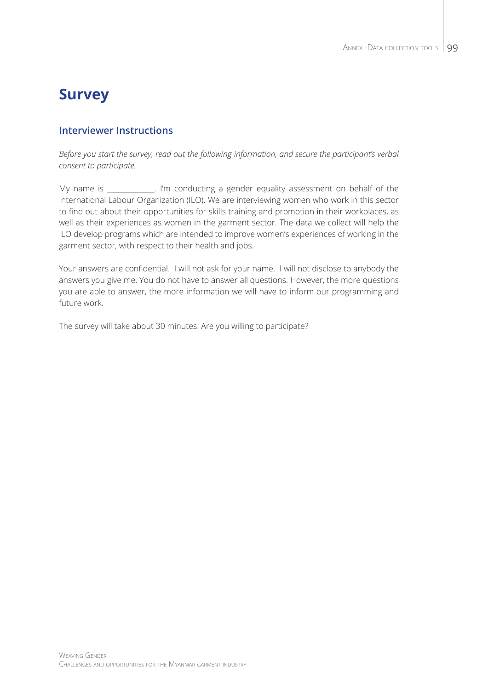# **Survey**

## **Interviewer Instructions**

*Before you start the survey, read out the following information, and secure the participant's verbal consent to participate.*

My name is \_\_\_\_\_\_\_\_\_\_\_\_. I'm conducting a gender equality assessment on behalf of the International Labour Organization (ILO). We are interviewing women who work in this sector to find out about their opportunities for skills training and promotion in their workplaces, as well as their experiences as women in the garment sector. The data we collect will help the ILO develop programs which are intended to improve women's experiences of working in the garment sector, with respect to their health and jobs.

Your answers are confidential. I will not ask for your name. I will not disclose to anybody the answers you give me. You do not have to answer all questions. However, the more questions you are able to answer, the more information we will have to inform our programming and future work.

The survey will take about 30 minutes. Are you willing to participate?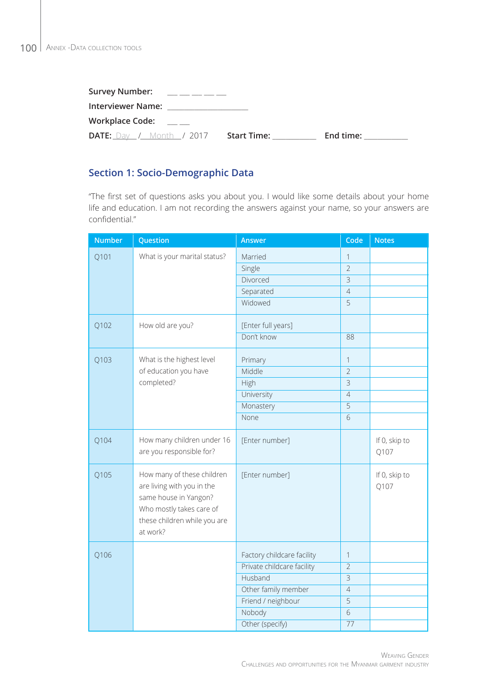| <b>Survey Number:</b>                                                    |                    |           |
|--------------------------------------------------------------------------|--------------------|-----------|
| <b>Interviewer Name:</b><br>the control of the control of the control of |                    |           |
| <b>Workplace Code:</b>                                                   |                    |           |
| <b>DATE:</b> $\Box$ av / Month / 2017                                    | <b>Start Time:</b> | End time: |

## **Section 1: Socio-Demographic Data**

"The first set of questions asks you about you. I would like some details about your home life and education. I am not recording the answers against your name, so your answers are confidential."

| <b>Number</b> | Question                                                                                                                                                  | Answer                     | Code           | <b>Notes</b>          |
|---------------|-----------------------------------------------------------------------------------------------------------------------------------------------------------|----------------------------|----------------|-----------------------|
| Q101          | What is your marital status?                                                                                                                              | Married                    | 1              |                       |
|               |                                                                                                                                                           | Single                     | $\overline{2}$ |                       |
|               |                                                                                                                                                           | Divorced                   | 3              |                       |
|               |                                                                                                                                                           | Separated                  | $\sqrt{4}$     |                       |
|               |                                                                                                                                                           | Widowed                    | 5              |                       |
| Q102          | How old are you?                                                                                                                                          | [Enter full years]         |                |                       |
|               |                                                                                                                                                           | Don't know                 | 88             |                       |
| Q103          | What is the highest level                                                                                                                                 | Primary                    | 1              |                       |
|               | of education you have                                                                                                                                     | Middle                     | $\overline{2}$ |                       |
|               | completed?                                                                                                                                                | High                       | 3              |                       |
|               |                                                                                                                                                           | University                 | $\overline{4}$ |                       |
|               |                                                                                                                                                           | Monastery                  | $\overline{5}$ |                       |
|               |                                                                                                                                                           | None                       | 6              |                       |
| Q104          | How many children under 16<br>are you responsible for?                                                                                                    | [Enter number]             |                | If 0, skip to<br>Q107 |
| Q105          | How many of these children<br>are living with you in the<br>same house in Yangon?<br>Who mostly takes care of<br>these children while you are<br>at work? | [Enter number]             |                | If 0, skip to<br>Q107 |
| Q106          |                                                                                                                                                           | Factory childcare facility | $\mathbf 1$    |                       |
|               |                                                                                                                                                           | Private childcare facility | $\overline{2}$ |                       |
|               |                                                                                                                                                           | Husband                    | $\overline{3}$ |                       |
|               |                                                                                                                                                           | Other family member        | $\overline{4}$ |                       |
|               |                                                                                                                                                           | Friend / neighbour         | 5              |                       |
|               |                                                                                                                                                           | Nobody                     | 6              |                       |
|               |                                                                                                                                                           | Other (specify)            | 77             |                       |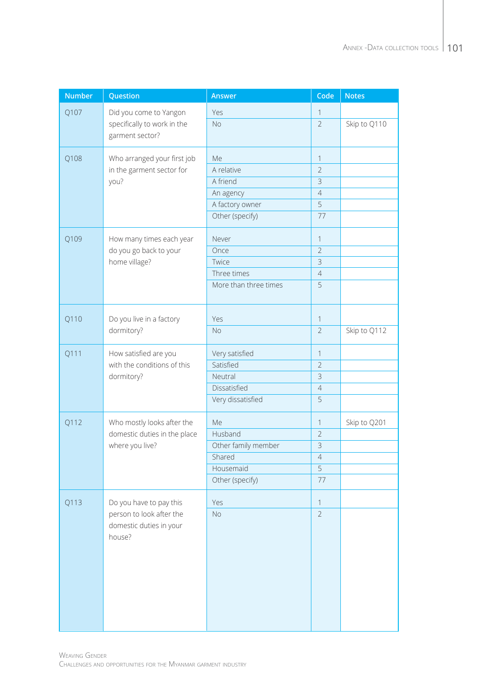| <b>Number</b> | Question                                                           | Answer                | Code           | <b>Notes</b> |
|---------------|--------------------------------------------------------------------|-----------------------|----------------|--------------|
| Q107          | Did you come to Yangon                                             | Yes                   | 1              |              |
|               | specifically to work in the<br>garment sector?                     | <b>No</b>             | $\overline{2}$ | Skip to Q110 |
| Q108          | Who arranged your first job                                        | Me                    | 1              |              |
|               | in the garment sector for                                          | A relative            | $\overline{2}$ |              |
|               | you?                                                               | A friend              | 3              |              |
|               |                                                                    | An agency             | $\overline{4}$ |              |
|               |                                                                    | A factory owner       | 5              |              |
|               |                                                                    | Other (specify)       | 77             |              |
| Q109          | How many times each year                                           | Never                 | 1              |              |
|               | do you go back to your                                             | Once                  | $\overline{2}$ |              |
|               | home village?                                                      | Twice                 | $\mathfrak{Z}$ |              |
|               |                                                                    | Three times           | $\sqrt{4}$     |              |
|               |                                                                    | More than three times | 5              |              |
| Q110          | Do you live in a factory                                           | Yes                   | 1              |              |
|               | dormitory?                                                         | <b>No</b>             | $\overline{2}$ | Skip to Q112 |
| Q111          | How satisfied are you<br>with the conditions of this<br>dormitory? | Very satisfied        | 1              |              |
|               |                                                                    | Satisfied             | $\overline{2}$ |              |
|               |                                                                    | Neutral               | 3              |              |
|               |                                                                    | Dissatisfied          | $\sqrt{4}$     |              |
|               |                                                                    | Very dissatisfied     | 5              |              |
| Q112          | Who mostly looks after the                                         | Me                    | 1              | Skip to Q201 |
|               | domestic duties in the place                                       | Husband               | $\overline{2}$ |              |
|               | where you live?                                                    | Other family member   | 3              |              |
|               |                                                                    | Shared                | $\sqrt{4}$     |              |
|               |                                                                    | Housemaid             | $\overline{5}$ |              |
|               |                                                                    | Other (specify)       | 77             |              |
| Q113          | Do you have to pay this                                            | Yes                   | $\mathbf{1}$   |              |
|               | person to look after the                                           | No                    | $\overline{2}$ |              |
|               | domestic duties in your<br>house?                                  |                       |                |              |
|               |                                                                    |                       |                |              |
|               |                                                                    |                       |                |              |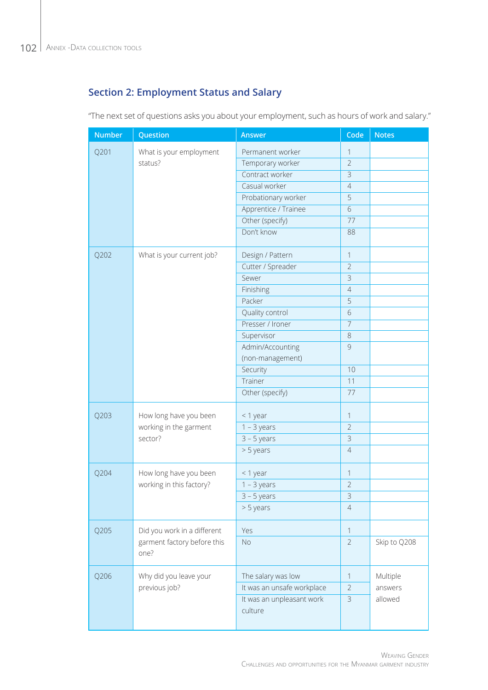## **Section 2: Employment Status and Salary**

"The next set of questions asks you about your employment, such as hours of work and salary."

| <b>Number</b> | Question                            | Answer                               | Code           | <b>Notes</b> |
|---------------|-------------------------------------|--------------------------------------|----------------|--------------|
| Q201          | What is your employment             | Permanent worker                     | 1              |              |
|               | status?                             | Temporary worker                     | $\overline{2}$ |              |
|               |                                     | Contract worker                      | $\overline{3}$ |              |
|               |                                     | Casual worker                        | $\overline{4}$ |              |
|               |                                     | Probationary worker                  | 5              |              |
|               |                                     | Apprentice / Trainee                 | $6\,$          |              |
|               |                                     | Other (specify)                      | 77             |              |
|               |                                     | Don't know                           | 88             |              |
| Q202          | What is your current job?           | Design / Pattern                     | $\mathbf{1}$   |              |
|               |                                     | Cutter / Spreader                    | $\overline{2}$ |              |
|               |                                     | Sewer                                | $\mathcal{E}$  |              |
|               |                                     | Finishing                            | $\overline{4}$ |              |
|               |                                     | Packer                               | 5              |              |
|               |                                     | Quality control                      | 6              |              |
|               |                                     | Presser / Ironer                     | 7              |              |
|               |                                     | Supervisor                           | $\,8\,$        |              |
|               |                                     | Admin/Accounting                     | 9              |              |
|               |                                     | (non-management)                     |                |              |
|               |                                     | Security                             | 10             |              |
|               |                                     | Trainer                              | 11             |              |
|               |                                     | Other (specify)                      | 77             |              |
| Q203          | How long have you been              | < 1 year                             | 1              |              |
|               | working in the garment<br>sector?   | $1 - 3$ years                        | $\overline{2}$ |              |
|               |                                     | $3 - 5$ years                        | $\mathsf 3$    |              |
|               |                                     | > 5 years                            | $\overline{4}$ |              |
| Q204          | How long have you been              | < 1 year                             | 1              |              |
|               | working in this factory?            | $1 - 3$ years                        | $\overline{2}$ |              |
|               |                                     | $3 - 5$ years                        | 3              |              |
|               |                                     | > 5 years                            | $\overline{4}$ |              |
| Q205          | Did you work in a different         | Yes                                  | 1              |              |
|               | garment factory before this<br>one? | <b>No</b>                            | $\overline{2}$ | Skip to Q208 |
| Q206          | Why did you leave your              | The salary was low                   | $\mathbf{1}$   | Multiple     |
|               | previous job?                       | It was an unsafe workplace           | $\overline{2}$ | answers      |
|               |                                     | It was an unpleasant work<br>culture | 3              | allowed      |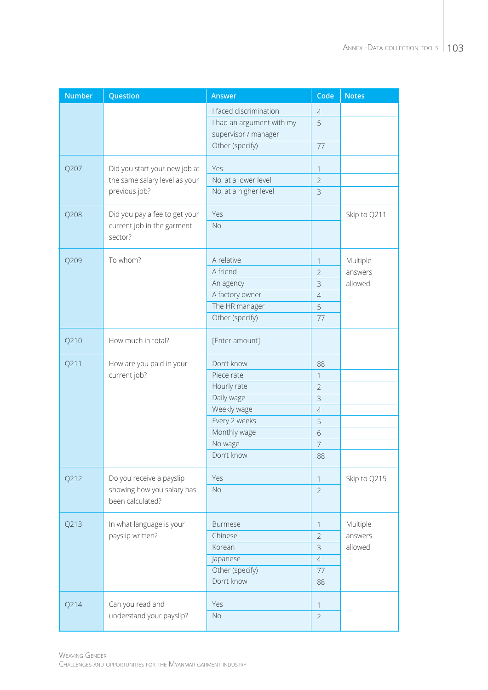| <b>Number</b> | Question                      | Answer                    | Code                    | <b>Notes</b> |
|---------------|-------------------------------|---------------------------|-------------------------|--------------|
|               |                               | I faced discrimination    | $\overline{4}$          |              |
|               |                               | I had an argument with my | 5                       |              |
|               |                               | supervisor / manager      |                         |              |
|               |                               | Other (specify)           | 77                      |              |
| Q207          | Did you start your new job at | Yes                       | 1                       |              |
|               | the same salary level as your | No, at a lower level      | $\overline{2}$          |              |
|               | previous job?                 | No, at a higher level     | $\overline{3}$          |              |
|               |                               |                           |                         |              |
| Q208          | Did you pay a fee to get your | Yes                       |                         | Skip to Q211 |
|               | current job in the garment    | <b>No</b>                 |                         |              |
|               | sector?                       |                           |                         |              |
| Q209          | To whom?                      | A relative                | 1                       | Multiple     |
|               |                               | A friend                  | $\overline{2}$          | answers      |
|               |                               | An agency                 | 3                       | allowed      |
|               |                               | A factory owner           | $\overline{4}$          |              |
|               |                               | The HR manager            | 5                       |              |
|               |                               | Other (specify)           | 77                      |              |
| Q210          | How much in total?            | [Enter amount]            |                         |              |
| Q211          | How are you paid in your      | Don't know                | 88                      |              |
|               | current job?                  | Piece rate                | 1                       |              |
|               |                               | Hourly rate               | $\overline{2}$          |              |
|               |                               | Daily wage                | $\overline{\mathbf{3}}$ |              |
|               |                               | Weekly wage               | $\overline{4}$          |              |
|               |                               | Every 2 weeks             | 5                       |              |
|               |                               | Monthly wage              | 6                       |              |
|               |                               | No wage                   | 7                       |              |
|               |                               | Don't know                | 88                      |              |
| Q212          | Do you receive a payslip      | Yes                       | 1                       | Skip to Q215 |
|               | showing how you salary has    | No                        | $\overline{2}$          |              |
|               | been calculated?              |                           |                         |              |
| Q213          | In what language is your      | <b>Burmese</b>            | 1                       | Multiple     |
|               | payslip written?              | Chinese                   | $\overline{2}$          | answers      |
|               |                               | Korean                    | $\overline{3}$          | allowed      |
|               |                               | Japanese                  | $\overline{4}$          |              |
|               |                               | Other (specify)           | 77                      |              |
|               |                               | Don't know                | 88                      |              |
|               |                               |                           |                         |              |
| Q214          | Can you read and              | Yes                       | 1                       |              |
|               | understand your payslip?      | No                        | $\overline{2}$          |              |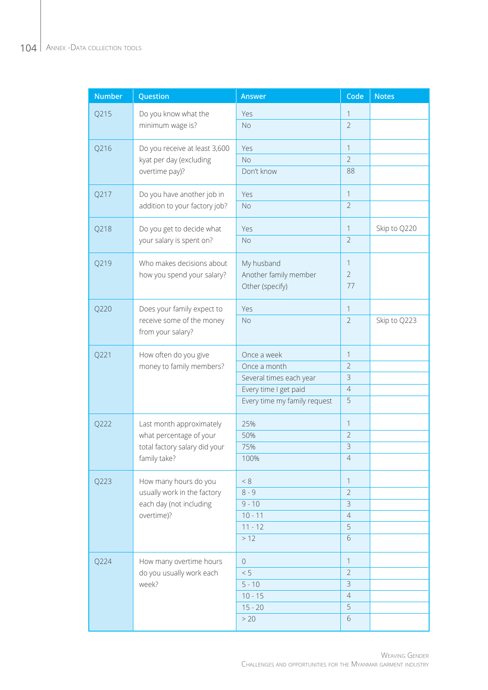| <b>Number</b> | Question                                       | Answer                       | Code                    | <b>Notes</b> |
|---------------|------------------------------------------------|------------------------------|-------------------------|--------------|
| Q215          | Do you know what the                           | Yes                          | 1                       |              |
|               | minimum wage is?                               | <b>No</b>                    | $\overline{2}$          |              |
|               |                                                |                              |                         |              |
| Q216          | Do you receive at least 3,600                  | Yes                          | 1<br>$\overline{2}$     |              |
|               | kyat per day (excluding<br>overtime pay)?      | <b>No</b><br>Don't know      | 88                      |              |
|               |                                                |                              |                         |              |
| Q217          | Do you have another job in                     | Yes                          | 1                       |              |
|               | addition to your factory job?                  | <b>No</b>                    | $\overline{2}$          |              |
| Q218          | Do you get to decide what                      | Yes                          | 1                       | Skip to Q220 |
|               | your salary is spent on?                       | No                           | $\overline{2}$          |              |
|               |                                                |                              |                         |              |
| Q219          | Who makes decisions about                      | My husband                   | 1                       |              |
|               | how you spend your salary?                     | Another family member        | $\overline{2}$          |              |
|               |                                                | Other (specify)              | 77                      |              |
|               |                                                |                              |                         |              |
| Q220          | Does your family expect to                     | Yes<br><b>No</b>             | 1<br>$\overline{2}$     | Skip to Q223 |
|               | receive some of the money<br>from your salary? |                              |                         |              |
|               |                                                |                              |                         |              |
| Q221          | How often do you give                          | Once a week                  | 1                       |              |
|               | money to family members?                       | Once a month                 | $\overline{2}$          |              |
|               |                                                | Several times each year      | 3                       |              |
|               |                                                | Every time I get paid        | $\overline{4}$          |              |
|               |                                                | Every time my family request | 5                       |              |
| Q222          | Last month approximately                       | 25%                          | 1                       |              |
|               | what percentage of your                        | 50%                          | $\overline{2}$          |              |
|               | total factory salary did your                  | 75%                          | $\overline{3}$          |              |
|               | family take?                                   | 100%                         | 4                       |              |
| Q223          | How many hours do you                          | < 8                          | 1                       |              |
|               | usually work in the factory                    | $8 - 9$                      | $\overline{2}$          |              |
|               | each day (not including                        | $9 - 10$                     | $\overline{3}$          |              |
|               | overtime)?                                     | $10 - 11$                    | $\sqrt{4}$              |              |
|               |                                                | $11 - 12$                    | 5                       |              |
|               |                                                | >12                          | $\overline{6}$          |              |
|               |                                                |                              |                         |              |
| Q224          | How many overtime hours                        | $\overline{0}$<br>< 5        | 1<br>$\overline{2}$     |              |
|               | do you usually work each<br>week?              | $5 - 10$                     | $\overline{\mathbf{3}}$ |              |
|               |                                                | $10 - 15$                    | $\overline{4}$          |              |
|               |                                                | $15 - 20$                    | 5                       |              |
|               |                                                | > 20                         | 6                       |              |
|               |                                                |                              |                         |              |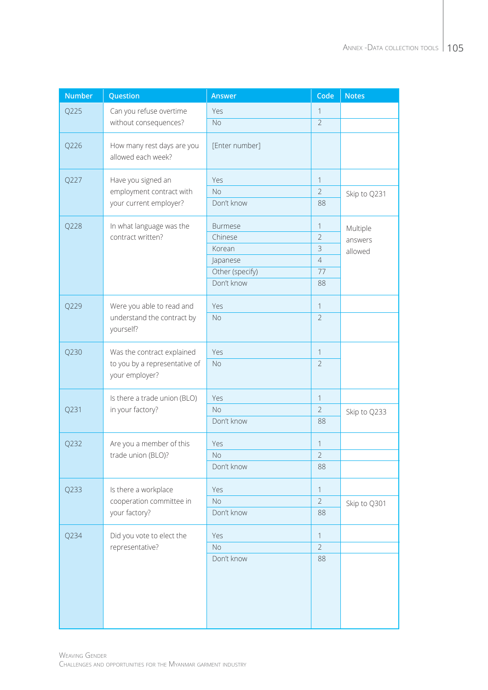| <b>Number</b> | Question                                         | Answer          | Code           | <b>Notes</b> |
|---------------|--------------------------------------------------|-----------------|----------------|--------------|
| Q225          | Can you refuse overtime                          | Yes             | 1              |              |
|               | without consequences?                            | <b>No</b>       | $\overline{2}$ |              |
| Q226          | How many rest days are you<br>allowed each week? | [Enter number]  |                |              |
| Q227          | Have you signed an                               | Yes             | 1              |              |
|               | employment contract with                         | <b>No</b>       | $\overline{2}$ | Skip to Q231 |
|               | your current employer?                           | Don't know      | 88             |              |
|               |                                                  |                 |                |              |
| Q228          | In what language was the                         | <b>Burmese</b>  | 1              | Multiple     |
|               | contract written?                                | Chinese         | $\overline{2}$ | answers      |
|               |                                                  | Korean          | 3              | allowed      |
|               |                                                  | Japanese        | $\overline{4}$ |              |
|               |                                                  | Other (specify) | 77             |              |
|               |                                                  | Don't know      | 88             |              |
| Q229          | Were you able to read and                        | Yes             | $\mathbf{1}$   |              |
|               | understand the contract by                       | No              | $\overline{2}$ |              |
|               | yourself?                                        |                 |                |              |
| Q230          | Was the contract explained                       | Yes             | $\mathbf{1}$   |              |
|               | to you by a representative of                    | <b>No</b>       | $\overline{2}$ |              |
|               | your employer?                                   |                 |                |              |
|               | Is there a trade union (BLO)                     | Yes             | 1              |              |
| Q231          | in your factory?                                 | <b>No</b>       | $\overline{2}$ | Skip to Q233 |
|               |                                                  | Don't know      | 88             |              |
| Q232          | Are you a member of this                         | Yes             | 1              |              |
|               | trade union (BLO)?                               | No              | $\overline{2}$ |              |
|               |                                                  | Don't know      | 88             |              |
|               |                                                  |                 |                |              |
| Q233          | Is there a workplace                             | Yes             | 1              |              |
|               | cooperation committee in                         | <b>No</b>       | $\overline{2}$ | Skip to Q301 |
|               | your factory?                                    | Don't know      | 88             |              |
| Q234          | Did you vote to elect the                        | Yes             | 1              |              |
|               | representative?                                  | <b>No</b>       | $\overline{2}$ |              |
|               |                                                  | Don't know      | 88             |              |
|               |                                                  |                 |                |              |
|               |                                                  |                 |                |              |
|               |                                                  |                 |                |              |
|               |                                                  |                 |                |              |
|               |                                                  |                 |                |              |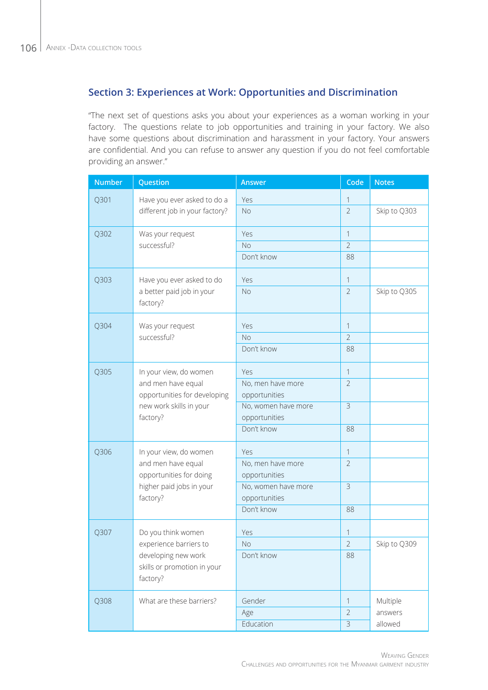## **Section 3: Experiences at Work: Opportunities and Discrimination**

"The next set of questions asks you about your experiences as a woman working in your factory. The questions relate to job opportunities and training in your factory. We also have some questions about discrimination and harassment in your factory. Your answers are confidential. And you can refuse to answer any question if you do not feel comfortable providing an answer."

| <b>Number</b> | Question                                                            | Answer                               | Code                    | <b>Notes</b> |
|---------------|---------------------------------------------------------------------|--------------------------------------|-------------------------|--------------|
| Q301          | Have you ever asked to do a                                         | Yes                                  | 1                       |              |
|               | different job in your factory?                                      | <b>No</b>                            | $\overline{2}$          | Skip to Q303 |
| Q302          | Was your request                                                    | Yes                                  | $\overline{1}$          |              |
|               | successful?                                                         | No                                   | $\overline{2}$          |              |
|               |                                                                     | Don't know                           | 88                      |              |
| Q303          | Have you ever asked to do                                           | Yes                                  | 1                       |              |
|               | a better paid job in your<br>factory?                               | <b>No</b>                            | $\overline{2}$          | Skip to Q305 |
| Q304          | Was your request                                                    | Yes                                  | 1                       |              |
|               | successful?                                                         | <b>No</b>                            | $\overline{2}$          |              |
|               |                                                                     | Don't know                           | 88                      |              |
| Q305          | In your view, do women                                              | Yes                                  | $\mathbf{1}$            |              |
|               | and men have equal                                                  | No, men have more                    | $\overline{2}$          |              |
|               | opportunities for developing<br>new work skills in your<br>factory? | opportunities                        |                         |              |
|               |                                                                     | No, women have more<br>opportunities | $\overline{3}$          |              |
|               |                                                                     | Don't know                           | 88                      |              |
| Q306          | In your view, do women                                              | Yes                                  | $\mathbf{1}$            |              |
|               | and men have equal                                                  | No, men have more                    | $\overline{2}$          |              |
|               | opportunities for doing                                             | opportunities                        |                         |              |
|               | higher paid jobs in your                                            | No, women have more                  | 3                       |              |
|               | factory?                                                            | opportunities<br>Don't know          | 88                      |              |
|               |                                                                     |                                      |                         |              |
| Q307          | Do you think women                                                  | Yes                                  | 1                       |              |
|               | experience barriers to                                              | No.                                  | 2                       | Skip to Q309 |
|               | developing new work                                                 | Don't know                           | 88                      |              |
|               | skills or promotion in your<br>factory?                             |                                      |                         |              |
| Q308          | What are these barriers?                                            | Gender                               | $\mathbf{1}$            | Multiple     |
|               |                                                                     | Age                                  | $\overline{2}$          | answers      |
|               |                                                                     | Education                            | $\overline{\mathbf{3}}$ | allowed      |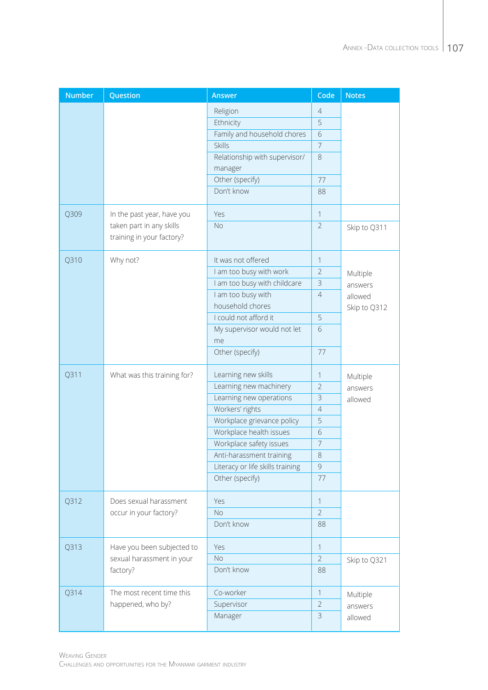| <b>Number</b> | Question                    | Answer                           | Code           | <b>Notes</b> |
|---------------|-----------------------------|----------------------------------|----------------|--------------|
|               |                             | Religion                         | $\overline{4}$ |              |
|               |                             | Ethnicity                        | 5              |              |
|               |                             | Family and household chores      | $\overline{6}$ |              |
|               |                             | <b>Skills</b>                    | $\overline{7}$ |              |
|               |                             | Relationship with supervisor/    | 8              |              |
|               |                             | manager                          |                |              |
|               |                             | Other (specify)                  | 77             |              |
|               |                             | Don't know                       | 88             |              |
|               |                             |                                  |                |              |
| Q309          | In the past year, have you  | Yes                              | 1              |              |
|               | taken part in any skills    | <b>No</b>                        | $\overline{2}$ | Skip to Q311 |
|               | training in your factory?   |                                  |                |              |
| Q310          | Why not?                    | It was not offered               | 1              |              |
|               |                             | I am too busy with work          | $\overline{2}$ | Multiple     |
|               |                             | I am too busy with childcare     | 3              | answers      |
|               |                             | I am too busy with               | $\overline{4}$ | allowed      |
|               |                             | household chores                 |                | Skip to Q312 |
|               |                             | I could not afford it            | 5              |              |
|               |                             | My supervisor would not let      | 6              |              |
|               |                             | me                               |                |              |
|               |                             | Other (specify)                  | 77             |              |
|               |                             |                                  |                |              |
| Q311          | What was this training for? | Learning new skills              | 1              | Multiple     |
|               |                             | Learning new machinery           | $\overline{2}$ | answers      |
|               |                             | Learning new operations          | $\overline{3}$ | allowed      |
|               |                             | Workers' rights                  | $\sqrt{4}$     |              |
|               |                             | Workplace grievance policy       | 5              |              |
|               |                             | Workplace health issues          | 6              |              |
|               |                             | Workplace safety issues          | $\overline{7}$ |              |
|               |                             | Anti-harassment training         | 8              |              |
|               |                             | Literacy or life skills training | 9              |              |
|               |                             | Other (specify)                  | 77             |              |
| Q312          | Does sexual harassment      | Yes                              | 1              |              |
|               | occur in your factory?      | <b>No</b>                        | $\overline{2}$ |              |
|               |                             | Don't know                       | 88             |              |
|               |                             |                                  |                |              |
| Q313          | Have you been subjected to  | Yes                              | 1              |              |
|               | sexual harassment in your   | <b>No</b>                        | $\overline{2}$ | Skip to Q321 |
|               | factory?                    | Don't know                       | 88             |              |
| Q314          | The most recent time this   | Co-worker                        | 1              | Multiple     |
|               | happened, who by?           | Supervisor                       | $\overline{2}$ | answers      |
|               |                             | Manager                          | 3              | allowed      |
|               |                             |                                  |                |              |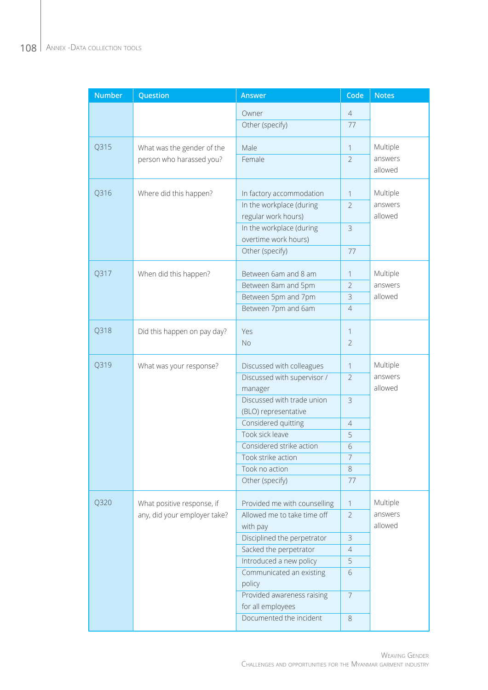| <b>Number</b> | Question                     | Answer                                          | Code                | <b>Notes</b>       |
|---------------|------------------------------|-------------------------------------------------|---------------------|--------------------|
|               |                              | Owner                                           | $\overline{4}$      |                    |
|               |                              | Other (specify)                                 | 77                  |                    |
|               |                              |                                                 |                     |                    |
| Q315          | What was the gender of the   | Male                                            | $\mathbf{1}$        | Multiple           |
|               | person who harassed you?     | Female                                          | $\overline{2}$      | answers            |
|               |                              |                                                 |                     | allowed            |
|               |                              |                                                 |                     |                    |
| Q316          | Where did this happen?       | In factory accommodation                        | 1                   | Multiple           |
|               |                              | In the workplace (during                        | $\overline{2}$      | answers<br>allowed |
|               |                              | regular work hours)<br>In the workplace (during | 3                   |                    |
|               |                              | overtime work hours)                            |                     |                    |
|               |                              | Other (specify)                                 | 77                  |                    |
|               |                              |                                                 |                     |                    |
| Q317          | When did this happen?        | Between 6am and 8 am                            | 1                   | Multiple           |
|               |                              | Between 8am and 5pm                             | $\overline{2}$      | answers            |
|               |                              | Between 5pm and 7pm                             | 3                   | allowed            |
|               |                              | Between 7pm and 6am                             | $\overline{4}$      |                    |
|               |                              |                                                 |                     |                    |
| Q318          | Did this happen on pay day?  | Yes<br><b>No</b>                                | 1<br>$\overline{2}$ |                    |
|               |                              |                                                 |                     |                    |
| Q319          | What was your response?      | Discussed with colleagues                       | 1                   | Multiple           |
|               |                              | Discussed with supervisor /                     | $\overline{2}$      | answers            |
|               |                              | manager                                         |                     | allowed            |
|               |                              | Discussed with trade union                      | 3                   |                    |
|               |                              | (BLO) representative                            |                     |                    |
|               |                              | Considered quitting                             | $\overline{4}$      |                    |
|               |                              | Took sick leave<br>Considered strike action     | 5<br>6              |                    |
|               |                              | Took strike action                              | $\overline{7}$      |                    |
|               |                              | Took no action                                  | 8                   |                    |
|               |                              | Other (specify)                                 | 77                  |                    |
|               |                              |                                                 |                     |                    |
| Q320          | What positive response, if   | Provided me with counselling                    | $\mathbf{1}$        | Multiple           |
|               | any, did your employer take? | Allowed me to take time off                     | $\overline{2}$      | answers            |
|               |                              | with pay                                        |                     | allowed            |
|               |                              | Disciplined the perpetrator                     | 3                   |                    |
|               |                              | Sacked the perpetrator                          | $\overline{4}$      |                    |
|               |                              | Introduced a new policy                         | 5                   |                    |
|               |                              | Communicated an existing<br>policy              | 6                   |                    |
|               |                              | Provided awareness raising                      | $\overline{7}$      |                    |
|               |                              | for all employees                               |                     |                    |
|               |                              | Documented the incident                         | $\,8\,$             |                    |
|               |                              |                                                 |                     |                    |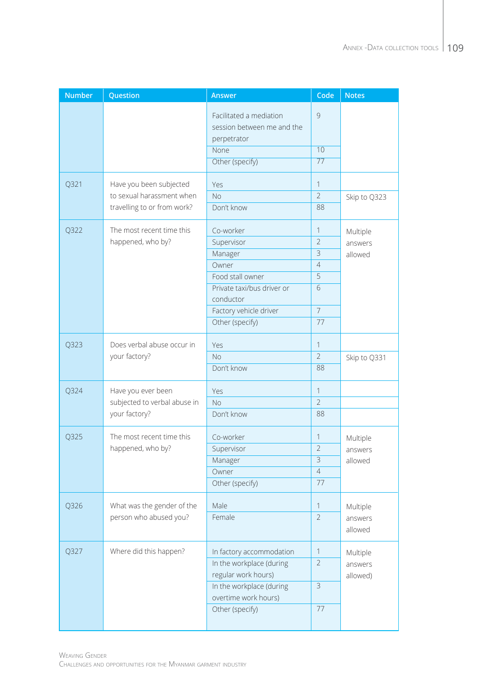| <b>Number</b> | Question                     | Answer                                                               | Code                  | <b>Notes</b> |
|---------------|------------------------------|----------------------------------------------------------------------|-----------------------|--------------|
|               |                              | Facilitated a mediation<br>session between me and the<br>perpetrator | $\mathcal{G}$         |              |
|               |                              | None<br>Other (specify)                                              | 10<br>$\overline{77}$ |              |
| Q321          | Have you been subjected      | Yes                                                                  | 1                     |              |
|               | to sexual harassment when    | <b>No</b>                                                            | $\overline{2}$        | Skip to Q323 |
|               | travelling to or from work?  | Don't know                                                           | 88                    |              |
| Q322          | The most recent time this    | Co-worker                                                            | 1                     | Multiple     |
|               | happened, who by?            | Supervisor                                                           | $\overline{2}$        | answers      |
|               |                              | Manager                                                              | $\overline{3}$        | allowed      |
|               |                              | Owner                                                                | $\overline{4}$        |              |
|               |                              | Food stall owner                                                     | $\overline{5}$        |              |
|               |                              | Private taxi/bus driver or                                           | $\overline{6}$        |              |
|               |                              | conductor                                                            |                       |              |
|               |                              | Factory vehicle driver                                               | $\overline{7}$        |              |
|               |                              | Other (specify)                                                      | 77                    |              |
| Q323          | Does verbal abuse occur in   | Yes                                                                  | 1                     |              |
|               | your factory?                | <b>No</b>                                                            | $\overline{2}$        | Skip to Q331 |
|               |                              | Don't know                                                           | 88                    |              |
| Q324          | Have you ever been           | Yes                                                                  | $\mathbf{1}$          |              |
|               | subjected to verbal abuse in | <b>No</b>                                                            | $\overline{2}$        |              |
|               | your factory?                | Don't know                                                           | 88                    |              |
| Q325          | The most recent time this    | Co-worker                                                            | 1                     | Multiple     |
|               | happened, who by?            | Supervisor                                                           | $\overline{2}$        | answers      |
|               |                              | Manager                                                              | $\overline{3}$        | allowed      |
|               |                              | Owner                                                                | $\overline{4}$        |              |
|               |                              | Other (specify)                                                      | 77                    |              |
| Q326          | What was the gender of the   | Male                                                                 | $\mathbf{1}$          | Multiple     |
|               | person who abused you?       | Female                                                               | $\overline{2}$        | answers      |
|               |                              |                                                                      |                       | allowed      |
| Q327          | Where did this happen?       | In factory accommodation                                             | 1                     | Multiple     |
|               |                              | In the workplace (during                                             | $\overline{2}$        | answers      |
|               |                              | regular work hours)                                                  |                       | allowed)     |
|               |                              | In the workplace (during                                             | 3                     |              |
|               |                              | overtime work hours)                                                 |                       |              |
|               |                              | Other (specify)                                                      | 77                    |              |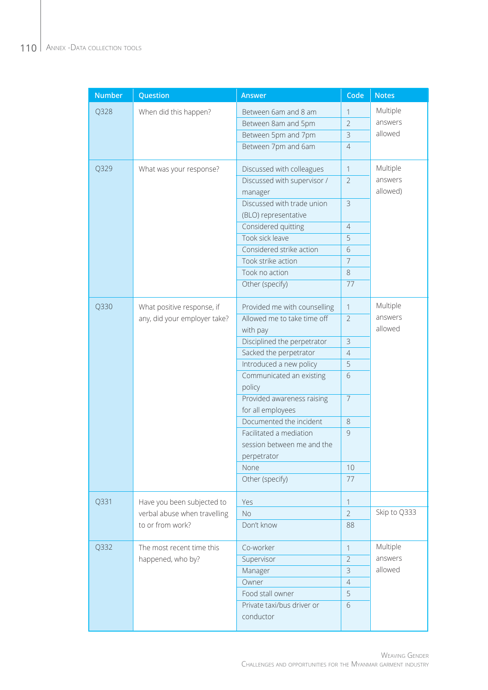| <b>Number</b> | Question                     | Answer                       | Code           | <b>Notes</b> |
|---------------|------------------------------|------------------------------|----------------|--------------|
| Q328          | When did this happen?        | Between 6am and 8 am         | 1              | Multiple     |
|               |                              | Between 8am and 5pm          | $\overline{2}$ | answers      |
|               |                              | Between 5pm and 7pm          | 3              | allowed      |
|               |                              | Between 7pm and 6am          | $\overline{4}$ |              |
|               |                              |                              |                |              |
| Q329          | What was your response?      | Discussed with colleagues    | 1              | Multiple     |
|               |                              | Discussed with supervisor /  | $\overline{2}$ | answers      |
|               |                              | manager                      |                | allowed)     |
|               |                              | Discussed with trade union   | 3              |              |
|               |                              | (BLO) representative         |                |              |
|               |                              | Considered quitting          | $\overline{4}$ |              |
|               |                              | Took sick leave              | 5              |              |
|               |                              | Considered strike action     | 6              |              |
|               |                              | Took strike action           | $\overline{7}$ |              |
|               |                              | Took no action               | 8              |              |
|               |                              | Other (specify)              | 77             |              |
|               |                              |                              |                |              |
| Q330          | What positive response, if   | Provided me with counselling | $\mathbf{1}$   | Multiple     |
|               | any, did your employer take? | Allowed me to take time off  | $\overline{2}$ | answers      |
|               |                              | with pay                     |                | allowed      |
|               |                              | Disciplined the perpetrator  | 3              |              |
|               |                              | Sacked the perpetrator       | $\overline{4}$ |              |
|               |                              | Introduced a new policy      | 5              |              |
|               |                              | Communicated an existing     | 6              |              |
|               |                              | policy                       |                |              |
|               |                              | Provided awareness raising   | $\overline{7}$ |              |
|               |                              | for all employees            |                |              |
|               |                              | Documented the incident      | 8              |              |
|               |                              | Facilitated a mediation      | 9              |              |
|               |                              | session between me and the   |                |              |
|               |                              | perpetrator                  |                |              |
|               |                              | None                         | 10             |              |
|               |                              | Other (specify)              | 77             |              |
| Q331          | Have you been subjected to   | Yes                          | $\mathbf{1}$   |              |
|               | verbal abuse when travelling | <b>No</b>                    | $\overline{2}$ | Skip to Q333 |
|               | to or from work?             | Don't know                   | 88             |              |
|               |                              |                              |                |              |
| Q332          | The most recent time this    | Co-worker                    | 1              | Multiple     |
|               | happened, who by?            | Supervisor                   | $\overline{2}$ | answers      |
|               |                              | Manager                      | 3              | allowed      |
|               |                              | Owner                        | $\overline{4}$ |              |
|               |                              | Food stall owner             | 5              |              |
|               |                              | Private taxi/bus driver or   | 6              |              |
|               |                              | conductor                    |                |              |
|               |                              |                              |                |              |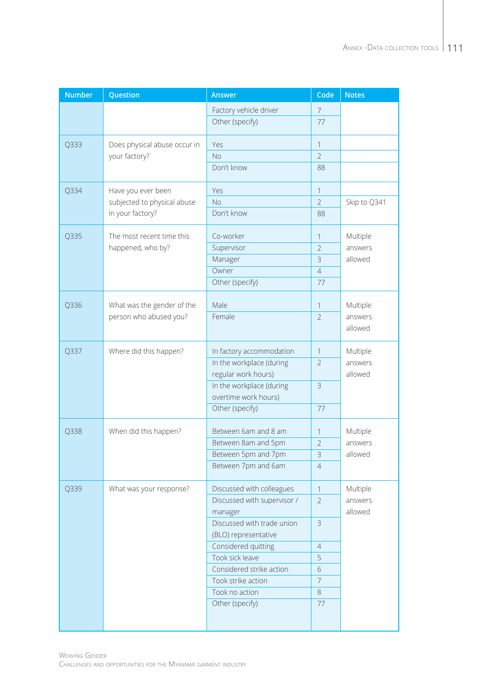| <b>Number</b> | Question                     | Answer                      | Code           | <b>Notes</b> |
|---------------|------------------------------|-----------------------------|----------------|--------------|
|               |                              | Factory vehicle driver      | $\overline{7}$ |              |
|               |                              | Other (specify)             | 77             |              |
|               |                              |                             |                |              |
| Q333          | Does physical abuse occur in | Yes                         | 1              |              |
|               | your factory?                | <b>No</b>                   | $\overline{2}$ |              |
|               |                              | Don't know                  | 88             |              |
|               |                              |                             |                |              |
| Q334          | Have you ever been           | Yes                         | 1              |              |
|               | subjected to physical abuse  | <b>No</b>                   | $\overline{2}$ | Skip to Q341 |
|               | in your factory?             | Don't know                  | 88             |              |
| Q335          | The most recent time this    | Co-worker                   | 1              | Multiple     |
|               | happened, who by?            | Supervisor                  | $\overline{2}$ | answers      |
|               |                              | Manager                     | 3              | allowed      |
|               |                              | Owner                       | $\overline{4}$ |              |
|               |                              | Other (specify)             | 77             |              |
|               |                              |                             |                |              |
| Q336          | What was the gender of the   | Male                        | 1              | Multiple     |
|               | person who abused you?       | Female                      | $\overline{2}$ | answers      |
|               |                              |                             |                | allowed      |
| Q337          | Where did this happen?       | In factory accommodation    | 1              | Multiple     |
|               |                              | In the workplace (during    | $\overline{2}$ | answers      |
|               |                              | regular work hours)         |                | allowed      |
|               |                              | In the workplace (during    | 3              |              |
|               |                              | overtime work hours)        |                |              |
|               |                              | Other (specify)             | 77             |              |
|               |                              |                             |                |              |
| Q338          | When did this happen?        | Between 6am and 8 am        | 1              | Multiple     |
|               |                              | Between 8am and 5pm         | $\overline{2}$ | answers      |
|               |                              | Between 5pm and 7pm         | 3.             | allowed      |
|               |                              | Between 7pm and 6am         | $\overline{4}$ |              |
| Q339          | What was your response?      | Discussed with colleagues   | 1              | Multiple     |
|               |                              | Discussed with supervisor / | $\overline{2}$ | answers      |
|               |                              | manager                     |                | allowed      |
|               |                              | Discussed with trade union  | 3              |              |
|               |                              | (BLO) representative        |                |              |
|               |                              | Considered quitting         | $\overline{4}$ |              |
|               |                              | Took sick leave             | 5              |              |
|               |                              | Considered strike action    | 6              |              |
|               |                              | Took strike action          | $\overline{7}$ |              |
|               |                              | Took no action              | 8              |              |
|               |                              | Other (specify)             | 77             |              |
|               |                              |                             |                |              |
|               |                              |                             |                |              |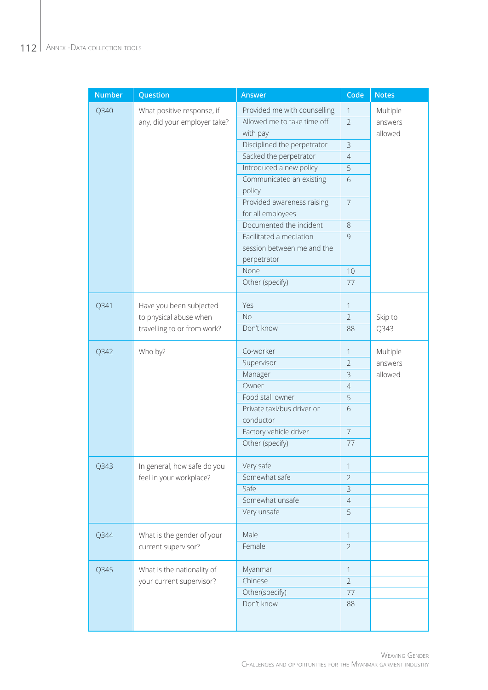| <b>Number</b> | Question                                          | <b>Answer</b>                | Code           | <b>Notes</b> |
|---------------|---------------------------------------------------|------------------------------|----------------|--------------|
| Q340          | What positive response, if                        | Provided me with counselling | 1              | Multiple     |
|               | any, did your employer take?                      | Allowed me to take time off  | $\overline{2}$ | answers      |
|               |                                                   | with pay                     |                | allowed      |
|               |                                                   | Disciplined the perpetrator  | $\mathcal{E}$  |              |
|               |                                                   | Sacked the perpetrator       | $\overline{4}$ |              |
|               |                                                   | Introduced a new policy      | $\overline{5}$ |              |
|               |                                                   | Communicated an existing     | 6              |              |
|               |                                                   | policy                       |                |              |
|               |                                                   | Provided awareness raising   | $\overline{7}$ |              |
|               |                                                   | for all employees            |                |              |
|               |                                                   | Documented the incident      | $\,8\,$        |              |
|               |                                                   | Facilitated a mediation      | 9              |              |
|               |                                                   | session between me and the   |                |              |
|               |                                                   | perpetrator                  |                |              |
|               |                                                   | None                         | 10             |              |
|               |                                                   | Other (specify)              | 77             |              |
| Q341          | Have you been subjected                           | Yes                          | 1              |              |
|               | to physical abuse when                            | <b>No</b>                    | $\overline{2}$ | Skip to      |
|               | travelling to or from work?                       | Don't know                   | 88             | Q343         |
|               |                                                   |                              |                |              |
| Q342          | Who by?                                           | Co-worker                    | 1              | Multiple     |
|               |                                                   | Supervisor                   | $\overline{2}$ | answers      |
|               |                                                   | Manager                      | $\mathcal{E}$  | allowed      |
|               |                                                   | Owner                        | $\overline{4}$ |              |
|               |                                                   | Food stall owner             | 5              |              |
|               |                                                   | Private taxi/bus driver or   | 6              |              |
|               |                                                   | conductor                    |                |              |
|               |                                                   | Factory vehicle driver       | $\overline{7}$ |              |
|               |                                                   | Other (specify)              | 77             |              |
| Q343          | In general, how safe do you                       | Very safe                    | 1              |              |
|               | feel in your workplace?                           | Somewhat safe                | $\overline{2}$ |              |
|               |                                                   | Safe                         | 3              |              |
|               |                                                   | Somewhat unsafe              | $\overline{4}$ |              |
|               |                                                   | Very unsafe                  | 5              |              |
|               |                                                   | Male                         | $\mathbf{1}$   |              |
| Q344          | What is the gender of your<br>current supervisor? | Female                       | $\overline{2}$ |              |
|               |                                                   |                              |                |              |
| Q345          | What is the nationality of                        | Myanmar                      | 1              |              |
|               | your current supervisor?                          | Chinese                      | $\overline{2}$ |              |
|               |                                                   | Other(specify)               | 77             |              |
|               |                                                   | Don't know                   | 88             |              |
|               |                                                   |                              |                |              |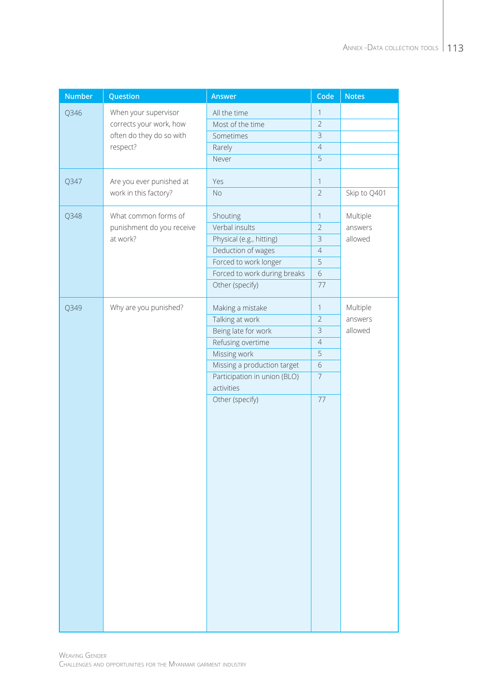| <b>Number</b> | Question                  | Answer                       | Code                    | <b>Notes</b> |
|---------------|---------------------------|------------------------------|-------------------------|--------------|
| Q346          | When your supervisor      | All the time                 | 1                       |              |
|               | corrects your work, how   | Most of the time             | $\overline{2}$          |              |
|               | often do they do so with  | Sometimes                    | $\overline{3}$          |              |
|               | respect?                  | Rarely                       | $\sqrt{4}$              |              |
|               |                           | Never                        | $\overline{5}$          |              |
|               |                           |                              |                         |              |
| Q347          | Are you ever punished at  | Yes                          | 1                       |              |
|               | work in this factory?     | <b>No</b>                    | $\overline{2}$          | Skip to Q401 |
| Q348          | What common forms of      | Shouting                     | 1                       | Multiple     |
|               | punishment do you receive | Verbal insults               | $\overline{2}$          | answers      |
|               | at work?                  | Physical (e.g., hitting)     | $\mathsf 3$             | allowed      |
|               |                           | Deduction of wages           | $\sqrt{4}$              |              |
|               |                           | Forced to work longer        | 5                       |              |
|               |                           | Forced to work during breaks | 6                       |              |
|               |                           | Other (specify)              | 77                      |              |
|               |                           |                              |                         |              |
| Q349          | Why are you punished?     | Making a mistake             | 1                       | Multiple     |
|               |                           | Talking at work              | $\overline{2}$          | answers      |
|               |                           | Being late for work          | $\overline{\mathbf{3}}$ | allowed      |
|               |                           | Refusing overtime            | $\sqrt{4}$              |              |
|               |                           | Missing work                 | 5                       |              |
|               |                           | Missing a production target  | $\overline{6}$          |              |
|               |                           | Participation in union (BLO) | $\overline{7}$          |              |
|               |                           | activities                   |                         |              |
|               |                           | Other (specify)              | 77                      |              |
|               |                           |                              |                         |              |
|               |                           |                              |                         |              |
|               |                           |                              |                         |              |
|               |                           |                              |                         |              |
|               |                           |                              |                         |              |
|               |                           |                              |                         |              |
|               |                           |                              |                         |              |
|               |                           |                              |                         |              |
|               |                           |                              |                         |              |
|               |                           |                              |                         |              |
|               |                           |                              |                         |              |
|               |                           |                              |                         |              |
|               |                           |                              |                         |              |
|               |                           |                              |                         |              |
|               |                           |                              |                         |              |
|               |                           |                              |                         |              |
|               |                           |                              |                         |              |
|               |                           |                              |                         |              |
|               |                           |                              |                         |              |
|               |                           |                              |                         |              |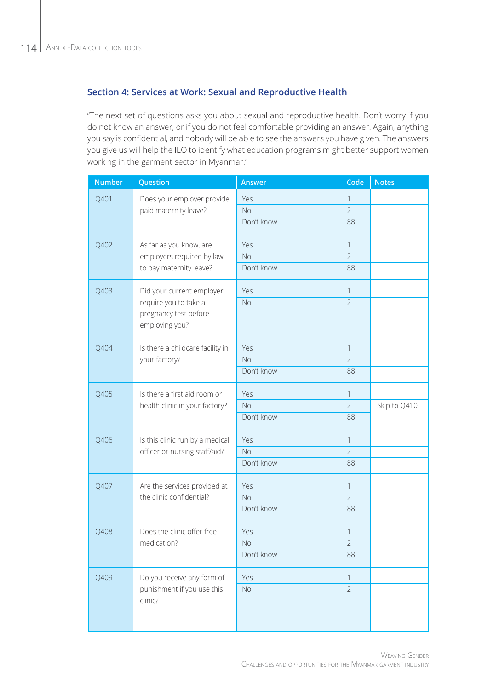## **Section 4: Services at Work: Sexual and Reproductive Health**

"The next set of questions asks you about sexual and reproductive health. Don't worry if you do not know an answer, or if you do not feel comfortable providing an answer. Again, anything you say is confidential, and nobody will be able to see the answers you have given. The answers you give us will help the ILO to identify what education programs might better support women working in the garment sector in Myanmar."

| <b>Number</b>         | Question                                                         | Answer     | Code           | <b>Notes</b> |
|-----------------------|------------------------------------------------------------------|------------|----------------|--------------|
| Q401                  | Does your employer provide                                       | Yes        | 1              |              |
| paid maternity leave? |                                                                  | <b>No</b>  | $\overline{2}$ |              |
|                       |                                                                  | Don't know | 88             |              |
| Q402                  | As far as you know, are                                          | Yes        | 1              |              |
|                       | employers required by law                                        | <b>No</b>  | $\overline{2}$ |              |
|                       | to pay maternity leave?                                          | Don't know | 88             |              |
| Q403                  | Did your current employer                                        | Yes        | 1              |              |
|                       | require you to take a<br>pregnancy test before<br>employing you? | <b>No</b>  | $\overline{2}$ |              |
| Q404                  | Is there a childcare facility in                                 | Yes        | 1              |              |
|                       | your factory?                                                    | <b>No</b>  | $\overline{2}$ |              |
|                       |                                                                  | Don't know | 88             |              |
| Q405                  | Is there a first aid room or                                     | Yes        | 1              |              |
|                       | health clinic in your factory?                                   | <b>No</b>  | $\overline{2}$ | Skip to Q410 |
|                       |                                                                  | Don't know | 88             |              |
| Q406                  | Is this clinic run by a medical                                  | Yes        | 1              |              |
|                       | officer or nursing staff/aid?                                    | <b>No</b>  | $\overline{2}$ |              |
|                       | Don't know                                                       | 88         |                |              |
| Q407                  | Are the services provided at                                     | Yes        | 1              |              |
|                       | the clinic confidential?                                         | <b>No</b>  | $\overline{2}$ |              |
|                       |                                                                  | Don't know | 88             |              |
| Q408                  | Does the clinic offer free                                       | Yes        | 1              |              |
|                       | medication?                                                      | <b>No</b>  | $\overline{2}$ |              |
|                       |                                                                  | Don't know | 88             |              |
| Q409                  | Do you receive any form of                                       | Yes        | $\mathbf{1}$   |              |
|                       | punishment if you use this<br>clinic?                            | No         | $\overline{2}$ |              |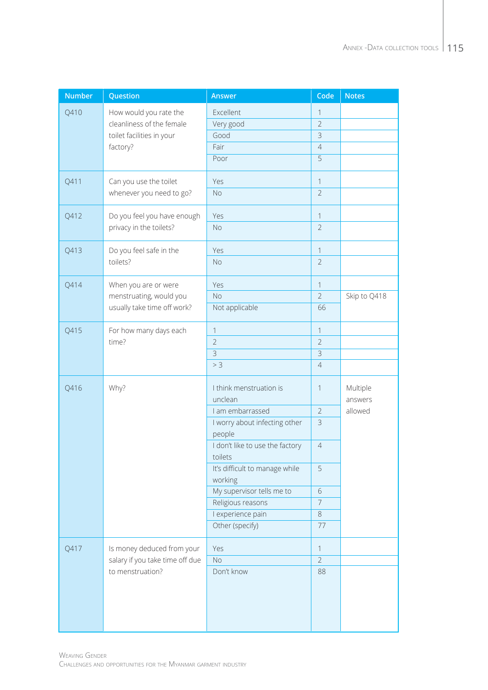| <b>Number</b> | Question                        | Answer                                    | Code                | <b>Notes</b> |
|---------------|---------------------------------|-------------------------------------------|---------------------|--------------|
| Q410          | How would you rate the          | Excellent                                 | 1                   |              |
|               | cleanliness of the female       | Very good                                 | $\overline{2}$      |              |
|               | toilet facilities in your       | Good                                      | $\overline{3}$      |              |
|               | factory?                        | Fair                                      | $\overline{4}$      |              |
|               |                                 | Poor                                      | $\overline{5}$      |              |
| Q411          | Can you use the toilet          | Yes                                       | 1                   |              |
|               | whenever you need to go?        | <b>No</b>                                 | $\overline{2}$      |              |
|               |                                 |                                           |                     |              |
| Q412          | Do you feel you have enough     | Yes                                       | 1                   |              |
|               | privacy in the toilets?         | <b>No</b>                                 | $\overline{2}$      |              |
| Q413          | Do you feel safe in the         | Yes                                       | 1                   |              |
|               | toilets?                        | <b>No</b>                                 | $\overline{2}$      |              |
|               |                                 |                                           |                     |              |
| Q414          | When you are or were            | Yes                                       | 1                   |              |
|               | menstruating, would you         | <b>No</b>                                 | $\overline{2}$      | Skip to Q418 |
|               | usually take time off work?     | Not applicable                            | 66                  |              |
|               |                                 |                                           |                     |              |
| Q415          | For how many days each<br>time? | $\mathbf{1}$<br>$\overline{2}$            | 1<br>$\overline{2}$ |              |
|               |                                 | 3                                         | 3                   |              |
|               |                                 | > 3                                       | $\overline{4}$      |              |
|               |                                 |                                           |                     |              |
| Q416          | Why?                            | I think menstruation is                   | 1                   | Multiple     |
|               |                                 | unclean                                   |                     | answers      |
|               |                                 | I am embarrassed                          | $\overline{2}$      | allowed      |
|               |                                 | I worry about infecting other             | 3                   |              |
|               |                                 | people                                    |                     |              |
|               |                                 | I don't like to use the factory           | $\overline{4}$      |              |
|               |                                 | toilets<br>It's difficult to manage while | 5                   |              |
|               |                                 | working                                   |                     |              |
|               |                                 | My supervisor tells me to                 | 6                   |              |
|               |                                 | Religious reasons                         | $\overline{7}$      |              |
|               |                                 | I experience pain                         | $8\,$               |              |
|               |                                 | Other (specify)                           | 77                  |              |
|               |                                 |                                           |                     |              |
| Q417          | Is money deduced from your      | Yes                                       | 1                   |              |
|               | salary if you take time off due | <b>No</b>                                 | $\overline{2}$      |              |
|               | to menstruation?                | Don't know                                | 88                  |              |
|               |                                 |                                           |                     |              |
|               |                                 |                                           |                     |              |
|               |                                 |                                           |                     |              |
|               |                                 |                                           |                     |              |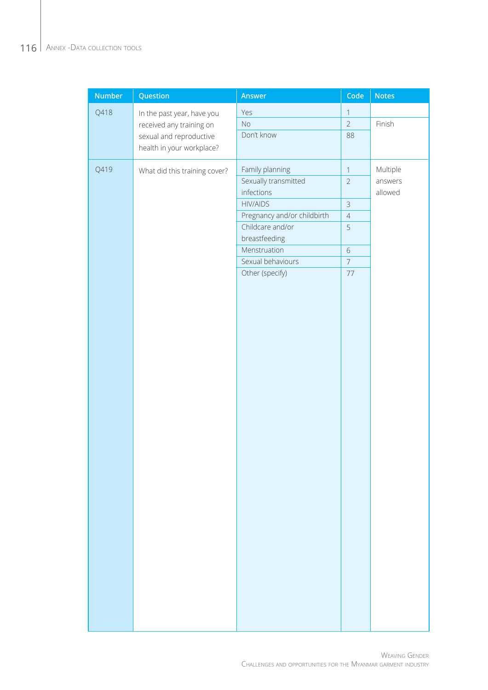| <b>Number</b> | Question                                               | Answer                                                                                                                                       | Code                                                                    | <b>Notes</b>                   |
|---------------|--------------------------------------------------------|----------------------------------------------------------------------------------------------------------------------------------------------|-------------------------------------------------------------------------|--------------------------------|
| Q418          | In the past year, have you<br>received any training on | Yes<br>$\rm No$                                                                                                                              | $\mathbf{1}$<br>$\overline{2}$                                          | Finish                         |
|               | sexual and reproductive<br>health in your workplace?   | Don't know                                                                                                                                   | 88                                                                      |                                |
| Q419          | What did this training cover?                          | Family planning<br>Sexually transmitted<br>infections<br><b>HIV/AIDS</b><br>Pregnancy and/or childbirth<br>Childcare and/or<br>breastfeeding | $\mathbf{1}$<br>$\overline{2}$<br>$\overline{3}$<br>$\overline{4}$<br>5 | Multiple<br>answers<br>allowed |
|               |                                                        | Menstruation<br>Sexual behaviours<br>Other (specify)                                                                                         | $6\,$<br>$\overline{7}$<br>$77\,$                                       |                                |
|               |                                                        |                                                                                                                                              |                                                                         |                                |
|               |                                                        |                                                                                                                                              |                                                                         |                                |
|               |                                                        |                                                                                                                                              |                                                                         |                                |
|               |                                                        |                                                                                                                                              |                                                                         |                                |
|               |                                                        |                                                                                                                                              |                                                                         |                                |
|               |                                                        |                                                                                                                                              |                                                                         |                                |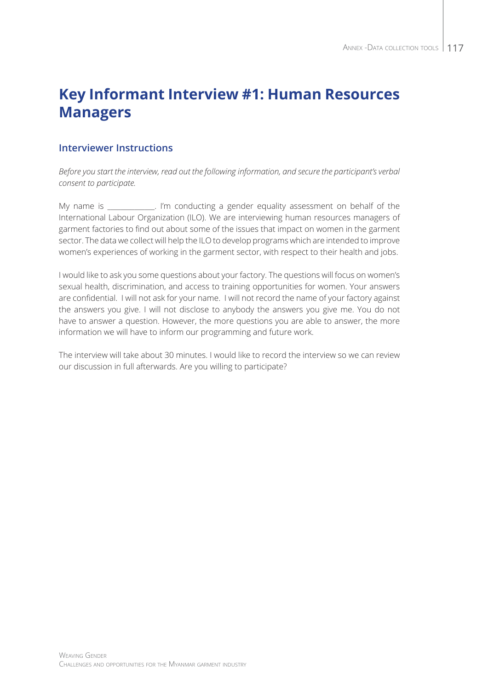# **Key Informant Interview #1: Human Resources Managers**

## **Interviewer Instructions**

*Before you start the interview, read out the following information, and secure the participant's verbal consent to participate.*

My name is \_\_\_\_\_\_\_\_\_\_\_\_. I'm conducting a gender equality assessment on behalf of the International Labour Organization (ILO). We are interviewing human resources managers of garment factories to find out about some of the issues that impact on women in the garment sector. The data we collect will help the ILO to develop programs which are intended to improve women's experiences of working in the garment sector, with respect to their health and jobs.

I would like to ask you some questions about your factory. The questions will focus on women's sexual health, discrimination, and access to training opportunities for women. Your answers are confidential. I will not ask for your name. I will not record the name of your factory against the answers you give. I will not disclose to anybody the answers you give me. You do not have to answer a question. However, the more questions you are able to answer, the more information we will have to inform our programming and future work.

The interview will take about 30 minutes. I would like to record the interview so we can review our discussion in full afterwards. Are you willing to participate?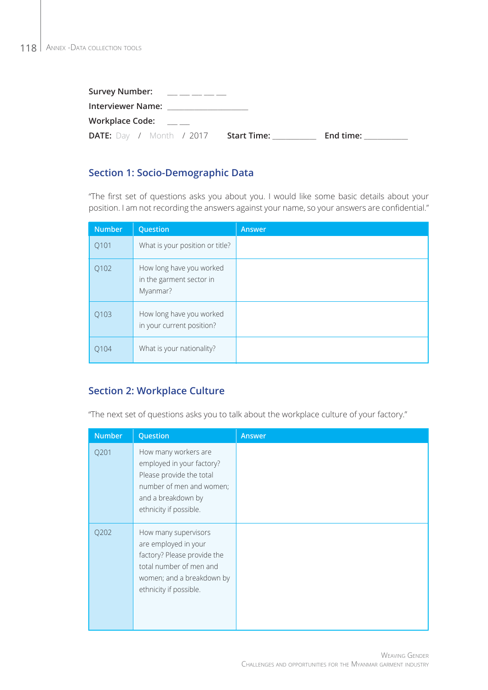| <b>Survey Number:</b>           |             |           |  |  |  |  |
|---------------------------------|-------------|-----------|--|--|--|--|
| <b>Interviewer Name:</b>        |             |           |  |  |  |  |
| <b>Workplace Code:</b>          |             |           |  |  |  |  |
| <b>DATE:</b> Day / Month / 2017 | Start Time: | End time: |  |  |  |  |

## **Section 1: Socio-Demographic Data**

"The first set of questions asks you about you. I would like some basic details about your position. I am not recording the answers against your name, so your answers are confidential."

| <b>Number</b>    | Question                                                         | Answer |
|------------------|------------------------------------------------------------------|--------|
| Q101             | What is your position or title?                                  |        |
| Q102             | How long have you worked<br>in the garment sector in<br>Myanmar? |        |
| O <sub>103</sub> | How long have you worked<br>in your current position?            |        |
| O104             | What is your nationality?                                        |        |

## **Section 2: Workplace Culture**

"The next set of questions asks you to talk about the workplace culture of your factory."

| <b>Number</b> | Question                                                                                                                                                      | Answer |
|---------------|---------------------------------------------------------------------------------------------------------------------------------------------------------------|--------|
| Q201          | How many workers are<br>employed in your factory?<br>Please provide the total<br>number of men and women;<br>and a breakdown by<br>ethnicity if possible.     |        |
| Q202          | How many supervisors<br>are employed in your<br>factory? Please provide the<br>total number of men and<br>women; and a breakdown by<br>ethnicity if possible. |        |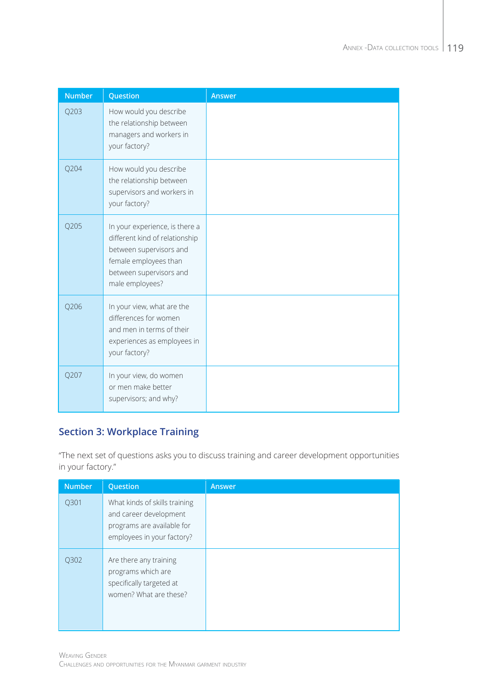| <b>Number</b> | Question                                                                                                                                                           | <b>Answer</b> |
|---------------|--------------------------------------------------------------------------------------------------------------------------------------------------------------------|---------------|
| Q203          | How would you describe<br>the relationship between<br>managers and workers in<br>your factory?                                                                     |               |
| Q204          | How would you describe<br>the relationship between<br>supervisors and workers in<br>your factory?                                                                  |               |
| Q205          | In your experience, is there a<br>different kind of relationship<br>between supervisors and<br>female employees than<br>between supervisors and<br>male employees? |               |
| Q206          | In your view, what are the<br>differences for women<br>and men in terms of their<br>experiences as employees in<br>your factory?                                   |               |
| Q207          | In your view, do women<br>or men make better<br>supervisors; and why?                                                                                              |               |

# **Section 3: Workplace Training**

"The next set of questions asks you to discuss training and career development opportunities in your factory."

| <b>Number</b> | Question                                                                                                            | Answer |
|---------------|---------------------------------------------------------------------------------------------------------------------|--------|
| Q301          | What kinds of skills training<br>and career development<br>programs are available for<br>employees in your factory? |        |
| Q302          | Are there any training<br>programs which are<br>specifically targeted at<br>women? What are these?                  |        |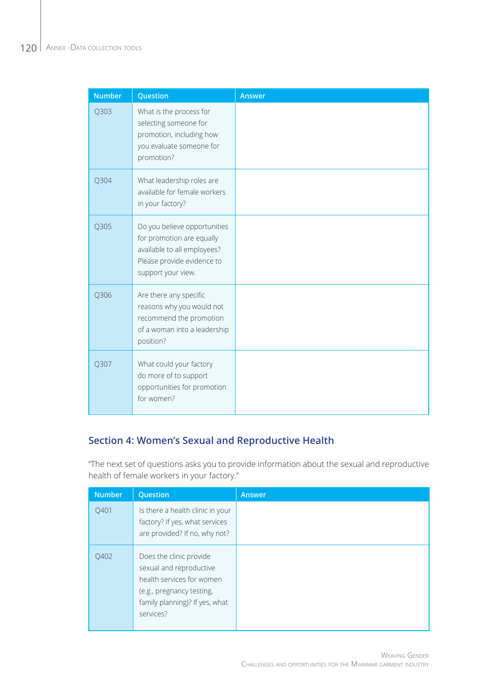| <b>Number</b> | Question                                                                                                                                     | <b>Answer</b> |
|---------------|----------------------------------------------------------------------------------------------------------------------------------------------|---------------|
| Q303          | What is the process for<br>selecting someone for<br>promotion, including how<br>you evaluate someone for<br>promotion?                       |               |
| Q304          | What leadership roles are<br>available for female workers<br>in your factory?                                                                |               |
| Q305          | Do you believe opportunities<br>for promotion are equally<br>available to all employees?<br>Please provide evidence to<br>support your view. |               |
| Q306          | Are there any specific<br>reasons why you would not<br>recommend the promotion<br>of a woman into a leadership<br>position?                  |               |
| Q307          | What could your factory<br>do more of to support<br>opportunities for promotion<br>for women?                                                |               |

# **Section 4: Women's Sexual and Reproductive Health**

"The next set of questions asks you to provide information about the sexual and reproductive health of female workers in your factory."

| <b>Number</b> | Question                                                                                                                                                    | <b>Answer</b> |
|---------------|-------------------------------------------------------------------------------------------------------------------------------------------------------------|---------------|
| Q401          | Is there a health clinic in your<br>factory? If yes, what services<br>are provided? If no, why not?                                                         |               |
| Q402          | Does the clinic provide<br>sexual and reproductive<br>health services for women<br>(e.g., pregnancy testing,<br>family planning)? If yes, what<br>services? |               |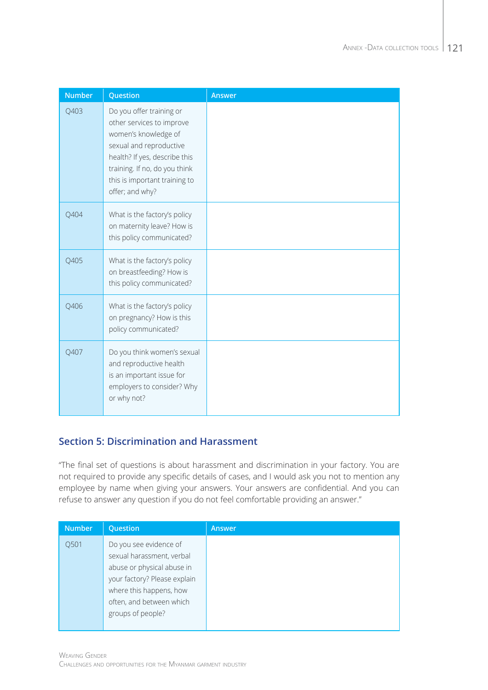| <b>Number</b> | Question                                                                                                                                                                                                                       | <b>Answer</b> |
|---------------|--------------------------------------------------------------------------------------------------------------------------------------------------------------------------------------------------------------------------------|---------------|
| Q403          | Do you offer training or<br>other services to improve<br>women's knowledge of<br>sexual and reproductive<br>health? If yes, describe this<br>training. If no, do you think<br>this is important training to<br>offer; and why? |               |
| Q404          | What is the factory's policy<br>on maternity leave? How is<br>this policy communicated?                                                                                                                                        |               |
| Q405          | What is the factory's policy<br>on breastfeeding? How is<br>this policy communicated?                                                                                                                                          |               |
| Q406          | What is the factory's policy<br>on pregnancy? How is this<br>policy communicated?                                                                                                                                              |               |
| Q407          | Do you think women's sexual<br>and reproductive health<br>is an important issue for<br>employers to consider? Why<br>or why not?                                                                                               |               |

## **Section 5: Discrimination and Harassment**

"The final set of questions is about harassment and discrimination in your factory. You are not required to provide any specific details of cases, and I would ask you not to mention any employee by name when giving your answers. Your answers are confidential. And you can refuse to answer any question if you do not feel comfortable providing an answer."

| <b>Number</b> | <b>Question</b>                                                                                                                                                                               | Answer |
|---------------|-----------------------------------------------------------------------------------------------------------------------------------------------------------------------------------------------|--------|
| Q501          | Do you see evidence of<br>sexual harassment, verbal<br>abuse or physical abuse in<br>your factory? Please explain<br>where this happens, how<br>often, and between which<br>groups of people? |        |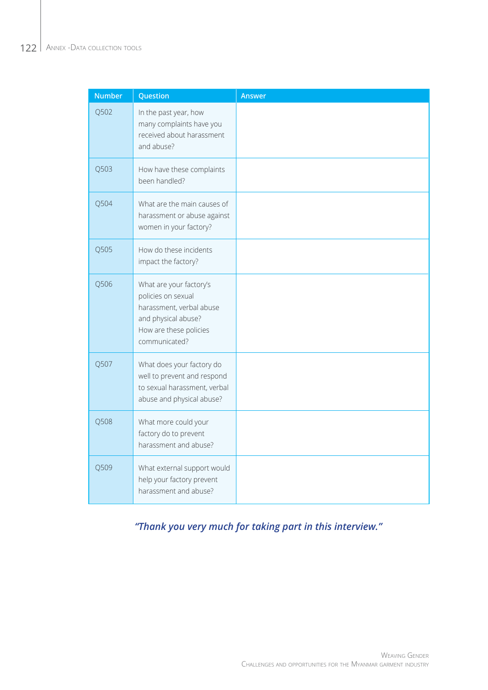| <b>Number</b> | Question                                                                                                                                    | <b>Answer</b> |
|---------------|---------------------------------------------------------------------------------------------------------------------------------------------|---------------|
| Q502          | In the past year, how<br>many complaints have you<br>received about harassment<br>and abuse?                                                |               |
| Q503          | How have these complaints<br>been handled?                                                                                                  |               |
| Q504          | What are the main causes of<br>harassment or abuse against<br>women in your factory?                                                        |               |
| Q505          | How do these incidents<br>impact the factory?                                                                                               |               |
| Q506          | What are your factory's<br>policies on sexual<br>harassment, verbal abuse<br>and physical abuse?<br>How are these policies<br>communicated? |               |
| Q507          | What does your factory do<br>well to prevent and respond<br>to sexual harassment, verbal<br>abuse and physical abuse?                       |               |
| Q508          | What more could your<br>factory do to prevent<br>harassment and abuse?                                                                      |               |
| Q509          | What external support would<br>help your factory prevent<br>harassment and abuse?                                                           |               |

*"Thank you very much for taking part in this interview."*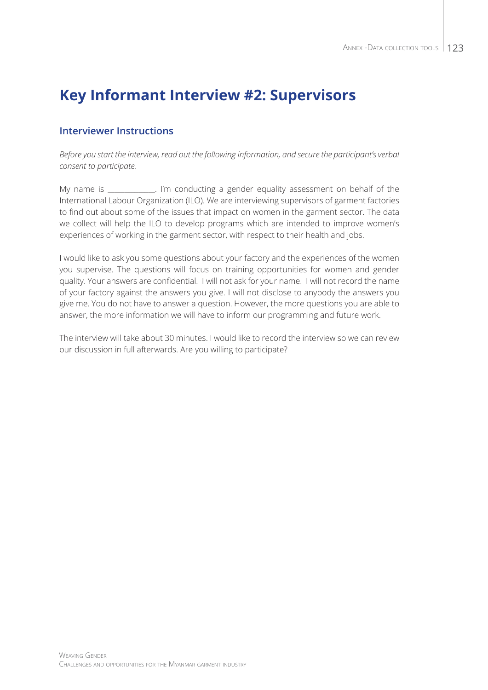# **Key Informant Interview #2: Supervisors**

## **Interviewer Instructions**

*Before you start the interview, read out the following information, and secure the participant's verbal consent to participate.*

My name is \_\_\_\_\_\_\_\_\_\_\_\_. I'm conducting a gender equality assessment on behalf of the International Labour Organization (ILO). We are interviewing supervisors of garment factories to find out about some of the issues that impact on women in the garment sector. The data we collect will help the ILO to develop programs which are intended to improve women's experiences of working in the garment sector, with respect to their health and jobs.

I would like to ask you some questions about your factory and the experiences of the women you supervise. The questions will focus on training opportunities for women and gender quality. Your answers are confidential. I will not ask for your name. I will not record the name of your factory against the answers you give. I will not disclose to anybody the answers you give me. You do not have to answer a question. However, the more questions you are able to answer, the more information we will have to inform our programming and future work.

The interview will take about 30 minutes. I would like to record the interview so we can review our discussion in full afterwards. Are you willing to participate?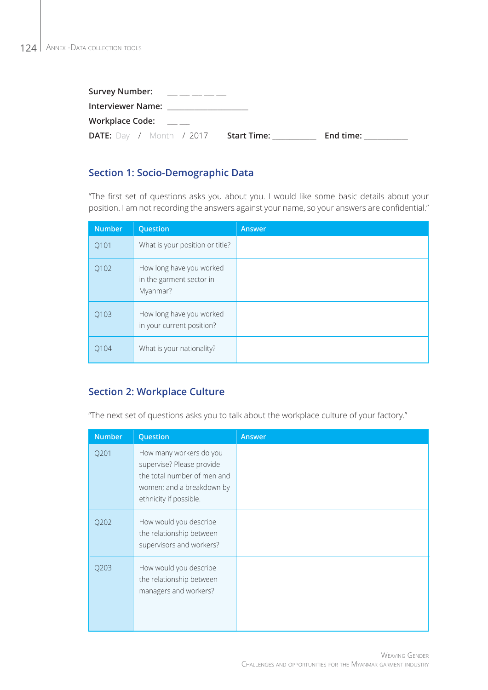| <b>Survey Number:</b>           |             |           |  |
|---------------------------------|-------------|-----------|--|
| <b>Interviewer Name:</b>        |             |           |  |
| <b>Workplace Code:</b>          |             |           |  |
| <b>DATE:</b> Day / Month / 2017 | Start Time: | End time: |  |

## **Section 1: Socio-Demographic Data**

"The first set of questions asks you about you. I would like some basic details about your position. I am not recording the answers against your name, so your answers are confidential."

| <b>Number</b>    | Question                                                         | Answer |
|------------------|------------------------------------------------------------------|--------|
| Q101             | What is your position or title?                                  |        |
| O <sub>102</sub> | How long have you worked<br>in the garment sector in<br>Myanmar? |        |
| Q103             | How long have you worked<br>in your current position?            |        |
| 0104             | What is your nationality?                                        |        |

## **Section 2: Workplace Culture**

"The next set of questions asks you to talk about the workplace culture of your factory."

| <b>Number</b> | Question                                                                                                                                   | Answer |
|---------------|--------------------------------------------------------------------------------------------------------------------------------------------|--------|
| Q201          | How many workers do you<br>supervise? Please provide<br>the total number of men and<br>women; and a breakdown by<br>ethnicity if possible. |        |
| Q202          | How would you describe<br>the relationship between<br>supervisors and workers?                                                             |        |
| Q203          | How would you describe<br>the relationship between<br>managers and workers?                                                                |        |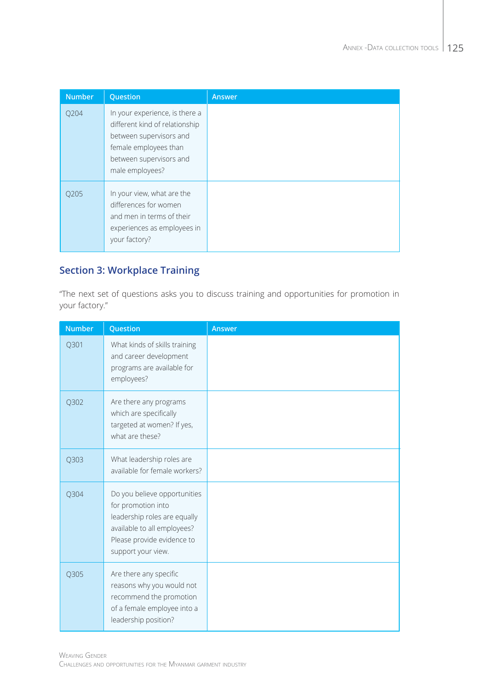| <b>Number</b> | Question                                                                                                                                                           | Answer |
|---------------|--------------------------------------------------------------------------------------------------------------------------------------------------------------------|--------|
| Q204          | In your experience, is there a<br>different kind of relationship<br>between supervisors and<br>female employees than<br>between supervisors and<br>male employees? |        |
| Q205          | In your view, what are the<br>differences for women<br>and men in terms of their<br>experiences as employees in<br>your factory?                                   |        |

# **Section 3: Workplace Training**

"The next set of questions asks you to discuss training and opportunities for promotion in your factory."

| <b>Number</b> | Question                                                                                                                                                              | Answer |
|---------------|-----------------------------------------------------------------------------------------------------------------------------------------------------------------------|--------|
| Q301          | What kinds of skills training<br>and career development<br>programs are available for<br>employees?                                                                   |        |
| Q302          | Are there any programs<br>which are specifically<br>targeted at women? If yes,<br>what are these?                                                                     |        |
| Q303          | What leadership roles are<br>available for female workers?                                                                                                            |        |
| Q304          | Do you believe opportunities<br>for promotion into<br>leadership roles are equally<br>available to all employees?<br>Please provide evidence to<br>support your view. |        |
| Q305          | Are there any specific<br>reasons why you would not<br>recommend the promotion<br>of a female employee into a<br>leadership position?                                 |        |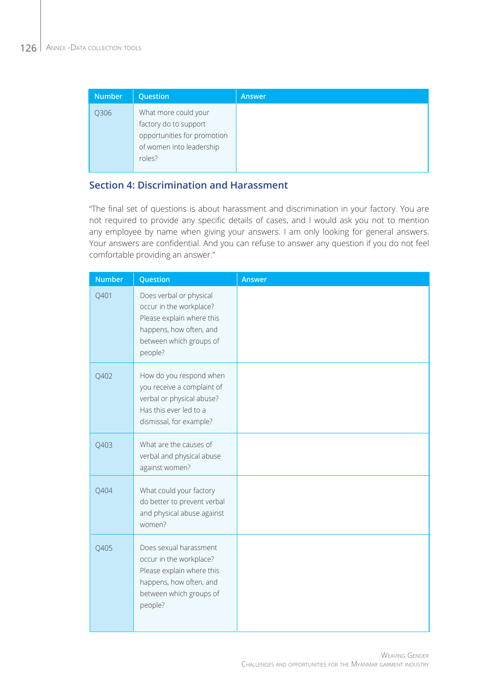| <b>Number</b> | <b>Question</b>                                                                                                    | Answer |
|---------------|--------------------------------------------------------------------------------------------------------------------|--------|
| Q306          | What more could your<br>factory do to support<br>opportunities for promotion<br>of women into leadership<br>roles? |        |

#### **Section 4: Discrimination and Harassment**

"The final set of questions is about harassment and discrimination in your factory. You are not required to provide any specific details of cases, and I would ask you not to mention any employee by name when giving your answers. I am only looking for general answers. Your answers are confidential. And you can refuse to answer any question if you do not feel comfortable providing an answer."

| <b>Number</b> | Question                                                                                                                                         | Answer |
|---------------|--------------------------------------------------------------------------------------------------------------------------------------------------|--------|
| Q401          | Does verbal or physical<br>occur in the workplace?<br>Please explain where this<br>happens, how often, and<br>between which groups of<br>people? |        |
| Q402          | How do you respond when<br>you receive a complaint of<br>verbal or physical abuse?<br>Has this ever led to a<br>dismissal, for example?          |        |
| Q403          | What are the causes of<br>verbal and physical abuse<br>against women?                                                                            |        |
| Q404          | What could your factory<br>do better to prevent verbal<br>and physical abuse against<br>women?                                                   |        |
| Q405          | Does sexual harassment<br>occur in the workplace?<br>Please explain where this<br>happens, how often, and<br>between which groups of<br>people?  |        |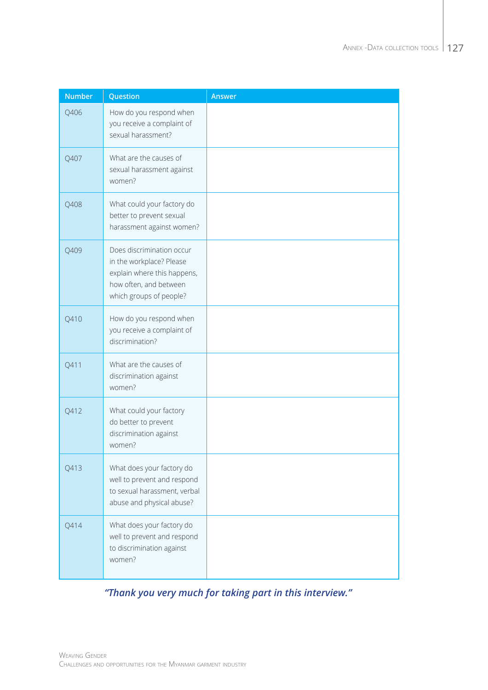| <b>Number</b> | Question                                                                                                                                  | Answer |
|---------------|-------------------------------------------------------------------------------------------------------------------------------------------|--------|
| Q406          | How do you respond when<br>you receive a complaint of<br>sexual harassment?                                                               |        |
| Q407          | What are the causes of<br>sexual harassment against<br>women?                                                                             |        |
| Q408          | What could your factory do<br>better to prevent sexual<br>harassment against women?                                                       |        |
| Q409          | Does discrimination occur<br>in the workplace? Please<br>explain where this happens,<br>how often, and between<br>which groups of people? |        |
| Q410          | How do you respond when<br>you receive a complaint of<br>discrimination?                                                                  |        |
| Q411          | What are the causes of<br>discrimination against<br>women?                                                                                |        |
| Q412          | What could your factory<br>do better to prevent<br>discrimination against<br>women?                                                       |        |
| Q413          | What does your factory do<br>well to prevent and respond<br>to sexual harassment, verbal<br>abuse and physical abuse?                     |        |
| Q414          | What does your factory do<br>well to prevent and respond<br>to discrimination against<br>women?                                           |        |

# *"Thank you very much for taking part in this interview."*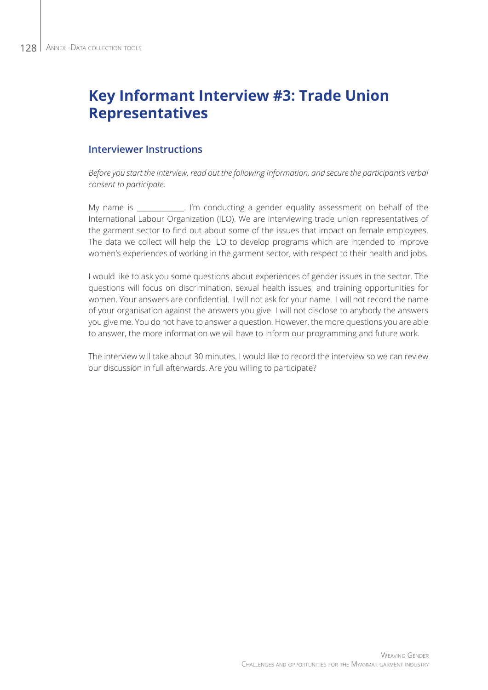# **Key Informant Interview #3: Trade Union Representatives**

#### **Interviewer Instructions**

*Before you start the interview, read out the following information, and secure the participant's verbal consent to participate.*

My name is \_\_\_\_\_\_\_\_\_\_\_\_. I'm conducting a gender equality assessment on behalf of the International Labour Organization (ILO). We are interviewing trade union representatives of the garment sector to find out about some of the issues that impact on female employees. The data we collect will help the ILO to develop programs which are intended to improve women's experiences of working in the garment sector, with respect to their health and jobs.

I would like to ask you some questions about experiences of gender issues in the sector. The questions will focus on discrimination, sexual health issues, and training opportunities for women. Your answers are confidential. I will not ask for your name. I will not record the name of your organisation against the answers you give. I will not disclose to anybody the answers you give me. You do not have to answer a question. However, the more questions you are able to answer, the more information we will have to inform our programming and future work.

The interview will take about 30 minutes. I would like to record the interview so we can review our discussion in full afterwards. Are you willing to participate?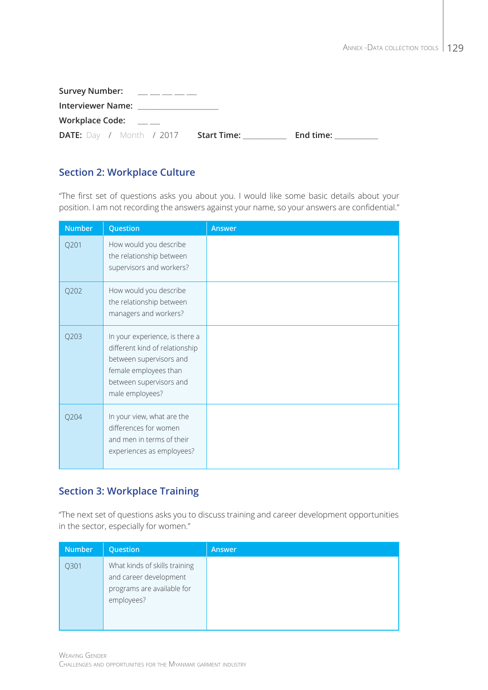| <b>Survey Number:</b>           |                    |           |
|---------------------------------|--------------------|-----------|
| <b>Interviewer Name:</b>        |                    |           |
| <b>Workplace Code:</b>          |                    |           |
| <b>DATE:</b> Day / Month / 2017 | <b>Start Time:</b> | End time: |

#### **Section 2: Workplace Culture**

"The first set of questions asks you about you. I would like some basic details about your position. I am not recording the answers against your name, so your answers are confidential."

| <b>Number</b> | Question                                                                                                                                                           | Answer |
|---------------|--------------------------------------------------------------------------------------------------------------------------------------------------------------------|--------|
| Q201          | How would you describe<br>the relationship between<br>supervisors and workers?                                                                                     |        |
| Q202          | How would you describe<br>the relationship between<br>managers and workers?                                                                                        |        |
| Q203          | In your experience, is there a<br>different kind of relationship<br>between supervisors and<br>female employees than<br>between supervisors and<br>male employees? |        |
| Q204          | In your view, what are the<br>differences for women<br>and men in terms of their<br>experiences as employees?                                                      |        |

## **Section 3: Workplace Training**

"The next set of questions asks you to discuss training and career development opportunities in the sector, especially for women."

| <b>Number</b> | Question                                                                                            | Answer |
|---------------|-----------------------------------------------------------------------------------------------------|--------|
| Q301          | What kinds of skills training<br>and career development<br>programs are available for<br>employees? |        |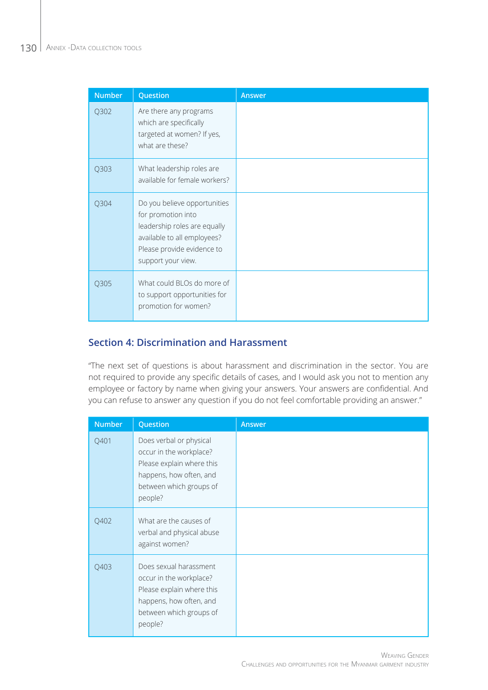| <b>Number</b> | Question                                                                                                                                                              | Answer |
|---------------|-----------------------------------------------------------------------------------------------------------------------------------------------------------------------|--------|
| Q302          | Are there any programs<br>which are specifically<br>targeted at women? If yes,<br>what are these?                                                                     |        |
| Q303          | What leadership roles are<br>available for female workers?                                                                                                            |        |
| Q304          | Do you believe opportunities<br>for promotion into<br>leadership roles are equally<br>available to all employees?<br>Please provide evidence to<br>support your view. |        |
| Q305          | What could BLOs do more of<br>to support opportunities for<br>promotion for women?                                                                                    |        |

#### **Section 4: Discrimination and Harassment**

"The next set of questions is about harassment and discrimination in the sector. You are not required to provide any specific details of cases, and I would ask you not to mention any employee or factory by name when giving your answers. Your answers are confidential. And you can refuse to answer any question if you do not feel comfortable providing an answer."

| <b>Number</b> | Question                                                                                                                                         | Answer |
|---------------|--------------------------------------------------------------------------------------------------------------------------------------------------|--------|
| Q401          | Does verbal or physical<br>occur in the workplace?<br>Please explain where this<br>happens, how often, and<br>between which groups of<br>people? |        |
| Q402          | What are the causes of<br>verbal and physical abuse<br>against women?                                                                            |        |
| Q403          | Does sexual harassment<br>occur in the workplace?<br>Please explain where this<br>happens, how often, and<br>between which groups of<br>people?  |        |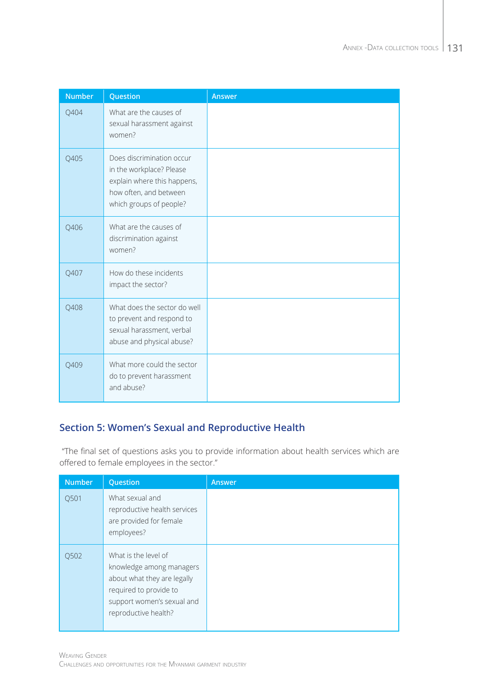| <b>Number</b> | Question                                                                                                                                  | <b>Answer</b> |
|---------------|-------------------------------------------------------------------------------------------------------------------------------------------|---------------|
| Q404          | What are the causes of<br>sexual harassment against<br>women?                                                                             |               |
| Q405          | Does discrimination occur<br>in the workplace? Please<br>explain where this happens,<br>how often, and between<br>which groups of people? |               |
| Q406          | What are the causes of<br>discrimination against<br>women?                                                                                |               |
| Q407          | How do these incidents<br>impact the sector?                                                                                              |               |
| Q408          | What does the sector do well<br>to prevent and respond to<br>sexual harassment, verbal<br>abuse and physical abuse?                       |               |
| Q409          | What more could the sector<br>do to prevent harassment<br>and abuse?                                                                      |               |

## **Section 5: Women's Sexual and Reproductive Health**

"The final set of questions asks you to provide information about health services which are offered to female employees in the sector."

| <b>Number</b> | Question                                                                                                                                                        | Answer |
|---------------|-----------------------------------------------------------------------------------------------------------------------------------------------------------------|--------|
| Q501          | What sexual and<br>reproductive health services<br>are provided for female<br>employees?                                                                        |        |
| Q502          | What is the level of<br>knowledge among managers<br>about what they are legally<br>required to provide to<br>support women's sexual and<br>reproductive health? |        |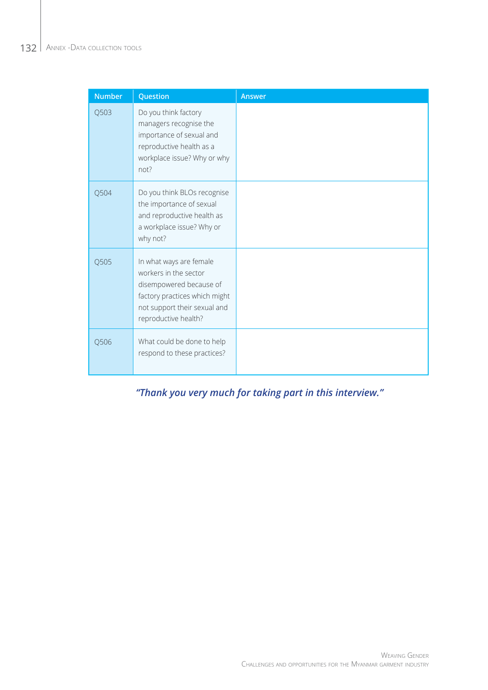| <b>Number</b> | Question                                                                                                                                                             | <b>Answer</b> |
|---------------|----------------------------------------------------------------------------------------------------------------------------------------------------------------------|---------------|
| Q503          | Do you think factory<br>managers recognise the<br>importance of sexual and<br>reproductive health as a<br>workplace issue? Why or why<br>not?                        |               |
| Q504          | Do you think BLOs recognise<br>the importance of sexual<br>and reproductive health as<br>a workplace issue? Why or<br>why not?                                       |               |
| Q505          | In what ways are female<br>workers in the sector<br>disempowered because of<br>factory practices which might<br>not support their sexual and<br>reproductive health? |               |
| Q506          | What could be done to help<br>respond to these practices?                                                                                                            |               |

*"Thank you very much for taking part in this interview."*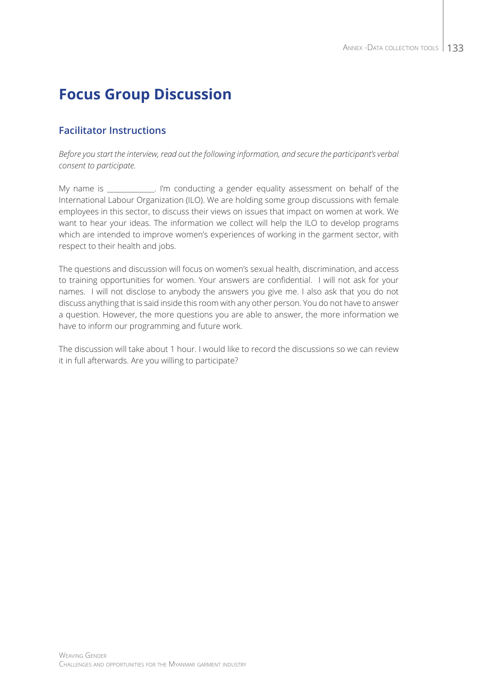# **Focus Group Discussion**

### **Facilitator Instructions**

*Before you start the interview, read out the following information, and secure the participant's verbal consent to participate.*

My name is \_\_\_\_\_\_\_\_\_\_\_\_. I'm conducting a gender equality assessment on behalf of the International Labour Organization (ILO). We are holding some group discussions with female employees in this sector, to discuss their views on issues that impact on women at work. We want to hear your ideas. The information we collect will help the ILO to develop programs which are intended to improve women's experiences of working in the garment sector, with respect to their health and jobs.

The questions and discussion will focus on women's sexual health, discrimination, and access to training opportunities for women. Your answers are confidential. I will not ask for your names. I will not disclose to anybody the answers you give me. I also ask that you do not discuss anything that is said inside this room with any other person. You do not have to answer a question. However, the more questions you are able to answer, the more information we have to inform our programming and future work.

The discussion will take about 1 hour. I would like to record the discussions so we can review it in full afterwards. Are you willing to participate?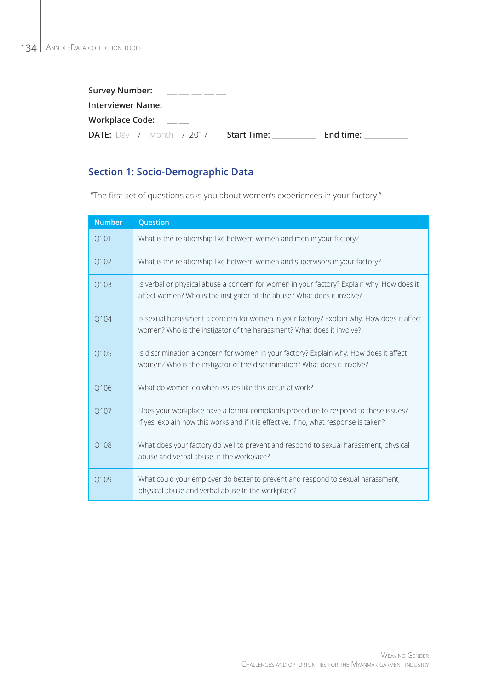| Survey Number:<br><u> 1980 - Andrea Andrew Andrew Andrew Andrew Andrew Andrew Andrew Andrew Andrew Andrew Andrew Andrew Andrew Andrew Andrew Andrew Andrew Andrew Andrew Andrew Andrew Andrew Andrew Andrew Andrew Andrew Andrew Andrew Andrew And</u> |             |           |
|--------------------------------------------------------------------------------------------------------------------------------------------------------------------------------------------------------------------------------------------------------|-------------|-----------|
| <b>Interviewer Name:</b>                                                                                                                                                                                                                               |             |           |
| <b>Workplace Code:</b>                                                                                                                                                                                                                                 |             |           |
| <b>DATE:</b> Day / Month / <b>2017</b>                                                                                                                                                                                                                 | Start Time: | End time: |

## **Section 1: Socio-Demographic Data**

"The first set of questions asks you about women's experiences in your factory."

| <b>Number</b> | Question                                                                                                                                                                    |
|---------------|-----------------------------------------------------------------------------------------------------------------------------------------------------------------------------|
| Q101          | What is the relationship like between women and men in your factory?                                                                                                        |
| Q102          | What is the relationship like between women and supervisors in your factory?                                                                                                |
| Q103          | Is verbal or physical abuse a concern for women in your factory? Explain why. How does it<br>affect women? Who is the instigator of the abuse? What does it involve?        |
| Q104          | Is sexual harassment a concern for women in your factory? Explain why. How does it affect<br>women? Who is the instigator of the harassment? What does it involve?          |
| Q105          | Is discrimination a concern for women in your factory? Explain why. How does it affect<br>women? Who is the instigator of the discrimination? What does it involve?         |
| Q106          | What do women do when issues like this occur at work?                                                                                                                       |
| Q107          | Does your workplace have a formal complaints procedure to respond to these issues?<br>If yes, explain how this works and if it is effective. If no, what response is taken? |
| Q108          | What does your factory do well to prevent and respond to sexual harassment, physical<br>abuse and verbal abuse in the workplace?                                            |
| Q109          | What could your employer do better to prevent and respond to sexual harassment,<br>physical abuse and verbal abuse in the workplace?                                        |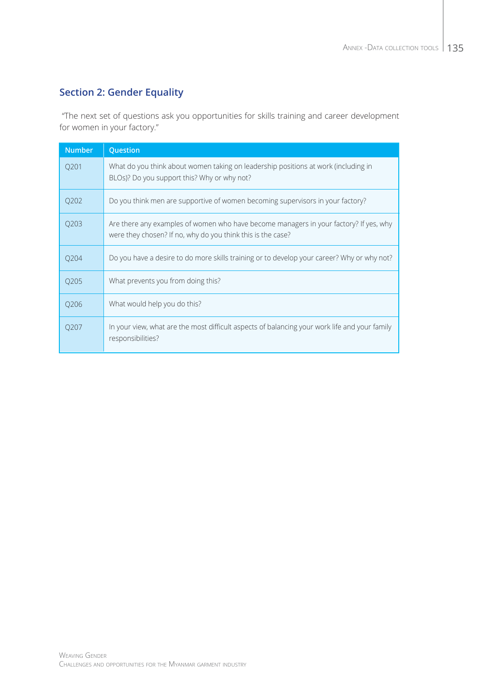## **Section 2: Gender Equality**

 "The next set of questions ask you opportunities for skills training and career development for women in your factory."

| <b>Number</b> | Question                                                                                                                                             |
|---------------|------------------------------------------------------------------------------------------------------------------------------------------------------|
| Q201          | What do you think about women taking on leadership positions at work (including in<br>BLOs)? Do you support this? Why or why not?                    |
| Q202          | Do you think men are supportive of women becoming supervisors in your factory?                                                                       |
| Q203          | Are there any examples of women who have become managers in your factory? If yes, why<br>were they chosen? If no, why do you think this is the case? |
| Q204          | Do you have a desire to do more skills training or to develop your career? Why or why not?                                                           |
| Q205          | What prevents you from doing this?                                                                                                                   |
| Q206          | What would help you do this?                                                                                                                         |
| Q207          | In your view, what are the most difficult aspects of balancing your work life and your family<br>responsibilities?                                   |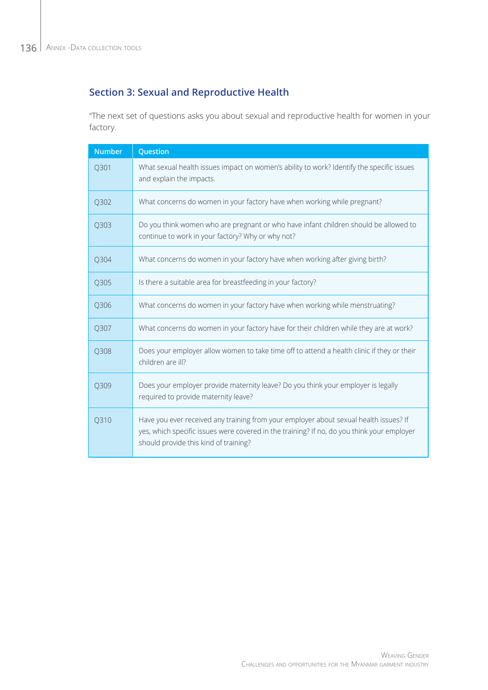## **Section 3: Sexual and Reproductive Health**

"The next set of questions asks you about sexual and reproductive health for women in your factory.

| <b>Number</b> | Question                                                                                                                                                                                                                     |
|---------------|------------------------------------------------------------------------------------------------------------------------------------------------------------------------------------------------------------------------------|
| Q301          | What sexual health issues impact on women's ability to work? Identify the specific issues<br>and explain the impacts.                                                                                                        |
| Q302          | What concerns do women in your factory have when working while pregnant?                                                                                                                                                     |
| Q303          | Do you think women who are pregnant or who have infant children should be allowed to<br>continue to work in your factory? Why or why not?                                                                                    |
| Q304          | What concerns do women in your factory have when working after giving birth?                                                                                                                                                 |
| Q305          | Is there a suitable area for breastfeeding in your factory?                                                                                                                                                                  |
| Q306          | What concerns do women in your factory have when working while menstruating?                                                                                                                                                 |
| Q307          | What concerns do women in your factory have for their children while they are at work?                                                                                                                                       |
| Q308          | Does your employer allow women to take time off to attend a health clinic if they or their<br>children are ill?                                                                                                              |
| Q309          | Does your employer provide maternity leave? Do you think your employer is legally<br>required to provide maternity leave?                                                                                                    |
| Q310          | Have you ever received any training from your employer about sexual health issues? If<br>yes, which specific issues were covered in the training? If no, do you think your employer<br>should provide this kind of training? |